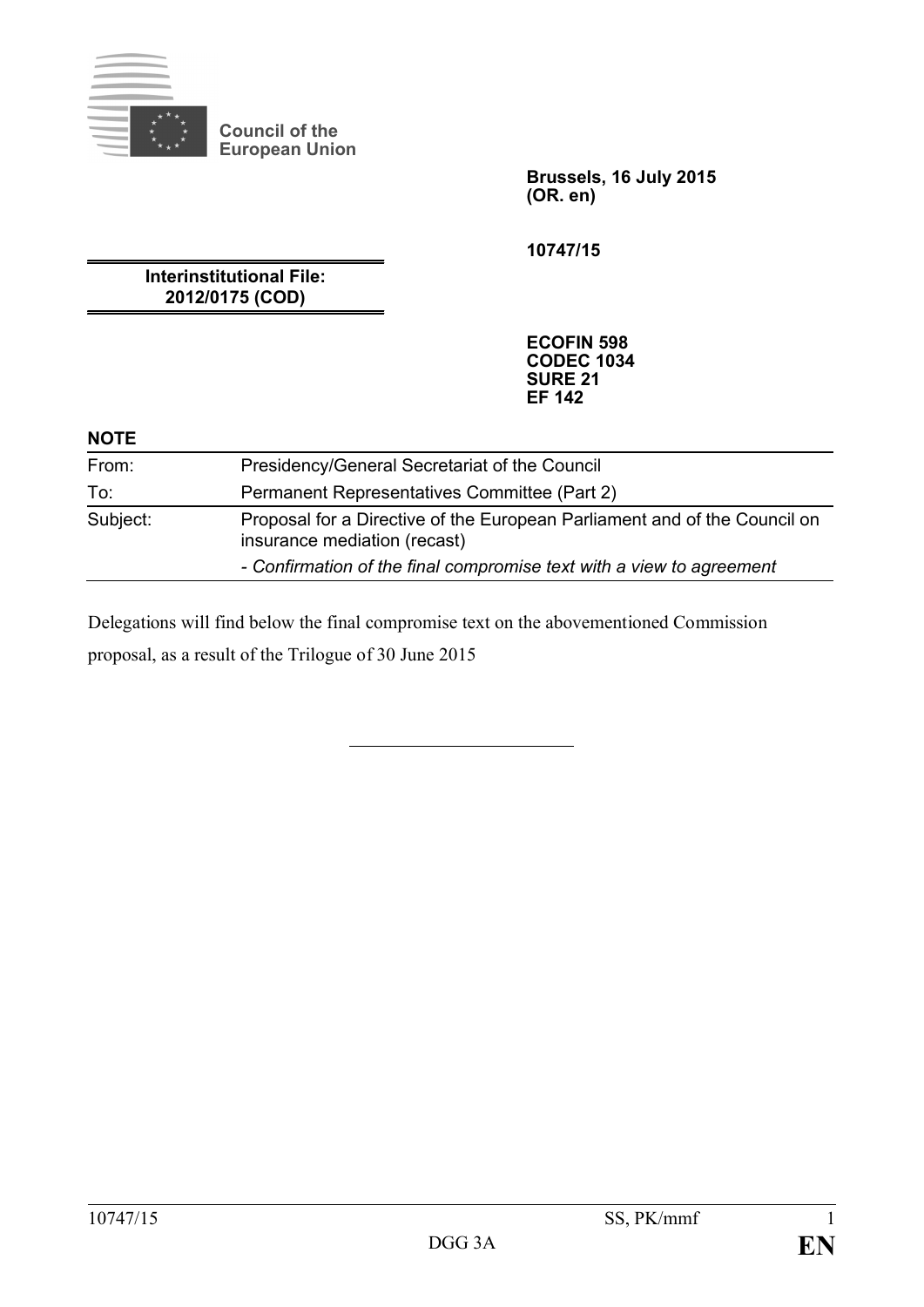

**Council of the European Union**

> **Brussels, 16 July 2015 (OR. en)**

**10747/15**

**Interinstitutional File: 2012/0175 (COD)**

> **ECOFIN 598 CODEC 1034 SURE 21 EF 142**

#### **NOTE**

| From:    | Presidency/General Secretariat of the Council                                                             |
|----------|-----------------------------------------------------------------------------------------------------------|
| To:      | Permanent Representatives Committee (Part 2)                                                              |
| Subject: | Proposal for a Directive of the European Parliament and of the Council on<br>insurance mediation (recast) |
|          | - Confirmation of the final compromise text with a view to agreement                                      |

Delegations will find below the final compromise text on the abovementioned Commission

proposal, as a result of the Trilogue of 30 June 2015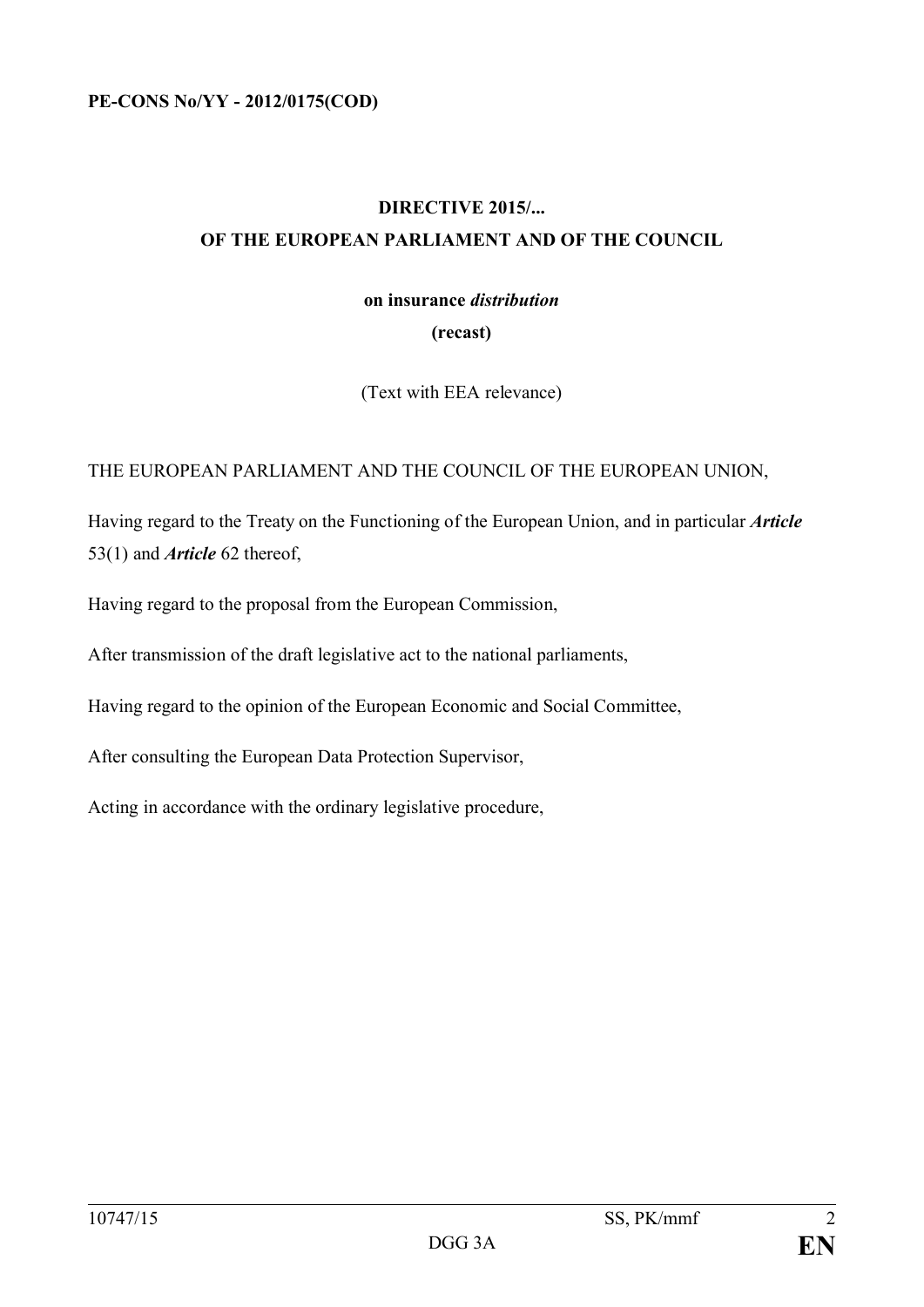# **DIRECTIVE 2015/... OF THE EUROPEAN PARLIAMENT AND OF THE COUNCIL**

# **on insurance** *distribution* **(recast)**

(Text with EEA relevance)

## THE EUROPEAN PARLIAMENT AND THE COUNCIL OF THE EUROPEAN UNION,

Having regard to the Treaty on the Functioning of the European Union, and in particular *Article* 53(1) and *Article* 62 thereof,

Having regard to the proposal from the European Commission,

After transmission of the draft legislative act to the national parliaments,

Having regard to the opinion of the European Economic and Social Committee,

After consulting the European Data Protection Supervisor,

Acting in accordance with the ordinary legislative procedure,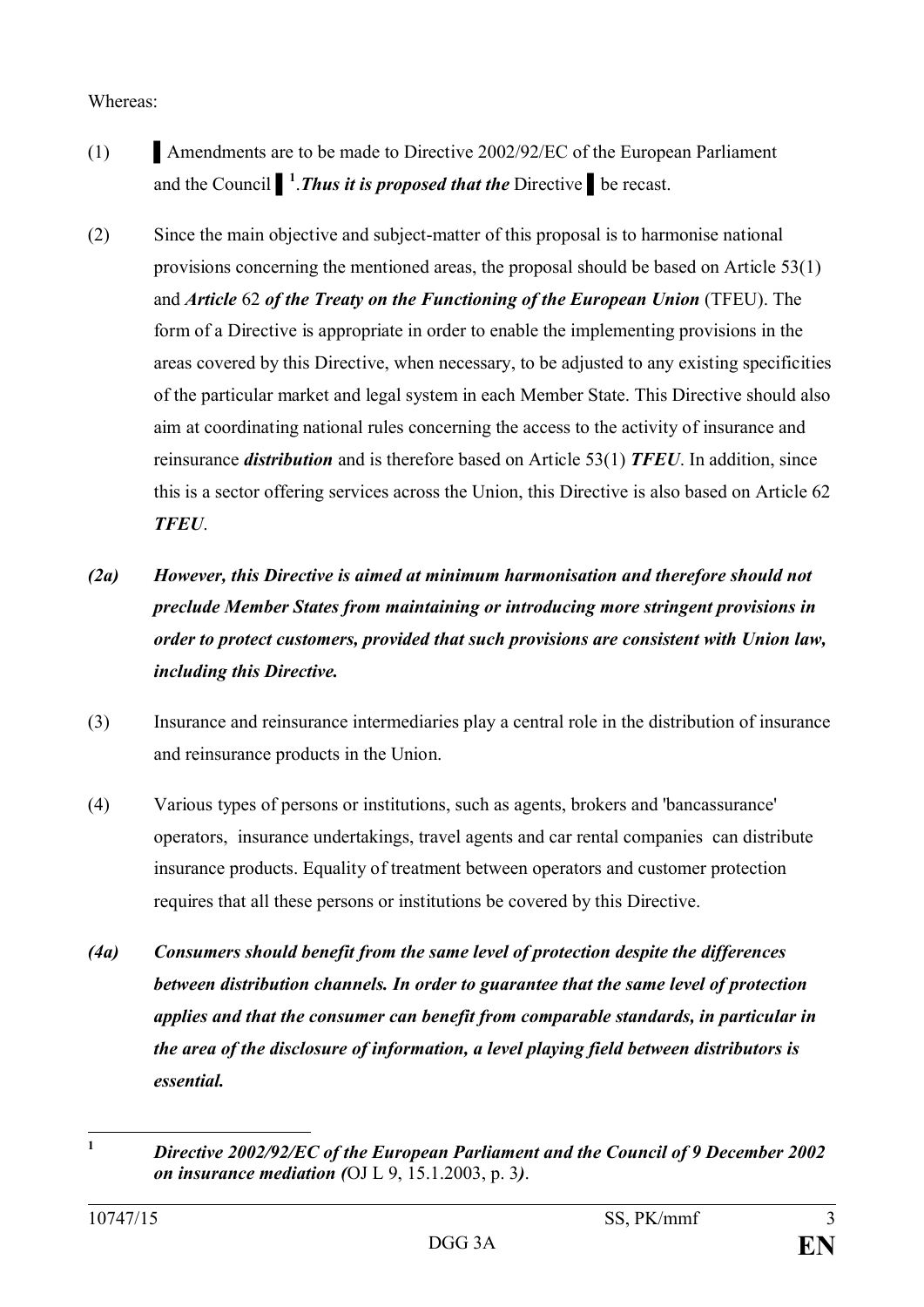### Whereas:

- (1) Amendments are to be made to Directive  $2002/92/EC$  of the European Parliament and the Council ▌ **1** .*Thus it is proposed that the* Directive ▌be recast.
- (2) Since the main objective and subject-matter of this proposal is to harmonise national provisions concerning the mentioned areas, the proposal should be based on Article 53(1) and *Article* 62 *of the Treaty on the Functioning of the European Union* (TFEU). The form of a Directive is appropriate in order to enable the implementing provisions in the areas covered by this Directive, when necessary, to be adjusted to any existing specificities of the particular market and legal system in each Member State. This Directive should also aim at coordinating national rules concerning the access to the activity of insurance and reinsurance *distribution* and is therefore based on Article 53(1) *TFEU*. In addition, since this is a sector offering services across the Union, this Directive is also based on Article 62 *TFEU*.
- *(2a) However, this Directive is aimed at minimum harmonisation and therefore should not preclude Member States from maintaining or introducing more stringent provisions in order to protect customers, provided that such provisions are consistent with Union law, including this Directive.*
- (3) Insurance and reinsurance intermediaries play a central role in the distribution of insurance and reinsurance products in the Union.
- (4) Various types of persons or institutions, such as agents, brokers and 'bancassurance' operators, insurance undertakings, travel agents and car rental companies can distribute insurance products. Equality of treatment between operators and customer protection requires that all these persons or institutions be covered by this Directive.
- *(4a) Consumers should benefit from the same level of protection despite the differences between distribution channels. In order to guarantee that the same level of protection applies and that the consumer can benefit from comparable standards, in particular in the area of the disclosure of information, a level playing field between distributors is essential.*

 $\mathbf{1}$ **<sup>1</sup>** *Directive 2002/92/EC of the European Parliament and the Council of 9 December 2002 on insurance mediation (*OJ L 9, 15.1.2003, p. 3*)*.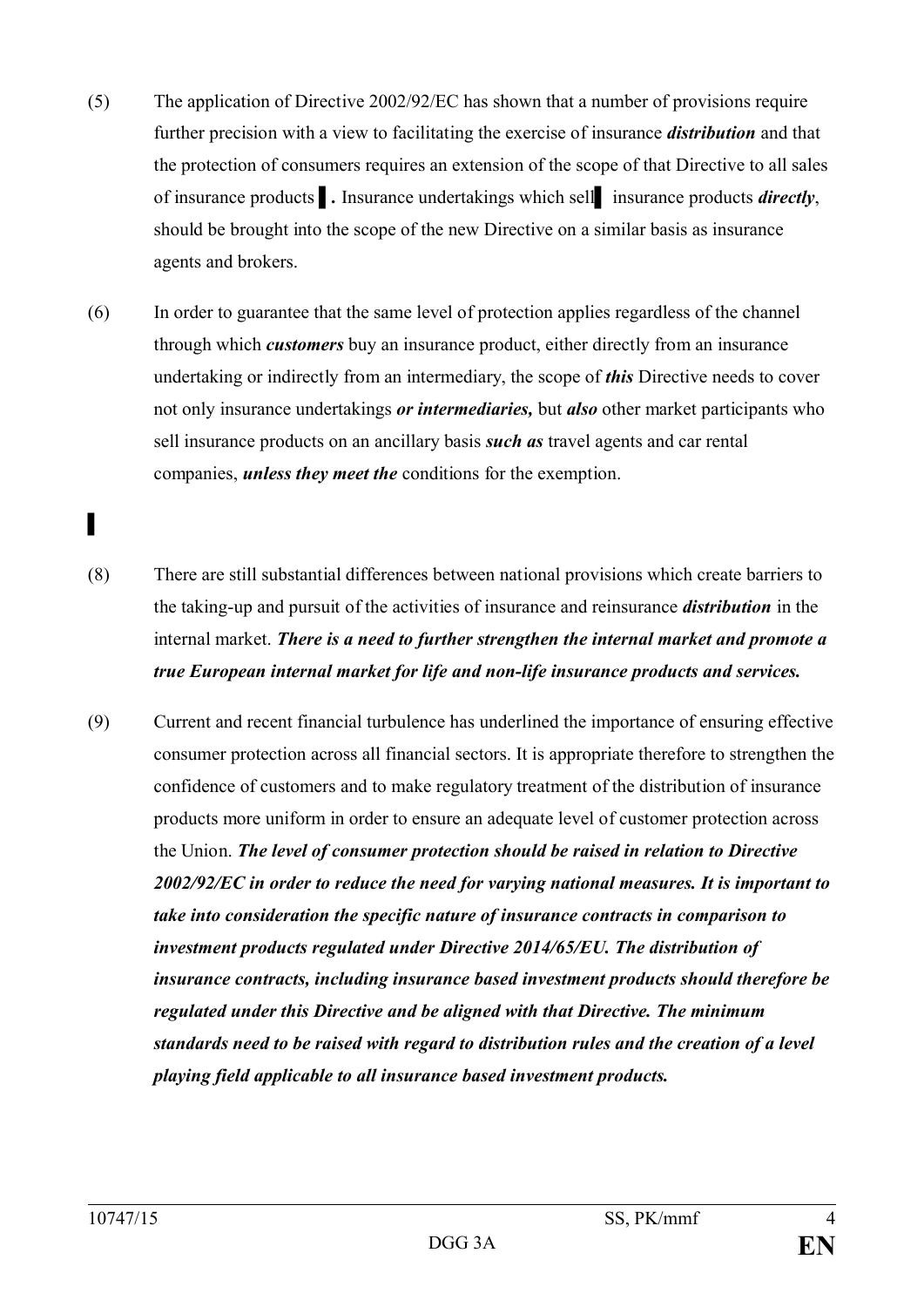- (5) The application of Directive 2002/92/EC has shown that a number of provisions require further precision with a view to facilitating the exercise of insurance *distribution* and that the protection of consumers requires an extension of the scope of that Directive to all sales of insurance products **i**. Insurance undertakings which sell insurance products *directly*, should be brought into the scope of the new Directive on a similar basis as insurance agents and brokers.
- (6) In order to guarantee that the same level of protection applies regardless of the channel through which *customers* buy an insurance product, either directly from an insurance undertaking or indirectly from an intermediary, the scope of *this* Directive needs to cover not only insurance undertakings *or intermediaries,* but *also* other market participants who sell insurance products on an ancillary basis *such as* travel agents and car rental companies, *unless they meet the* conditions for the exemption.
- (8) There are still substantial differences between national provisions which create barriers to the taking-up and pursuit of the activities of insurance and reinsurance *distribution* in the internal market. *There is a need to further strengthen the internal market and promote a true European internal market for life and non-life insurance products and services.*
- (9) Current and recent financial turbulence has underlined the importance of ensuring effective consumer protection across all financial sectors. It is appropriate therefore to strengthen the confidence of customers and to make regulatory treatment of the distribution of insurance products more uniform in order to ensure an adequate level of customer protection across the Union. *The level of consumer protection should be raised in relation to Directive 2002/92/EC in order to reduce the need for varying national measures. It is important to take into consideration the specific nature of insurance contracts in comparison to investment products regulated under Directive 2014/65/EU. The distribution of insurance contracts, including insurance based investment products should therefore be regulated under this Directive and be aligned with that Directive. The minimum standards need to be raised with regard to distribution rules and the creation of a level playing field applicable to all insurance based investment products.*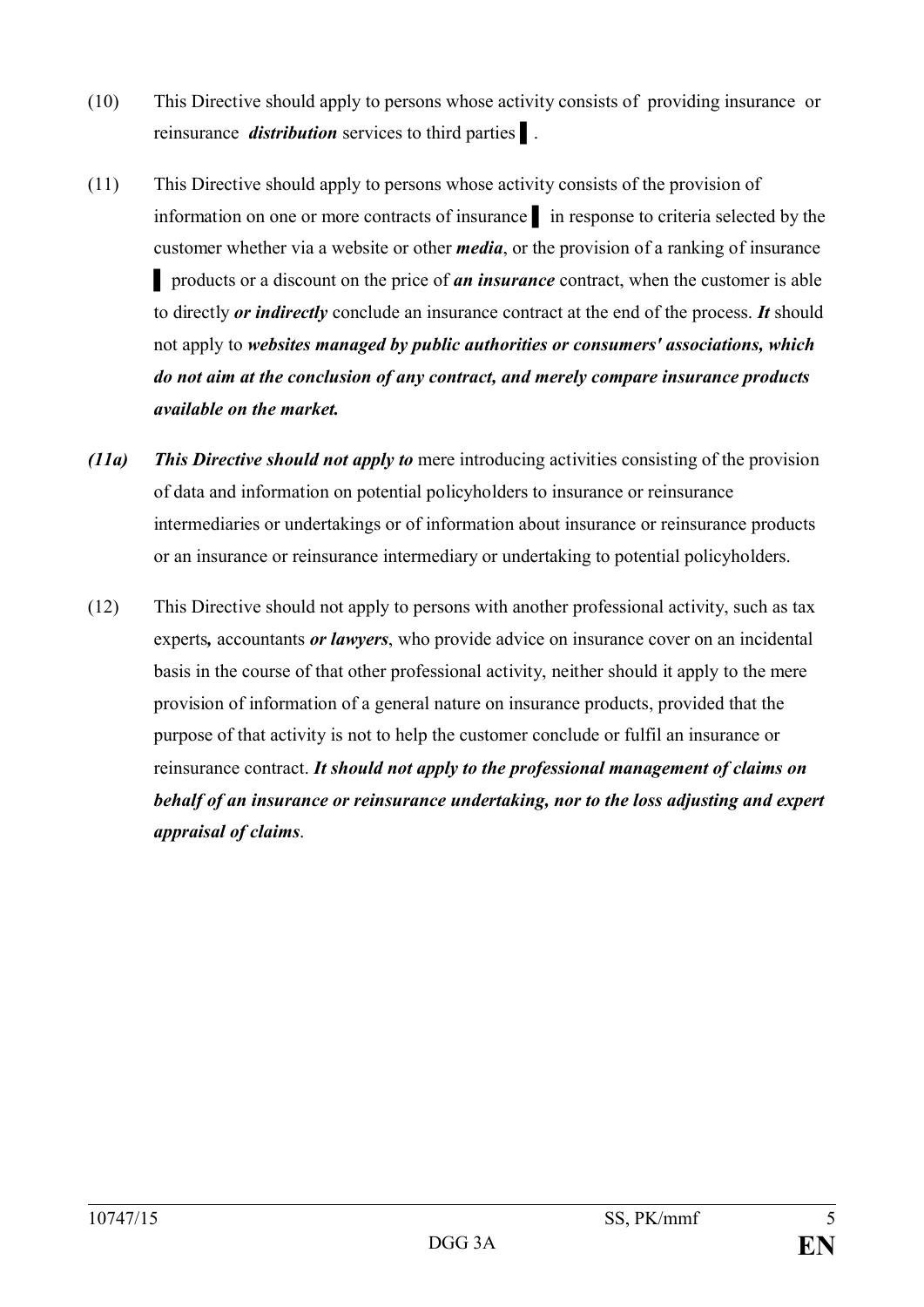- (10) This Directive should apply to persons whose activity consists of providing insurance or reinsurance *distribution* services to third parties ▌.
- (11) This Directive should apply to persons whose activity consists of the provision of information on one or more contracts of insurance ▌ in response to criteria selected by the customer whether via a website or other *media*, or the provision of a ranking of insurance ▌ products or a discount on the price of *an insurance* contract, when the customer is able to directly *or indirectly* conclude an insurance contract at the end of the process. *It* should not apply to *websites managed by public authorities or consumers' associations, which do not aim at the conclusion of any contract, and merely compare insurance products available on the market.*
- *(11a) This Directive should not apply to* mere introducing activities consisting of the provision of data and information on potential policyholders to insurance or reinsurance intermediaries or undertakings or of information about insurance or reinsurance products or an insurance or reinsurance intermediary or undertaking to potential policyholders.
- (12) This Directive should not apply to persons with another professional activity, such as tax experts*,* accountants *or lawyers*, who provide advice on insurance cover on an incidental basis in the course of that other professional activity, neither should it apply to the mere provision of information of a general nature on insurance products, provided that the purpose of that activity is not to help the customer conclude or fulfil an insurance or reinsurance contract. *It should not apply to the professional management of claims on behalf of an insurance or reinsurance undertaking, nor to the loss adjusting and expert appraisal of claims*.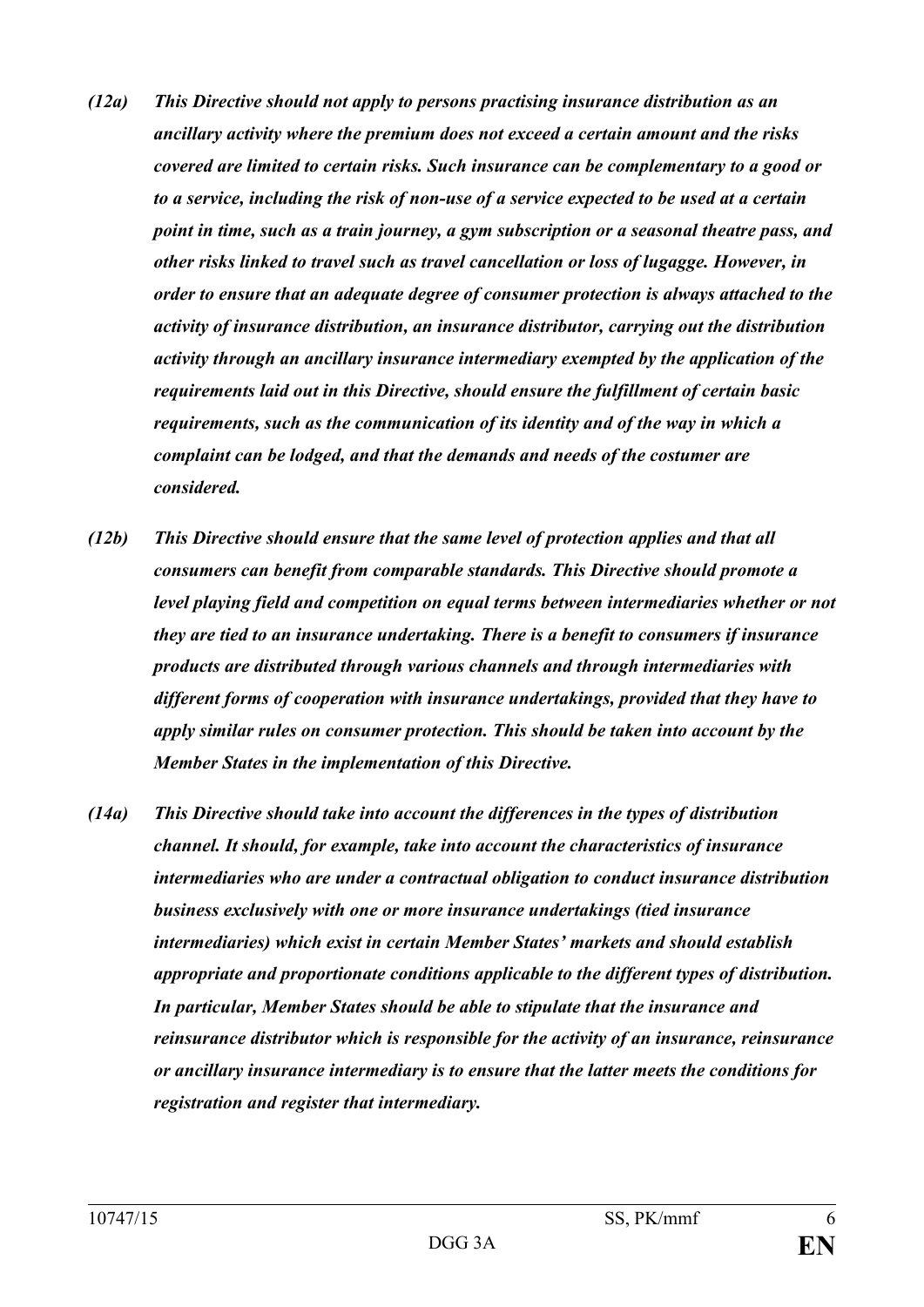- *(12a) This Directive should not apply to persons practising insurance distribution as an ancillary activity where the premium does not exceed a certain amount and the risks covered are limited to certain risks. Such insurance can be complementary to a good or to a service, including the risk of non-use of a service expected to be used at a certain point in time, such as a train journey, a gym subscription or a seasonal theatre pass, and other risks linked to travel such as travel cancellation or loss of lugagge. However, in order to ensure that an adequate degree of consumer protection is always attached to the activity of insurance distribution, an insurance distributor, carrying out the distribution activity through an ancillary insurance intermediary exempted by the application of the requirements laid out in this Directive, should ensure the fulfillment of certain basic requirements, such as the communication of its identity and of the way in which a complaint can be lodged, and that the demands and needs of the costumer are considered.*
- *(12b) This Directive should ensure that the same level of protection applies and that all consumers can benefit from comparable standards. This Directive should promote a level playing field and competition on equal terms between intermediaries whether or not they are tied to an insurance undertaking. There is a benefit to consumers if insurance products are distributed through various channels and through intermediaries with different forms of cooperation with insurance undertakings, provided that they have to apply similar rules on consumer protection. This should be taken into account by the Member States in the implementation of this Directive.*
- *(14a) This Directive should take into account the differences in the types of distribution channel. It should, for example, take into account the characteristics of insurance intermediaries who are under a contractual obligation to conduct insurance distribution business exclusively with one or more insurance undertakings (tied insurance intermediaries) which exist in certain Member States' markets and should establish appropriate and proportionate conditions applicable to the different types of distribution. In particular, Member States should be able to stipulate that the insurance and reinsurance distributor which is responsible for the activity of an insurance, reinsurance or ancillary insurance intermediary is to ensure that the latter meets the conditions for registration and register that intermediary.*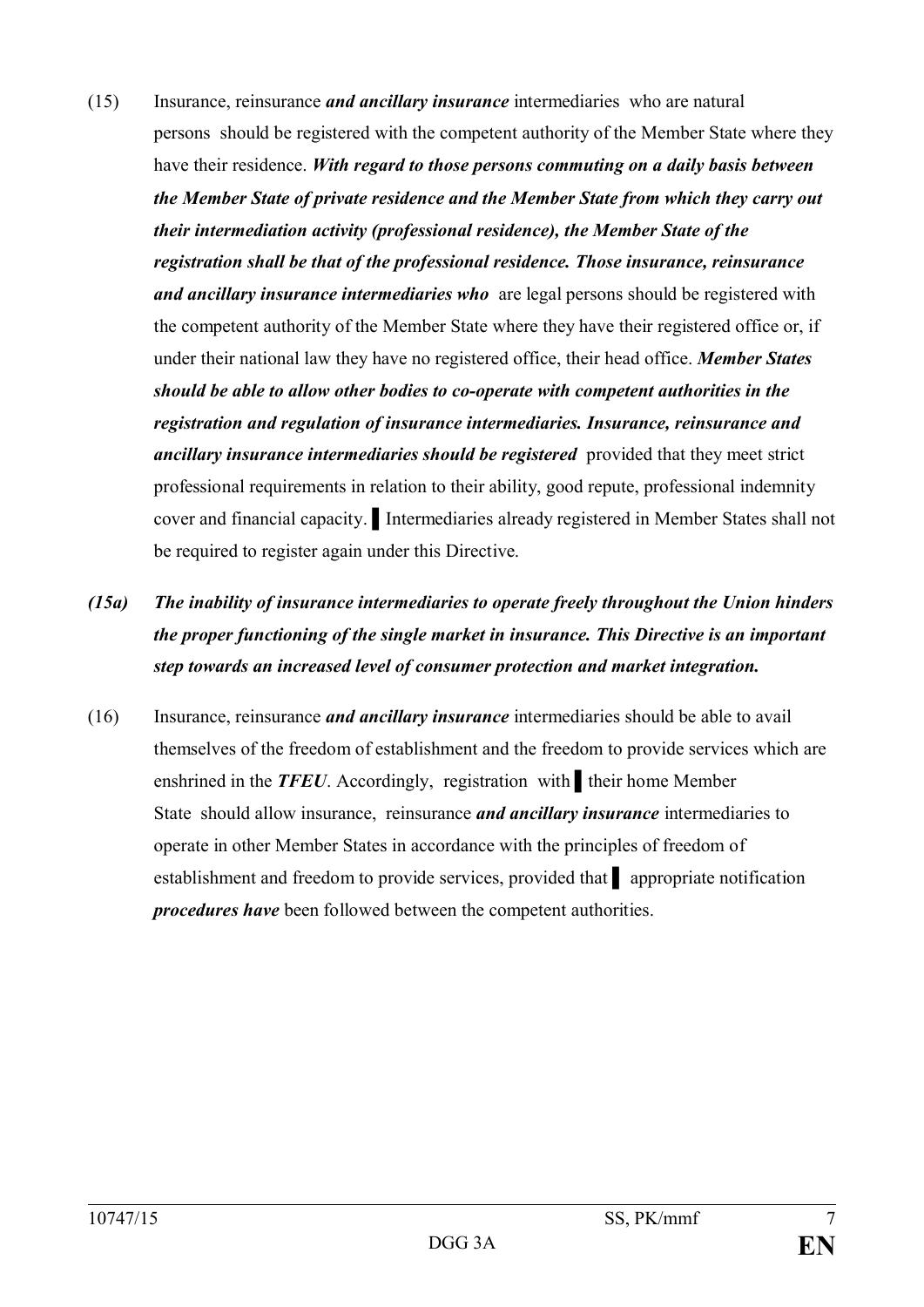(15) Insurance, reinsurance *and ancillary insurance* intermediaries who are natural persons should be registered with the competent authority of the Member State where they have their residence. *With regard to those persons commuting on a daily basis between the Member State of private residence and the Member State from which they carry out their intermediation activity (professional residence), the Member State of the registration shall be that of the professional residence. Those insurance, reinsurance and ancillary insurance intermediaries who* are legal persons should be registered with the competent authority of the Member State where they have their registered office or, if under their national law they have no registered office, their head office. *Member States should be able to allow other bodies to co-operate with competent authorities in the registration and regulation of insurance intermediaries. Insurance, reinsurance and ancillary insurance intermediaries should be registered* provided that they meet strict professional requirements in relation to their ability, good repute, professional indemnity cover and financial capacity. ▌Intermediaries already registered in Member States shall not be required to register again under this Directive.

# *(15a) The inability of insurance intermediaries to operate freely throughout the Union hinders the proper functioning of the single market in insurance. This Directive is an important step towards an increased level of consumer protection and market integration.*

(16) Insurance, reinsurance *and ancillary insurance* intermediaries should be able to avail themselves of the freedom of establishment and the freedom to provide services which are enshrined in the *TFEU*. Accordingly, registration with ▌their home Member State should allow insurance, reinsurance *and ancillary insurance* intermediaries to operate in other Member States in accordance with the principles of freedom of establishment and freedom to provide services, provided that ▌ appropriate notification *procedures have* been followed between the competent authorities.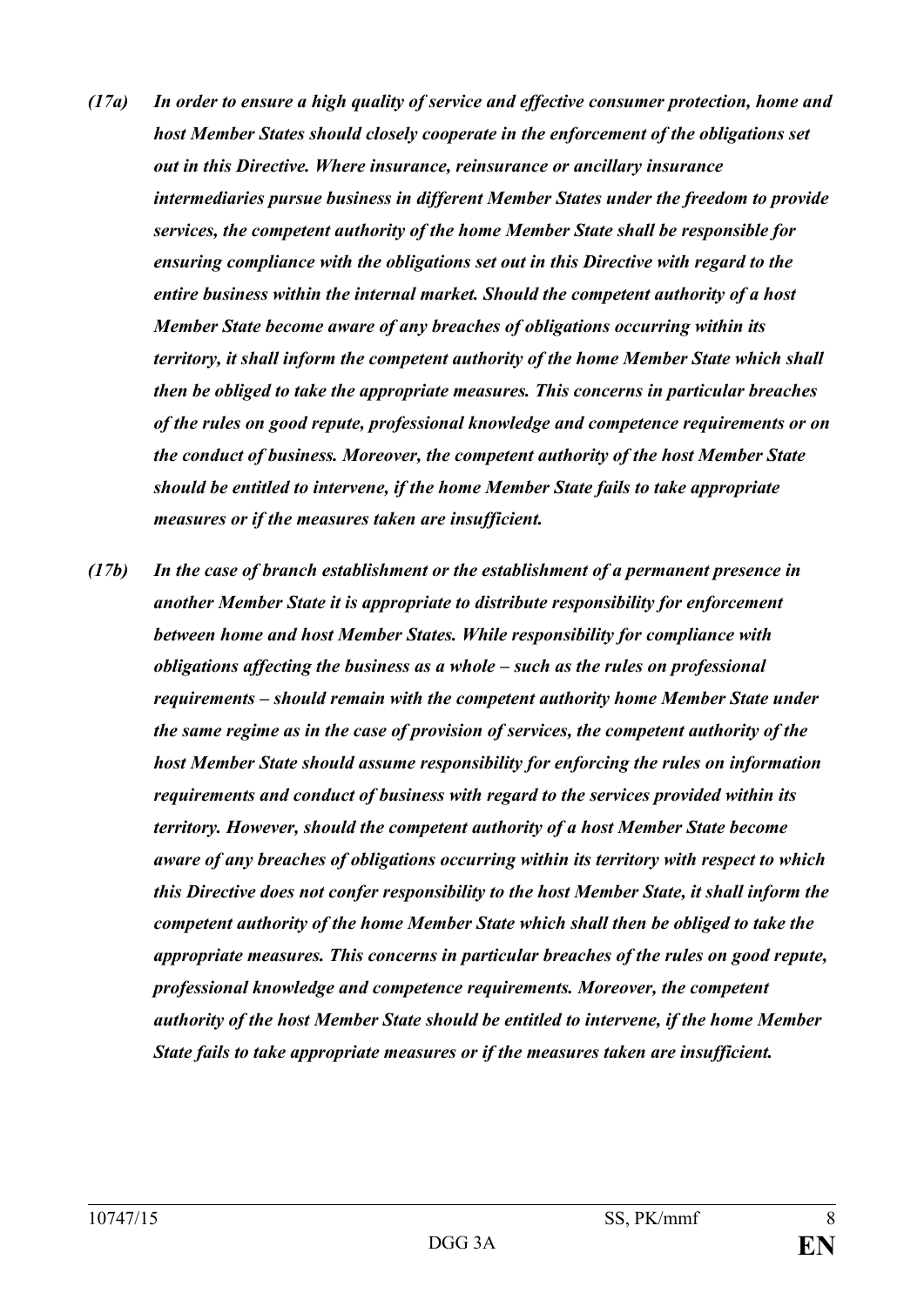- *(17a) In order to ensure a high quality of service and effective consumer protection, home and host Member States should closely cooperate in the enforcement of the obligations set out in this Directive. Where insurance, reinsurance or ancillary insurance intermediaries pursue business in different Member States under the freedom to provide services, the competent authority of the home Member State shall be responsible for ensuring compliance with the obligations set out in this Directive with regard to the entire business within the internal market. Should the competent authority of a host Member State become aware of any breaches of obligations occurring within its territory, it shall inform the competent authority of the home Member State which shall then be obliged to take the appropriate measures. This concerns in particular breaches of the rules on good repute, professional knowledge and competence requirements or on the conduct of business. Moreover, the competent authority of the host Member State should be entitled to intervene, if the home Member State fails to take appropriate measures or if the measures taken are insufficient.*
- *(17b) In the case of branch establishment or the establishment of a permanent presence in another Member State it is appropriate to distribute responsibility for enforcement between home and host Member States. While responsibility for compliance with obligations affecting the business as a whole – such as the rules on professional requirements – should remain with the competent authority home Member State under the same regime as in the case of provision of services, the competent authority of the host Member State should assume responsibility for enforcing the rules on information requirements and conduct of business with regard to the services provided within its territory. However, should the competent authority of a host Member State become aware of any breaches of obligations occurring within its territory with respect to which this Directive does not confer responsibility to the host Member State, it shall inform the competent authority of the home Member State which shall then be obliged to take the appropriate measures. This concerns in particular breaches of the rules on good repute, professional knowledge and competence requirements. Moreover, the competent authority of the host Member State should be entitled to intervene, if the home Member State fails to take appropriate measures or if the measures taken are insufficient.*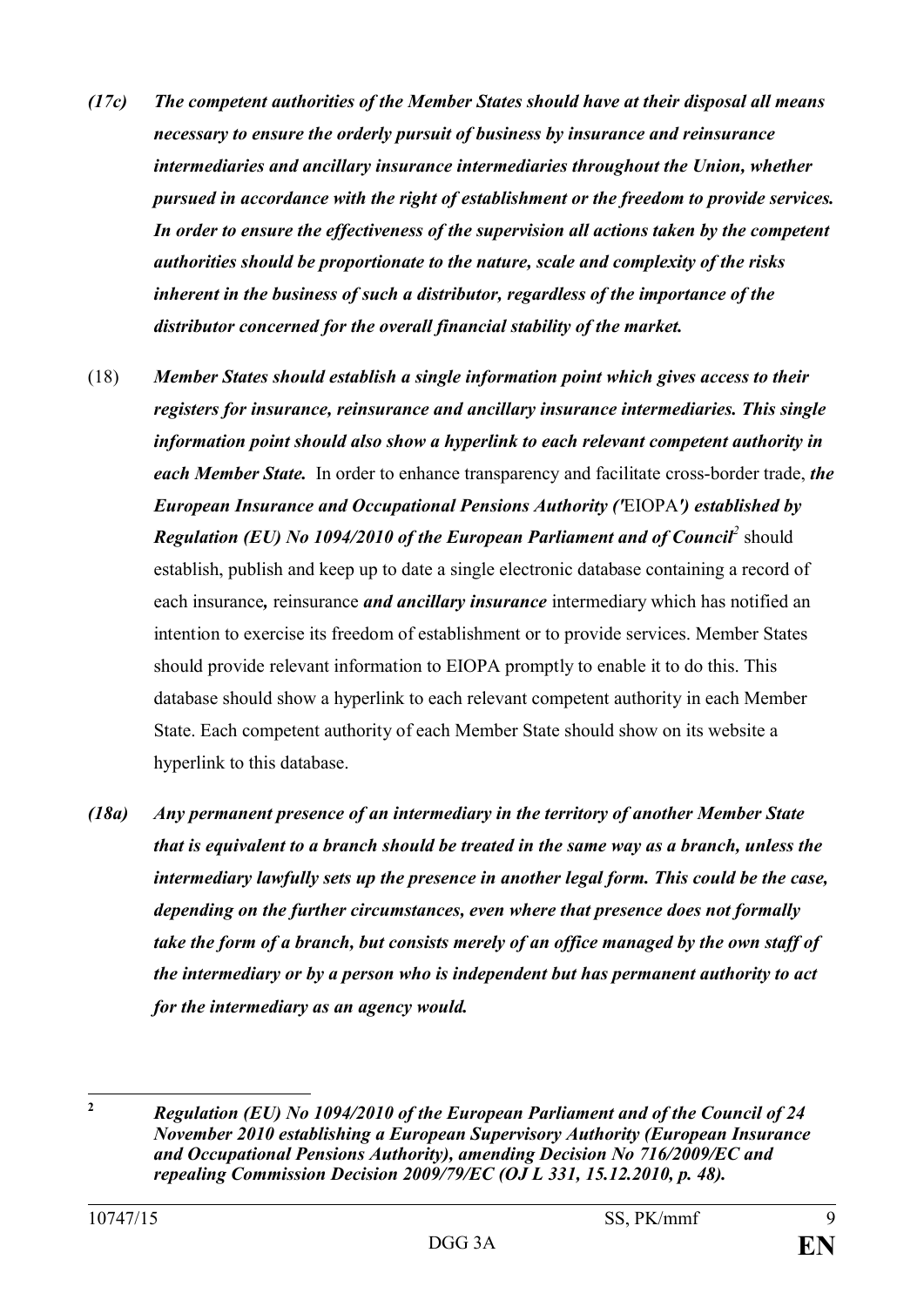- *(17c) The competent authorities of the Member States should have at their disposal all means necessary to ensure the orderly pursuit of business by insurance and reinsurance intermediaries and ancillary insurance intermediaries throughout the Union, whether pursued in accordance with the right of establishment or the freedom to provide services. In order to ensure the effectiveness of the supervision all actions taken by the competent authorities should be proportionate to the nature, scale and complexity of the risks inherent in the business of such a distributor, regardless of the importance of the distributor concerned for the overall financial stability of the market.*
- (18) *Member States should establish a single information point which gives access to their registers for insurance, reinsurance and ancillary insurance intermediaries. This single information point should also show a hyperlink to each relevant competent authority in each Member State.* In order to enhance transparency and facilitate cross-border trade, *the European Insurance and Occupational Pensions Authority ('*EIOPA*') established by Regulation (EU) No 1094/2010 of the European Parliament and of Council<sup>2</sup>* should establish, publish and keep up to date a single electronic database containing a record of each insurance*,* reinsurance *and ancillary insurance* intermediary which has notified an intention to exercise its freedom of establishment or to provide services. Member States should provide relevant information to EIOPA promptly to enable it to do this. This database should show a hyperlink to each relevant competent authority in each Member State. Each competent authority of each Member State should show on its website a hyperlink to this database.
- *(18a) Any permanent presence of an intermediary in the territory of another Member State that is equivalent to a branch should be treated in the same way as a branch, unless the intermediary lawfully sets up the presence in another legal form. This could be the case, depending on the further circumstances, even where that presence does not formally take the form of a branch, but consists merely of an office managed by the own staff of the intermediary or by a person who is independent but has permanent authority to act for the intermediary as an agency would.*

 $\overline{2}$ 

**<sup>2</sup>** *Regulation (EU) No 1094/2010 of the European Parliament and of the Council of 24 November 2010 establishing a European Supervisory Authority (European Insurance and Occupational Pensions Authority), amending Decision No 716/2009/EC and repealing Commission Decision 2009/79/EC (OJ L 331, 15.12.2010, p. 48).*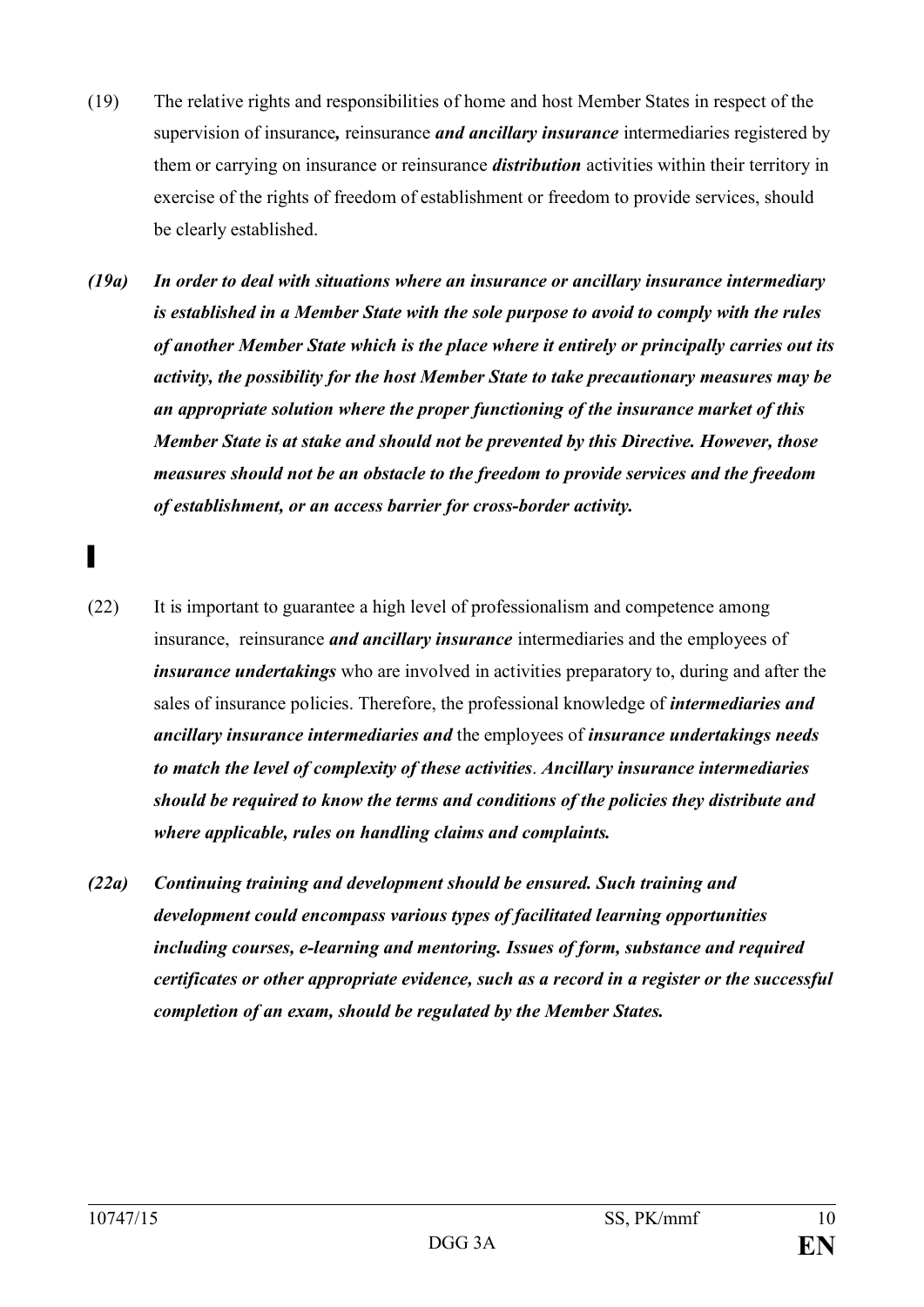- (19) The relative rights and responsibilities of home and host Member States in respect of the supervision of insurance*,* reinsurance *and ancillary insurance* intermediaries registered by them or carrying on insurance or reinsurance *distribution* activities within their territory in exercise of the rights of freedom of establishment or freedom to provide services, should be clearly established.
- *(19a) In order to deal with situations where an insurance or ancillary insurance intermediary is established in a Member State with the sole purpose to avoid to comply with the rules of another Member State which is the place where it entirely or principally carries out its activity, the possibility for the host Member State to take precautionary measures may be an appropriate solution where the proper functioning of the insurance market of this Member State is at stake and should not be prevented by this Directive. However, those measures should not be an obstacle to the freedom to provide services and the freedom of establishment, or an access barrier for cross-border activity.*
- (22) It is important to guarantee a high level of professionalism and competence among insurance, reinsurance *and ancillary insurance* intermediaries and the employees of *insurance undertakings* who are involved in activities preparatory to, during and after the sales of insurance policies. Therefore, the professional knowledge of *intermediaries and ancillary insurance intermediaries and* the employees of *insurance undertakings needs to match the level of complexity of these activities*. *Ancillary insurance intermediaries should be required to know the terms and conditions of the policies they distribute and where applicable, rules on handling claims and complaints.*
- *(22a) Continuing training and development should be ensured. Such training and development could encompass various types of facilitated learning opportunities including courses, e-learning and mentoring. Issues of form, substance and required certificates or other appropriate evidence, such as a record in a register or the successful completion of an exam, should be regulated by the Member States.*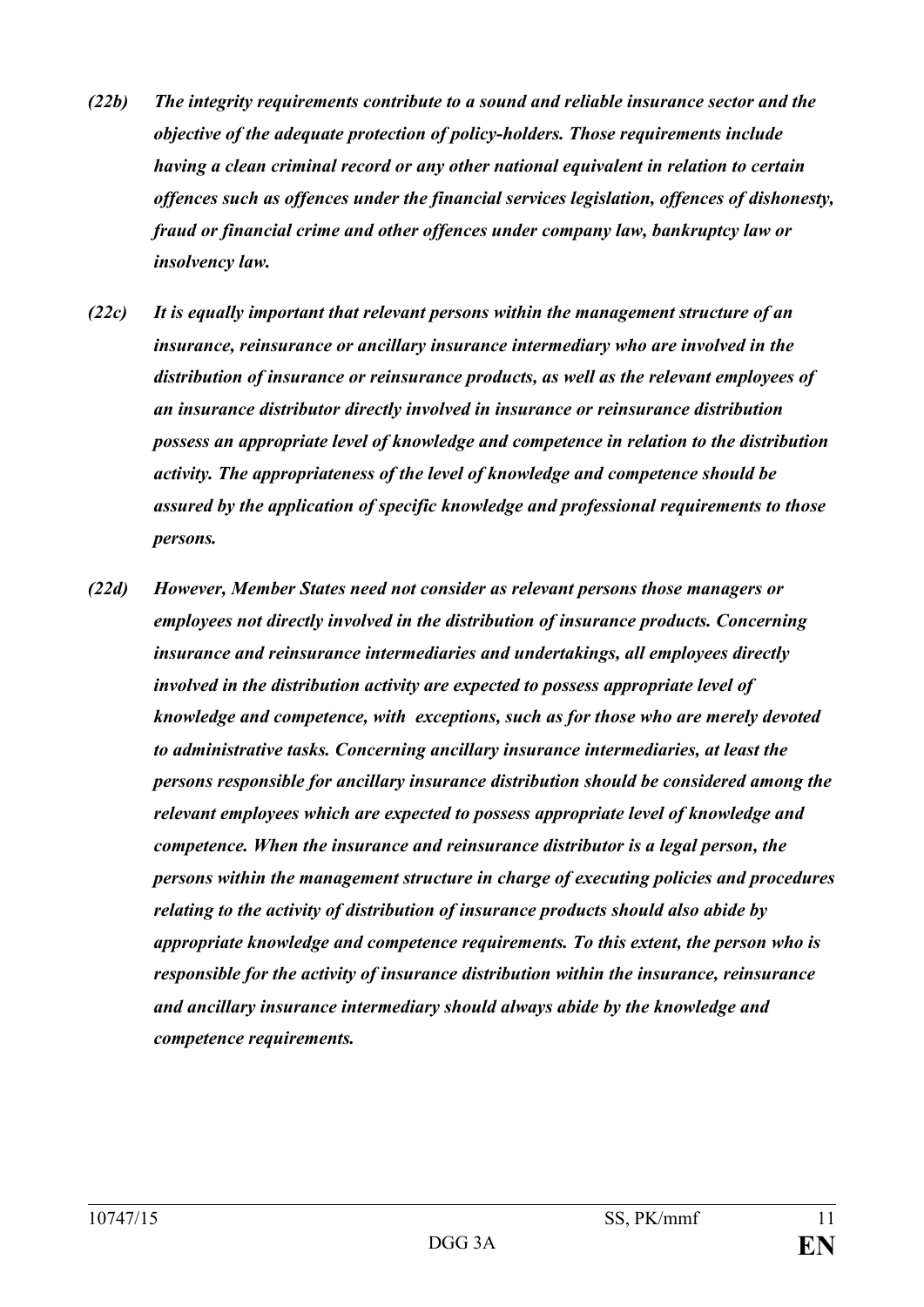- *(22b) The integrity requirements contribute to a sound and reliable insurance sector and the objective of the adequate protection of policy-holders. Those requirements include having a clean criminal record or any other national equivalent in relation to certain offences such as offences under the financial services legislation, offences of dishonesty, fraud or financial crime and other offences under company law, bankruptcy law or insolvency law.*
- *(22c) It is equally important that relevant persons within the management structure of an insurance, reinsurance or ancillary insurance intermediary who are involved in the distribution of insurance or reinsurance products, as well as the relevant employees of an insurance distributor directly involved in insurance or reinsurance distribution possess an appropriate level of knowledge and competence in relation to the distribution activity. The appropriateness of the level of knowledge and competence should be assured by the application of specific knowledge and professional requirements to those persons.*
- *(22d) However, Member States need not consider as relevant persons those managers or employees not directly involved in the distribution of insurance products. Concerning insurance and reinsurance intermediaries and undertakings, all employees directly involved in the distribution activity are expected to possess appropriate level of knowledge and competence, with exceptions, such as for those who are merely devoted to administrative tasks. Concerning ancillary insurance intermediaries, at least the persons responsible for ancillary insurance distribution should be considered among the relevant employees which are expected to possess appropriate level of knowledge and competence. When the insurance and reinsurance distributor is a legal person, the persons within the management structure in charge of executing policies and procedures relating to the activity of distribution of insurance products should also abide by appropriate knowledge and competence requirements. To this extent, the person who is responsible for the activity of insurance distribution within the insurance, reinsurance and ancillary insurance intermediary should always abide by the knowledge and competence requirements.*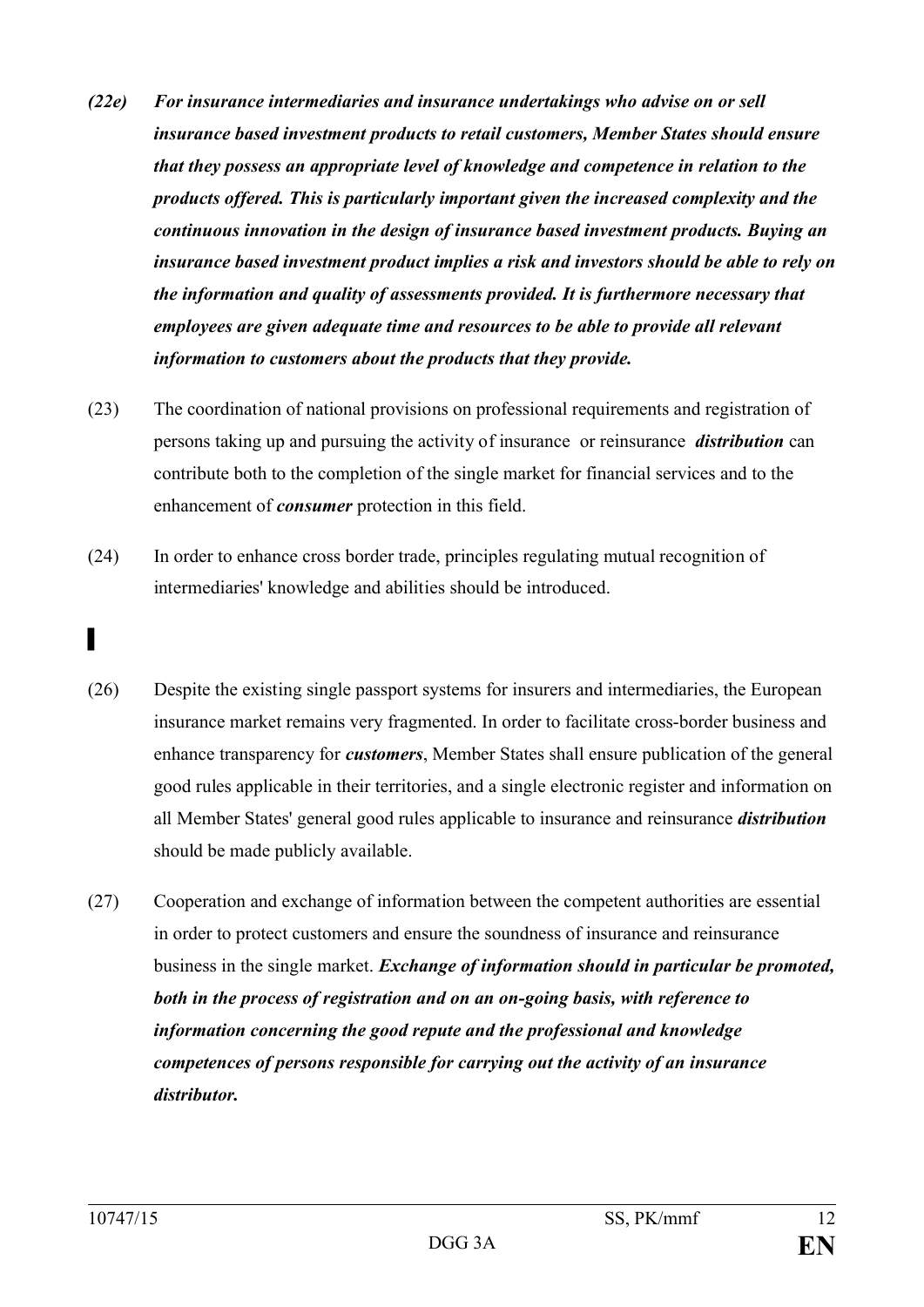- *(22e) For insurance intermediaries and insurance undertakings who advise on or sell insurance based investment products to retail customers, Member States should ensure that they possess an appropriate level of knowledge and competence in relation to the products offered. This is particularly important given the increased complexity and the continuous innovation in the design of insurance based investment products. Buying an insurance based investment product implies a risk and investors should be able to rely on the information and quality of assessments provided. It is furthermore necessary that employees are given adequate time and resources to be able to provide all relevant information to customers about the products that they provide.*
- (23) The coordination of national provisions on professional requirements and registration of persons taking up and pursuing the activity of insurance or reinsurance *distribution* can contribute both to the completion of the single market for financial services and to the enhancement of *consumer* protection in this field.
- (24) In order to enhance cross border trade, principles regulating mutual recognition of intermediaries' knowledge and abilities should be introduced.
- ▌
- (26) Despite the existing single passport systems for insurers and intermediaries, the European insurance market remains very fragmented. In order to facilitate cross-border business and enhance transparency for *customers*, Member States shall ensure publication of the general good rules applicable in their territories, and a single electronic register and information on all Member States' general good rules applicable to insurance and reinsurance *distribution* should be made publicly available.
- (27) Cooperation and exchange of information between the competent authorities are essential in order to protect customers and ensure the soundness of insurance and reinsurance business in the single market. *Exchange of information should in particular be promoted, both in the process of registration and on an on-going basis, with reference to information concerning the good repute and the professional and knowledge competences of persons responsible for carrying out the activity of an insurance distributor.*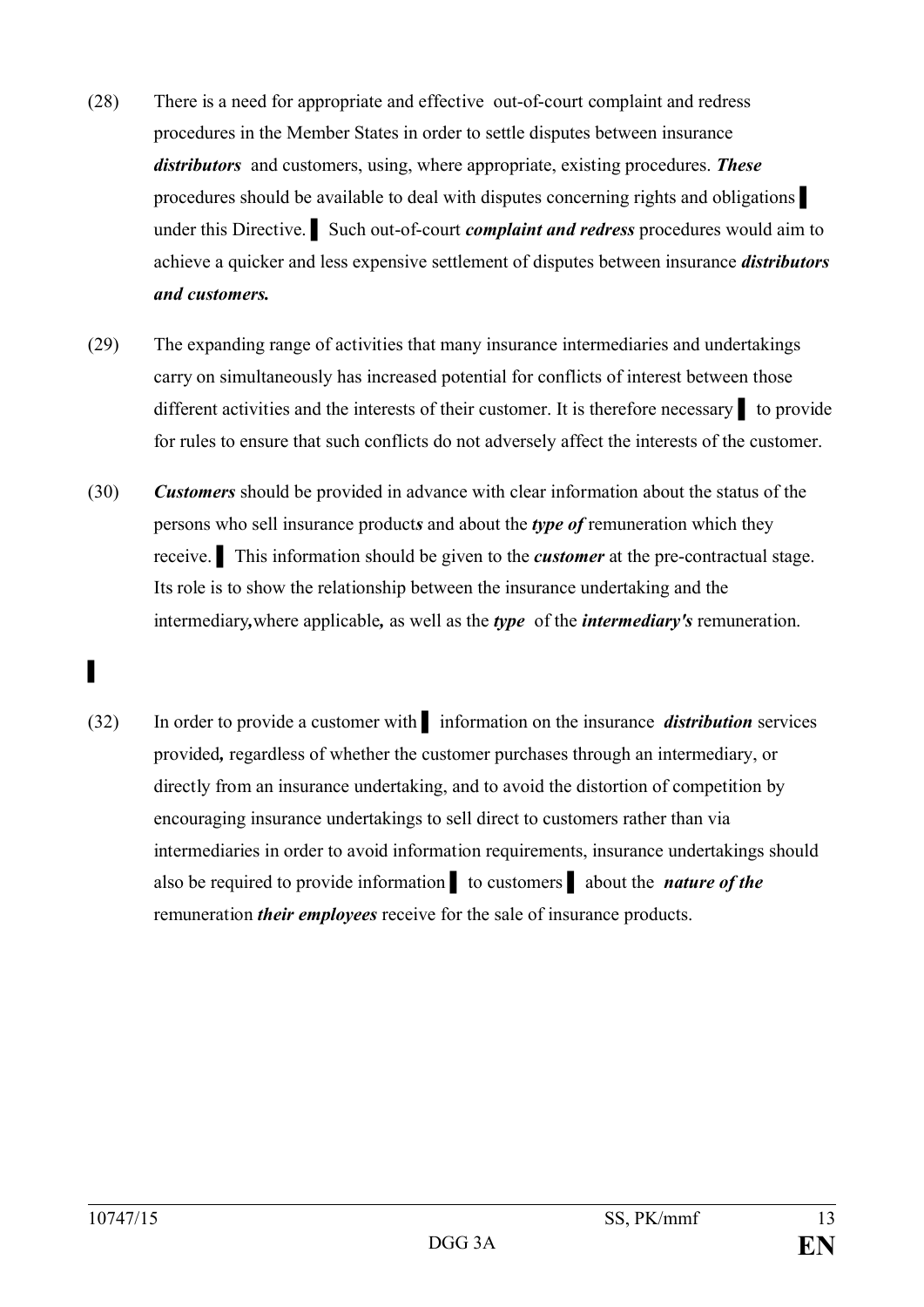- (28) There is a need for appropriate and effective out-of-court complaint and redress procedures in the Member States in order to settle disputes between insurance *distributors* and customers, using, where appropriate, existing procedures. *These* procedures should be available to deal with disputes concerning rights and obligations under this Directive. ▌ Such out-of-court *complaint and redress* procedures would aim to achieve a quicker and less expensive settlement of disputes between insurance *distributors and customers.*
- (29) The expanding range of activities that many insurance intermediaries and undertakings carry on simultaneously has increased potential for conflicts of interest between those different activities and the interests of their customer. It is therefore necessary ▌ to provide for rules to ensure that such conflicts do not adversely affect the interests of the customer.
- (30) *Customers* should be provided in advance with clear information about the status of the persons who sell insurance product*s* and about the *type of* remuneration which they receive. ▌ This information should be given to the *customer* at the pre-contractual stage. Its role is to show the relationship between the insurance undertaking and the intermediary*,*where applicable*,* as well as the *type* of the *intermediary's* remuneration.

(32) In order to provide a customer with ▌ information on the insurance *distribution* services provided*,* regardless of whether the customer purchases through an intermediary, or directly from an insurance undertaking, and to avoid the distortion of competition by encouraging insurance undertakings to sell direct to customers rather than via intermediaries in order to avoid information requirements, insurance undertakings should also be required to provide information ▌ to customers ▌ about the *nature of the*  remuneration *their employees* receive for the sale of insurance products.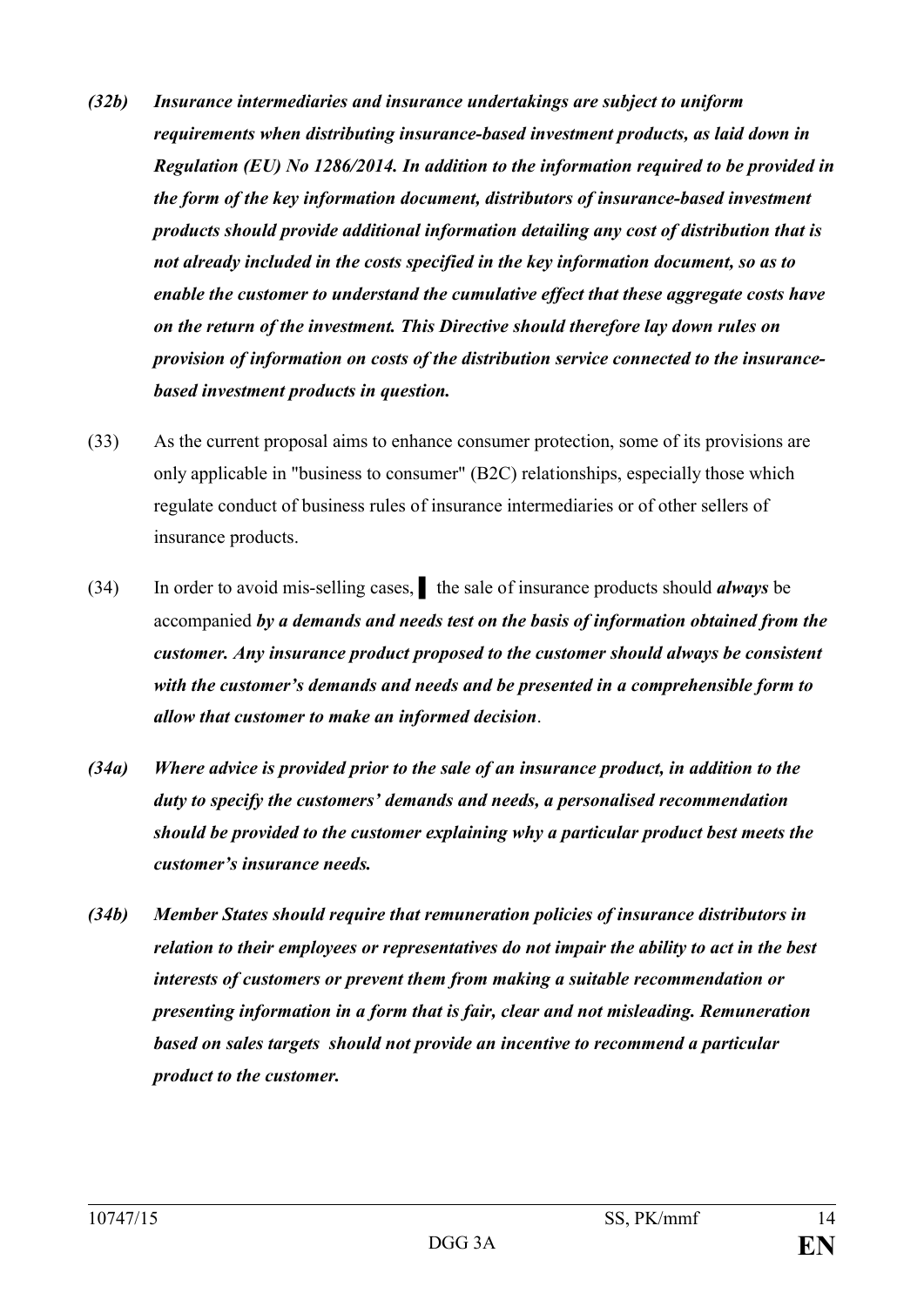- *(32b) Insurance intermediaries and insurance undertakings are subject to uniform requirements when distributing insurance-based investment products, as laid down in Regulation (EU) No 1286/2014. In addition to the information required to be provided in the form of the key information document, distributors of insurance-based investment products should provide additional information detailing any cost of distribution that is not already included in the costs specified in the key information document, so as to enable the customer to understand the cumulative effect that these aggregate costs have on the return of the investment. This Directive should therefore lay down rules on provision of information on costs of the distribution service connected to the insurancebased investment products in question.*
- (33) As the current proposal aims to enhance consumer protection, some of its provisions are only applicable in "business to consumer" (B2C) relationships, especially those which regulate conduct of business rules of insurance intermediaries or of other sellers of insurance products.
- (34) In order to avoid mis-selling cases, ▌ the sale of insurance products should *always* be accompanied *by a demands and needs test on the basis of information obtained from the customer. Any insurance product proposed to the customer should always be consistent with the customer's demands and needs and be presented in a comprehensible form to allow that customer to make an informed decision*.
- *(34a) Where advice is provided prior to the sale of an insurance product, in addition to the duty to specify the customers' demands and needs, a personalised recommendation should be provided to the customer explaining why a particular product best meets the customer's insurance needs.*
- *(34b) Member States should require that remuneration policies of insurance distributors in relation to their employees or representatives do not impair the ability to act in the best interests of customers or prevent them from making a suitable recommendation or presenting information in a form that is fair, clear and not misleading. Remuneration based on sales targets should not provide an incentive to recommend a particular product to the customer.*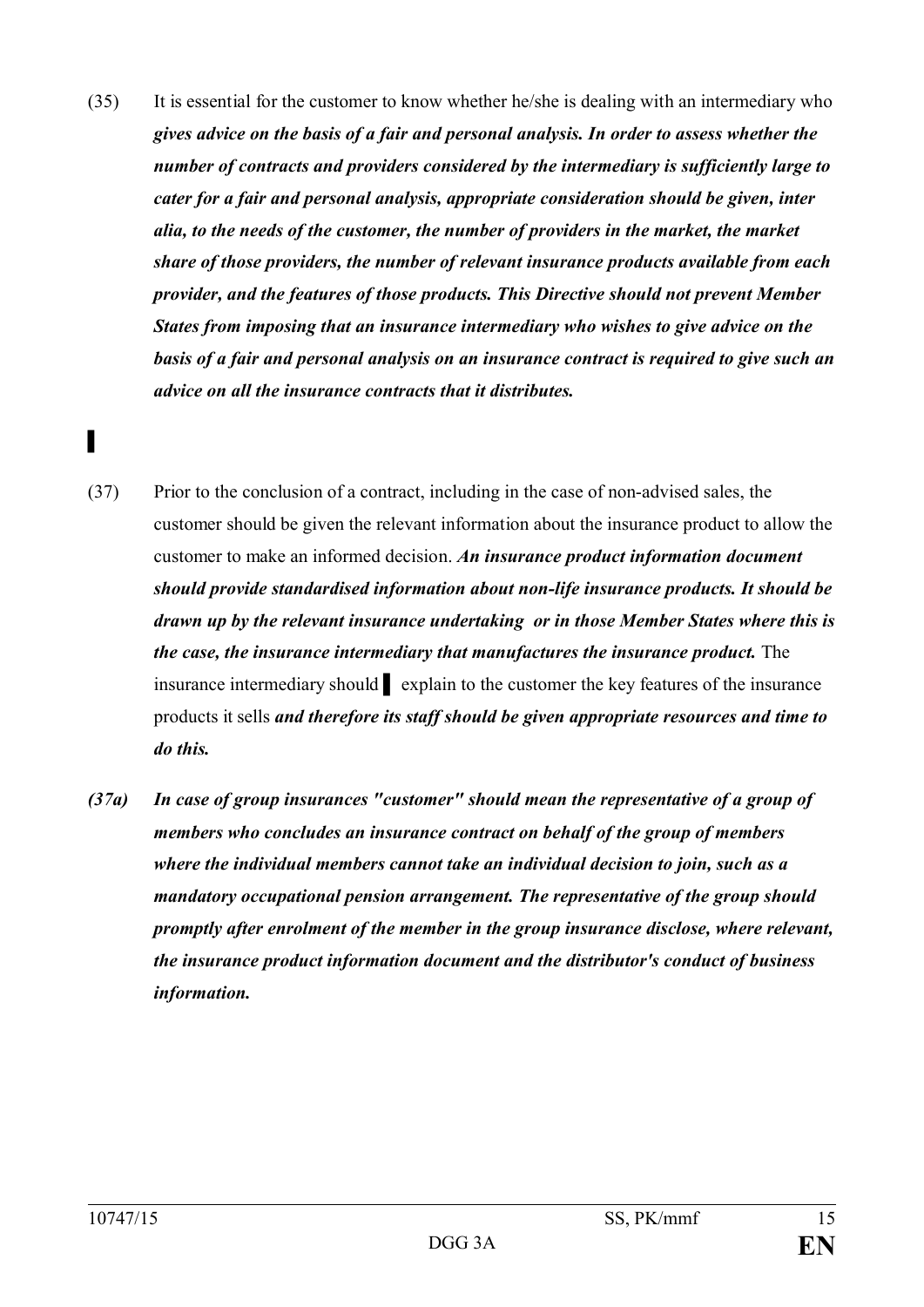- (35) It is essential for the customer to know whether he/she is dealing with an intermediary who *gives advice on the basis of a fair and personal analysis. In order to assess whether the number of contracts and providers considered by the intermediary is sufficiently large to cater for a fair and personal analysis, appropriate consideration should be given, inter alia, to the needs of the customer, the number of providers in the market, the market share of those providers, the number of relevant insurance products available from each provider, and the features of those products. This Directive should not prevent Member States from imposing that an insurance intermediary who wishes to give advice on the basis of a fair and personal analysis on an insurance contract is required to give such an advice on all the insurance contracts that it distributes.*
- ▌
- (37) Prior to the conclusion of a contract, including in the case of non-advised sales, the customer should be given the relevant information about the insurance product to allow the customer to make an informed decision. *An insurance product information document should provide standardised information about non-life insurance products. It should be drawn up by the relevant insurance undertaking or in those Member States where this is the case, the insurance intermediary that manufactures the insurance product.* The insurance intermediary should ▌ explain to the customer the key features of the insurance products it sells *and therefore its staff should be given appropriate resources and time to do this.*
- *(37a) In case of group insurances "customer" should mean the representative of a group of members who concludes an insurance contract on behalf of the group of members where the individual members cannot take an individual decision to join, such as a mandatory occupational pension arrangement. The representative of the group should promptly after enrolment of the member in the group insurance disclose, where relevant, the insurance product information document and the distributor's conduct of business information.*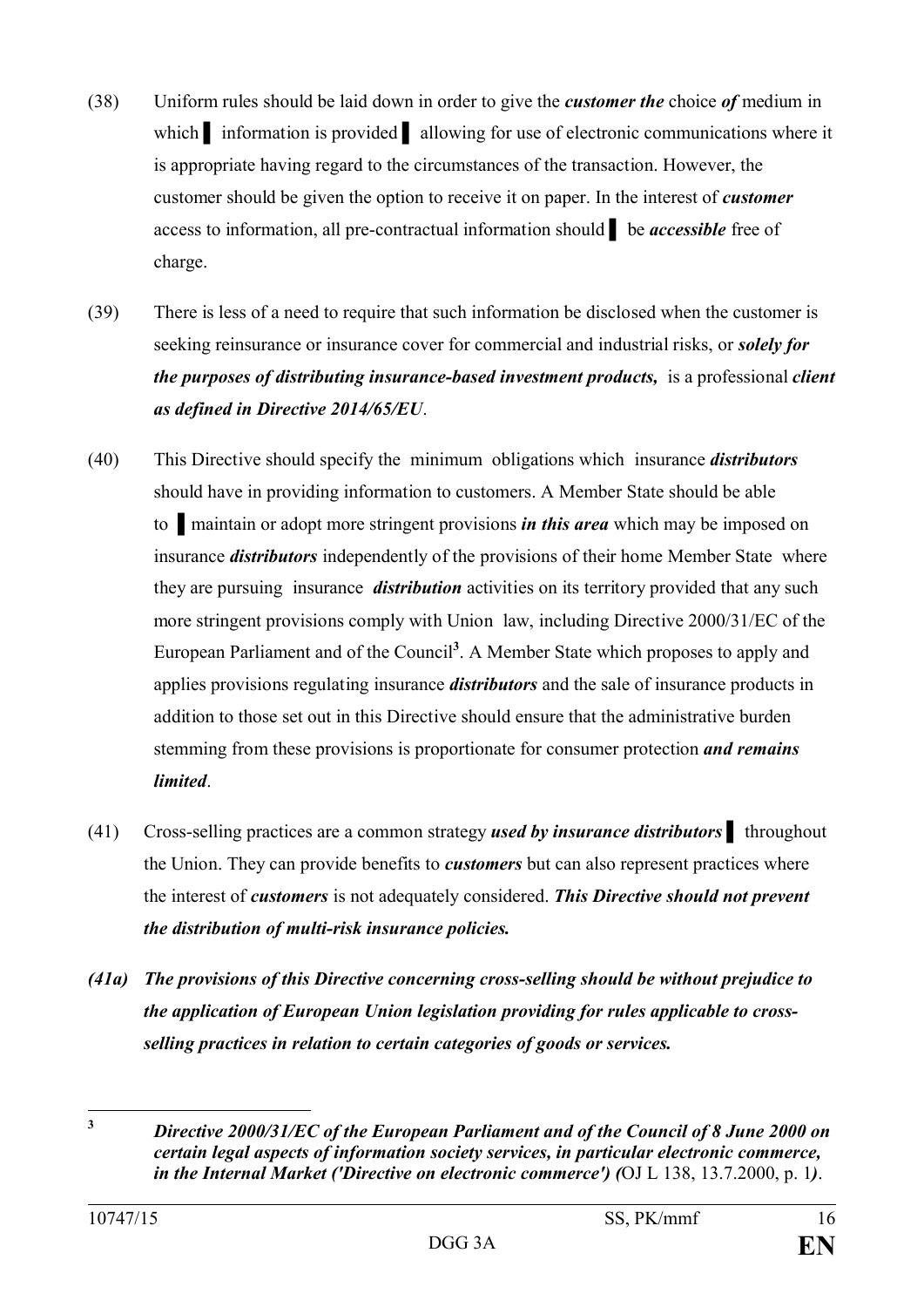- (38) Uniform rules should be laid down in order to give the *customer the* choice *of* medium in which information is provided allowing for use of electronic communications where it is appropriate having regard to the circumstances of the transaction. However, the customer should be given the option to receive it on paper. In the interest of *customer* access to information, all pre-contractual information should ▌ be *accessible* free of charge.
- (39) There is less of a need to require that such information be disclosed when the customer is seeking reinsurance or insurance cover for commercial and industrial risks, or *solely for the purposes of distributing insurance-based investment products,* is a professional *client as defined in Directive 2014/65/EU*.
- (40) This Directive should specify the minimum obligations which insurance *distributors* should have in providing information to customers. A Member State should be able to ▌maintain or adopt more stringent provisions *in this area* which may be imposed on insurance *distributors* independently of the provisions of their home Member State where they are pursuing insurance *distribution* activities on its territory provided that any such more stringent provisions comply with Union law, including Directive 2000/31/EC of the European Parliament and of the Council**<sup>3</sup>** . A Member State which proposes to apply and applies provisions regulating insurance *distributors* and the sale of insurance products in addition to those set out in this Directive should ensure that the administrative burden stemming from these provisions is proportionate for consumer protection *and remains limited*.
- (41) Cross-selling practices are a common strategy *used by insurance distributors* ▌ throughout the Union. They can provide benefits to *customers* but can also represent practices where the interest of *customers* is not adequately considered. *This Directive should not prevent the distribution of multi-risk insurance policies.*
- *(41a) The provisions of this Directive concerning cross-selling should be without prejudice to the application of European Union legislation providing for rules applicable to crossselling practices in relation to certain categories of goods or services.*

 $\mathbf{3}$ **<sup>3</sup>** *Directive 2000/31/EC of the European Parliament and of the Council of 8 June 2000 on certain legal aspects of information society services, in particular electronic commerce, in the Internal Market ('Directive on electronic commerce') (*OJ L 138, 13.7.2000, p. 1*)*.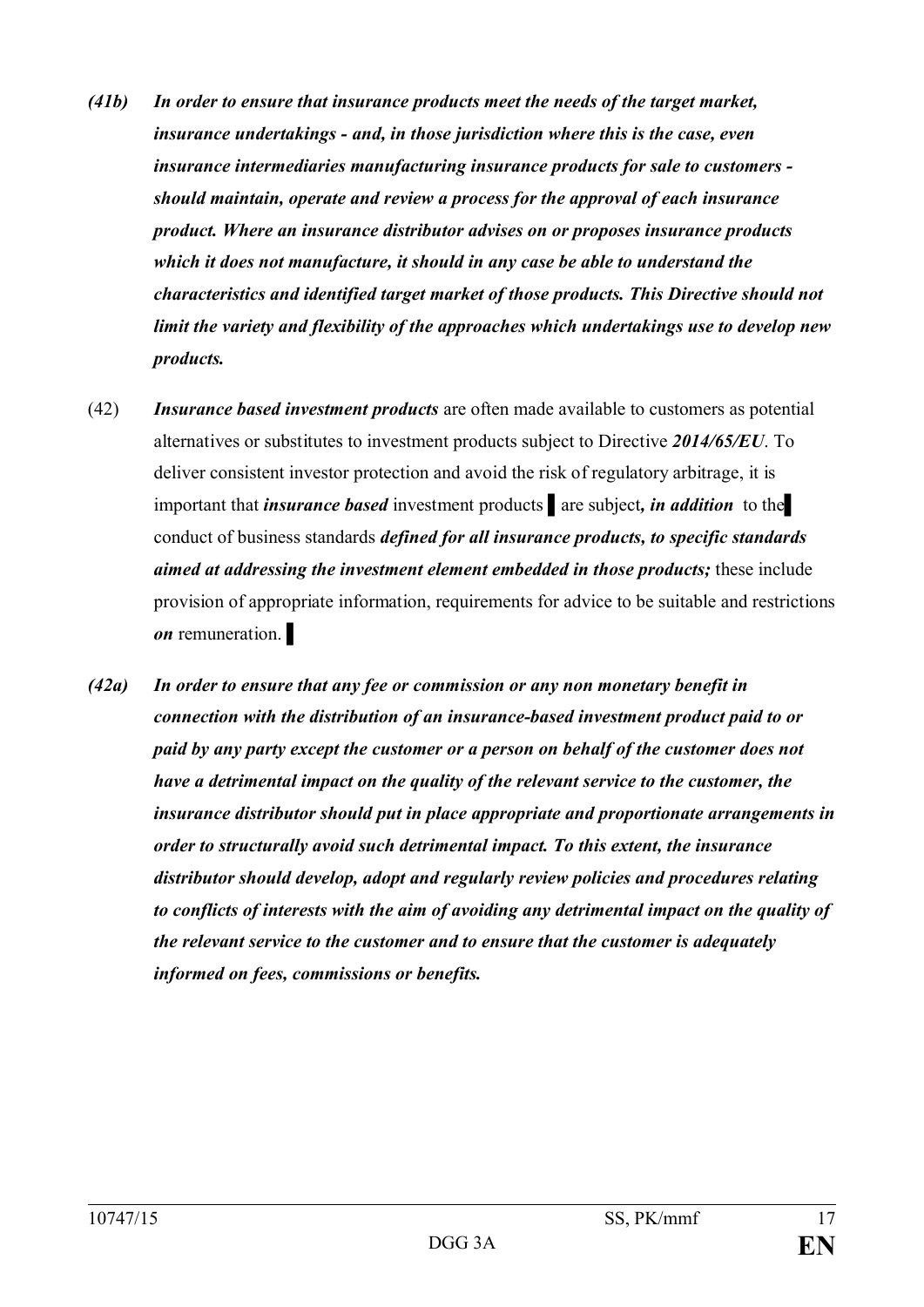- *(41b) In order to ensure that insurance products meet the needs of the target market, insurance undertakings - and, in those jurisdiction where this is the case, even insurance intermediaries manufacturing insurance products for sale to customers should maintain, operate and review a process for the approval of each insurance product. Where an insurance distributor advises on or proposes insurance products which it does not manufacture, it should in any case be able to understand the characteristics and identified target market of those products. This Directive should not limit the variety and flexibility of the approaches which undertakings use to develop new products.*
- (42) *Insurance based investment products* are often made available to customers as potential alternatives or substitutes to investment products subject to Directive *2014/65/EU*. To deliver consistent investor protection and avoid the risk of regulatory arbitrage, it is important that *insurance based* investment products ▌are subject*, in addition* to the▌ conduct of business standards *defined for all insurance products, to specific standards aimed at addressing the investment element embedded in those products;* these include provision of appropriate information, requirements for advice to be suitable and restrictions *on* remuneration.
- *(42a) In order to ensure that any fee or commission or any non monetary benefit in connection with the distribution of an insurance-based investment product paid to or paid by any party except the customer or a person on behalf of the customer does not have a detrimental impact on the quality of the relevant service to the customer, the insurance distributor should put in place appropriate and proportionate arrangements in order to structurally avoid such detrimental impact. To this extent, the insurance distributor should develop, adopt and regularly review policies and procedures relating to conflicts of interests with the aim of avoiding any detrimental impact on the quality of the relevant service to the customer and to ensure that the customer is adequately informed on fees, commissions or benefits.*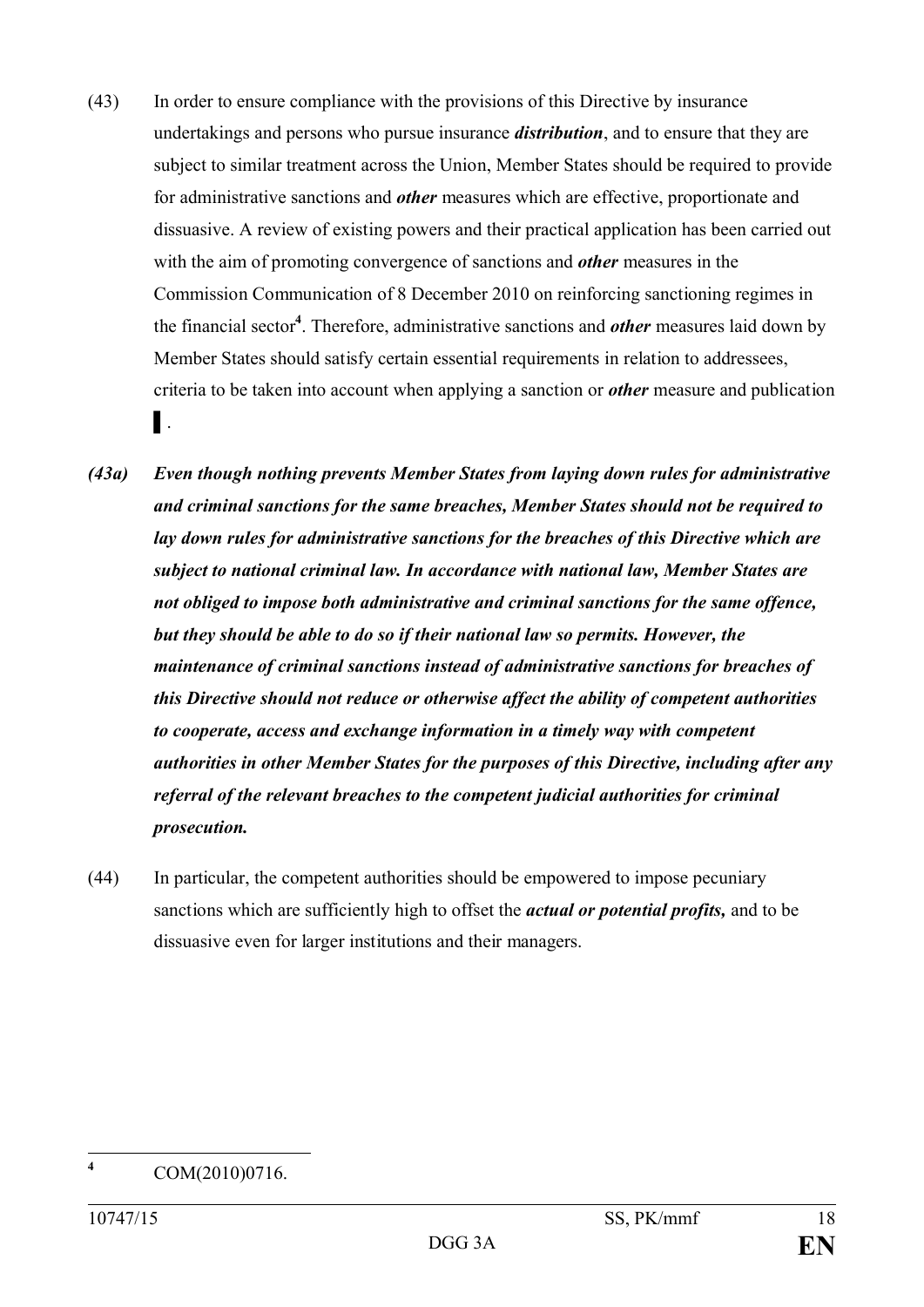- (43) In order to ensure compliance with the provisions of this Directive by insurance undertakings and persons who pursue insurance *distribution*, and to ensure that they are subject to similar treatment across the Union, Member States should be required to provide for administrative sanctions and *other* measures which are effective, proportionate and dissuasive. A review of existing powers and their practical application has been carried out with the aim of promoting convergence of sanctions and *other* measures in the Commission Communication of 8 December 2010 on reinforcing sanctioning regimes in the financial sector**<sup>4</sup>** . Therefore, administrative sanctions and *other* measures laid down by Member States should satisfy certain essential requirements in relation to addressees, criteria to be taken into account when applying a sanction or *other* measure and publication ▌.
- *(43a) Even though nothing prevents Member States from laying down rules for administrative and criminal sanctions for the same breaches, Member States should not be required to lay down rules for administrative sanctions for the breaches of this Directive which are subject to national criminal law. In accordance with national law, Member States are not obliged to impose both administrative and criminal sanctions for the same offence, but they should be able to do so if their national law so permits. However, the maintenance of criminal sanctions instead of administrative sanctions for breaches of this Directive should not reduce or otherwise affect the ability of competent authorities to cooperate, access and exchange information in a timely way with competent authorities in other Member States for the purposes of this Directive, including after any referral of the relevant breaches to the competent judicial authorities for criminal prosecution.*
- (44) In particular, the competent authorities should be empowered to impose pecuniary sanctions which are sufficiently high to offset the *actual or potential profits,* and to be dissuasive even for larger institutions and their managers.

 $\overline{4}$ 

**<sup>4</sup>** COM(2010)0716.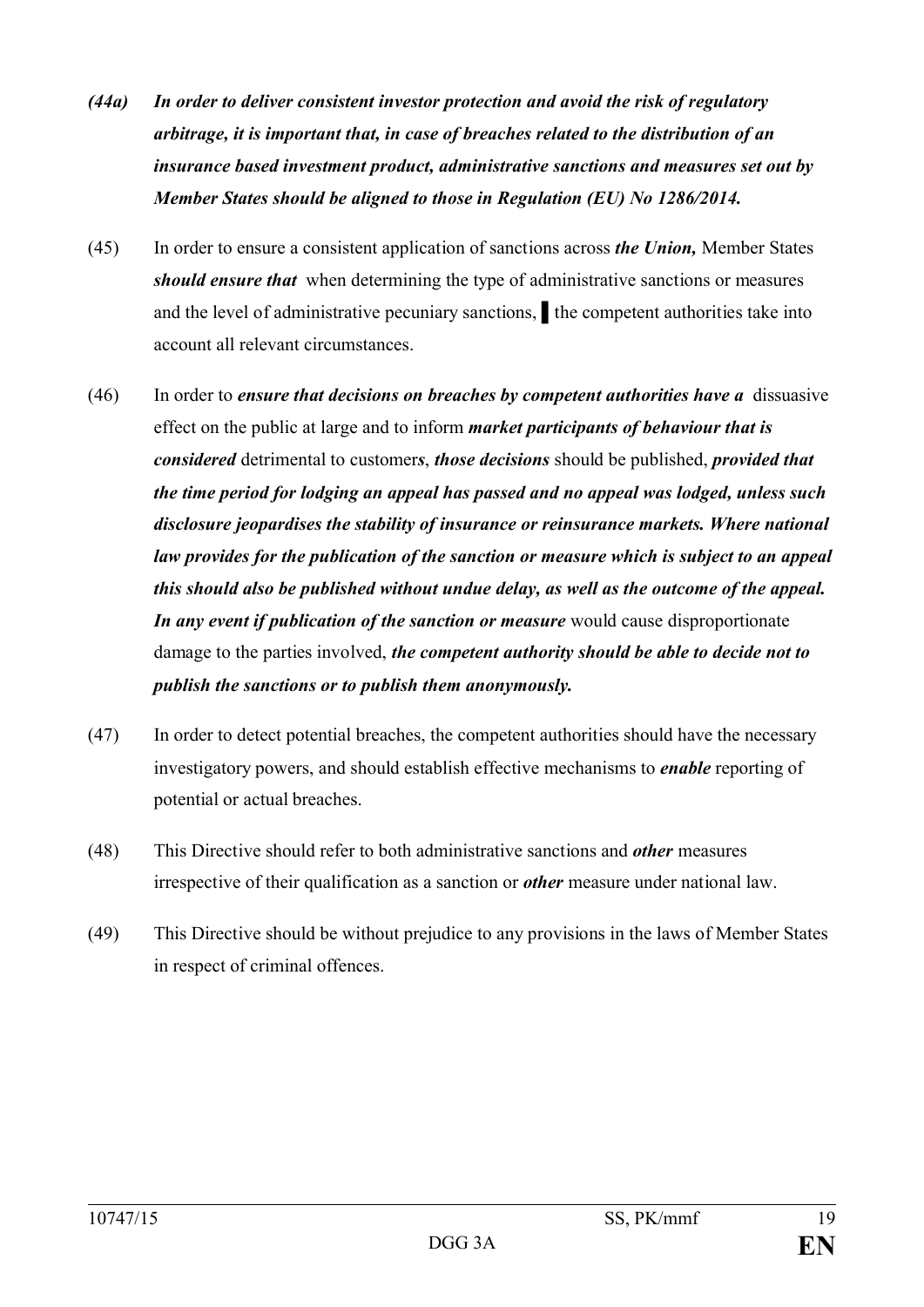- *(44a) In order to deliver consistent investor protection and avoid the risk of regulatory arbitrage, it is important that, in case of breaches related to the distribution of an insurance based investment product, administrative sanctions and measures set out by Member States should be aligned to those in Regulation (EU) No 1286/2014.*
- (45) In order to ensure a consistent application of sanctions across *the Union,* Member States *should ensure that* when determining the type of administrative sanctions or measures and the level of administrative pecuniary sanctions, the competent authorities take into account all relevant circumstances.
- (46) In order to *ensure that decisions on breaches by competent authorities have a* dissuasive effect on the public at large and to inform *market participants of behaviour that is considered* detrimental to customer*s*, *those decisions* should be published, *provided that the time period for lodging an appeal has passed and no appeal was lodged, unless such disclosure jeopardises the stability of insurance or reinsurance markets. Where national law provides for the publication of the sanction or measure which is subject to an appeal this should also be published without undue delay, as well as the outcome of the appeal. In any event if publication of the sanction or measure* would cause disproportionate damage to the parties involved, *the competent authority should be able to decide not to publish the sanctions or to publish them anonymously.*
- (47) In order to detect potential breaches, the competent authorities should have the necessary investigatory powers, and should establish effective mechanisms to *enable* reporting of potential or actual breaches.
- (48) This Directive should refer to both administrative sanctions and *other* measures irrespective of their qualification as a sanction or *other* measure under national law.
- (49) This Directive should be without prejudice to any provisions in the laws of Member States in respect of criminal offences.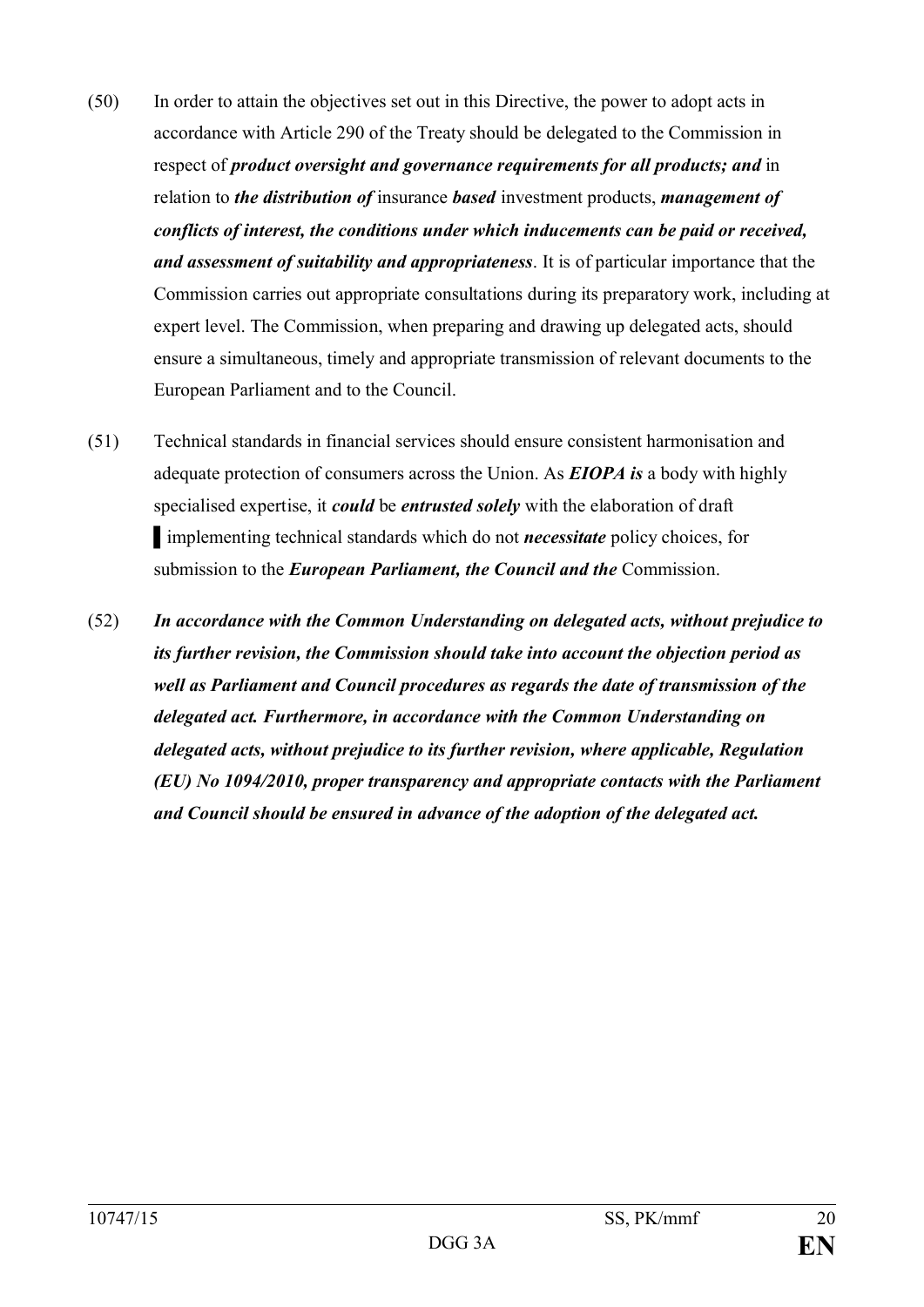- (50) In order to attain the objectives set out in this Directive, the power to adopt acts in accordance with Article 290 of the Treaty should be delegated to the Commission in respect of *product oversight and governance requirements for all products; and* in relation to *the distribution of* insurance *based* investment products, *management of conflicts of interest, the conditions under which inducements can be paid or received, and assessment of suitability and appropriateness*. It is of particular importance that the Commission carries out appropriate consultations during its preparatory work, including at expert level. The Commission, when preparing and drawing up delegated acts, should ensure a simultaneous, timely and appropriate transmission of relevant documents to the European Parliament and to the Council.
- (51) Technical standards in financial services should ensure consistent harmonisation and adequate protection of consumers across the Union. As *EIOPA is* a body with highly specialised expertise, it *could* be *entrusted solely* with the elaboration of draft ▌implementing technical standards which do not *necessitate* policy choices, for submission to the *European Parliament, the Council and the* Commission.
- (52) *In accordance with the Common Understanding on delegated acts, without prejudice to its further revision, the Commission should take into account the objection period as well as Parliament and Council procedures as regards the date of transmission of the delegated act. Furthermore, in accordance with the Common Understanding on delegated acts, without prejudice to its further revision, where applicable, Regulation (EU) No 1094/2010, proper transparency and appropriate contacts with the Parliament and Council should be ensured in advance of the adoption of the delegated act.*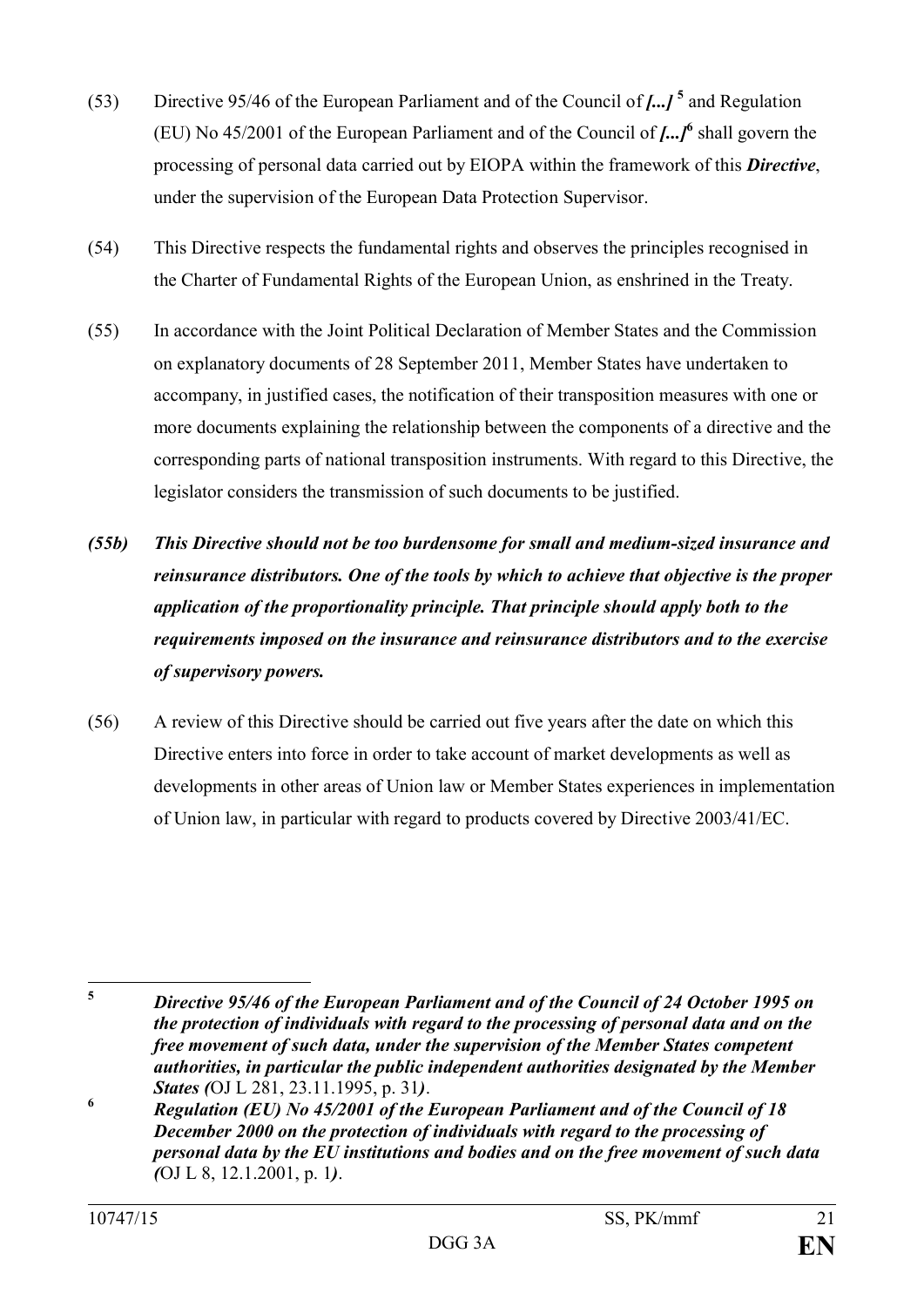- (53) Directive 95/46 of the European Parliament and of the Council of *[...]* **<sup>5</sup>** and Regulation (EU) No 45/2001 of the European Parliament and of the Council of *[...]***<sup>6</sup>** shall govern the processing of personal data carried out by EIOPA within the framework of this *Directive*, under the supervision of the European Data Protection Supervisor.
- (54) This Directive respects the fundamental rights and observes the principles recognised in the Charter of Fundamental Rights of the European Union, as enshrined in the Treaty.
- (55) In accordance with the Joint Political Declaration of Member States and the Commission on explanatory documents of 28 September 2011, Member States have undertaken to accompany, in justified cases, the notification of their transposition measures with one or more documents explaining the relationship between the components of a directive and the corresponding parts of national transposition instruments. With regard to this Directive, the legislator considers the transmission of such documents to be justified.
- *(55b) This Directive should not be too burdensome for small and medium-sized insurance and reinsurance distributors. One of the tools by which to achieve that objective is the proper application of the proportionality principle. That principle should apply both to the requirements imposed on the insurance and reinsurance distributors and to the exercise of supervisory powers.*
- (56) A review of this Directive should be carried out five years after the date on which this Directive enters into force in order to take account of market developments as well as developments in other areas of Union law or Member States experiences in implementation of Union law, in particular with regard to products covered by Directive 2003/41/EC.

 $\overline{\mathbf{5}}$ **<sup>5</sup>** *Directive 95/46 of the European Parliament and of the Council of 24 October 1995 on the protection of individuals with regard to the processing of personal data and on the free movement of such data, under the supervision of the Member States competent authorities, in particular the public independent authorities designated by the Member States (*OJ L 281, 23.11.1995, p. 31*)*.

**<sup>6</sup>** *Regulation (EU) No 45/2001 of the European Parliament and of the Council of 18 December 2000 on the protection of individuals with regard to the processing of personal data by the EU institutions and bodies and on the free movement of such data (*OJ L 8, 12.1.2001, p. 1*)*.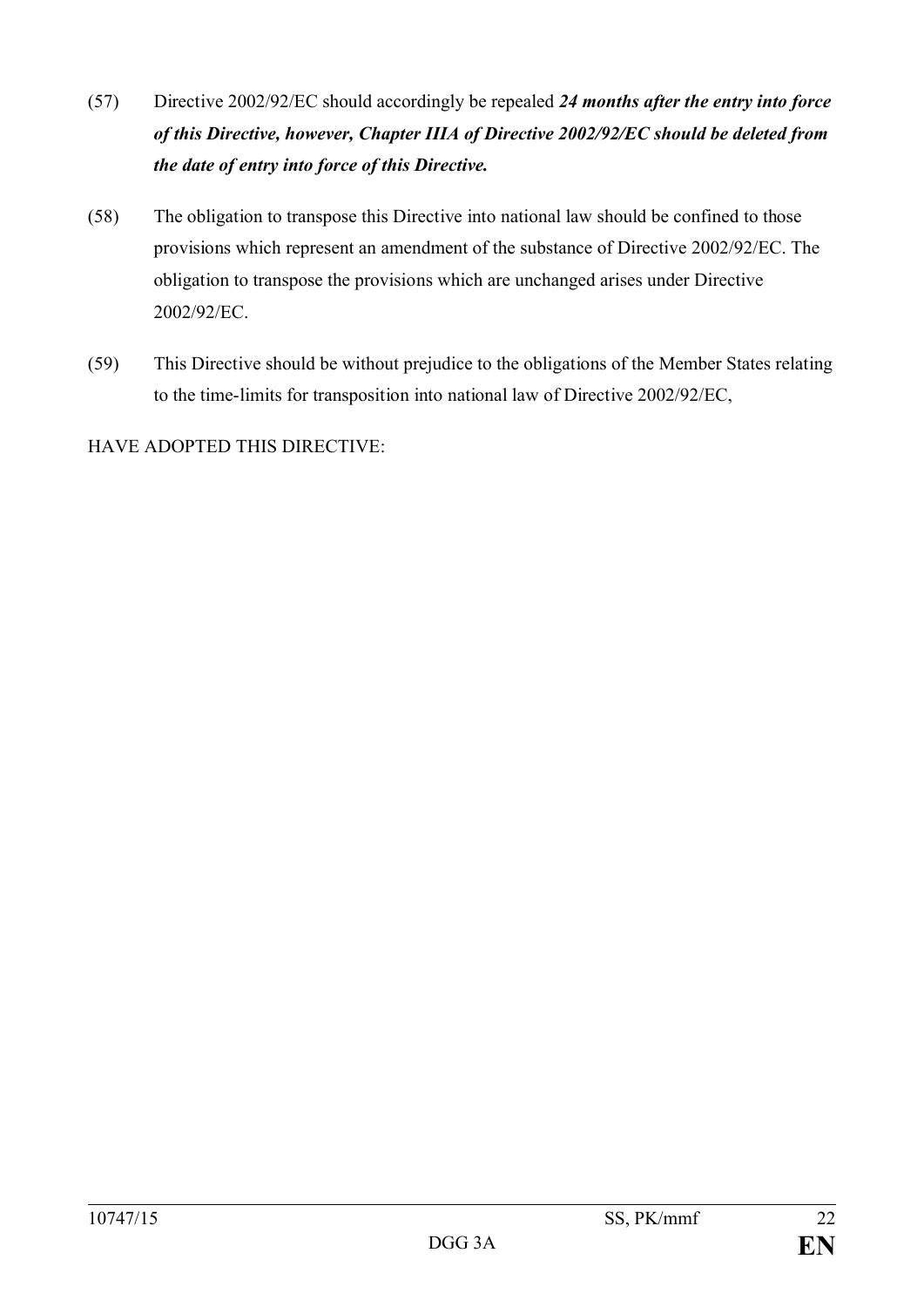- (57) Directive 2002/92/EC should accordingly be repealed *24 months after the entry into force of this Directive, however, Chapter IIIA of Directive 2002/92/EC should be deleted from the date of entry into force of this Directive.*
- (58) The obligation to transpose this Directive into national law should be confined to those provisions which represent an amendment of the substance of Directive 2002/92/EC. The obligation to transpose the provisions which are unchanged arises under Directive 2002/92/EC.
- (59) This Directive should be without prejudice to the obligations of the Member States relating to the time-limits for transposition into national law of Directive 2002/92/EC,

HAVE ADOPTED THIS DIRECTIVE: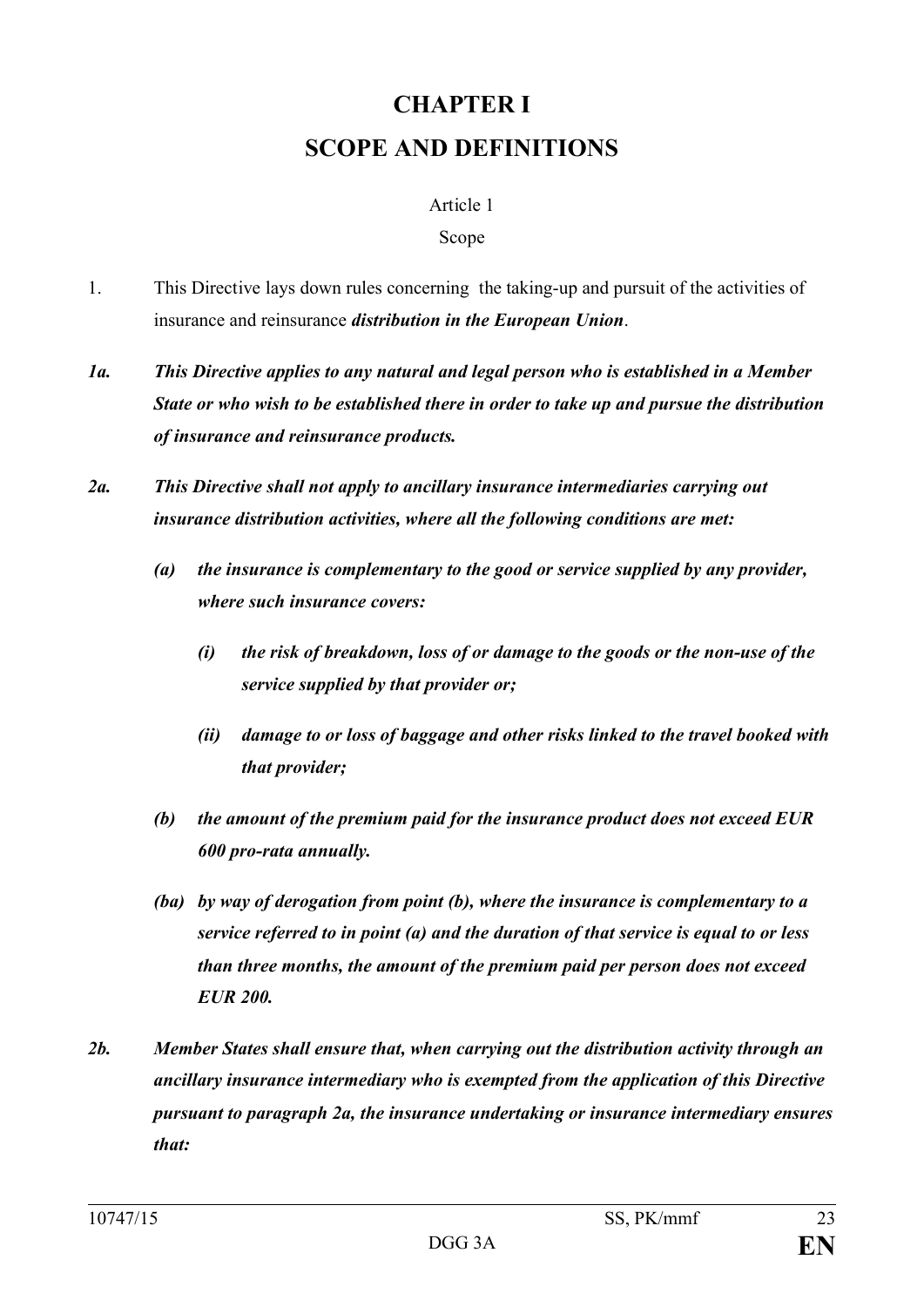# **CHAPTER I SCOPE AND DEFINITIONS**

#### Article 1

#### Scope

- 1. This Directive lays down rules concerning the taking-up and pursuit of the activities of insurance and reinsurance *distribution in the European Union*.
- *1a. This Directive applies to any natural and legal person who is established in a Member State or who wish to be established there in order to take up and pursue the distribution of insurance and reinsurance products.*
- *2a. This Directive shall not apply to ancillary insurance intermediaries carrying out insurance distribution activities, where all the following conditions are met:*
	- *(a) the insurance is complementary to the good or service supplied by any provider, where such insurance covers:*
		- *(i) the risk of breakdown, loss of or damage to the goods or the non-use of the service supplied by that provider or;*
		- *(ii) damage to or loss of baggage and other risks linked to the travel booked with that provider;*
	- *(b) the amount of the premium paid for the insurance product does not exceed EUR 600 pro-rata annually.*
	- *(ba) by way of derogation from point (b), where the insurance is complementary to a service referred to in point (a) and the duration of that service is equal to or less than three months, the amount of the premium paid per person does not exceed EUR 200.*
- *2b. Member States shall ensure that, when carrying out the distribution activity through an ancillary insurance intermediary who is exempted from the application of this Directive pursuant to paragraph 2a, the insurance undertaking or insurance intermediary ensures that:*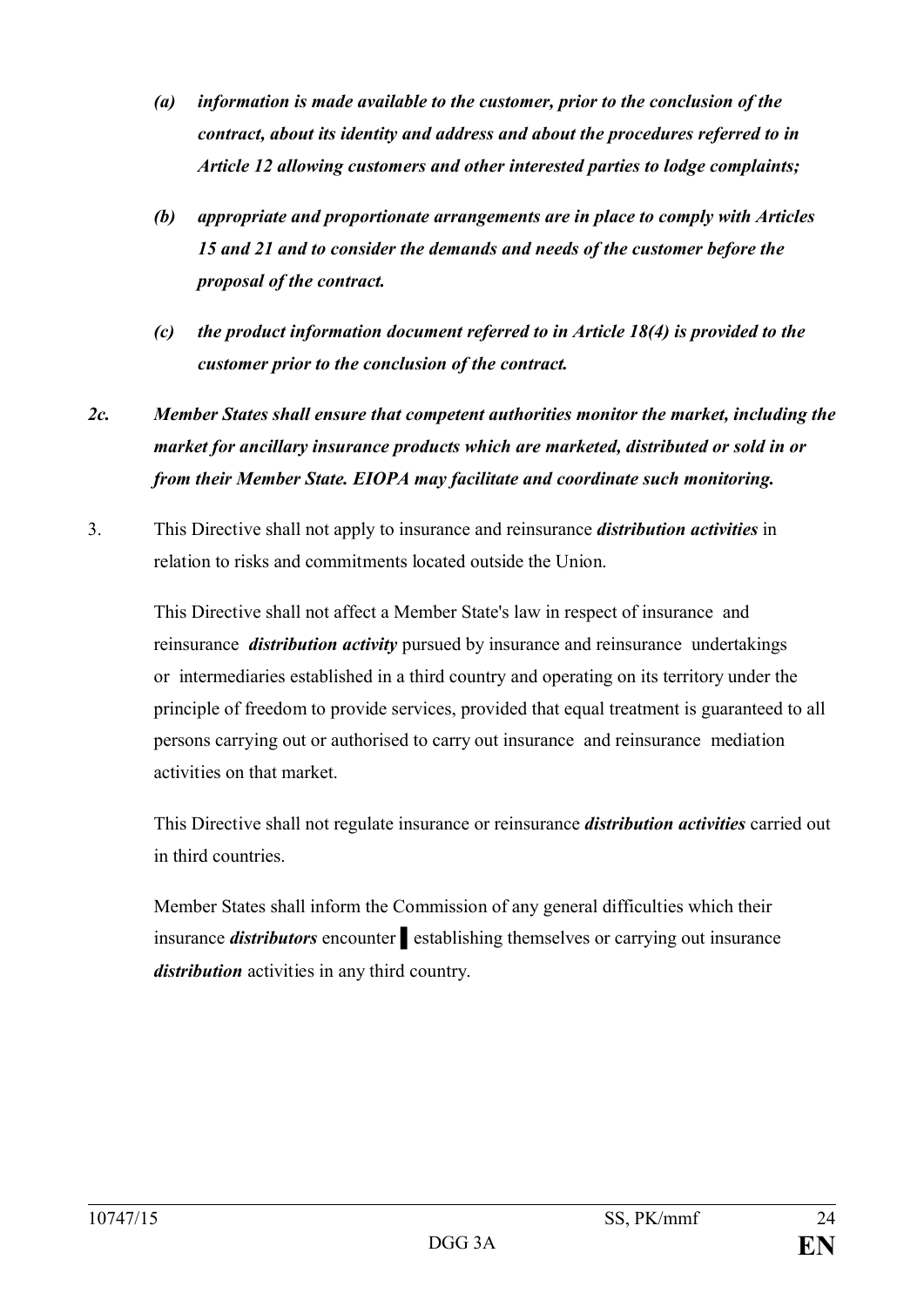- *(a) information is made available to the customer, prior to the conclusion of the contract, about its identity and address and about the procedures referred to in Article 12 allowing customers and other interested parties to lodge complaints;*
- *(b) appropriate and proportionate arrangements are in place to comply with Articles 15 and 21 and to consider the demands and needs of the customer before the proposal of the contract.*
- *(c) the product information document referred to in Article 18(4) is provided to the customer prior to the conclusion of the contract.*

# *2c. Member States shall ensure that competent authorities monitor the market, including the market for ancillary insurance products which are marketed, distributed or sold in or from their Member State. EIOPA may facilitate and coordinate such monitoring.*

3. This Directive shall not apply to insurance and reinsurance *distribution activities* in relation to risks and commitments located outside the Union.

This Directive shall not affect a Member State's law in respect of insurance and reinsurance *distribution activity* pursued by insurance and reinsurance undertakings or intermediaries established in a third country and operating on its territory under the principle of freedom to provide services, provided that equal treatment is guaranteed to all persons carrying out or authorised to carry out insurance and reinsurance mediation activities on that market.

This Directive shall not regulate insurance or reinsurance *distribution activities* carried out in third countries.

Member States shall inform the Commission of any general difficulties which their insurance *distributors* encounter **e**stablishing themselves or carrying out insurance *distribution* activities in any third country.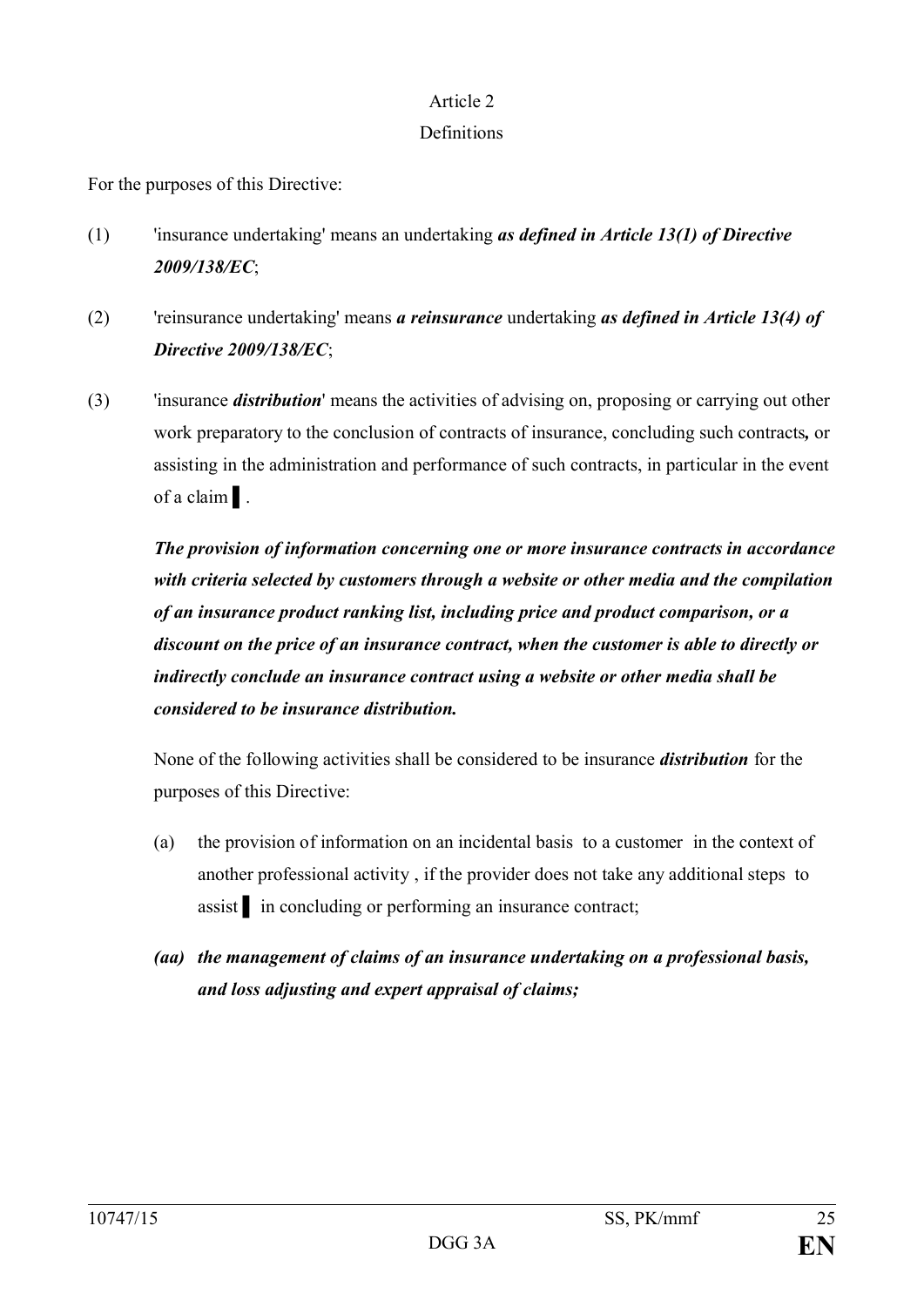#### Article 2

# **Definitions**

For the purposes of this Directive:

- (1) 'insurance undertaking' means an undertaking *as defined in Article 13(1) of Directive 2009/138/EC*;
- (2) 'reinsurance undertaking' means *a reinsurance* undertaking *as defined in Article 13(4) of Directive 2009/138/EC*;
- (3) 'insurance *distribution*' means the activities of advising on, proposing or carrying out other work preparatory to the conclusion of contracts of insurance, concluding such contracts*,* or assisting in the administration and performance of such contracts, in particular in the event of a claim ▌.

*The provision of information concerning one or more insurance contracts in accordance with criteria selected by customers through a website or other media and the compilation of an insurance product ranking list, including price and product comparison, or a discount on the price of an insurance contract, when the customer is able to directly or indirectly conclude an insurance contract using a website or other media shall be considered to be insurance distribution.*

None of the following activities shall be considered to be insurance *distribution* for the purposes of this Directive:

- (a) the provision of information on an incidental basis to a customer in the context of another professional activity , if the provider does not take any additional steps to assist in concluding or performing an insurance contract;
- *(aa) the management of claims of an insurance undertaking on a professional basis, and loss adjusting and expert appraisal of claims;*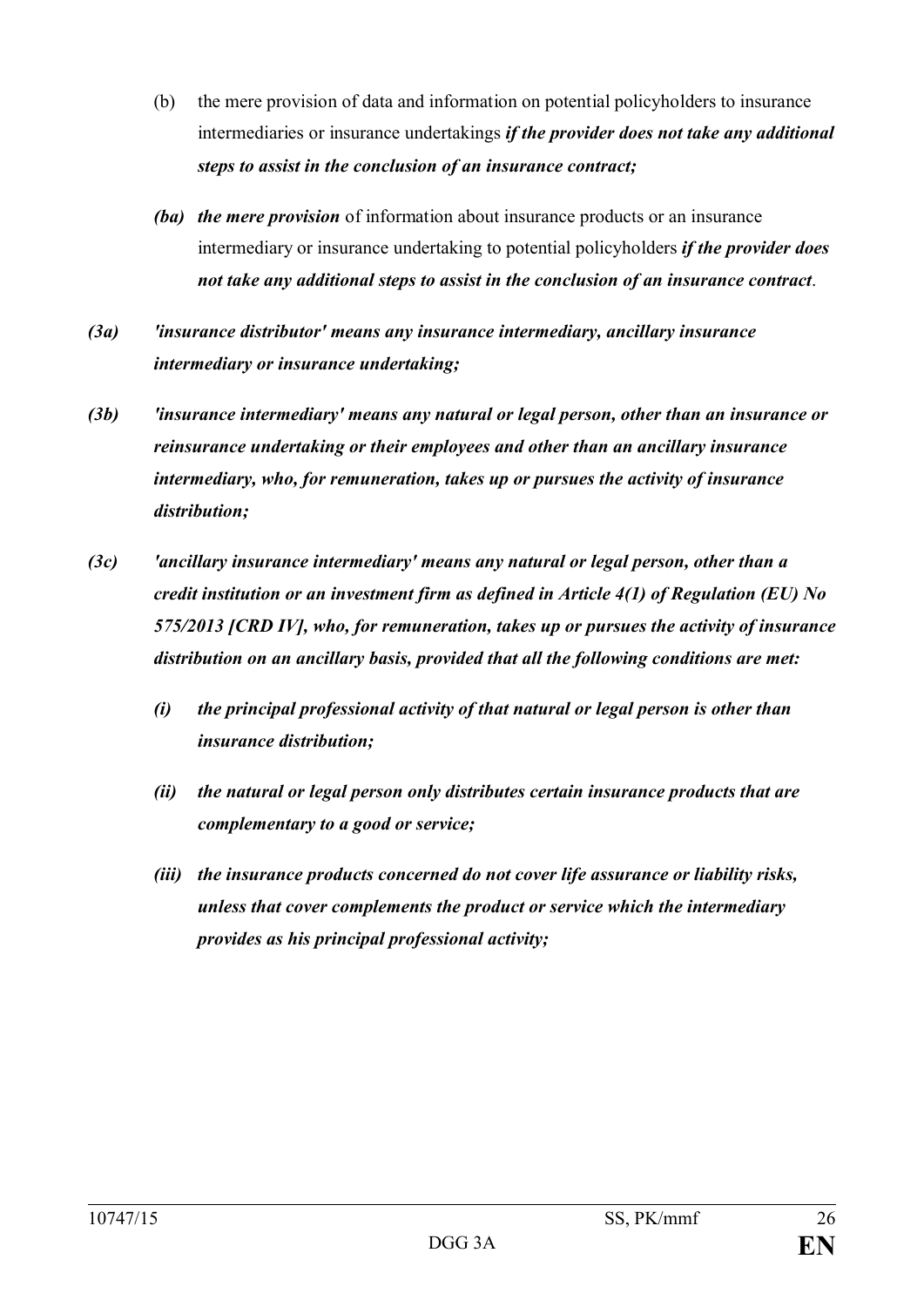- (b) the mere provision of data and information on potential policyholders to insurance intermediaries or insurance undertakings *if the provider does not take any additional steps to assist in the conclusion of an insurance contract;*
- *(ba) the mere provision* of information about insurance products or an insurance intermediary or insurance undertaking to potential policyholders *if the provider does not take any additional steps to assist in the conclusion of an insurance contract*.
- *(3a) 'insurance distributor' means any insurance intermediary, ancillary insurance intermediary or insurance undertaking;*
- *(3b) 'insurance intermediary' means any natural or legal person, other than an insurance or reinsurance undertaking or their employees and other than an ancillary insurance intermediary, who, for remuneration, takes up or pursues the activity of insurance distribution;*
- *(3c) 'ancillary insurance intermediary' means any natural or legal person, other than a credit institution or an investment firm as defined in Article 4(1) of Regulation (EU) No 575/2013 [CRD IV], who, for remuneration, takes up or pursues the activity of insurance distribution on an ancillary basis, provided that all the following conditions are met:*
	- *(i) the principal professional activity of that natural or legal person is other than insurance distribution;*
	- *(ii) the natural or legal person only distributes certain insurance products that are complementary to a good or service;*
	- *(iii) the insurance products concerned do not cover life assurance or liability risks, unless that cover complements the product or service which the intermediary provides as his principal professional activity;*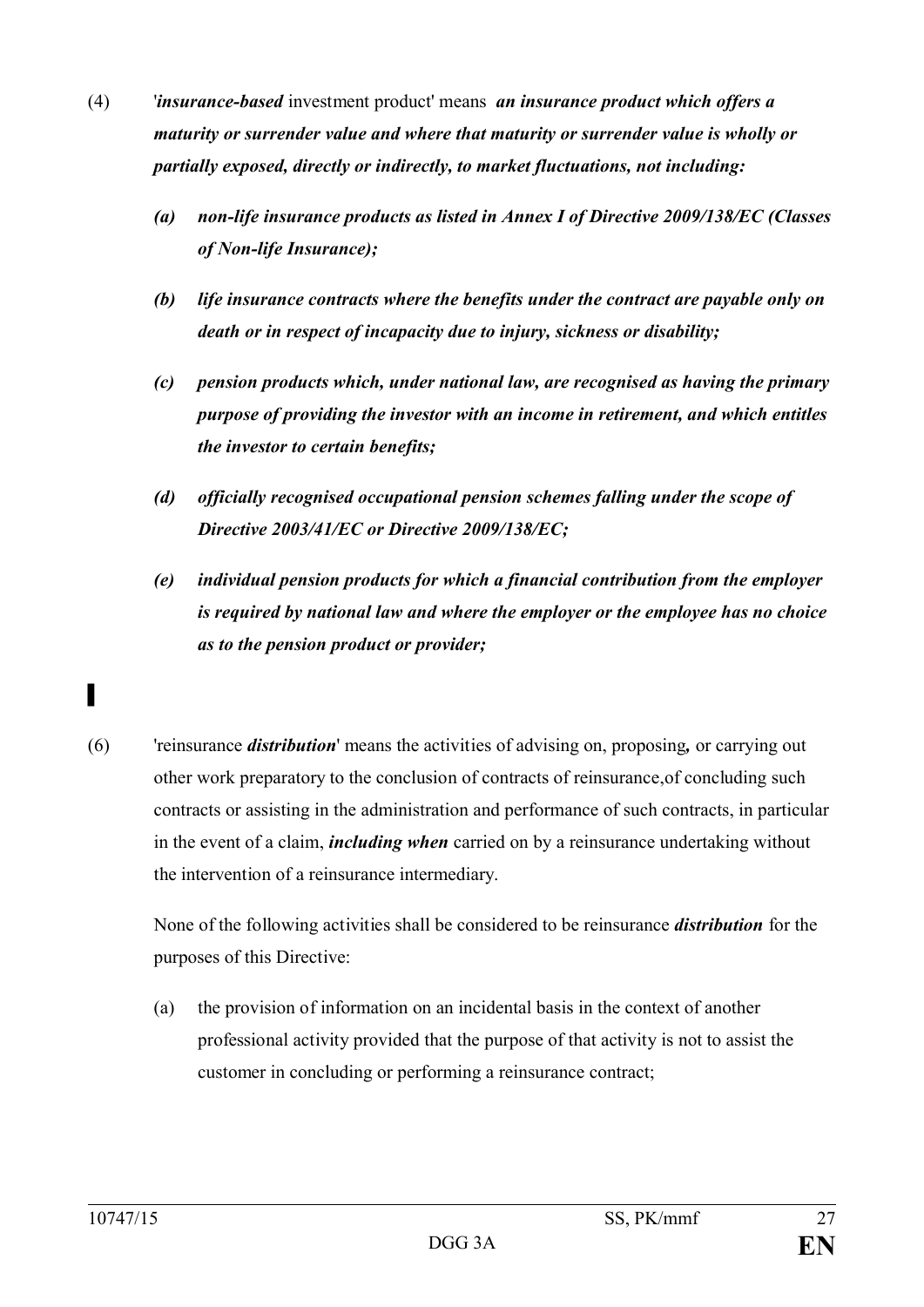- (4) '*insurance-based* investment product' means *an insurance product which offers a maturity or surrender value and where that maturity or surrender value is wholly or partially exposed, directly or indirectly, to market fluctuations, not including:*
	- *(a) non-life insurance products as listed in Annex I of Directive 2009/138/EC (Classes of Non-life Insurance);*
	- *(b) life insurance contracts where the benefits under the contract are payable only on death or in respect of incapacity due to injury, sickness or disability;*
	- *(c) pension products which, under national law, are recognised as having the primary purpose of providing the investor with an income in retirement, and which entitles the investor to certain benefits;*
	- *(d) officially recognised occupational pension schemes falling under the scope of Directive 2003/41/EC or Directive 2009/138/EC;*
	- *(e) individual pension products for which a financial contribution from the employer is required by national law and where the employer or the employee has no choice as to the pension product or provider;*
- (6) 'reinsurance *distribution*' means the activities of advising on, proposing*,* or carrying out other work preparatory to the conclusion of contracts of reinsurance,of concluding such contracts or assisting in the administration and performance of such contracts, in particular in the event of a claim, *including when* carried on by a reinsurance undertaking without the intervention of a reinsurance intermediary.

None of the following activities shall be considered to be reinsurance *distribution* for the purposes of this Directive:

(a) the provision of information on an incidental basis in the context of another professional activity provided that the purpose of that activity is not to assist the customer in concluding or performing a reinsurance contract;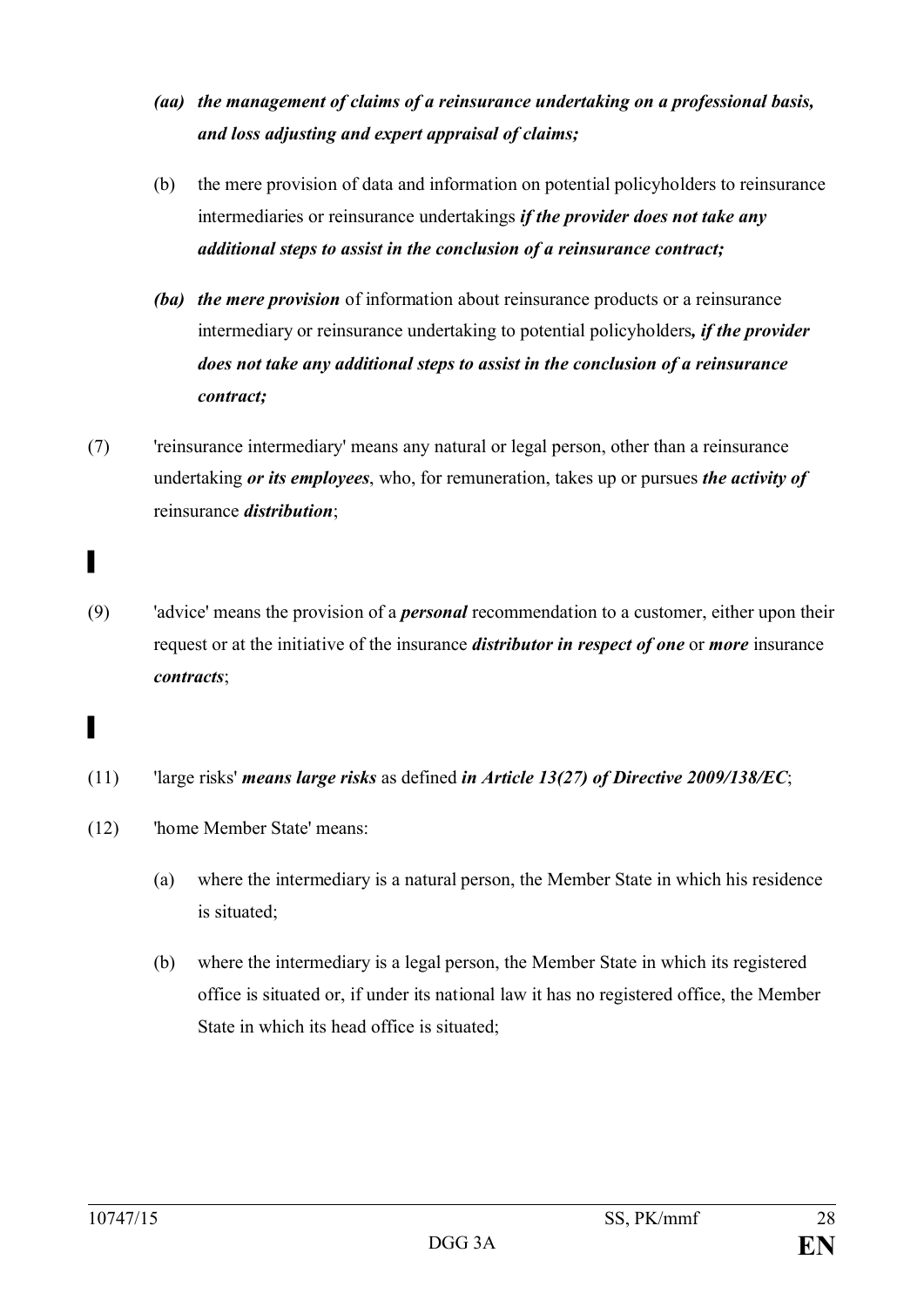- *(aa) the management of claims of a reinsurance undertaking on a professional basis, and loss adjusting and expert appraisal of claims;*
- (b) the mere provision of data and information on potential policyholders to reinsurance intermediaries or reinsurance undertakings *if the provider does not take any additional steps to assist in the conclusion of a reinsurance contract;*
- *(ba) the mere provision* of information about reinsurance products or a reinsurance intermediary or reinsurance undertaking to potential policyholders*, if the provider does not take any additional steps to assist in the conclusion of a reinsurance contract;*
- (7) 'reinsurance intermediary' means any natural or legal person, other than a reinsurance undertaking *or its employees*, who, for remuneration, takes up or pursues *the activity of* reinsurance *distribution*;
- (9) 'advice' means the provision of a *personal* recommendation to a customer, either upon their request or at the initiative of the insurance *distributor in respect of one* or *more* insurance *contracts*;
- (11) 'large risks' *means large risks* as defined *in Article 13(27) of Directive 2009/138/EC*;
- (12) 'home Member State' means:
	- (a) where the intermediary is a natural person, the Member State in which his residence is situated;
	- (b) where the intermediary is a legal person, the Member State in which its registered office is situated or, if under its national law it has no registered office, the Member State in which its head office is situated;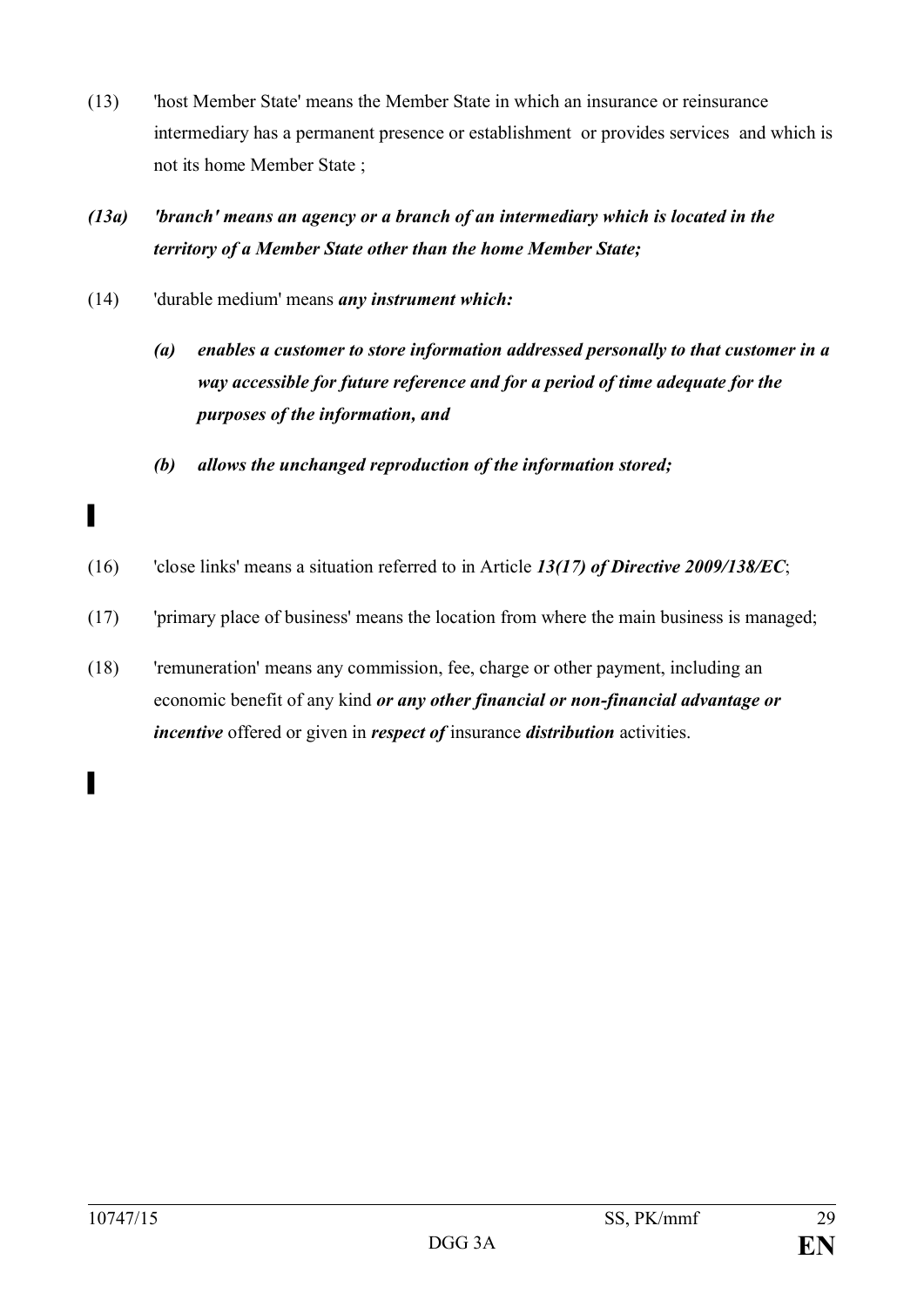- (13) 'host Member State' means the Member State in which an insurance or reinsurance intermediary has a permanent presence or establishment or provides services and which is not its home Member State ;
- *(13a) 'branch' means an agency or a branch of an intermediary which is located in the territory of a Member State other than the home Member State;*
- (14) 'durable medium' means *any instrument which:*
	- *(a) enables a customer to store information addressed personally to that customer in a way accessible for future reference and for a period of time adequate for the purposes of the information, and*
	- *(b) allows the unchanged reproduction of the information stored;*
- (16) 'close links' means a situation referred to in Article *13(17) of Directive 2009/138/EC*;
- (17) 'primary place of business' means the location from where the main business is managed;
- (18) 'remuneration' means any commission, fee, charge or other payment, including an economic benefit of any kind *or any other financial or non-financial advantage or incentive* offered or given in *respect of* insurance *distribution* activities.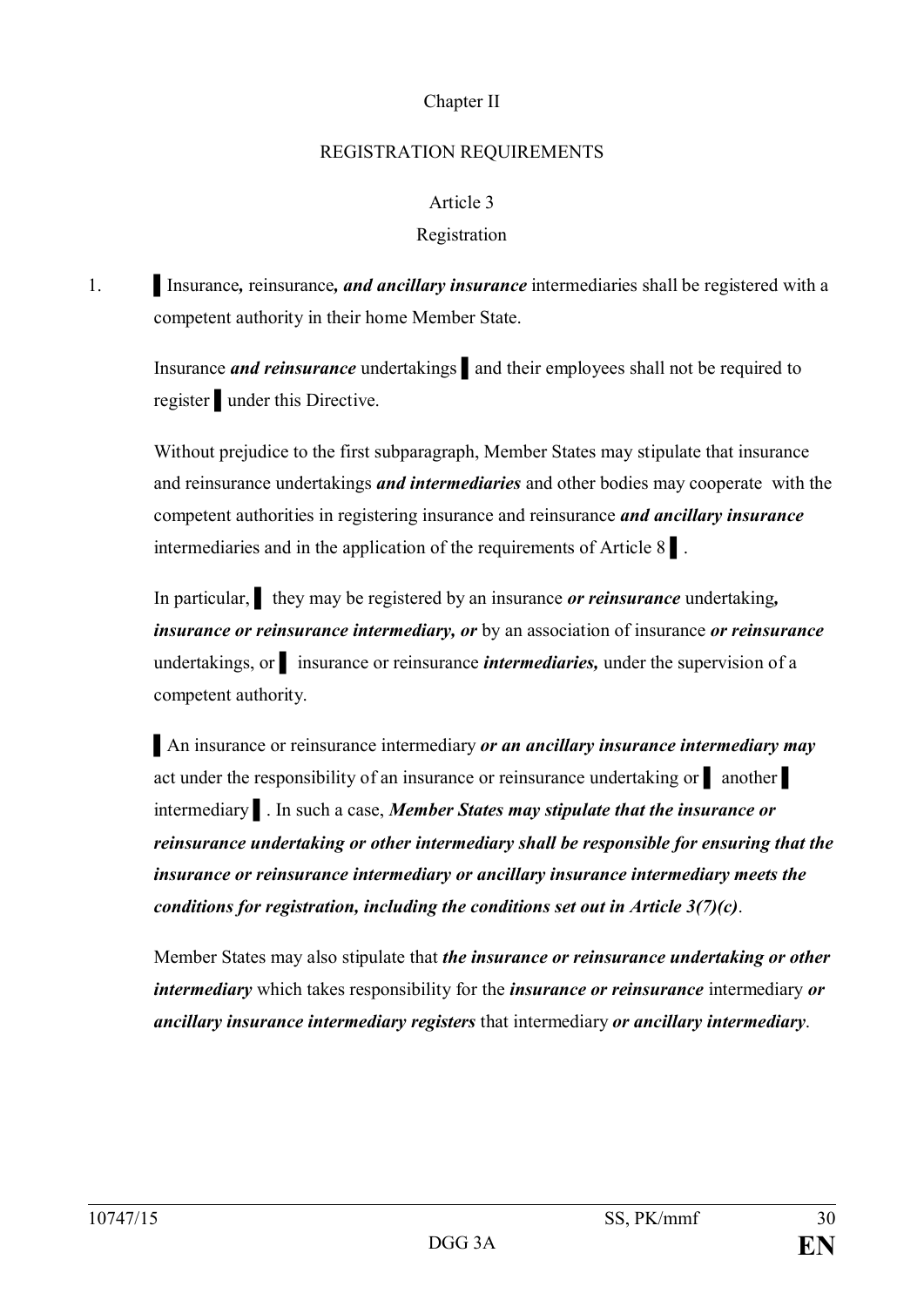### Chapter II

### REGISTRATION REQUIREMENTS

## Article 3

# Registration

# 1. Insurance, reinsurance, *and ancillary insurance* intermediaries shall be registered with a competent authority in their home Member State.

Insurance *and reinsurance* undertakings ▌and their employees shall not be required to register ▌under this Directive.

Without prejudice to the first subparagraph, Member States may stipulate that insurance and reinsurance undertakings *and intermediaries* and other bodies may cooperate with the competent authorities in registering insurance and reinsurance *and ancillary insurance*  intermediaries and in the application of the requirements of Article 8 ▌.

In particular, ▌ they may be registered by an insurance *or reinsurance* undertaking*, insurance or reinsurance intermediary, or* by an association of insurance *or reinsurance*  undertakings, or **i** insurance or reinsurance *intermediaries*, under the supervision of a competent authority.

▌An insurance or reinsurance intermediary *or an ancillary insurance intermediary may*  act under the responsibility of an insurance or reinsurance undertaking or ▌ another ▌ intermediary ▌. In such a case, *Member States may stipulate that the insurance or reinsurance undertaking or other intermediary shall be responsible for ensuring that the insurance or reinsurance intermediary or ancillary insurance intermediary meets the conditions for registration, including the conditions set out in Article 3(7)(c)*.

Member States may also stipulate that *the insurance or reinsurance undertaking or other intermediary* which takes responsibility for the *insurance or reinsurance* intermediary *or ancillary insurance intermediary registers* that intermediary *or ancillary intermediary*.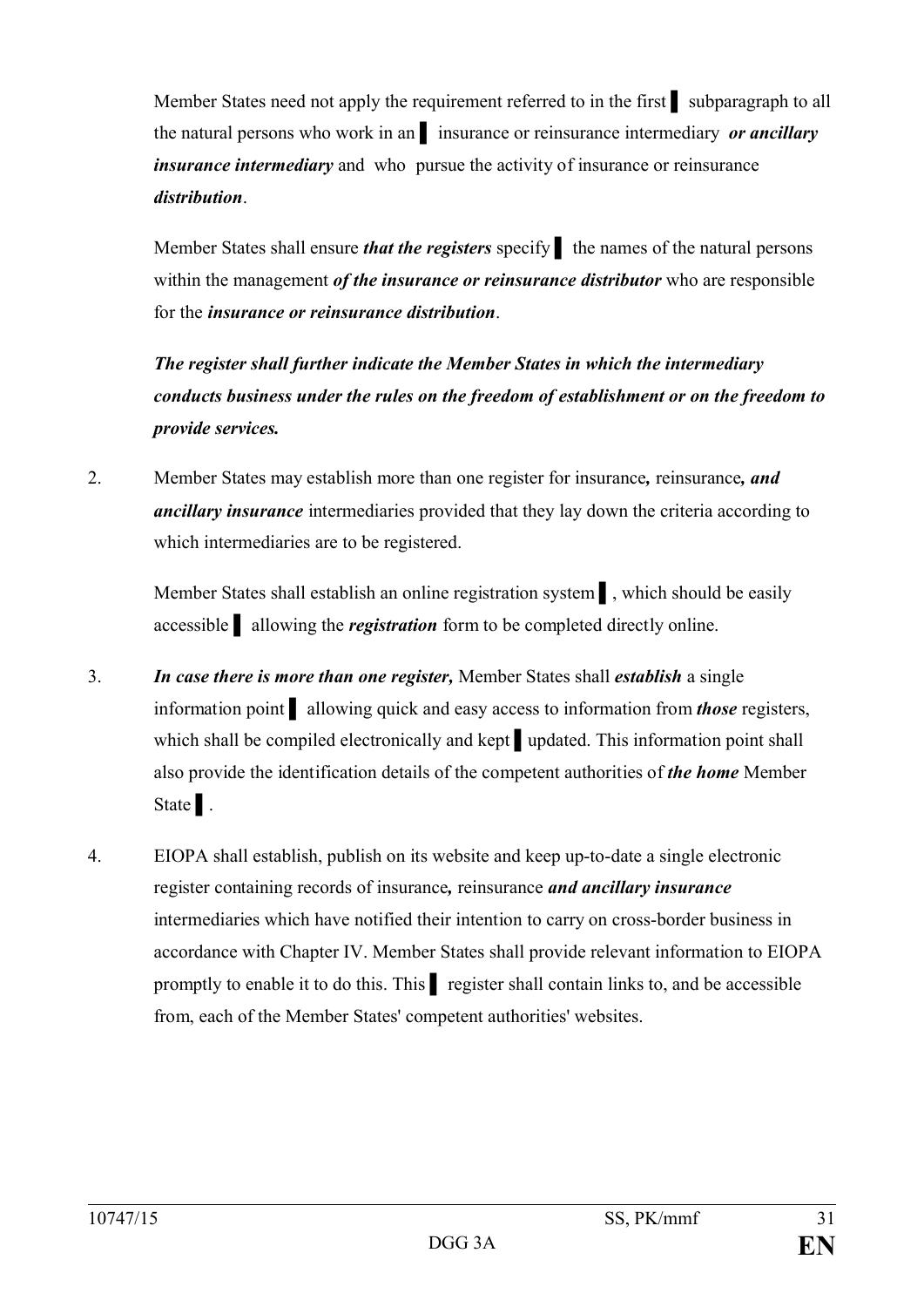Member States need not apply the requirement referred to in the first <u>v</u> subparagraph to all the natural persons who work in an ▌ insurance or reinsurance intermediary *or ancillary insurance intermediary* and who pursue the activity of insurance or reinsurance *distribution*.

Member States shall ensure *that the registers* specify the names of the natural persons within the management *of the insurance or reinsurance distributor* who are responsible for the *insurance or reinsurance distribution*.

*The register shall further indicate the Member States in which the intermediary conducts business under the rules on the freedom of establishment or on the freedom to provide services.*

2. Member States may establish more than one register for insurance*,* reinsurance*, and ancillary insurance* intermediaries provided that they lay down the criteria according to which intermediaries are to be registered.

Member States shall establish an online registration system ▌, which should be easily accessible ▌ allowing the *registration* form to be completed directly online.

- 3. *In case there is more than one register,* Member States shall *establish* a single information point ▌ allowing quick and easy access to information from *those* registers, which shall be compiled electronically and kept ∎updated. This information point shall also provide the identification details of the competent authorities of *the home* Member State | .
- 4. EIOPA shall establish, publish on its website and keep up-to-date a single electronic register containing records of insurance*,* reinsurance *and ancillary insurance*  intermediaries which have notified their intention to carry on cross-border business in accordance with Chapter IV. Member States shall provide relevant information to EIOPA promptly to enable it to do this. This ▌ register shall contain links to, and be accessible from, each of the Member States' competent authorities' websites.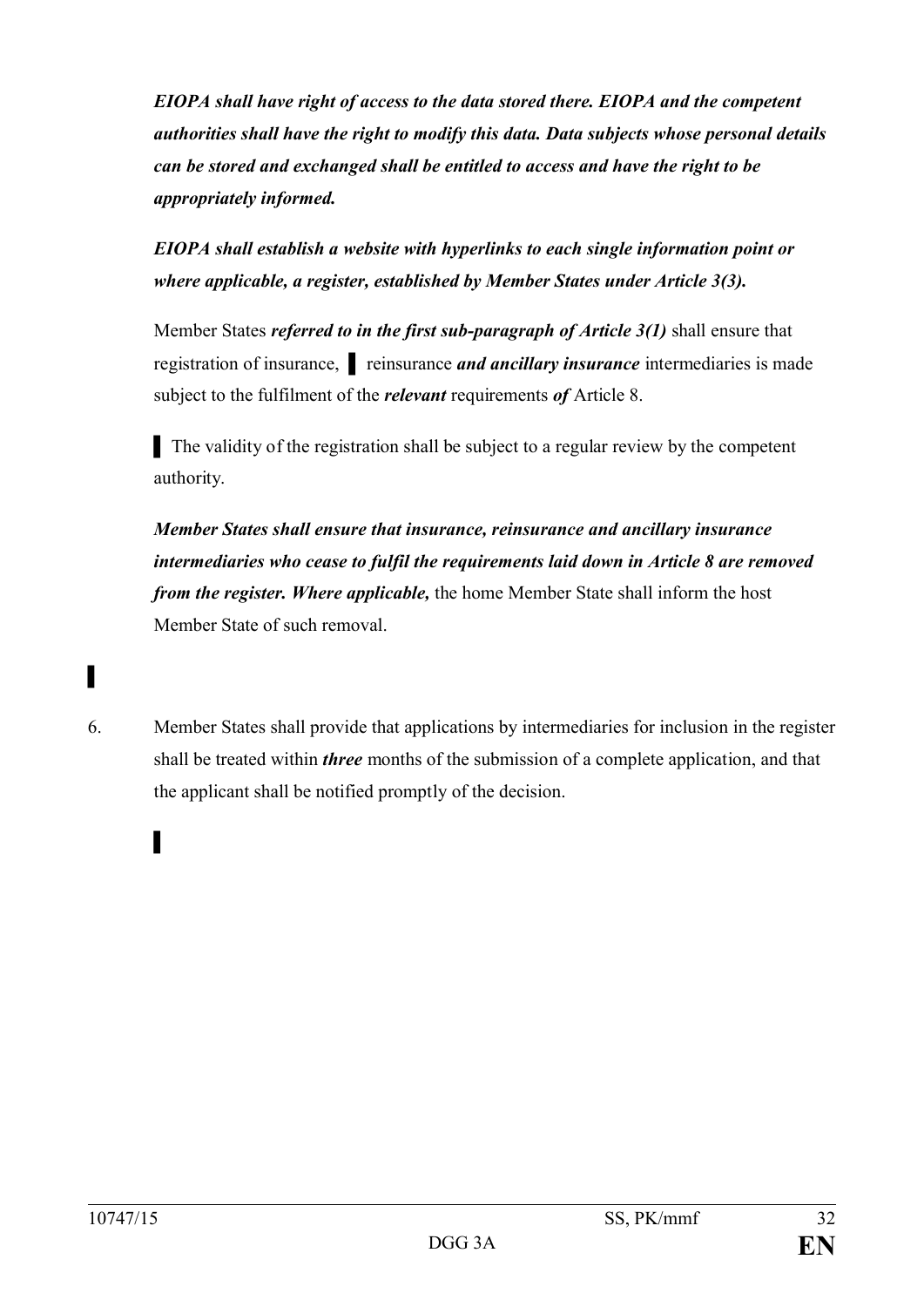*EIOPA shall have right of access to the data stored there. EIOPA and the competent authorities shall have the right to modify this data. Data subjects whose personal details can be stored and exchanged shall be entitled to access and have the right to be appropriately informed.*

*EIOPA shall establish a website with hyperlinks to each single information point or where applicable, a register, established by Member States under Article 3(3).*

Member States *referred to in the first sub-paragraph of Article 3(1)* shall ensure that registration of insurance, reinsurance *and ancillary insurance* intermediaries is made subject to the fulfilment of the *relevant* requirements *of* Article 8.

▌ The validity of the registration shall be subject to a regular review by the competent authority.

*Member States shall ensure that insurance, reinsurance and ancillary insurance intermediaries who cease to fulfil the requirements laid down in Article 8 are removed from the register. Where applicable,* the home Member State shall inform the host Member State of such removal.

6. Member States shall provide that applications by intermediaries for inclusion in the register shall be treated within *three* months of the submission of a complete application, and that the applicant shall be notified promptly of the decision.

▌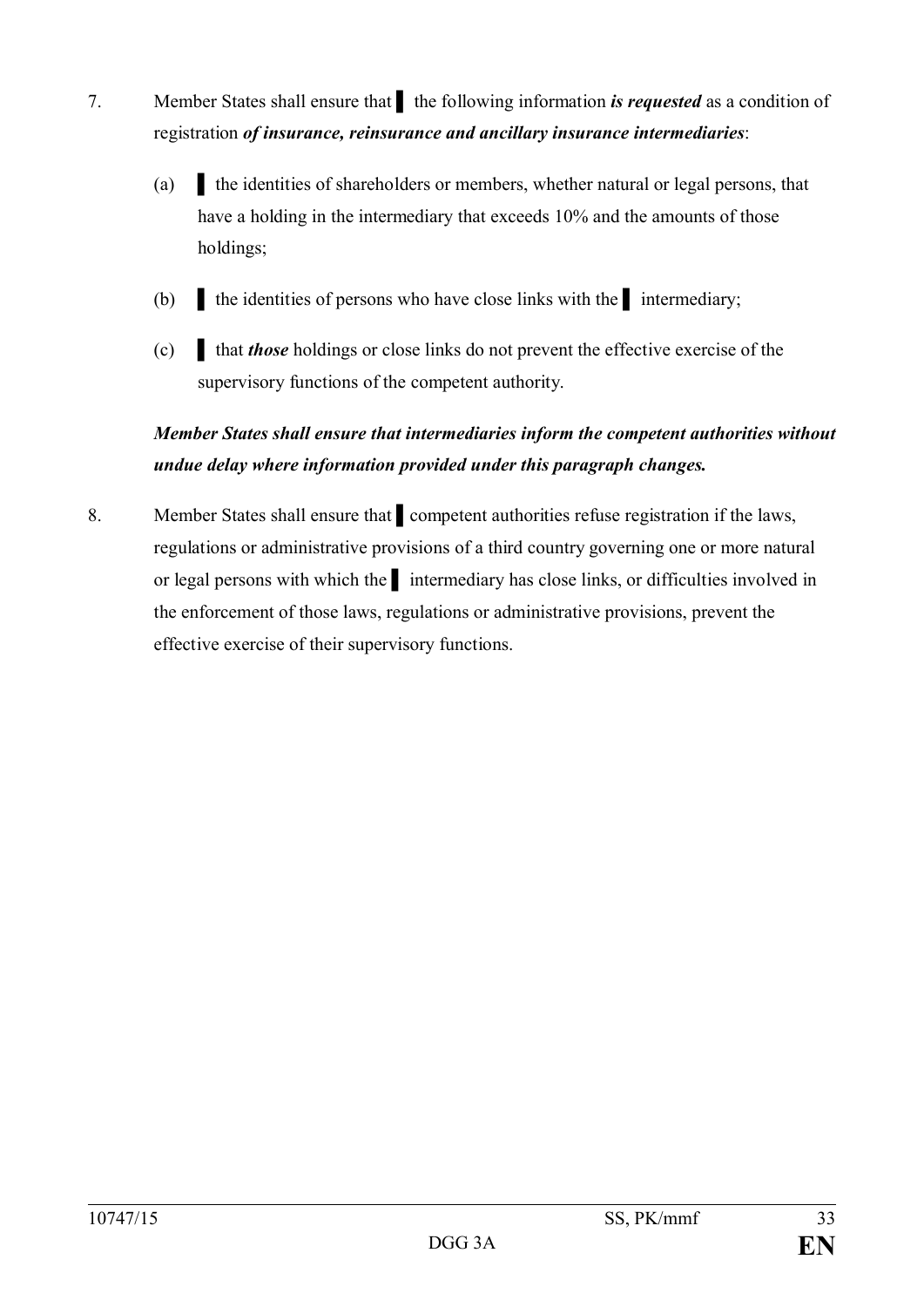- 7. Member States shall ensure that the following information *is requested* as a condition of registration *of insurance, reinsurance and ancillary insurance intermediaries*:
	- (a) ▌ the identities of shareholders or members, whether natural or legal persons, that have a holding in the intermediary that exceeds 10% and the amounts of those holdings;
	- (b) ▌ the identities of persons who have close links with the ▌ intermediary;
	- (c) ▌ that *those* holdings or close links do not prevent the effective exercise of the supervisory functions of the competent authority.

# *Member States shall ensure that intermediaries inform the competent authorities without undue delay where information provided under this paragraph changes.*

8. Member States shall ensure that **a** competent authorities refuse registration if the laws, regulations or administrative provisions of a third country governing one or more natural or legal persons with which the intermediary has close links, or difficulties involved in the enforcement of those laws, regulations or administrative provisions, prevent the effective exercise of their supervisory functions.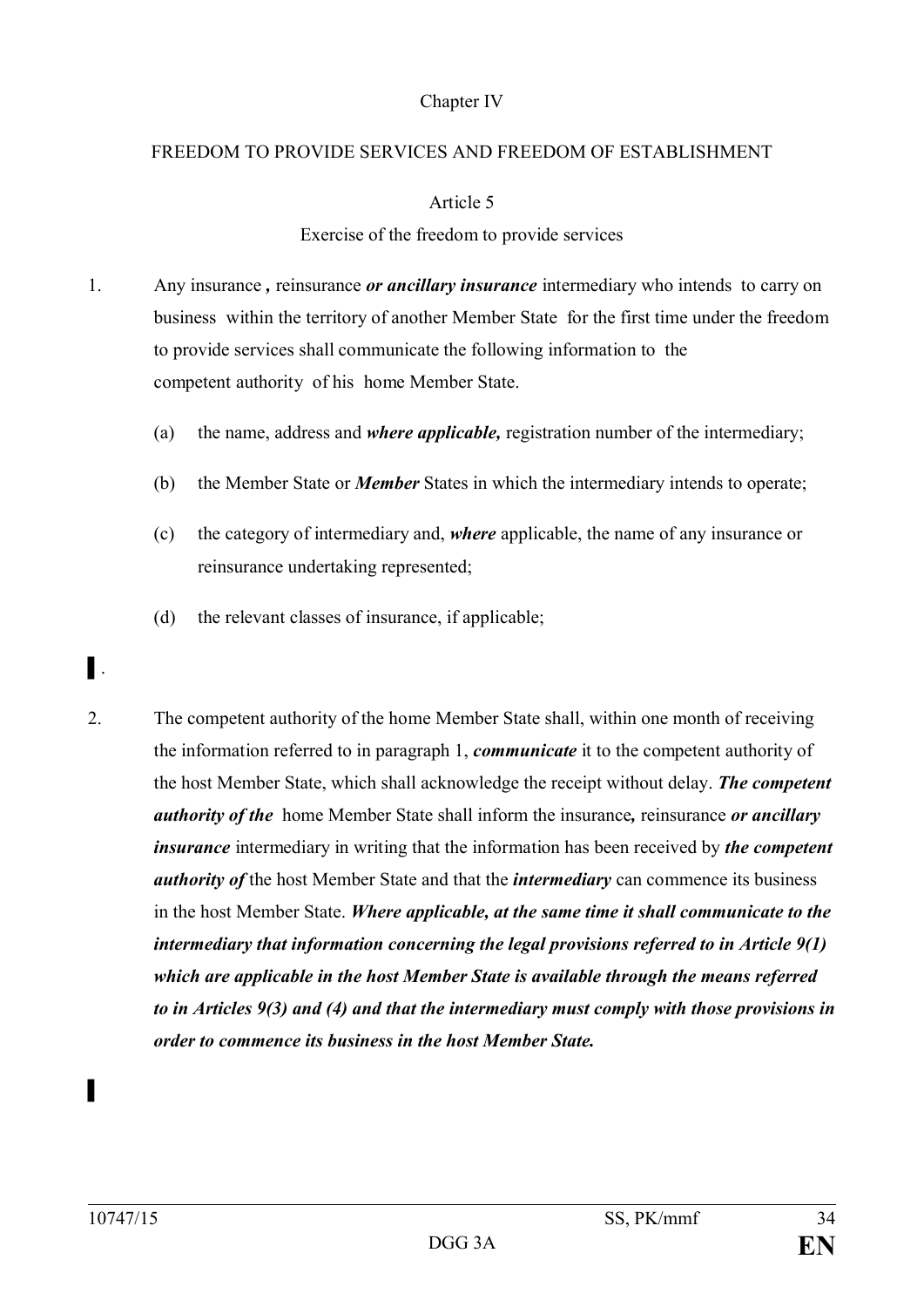## Chapter IV

#### FREEDOM TO PROVIDE SERVICES AND FREEDOM OF ESTABLISHMENT

### Article 5

## Exercise of the freedom to provide services

- 1. Any insurance *,* reinsurance *or ancillary insurance* intermediary who intends to carry on business within the territory of another Member State for the first time under the freedom to provide services shall communicate the following information to the competent authority of his home Member State.
	- (a) the name, address and *where applicable,* registration number of the intermediary;
	- (b) the Member State or *Member* States in which the intermediary intends to operate;
	- (c) the category of intermediary and, *where* applicable, the name of any insurance or reinsurance undertaking represented;
	- (d) the relevant classes of insurance, if applicable;

# ▌.

2. The competent authority of the home Member State shall, within one month of receiving the information referred to in paragraph 1, *communicate* it to the competent authority of the host Member State, which shall acknowledge the receipt without delay. *The competent authority of the* home Member State shall inform the insurance*,* reinsurance *or ancillary insurance* intermediary in writing that the information has been received by *the competent authority of* the host Member State and that the *intermediary* can commence its business in the host Member State. *Where applicable, at the same time it shall communicate to the intermediary that information concerning the legal provisions referred to in Article 9(1) which are applicable in the host Member State is available through the means referred to in Articles 9(3) and (4) and that the intermediary must comply with those provisions in order to commence its business in the host Member State.*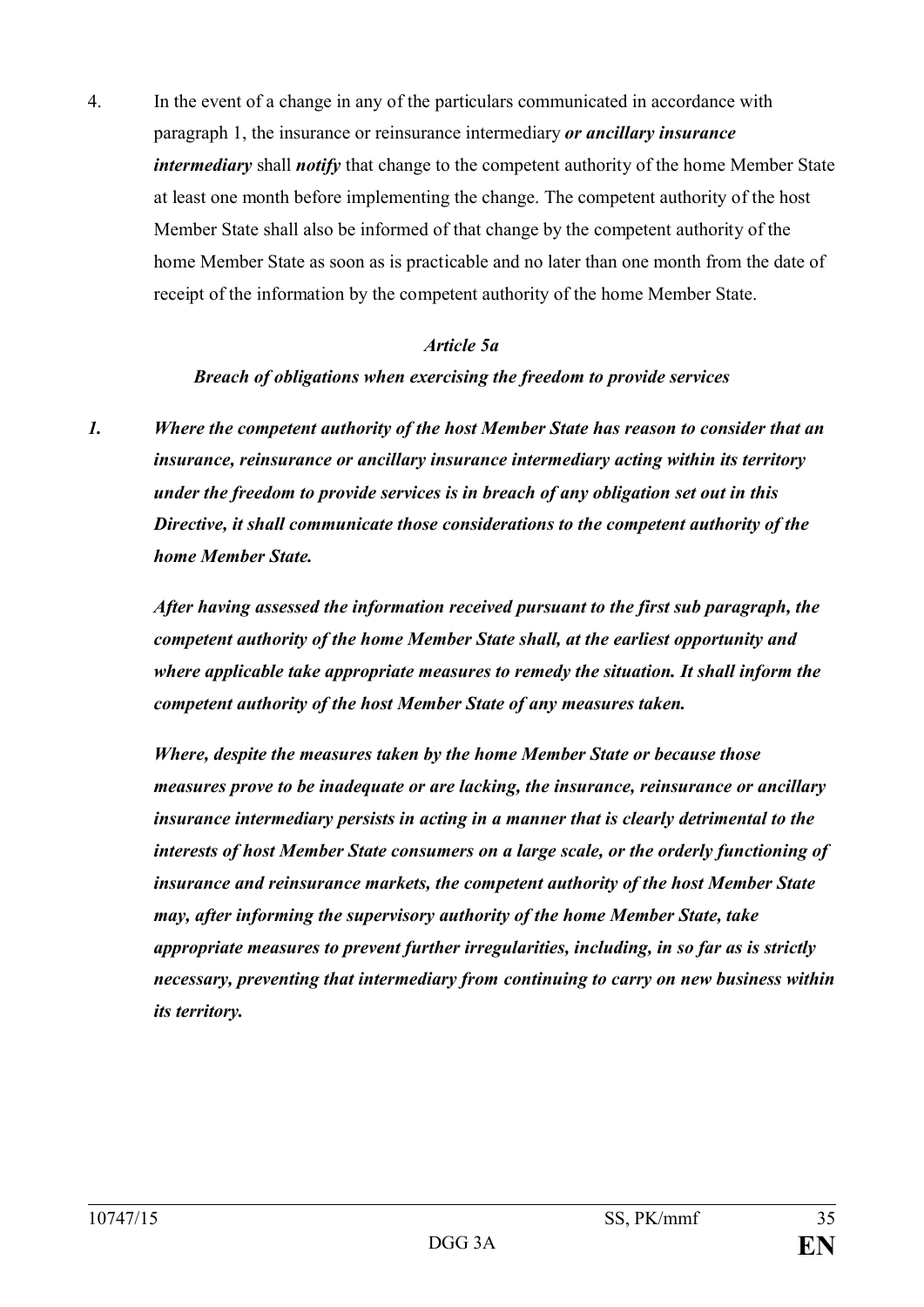4. In the event of a change in any of the particulars communicated in accordance with paragraph 1, the insurance or reinsurance intermediary *or ancillary insurance intermediary* shall *notify* that change to the competent authority of the home Member State at least one month before implementing the change. The competent authority of the host Member State shall also be informed of that change by the competent authority of the home Member State as soon as is practicable and no later than one month from the date of receipt of the information by the competent authority of the home Member State.

#### *Article 5a*

#### *Breach of obligations when exercising the freedom to provide services*

*1. Where the competent authority of the host Member State has reason to consider that an insurance, reinsurance or ancillary insurance intermediary acting within its territory under the freedom to provide services is in breach of any obligation set out in this Directive, it shall communicate those considerations to the competent authority of the home Member State.*

*After having assessed the information received pursuant to the first sub paragraph, the competent authority of the home Member State shall, at the earliest opportunity and where applicable take appropriate measures to remedy the situation. It shall inform the competent authority of the host Member State of any measures taken.*

*Where, despite the measures taken by the home Member State or because those measures prove to be inadequate or are lacking, the insurance, reinsurance or ancillary insurance intermediary persists in acting in a manner that is clearly detrimental to the interests of host Member State consumers on a large scale, or the orderly functioning of insurance and reinsurance markets, the competent authority of the host Member State may, after informing the supervisory authority of the home Member State, take appropriate measures to prevent further irregularities, including, in so far as is strictly necessary, preventing that intermediary from continuing to carry on new business within its territory.*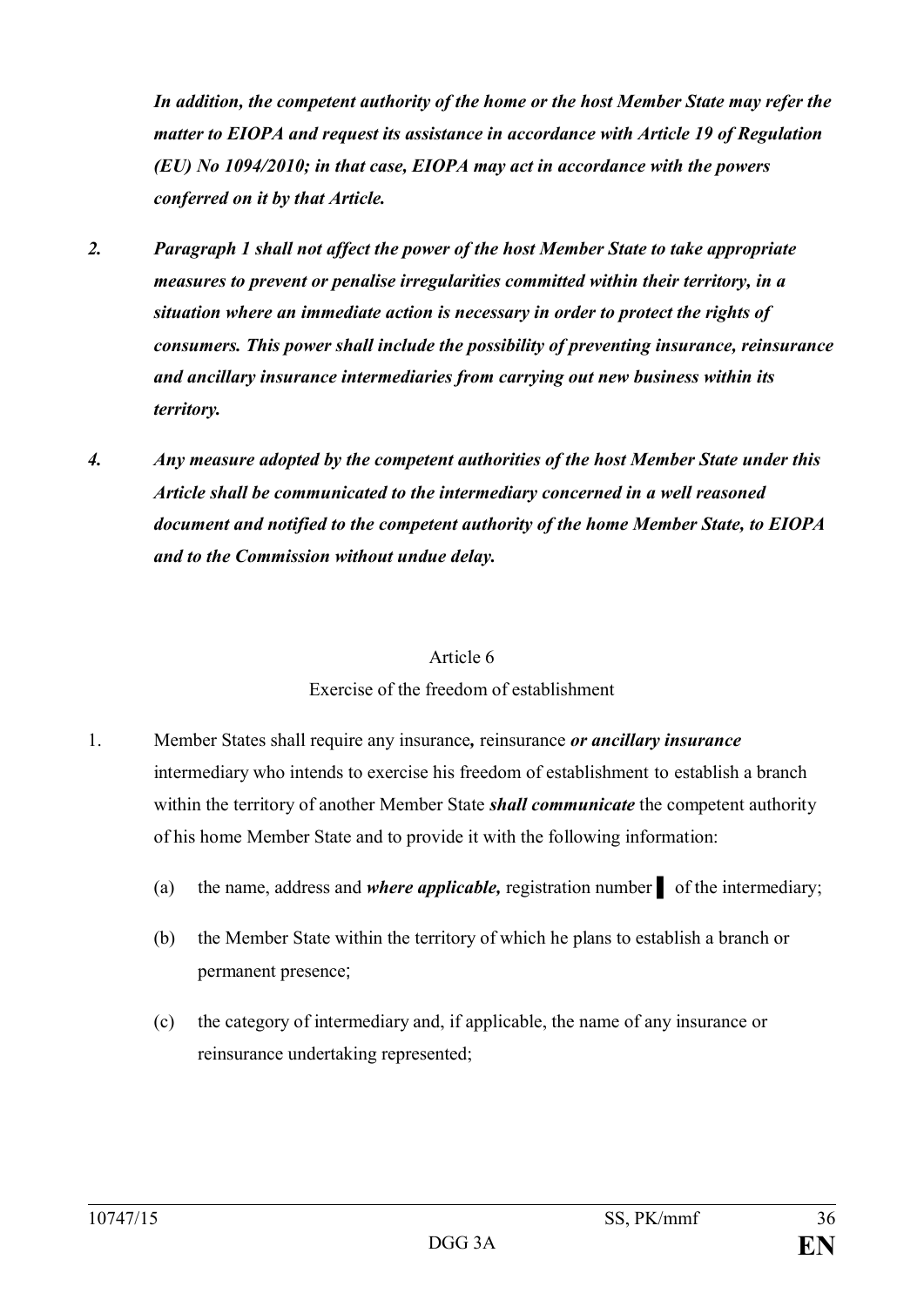*In addition, the competent authority of the home or the host Member State may refer the matter to EIOPA and request its assistance in accordance with Article 19 of Regulation (EU) No 1094/2010; in that case, EIOPA may act in accordance with the powers conferred on it by that Article.*

- *2. Paragraph 1 shall not affect the power of the host Member State to take appropriate measures to prevent or penalise irregularities committed within their territory, in a situation where an immediate action is necessary in order to protect the rights of consumers. This power shall include the possibility of preventing insurance, reinsurance and ancillary insurance intermediaries from carrying out new business within its territory.*
- *4. Any measure adopted by the competent authorities of the host Member State under this Article shall be communicated to the intermediary concerned in a well reasoned document and notified to the competent authority of the home Member State, to EIOPA and to the Commission without undue delay.*

#### Article 6

#### Exercise of the freedom of establishment

- 1. Member States shall require any insurance*,* reinsurance *or ancillary insurance* intermediary who intends to exercise his freedom of establishment to establish a branch within the territory of another Member State *shall communicate* the competent authority of his home Member State and to provide it with the following information:
	- (a) the name, address and *where applicable,* registration number ▌ of the intermediary;
	- (b) the Member State within the territory of which he plans to establish a branch or permanent presence;
	- (c) the category of intermediary and, if applicable, the name of any insurance or reinsurance undertaking represented;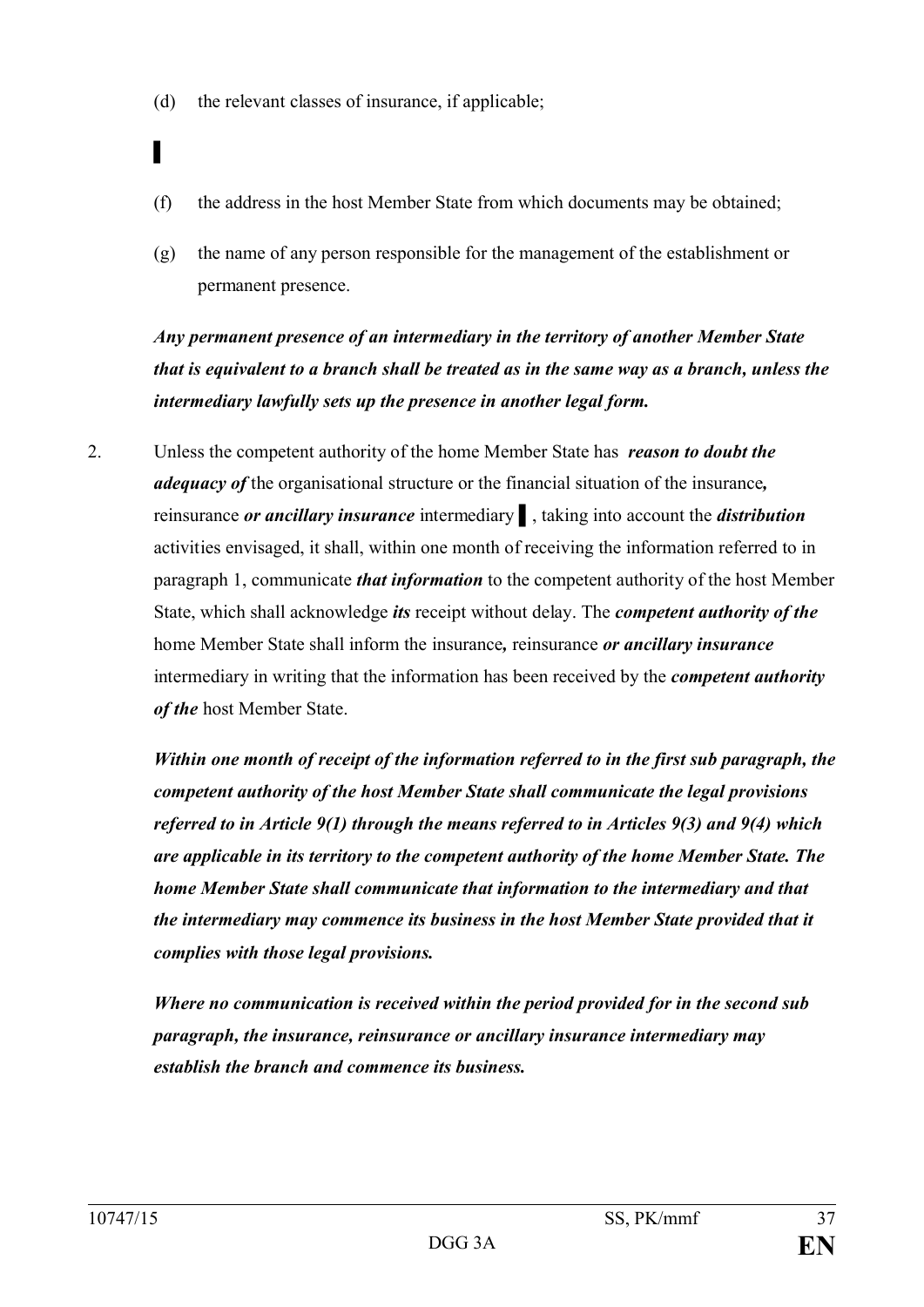(d) the relevant classes of insurance, if applicable;

▌

- (f) the address in the host Member State from which documents may be obtained;
- (g) the name of any person responsible for the management of the establishment or permanent presence.

*Any permanent presence of an intermediary in the territory of another Member State that is equivalent to a branch shall be treated as in the same way as a branch, unless the intermediary lawfully sets up the presence in another legal form.*

2. Unless the competent authority of the home Member State has *reason to doubt the adequacy of* the organisational structure or the financial situation of the insurance*,* reinsurance *or ancillary insurance* intermediary ▌, taking into account the *distribution* activities envisaged, it shall, within one month of receiving the information referred to in paragraph 1, communicate *that information* to the competent authority of the host Member State, which shall acknowledge *its* receipt without delay. The *competent authority of the*  home Member State shall inform the insurance*,* reinsurance *or ancillary insurance* intermediary in writing that the information has been received by the *competent authority of the* host Member State.

*Within one month of receipt of the information referred to in the first sub paragraph, the competent authority of the host Member State shall communicate the legal provisions referred to in Article 9(1) through the means referred to in Articles 9(3) and 9(4) which are applicable in its territory to the competent authority of the home Member State. The home Member State shall communicate that information to the intermediary and that the intermediary may commence its business in the host Member State provided that it complies with those legal provisions.*

*Where no communication is received within the period provided for in the second sub paragraph, the insurance, reinsurance or ancillary insurance intermediary may establish the branch and commence its business.*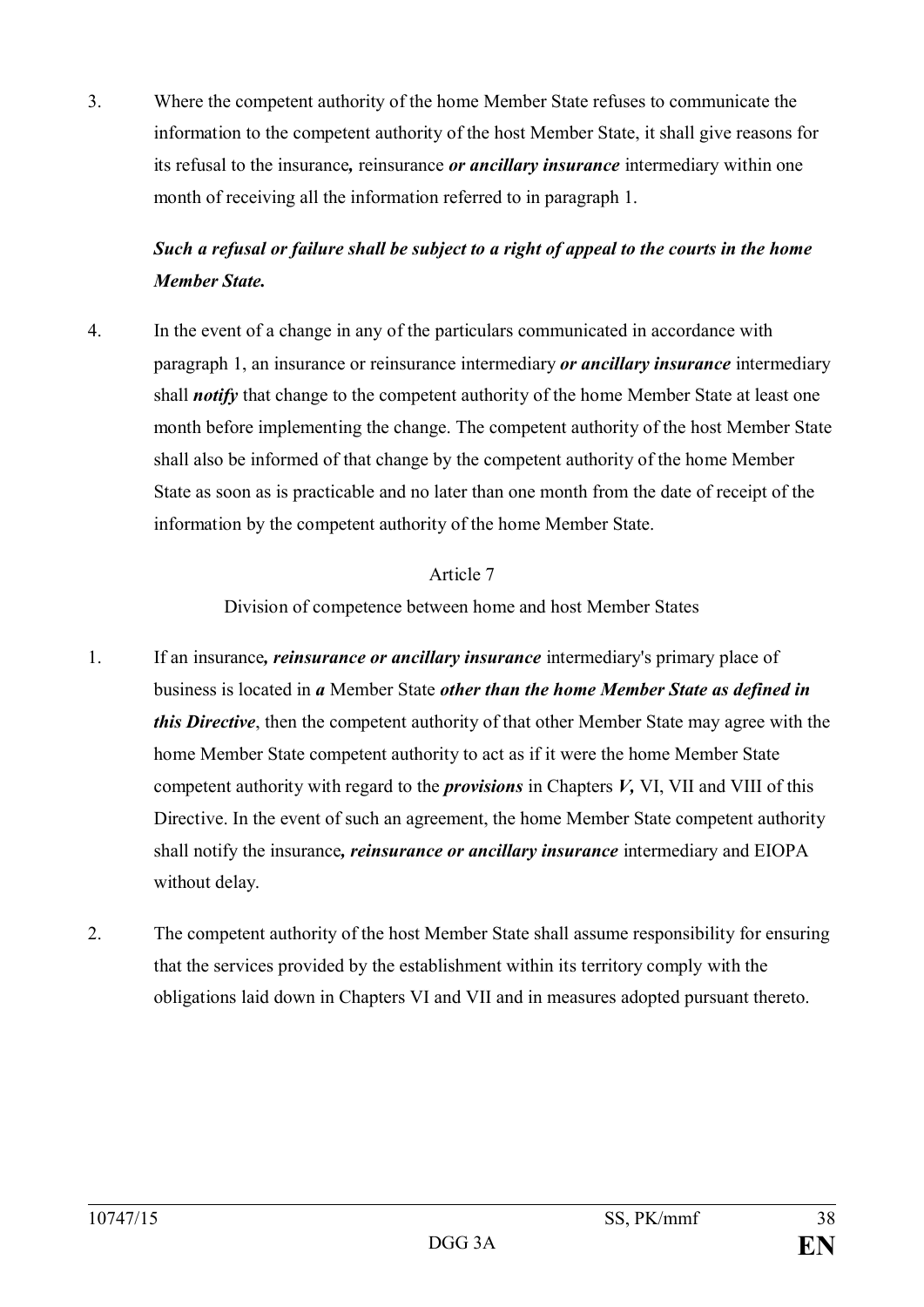3. Where the competent authority of the home Member State refuses to communicate the information to the competent authority of the host Member State, it shall give reasons for its refusal to the insurance*,* reinsurance *or ancillary insurance* intermediary within one month of receiving all the information referred to in paragraph 1.

# *Such a refusal or failure shall be subject to a right of appeal to the courts in the home Member State.*

4. In the event of a change in any of the particulars communicated in accordance with paragraph 1, an insurance or reinsurance intermediary *or ancillary insurance* intermediary shall *notify* that change to the competent authority of the home Member State at least one month before implementing the change. The competent authority of the host Member State shall also be informed of that change by the competent authority of the home Member State as soon as is practicable and no later than one month from the date of receipt of the information by the competent authority of the home Member State.

#### Article 7

Division of competence between home and host Member States

- 1. If an insurance*, reinsurance or ancillary insurance* intermediary's primary place of business is located in *a* Member State *other than the home Member State as defined in this Directive*, then the competent authority of that other Member State may agree with the home Member State competent authority to act as if it were the home Member State competent authority with regard to the *provisions* in Chapters *V,* VI, VII and VIII of this Directive. In the event of such an agreement, the home Member State competent authority shall notify the insurance*, reinsurance or ancillary insurance* intermediary and EIOPA without delay.
- 2. The competent authority of the host Member State shall assume responsibility for ensuring that the services provided by the establishment within its territory comply with the obligations laid down in Chapters VI and VII and in measures adopted pursuant thereto.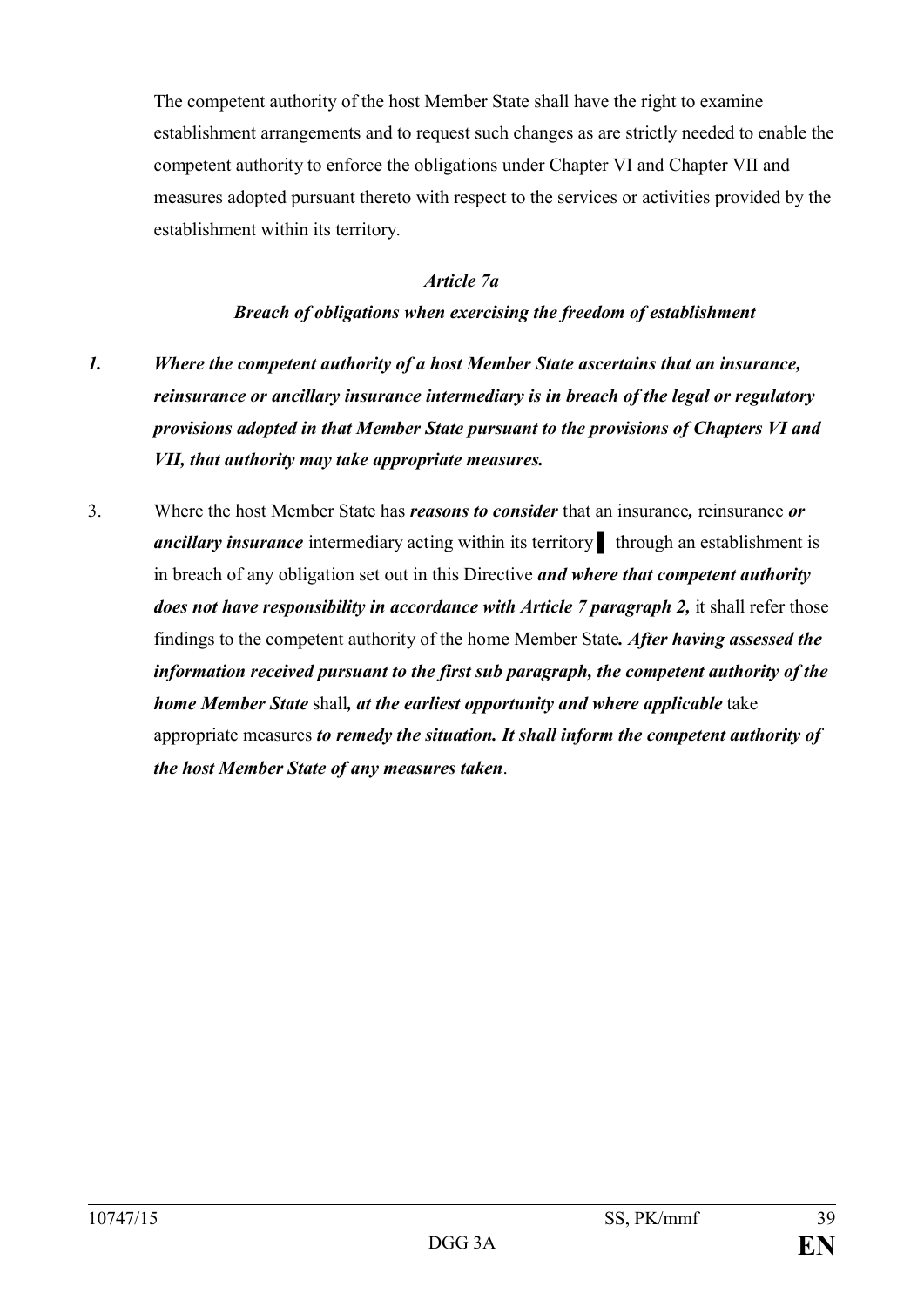The competent authority of the host Member State shall have the right to examine establishment arrangements and to request such changes as are strictly needed to enable the competent authority to enforce the obligations under Chapter VI and Chapter VII and measures adopted pursuant thereto with respect to the services or activities provided by the establishment within its territory.

## *Article 7a*

## *Breach of obligations when exercising the freedom of establishment*

- *1. Where the competent authority of a host Member State ascertains that an insurance, reinsurance or ancillary insurance intermediary is in breach of the legal or regulatory provisions adopted in that Member State pursuant to the provisions of Chapters VI and VII, that authority may take appropriate measures.*
- 3. Where the host Member State has *reasons to consider* that an insurance*,* reinsurance *or ancillary insurance* intermediary acting within its territory **t** through an establishment is in breach of any obligation set out in this Directive *and where that competent authority does not have responsibility in accordance with Article 7 paragraph 2, it shall refer those* findings to the competent authority of the home Member State*. After having assessed the information received pursuant to the first sub paragraph, the competent authority of the home Member State* shall*, at the earliest opportunity and where applicable* take appropriate measures *to remedy the situation. It shall inform the competent authority of the host Member State of any measures taken*.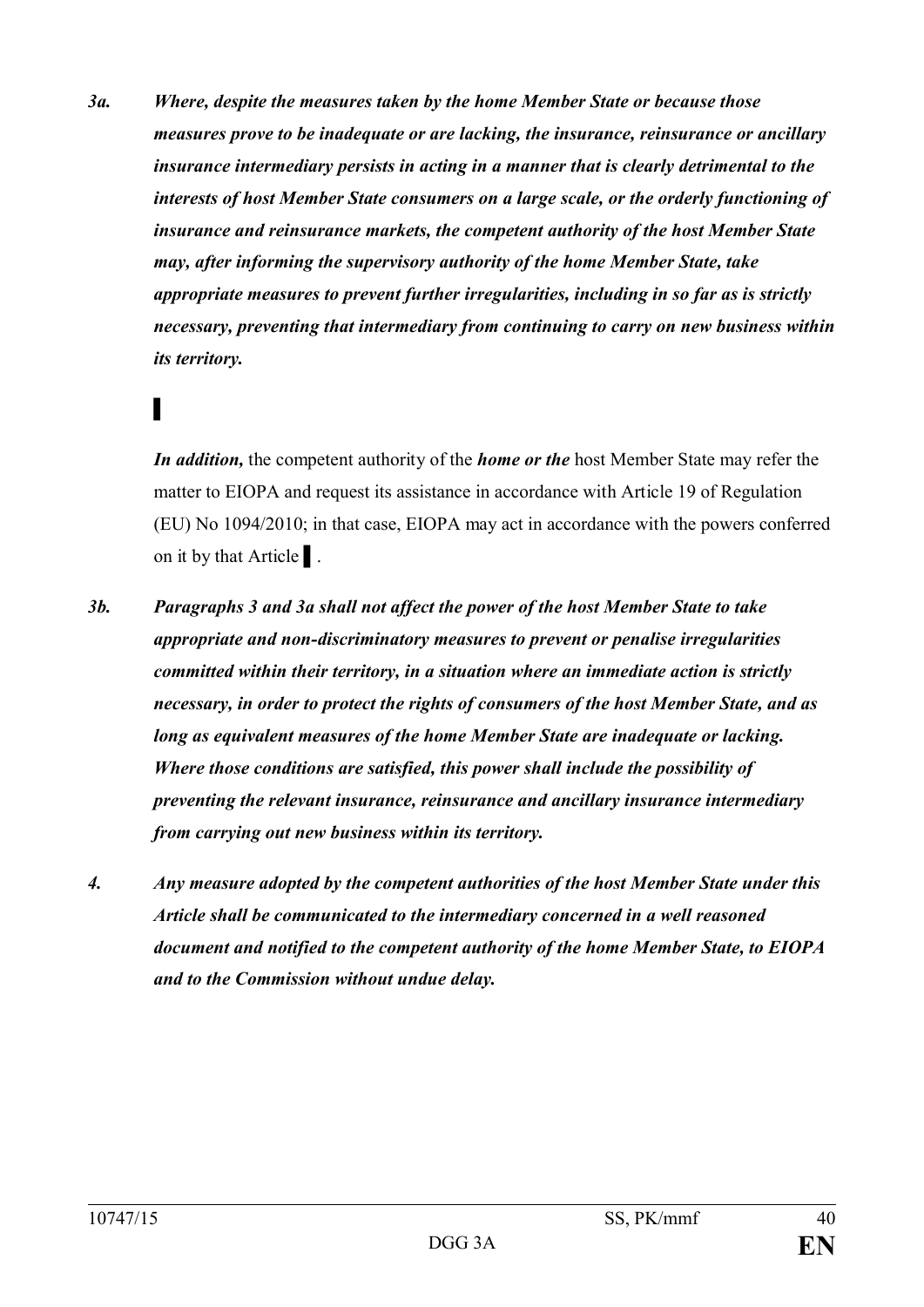*3a. Where, despite the measures taken by the home Member State or because those measures prove to be inadequate or are lacking, the insurance, reinsurance or ancillary insurance intermediary persists in acting in a manner that is clearly detrimental to the interests of host Member State consumers on a large scale, or the orderly functioning of insurance and reinsurance markets, the competent authority of the host Member State may, after informing the supervisory authority of the home Member State, take appropriate measures to prevent further irregularities, including in so far as is strictly necessary, preventing that intermediary from continuing to carry on new business within its territory.*

# ▌

*In addition,* the competent authority of the *home or the* host Member State may refer the matter to EIOPA and request its assistance in accordance with Article 19 of Regulation (EU) No 1094/2010; in that case, EIOPA may act in accordance with the powers conferred on it by that Article ▌.

- *3b. Paragraphs 3 and 3a shall not affect the power of the host Member State to take appropriate and non-discriminatory measures to prevent or penalise irregularities committed within their territory, in a situation where an immediate action is strictly necessary, in order to protect the rights of consumers of the host Member State, and as long as equivalent measures of the home Member State are inadequate or lacking. Where those conditions are satisfied, this power shall include the possibility of preventing the relevant insurance, reinsurance and ancillary insurance intermediary from carrying out new business within its territory.*
- *4. Any measure adopted by the competent authorities of the host Member State under this Article shall be communicated to the intermediary concerned in a well reasoned document and notified to the competent authority of the home Member State, to EIOPA and to the Commission without undue delay.*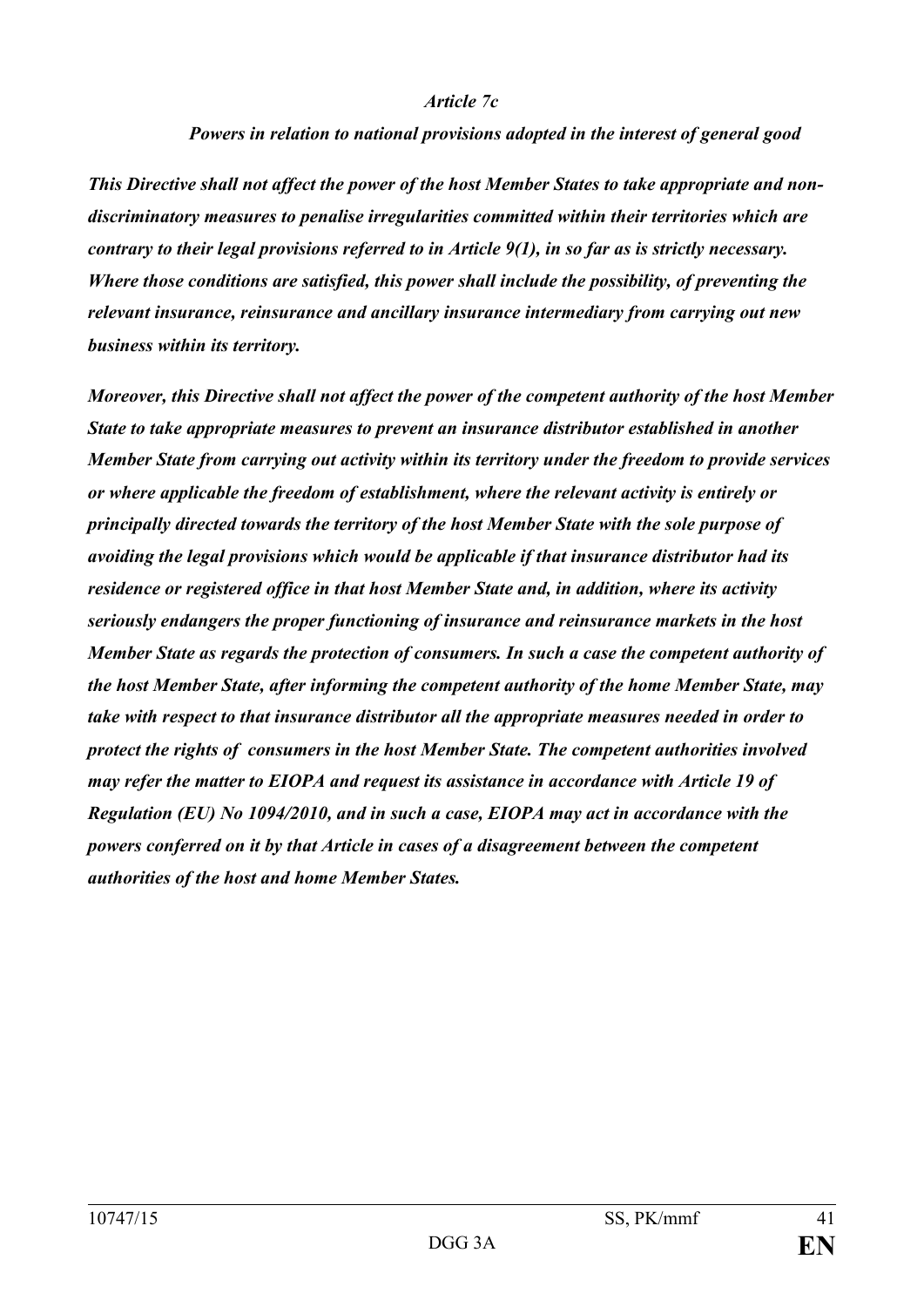#### *Article 7c*

#### *Powers in relation to national provisions adopted in the interest of general good*

*This Directive shall not affect the power of the host Member States to take appropriate and nondiscriminatory measures to penalise irregularities committed within their territories which are contrary to their legal provisions referred to in Article 9(1), in so far as is strictly necessary. Where those conditions are satisfied, this power shall include the possibility, of preventing the relevant insurance, reinsurance and ancillary insurance intermediary from carrying out new business within its territory.*

*Moreover, this Directive shall not affect the power of the competent authority of the host Member State to take appropriate measures to prevent an insurance distributor established in another Member State from carrying out activity within its territory under the freedom to provide services or where applicable the freedom of establishment, where the relevant activity is entirely or principally directed towards the territory of the host Member State with the sole purpose of avoiding the legal provisions which would be applicable if that insurance distributor had its residence or registered office in that host Member State and, in addition, where its activity seriously endangers the proper functioning of insurance and reinsurance markets in the host Member State as regards the protection of consumers. In such a case the competent authority of the host Member State, after informing the competent authority of the home Member State, may take with respect to that insurance distributor all the appropriate measures needed in order to protect the rights of consumers in the host Member State. The competent authorities involved may refer the matter to EIOPA and request its assistance in accordance with Article 19 of Regulation (EU) No 1094/2010, and in such a case, EIOPA may act in accordance with the powers conferred on it by that Article in cases of a disagreement between the competent authorities of the host and home Member States.*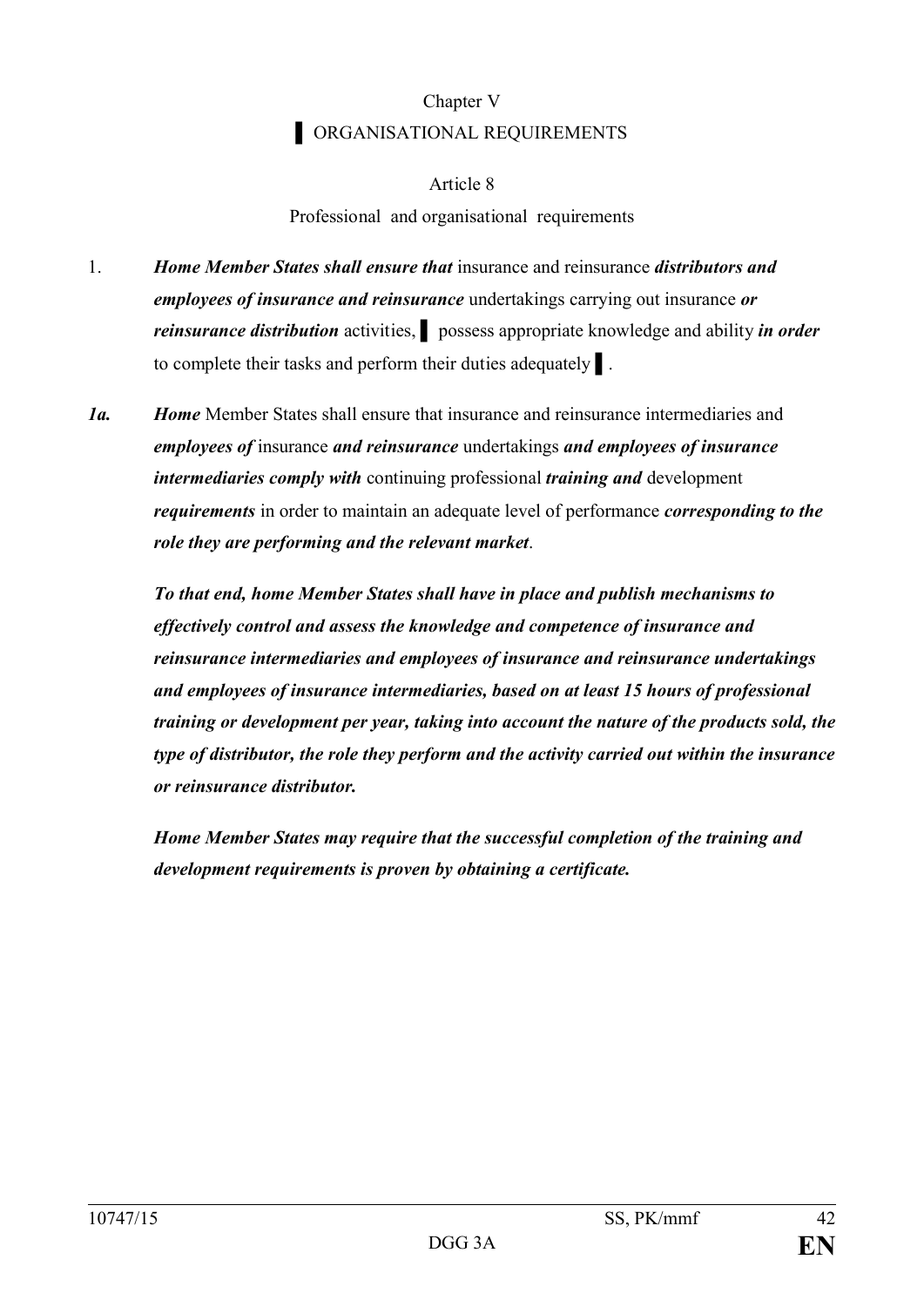# Chapter V **ORGANISATIONAL REQUIREMENTS**

# Article 8

# Professional and organisational requirements

- 1. *Home Member States shall ensure that* insurance and reinsurance *distributors and employees of insurance and reinsurance* undertakings carrying out insurance *or reinsurance distribution* activities, ▌ possess appropriate knowledge and ability *in order*  to complete their tasks and perform their duties adequately ▌.
- *1a. Home* Member States shall ensure that insurance and reinsurance intermediaries and *employees of* insurance *and reinsurance* undertakings *and employees of insurance intermediaries comply with* continuing professional *training and* development *requirements* in order to maintain an adequate level of performance *corresponding to the role they are performing and the relevant market*.

*To that end, home Member States shall have in place and publish mechanisms to effectively control and assess the knowledge and competence of insurance and reinsurance intermediaries and employees of insurance and reinsurance undertakings and employees of insurance intermediaries, based on at least 15 hours of professional training or development per year, taking into account the nature of the products sold, the type of distributor, the role they perform and the activity carried out within the insurance or reinsurance distributor.* 

*Home Member States may require that the successful completion of the training and development requirements is proven by obtaining a certificate.*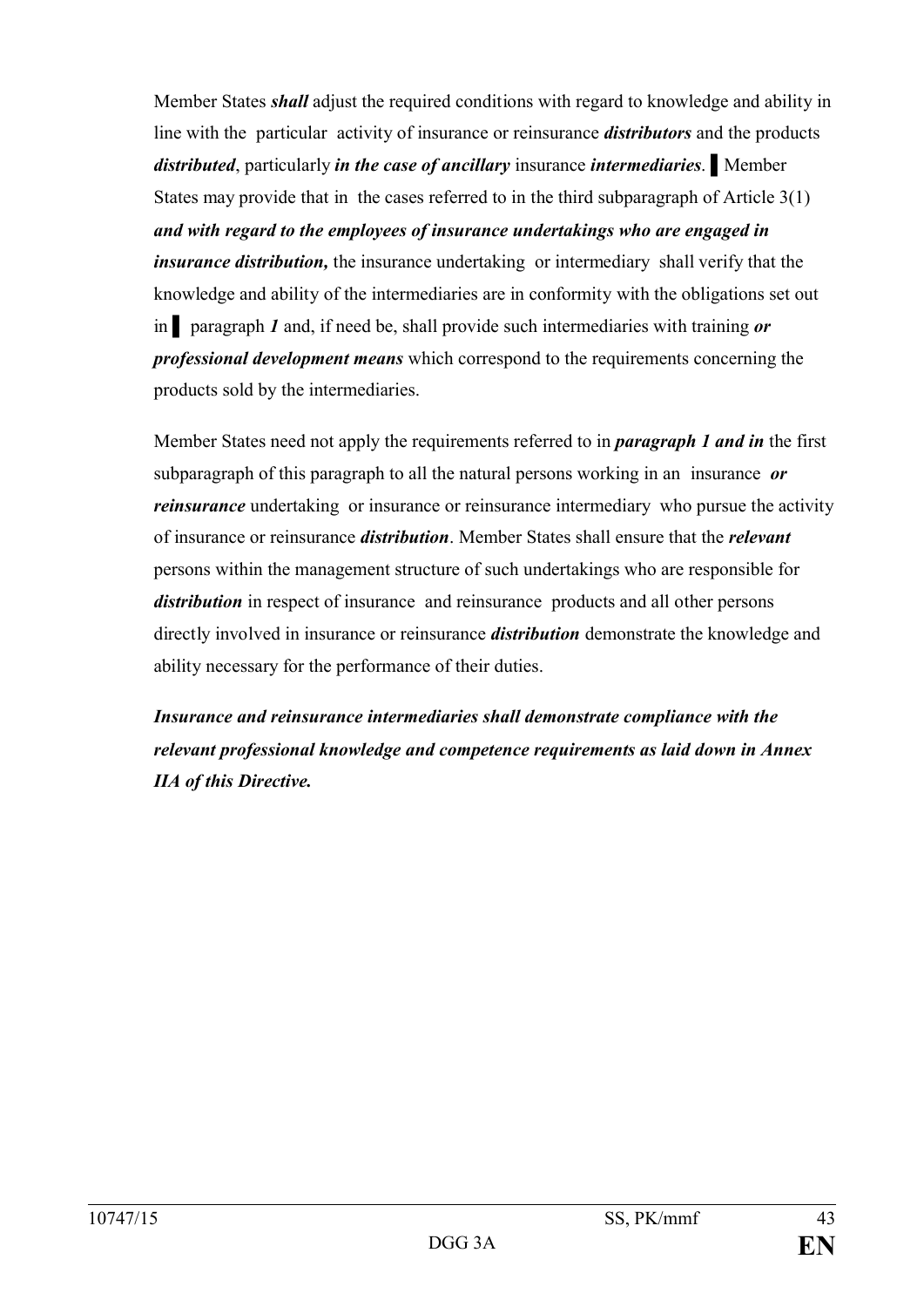Member States *shall* adjust the required conditions with regard to knowledge and ability in line with the particular activity of insurance or reinsurance *distributors* and the products *distributed*, particularly *in the case of ancillary* insurance *intermediaries*. ▌Member States may provide that in the cases referred to in the third subparagraph of Article 3(1) *and with regard to the employees of insurance undertakings who are engaged in insurance distribution,* the insurance undertaking or intermediary shall verify that the knowledge and ability of the intermediaries are in conformity with the obligations set out in ▌ paragraph *1* and, if need be, shall provide such intermediaries with training *or professional development means* which correspond to the requirements concerning the products sold by the intermediaries.

Member States need not apply the requirements referred to in *paragraph 1 and in* the first subparagraph of this paragraph to all the natural persons working in an insurance *or reinsurance* undertaking or insurance or reinsurance intermediary who pursue the activity of insurance or reinsurance *distribution*. Member States shall ensure that the *relevant* persons within the management structure of such undertakings who are responsible for *distribution* in respect of insurance and reinsurance products and all other persons directly involved in insurance or reinsurance *distribution* demonstrate the knowledge and ability necessary for the performance of their duties.

*Insurance and reinsurance intermediaries shall demonstrate compliance with the relevant professional knowledge and competence requirements as laid down in Annex IIA of this Directive.*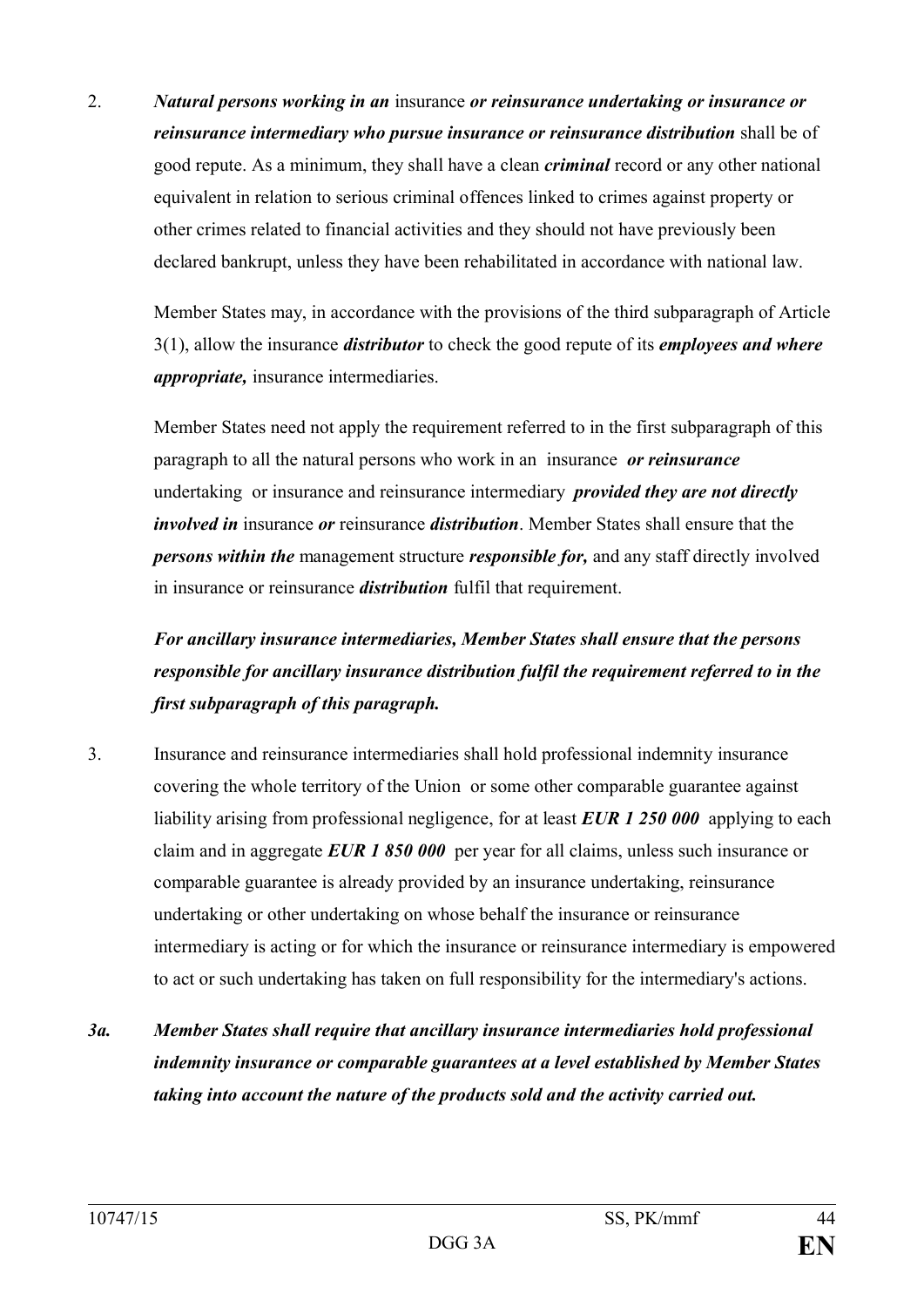2. *Natural persons working in an* insurance *or reinsurance undertaking or insurance or reinsurance intermediary who pursue insurance or reinsurance distribution* shall be of good repute. As a minimum, they shall have a clean *criminal* record or any other national equivalent in relation to serious criminal offences linked to crimes against property or other crimes related to financial activities and they should not have previously been declared bankrupt, unless they have been rehabilitated in accordance with national law.

Member States may, in accordance with the provisions of the third subparagraph of Article 3(1), allow the insurance *distributor* to check the good repute of its *employees and where appropriate,* insurance intermediaries.

Member States need not apply the requirement referred to in the first subparagraph of this paragraph to all the natural persons who work in an insurance *or reinsurance*  undertaking or insurance and reinsurance intermediary *provided they are not directly involved in* insurance *or* reinsurance *distribution*. Member States shall ensure that the *persons within the* management structure *responsible for,* and any staff directly involved in insurance or reinsurance *distribution* fulfil that requirement.

# *For ancillary insurance intermediaries, Member States shall ensure that the persons responsible for ancillary insurance distribution fulfil the requirement referred to in the first subparagraph of this paragraph.*

- 3. Insurance and reinsurance intermediaries shall hold professional indemnity insurance covering the whole territory of the Union or some other comparable guarantee against liability arising from professional negligence, for at least *EUR 1 250 000* applying to each claim and in aggregate *EUR 1 850 000* per year for all claims, unless such insurance or comparable guarantee is already provided by an insurance undertaking, reinsurance undertaking or other undertaking on whose behalf the insurance or reinsurance intermediary is acting or for which the insurance or reinsurance intermediary is empowered to act or such undertaking has taken on full responsibility for the intermediary's actions.
- *3a. Member States shall require that ancillary insurance intermediaries hold professional indemnity insurance or comparable guarantees at a level established by Member States taking into account the nature of the products sold and the activity carried out.*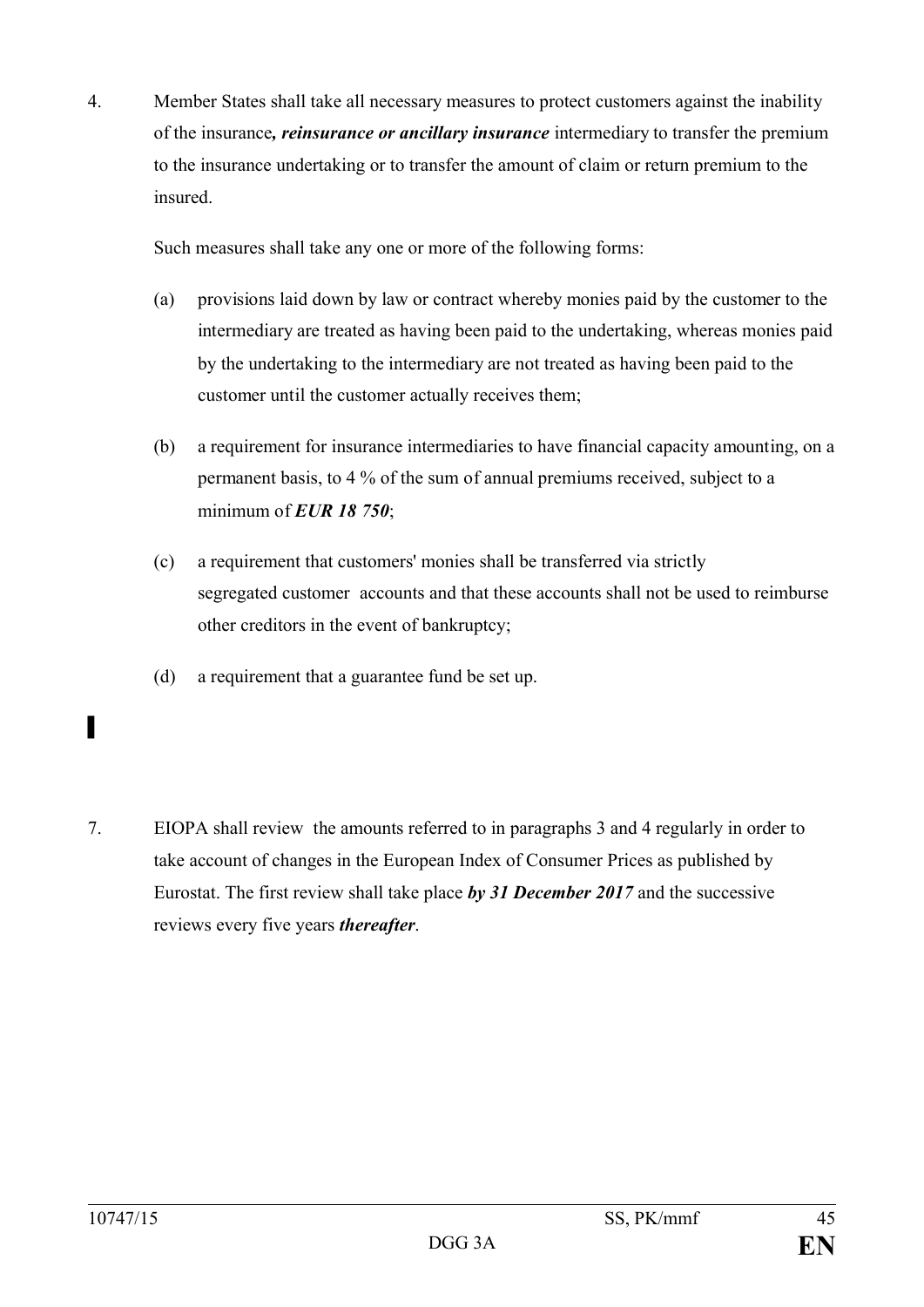4. Member States shall take all necessary measures to protect customers against the inability of the insurance*, reinsurance or ancillary insurance* intermediary to transfer the premium to the insurance undertaking or to transfer the amount of claim or return premium to the insured.

Such measures shall take any one or more of the following forms:

- (a) provisions laid down by law or contract whereby monies paid by the customer to the intermediary are treated as having been paid to the undertaking, whereas monies paid by the undertaking to the intermediary are not treated as having been paid to the customer until the customer actually receives them;
- (b) a requirement for insurance intermediaries to have financial capacity amounting, on a permanent basis, to 4 % of the sum of annual premiums received, subject to a minimum of *EUR 18 750*;
- (c) a requirement that customers' monies shall be transferred via strictly segregated customer accounts and that these accounts shall not be used to reimburse other creditors in the event of bankruptcy;
- (d) a requirement that a guarantee fund be set up.
- 7. EIOPA shall review the amounts referred to in paragraphs 3 and 4 regularly in order to take account of changes in the European Index of Consumer Prices as published by Eurostat. The first review shall take place *by 31 December 2017* and the successive reviews every five years *thereafter*.

▌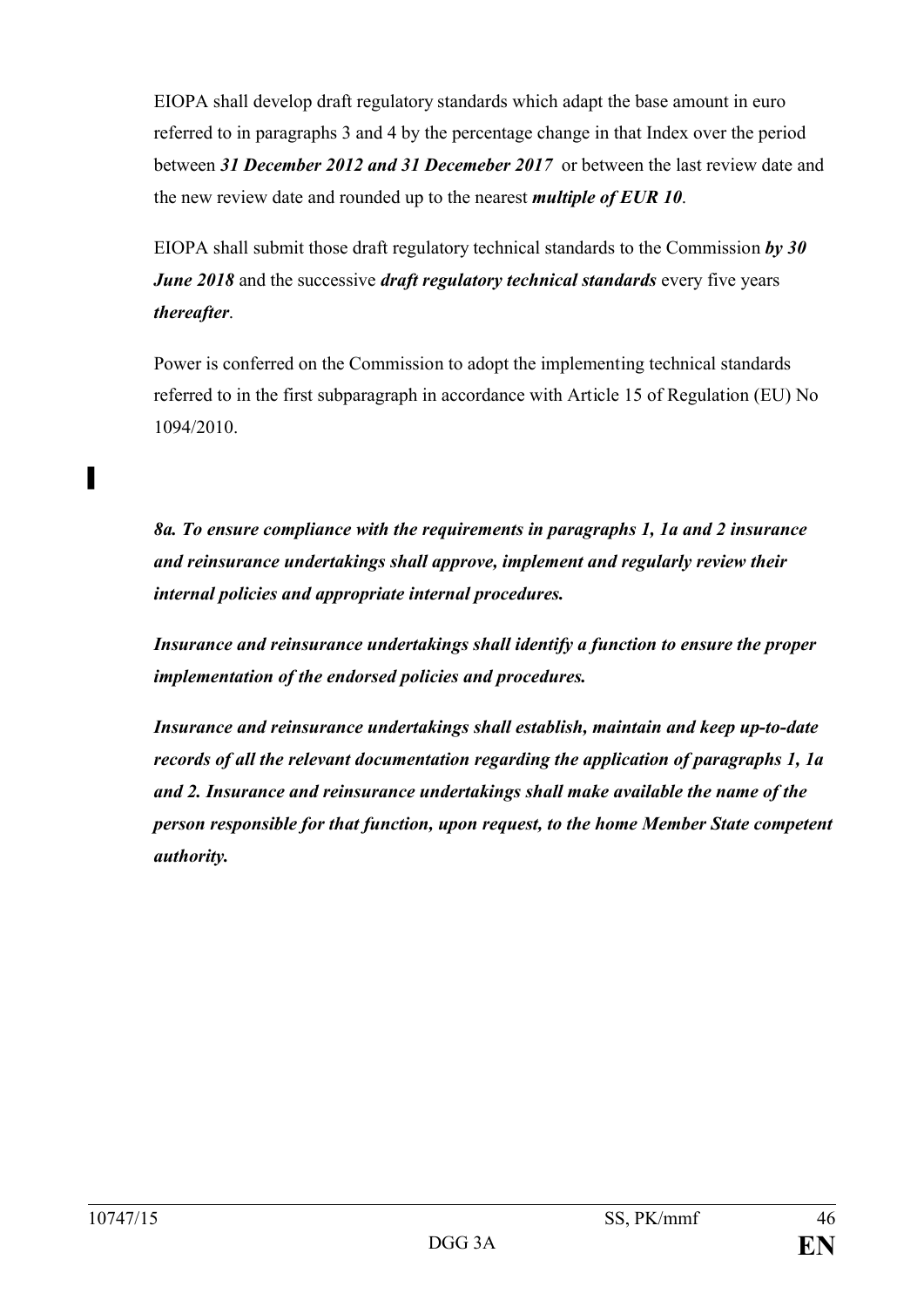EIOPA shall develop draft regulatory standards which adapt the base amount in euro referred to in paragraphs 3 and 4 by the percentage change in that Index over the period between *31 December 2012 and 31 Decemeber 2017* or between the last review date and the new review date and rounded up to the nearest *multiple of EUR 10*.

EIOPA shall submit those draft regulatory technical standards to the Commission *by 30 June 2018* and the successive *draft regulatory technical standards* every five years *thereafter*.

Power is conferred on the Commission to adopt the implementing technical standards referred to in the first subparagraph in accordance with Article 15 of Regulation (EU) No 1094/2010.

*8a. To ensure compliance with the requirements in paragraphs 1, 1a and 2 insurance and reinsurance undertakings shall approve, implement and regularly review their internal policies and appropriate internal procedures.*

*Insurance and reinsurance undertakings shall identify a function to ensure the proper implementation of the endorsed policies and procedures.*

*Insurance and reinsurance undertakings shall establish, maintain and keep up-to-date records of all the relevant documentation regarding the application of paragraphs 1, 1a and 2. Insurance and reinsurance undertakings shall make available the name of the person responsible for that function, upon request, to the home Member State competent authority.*

▌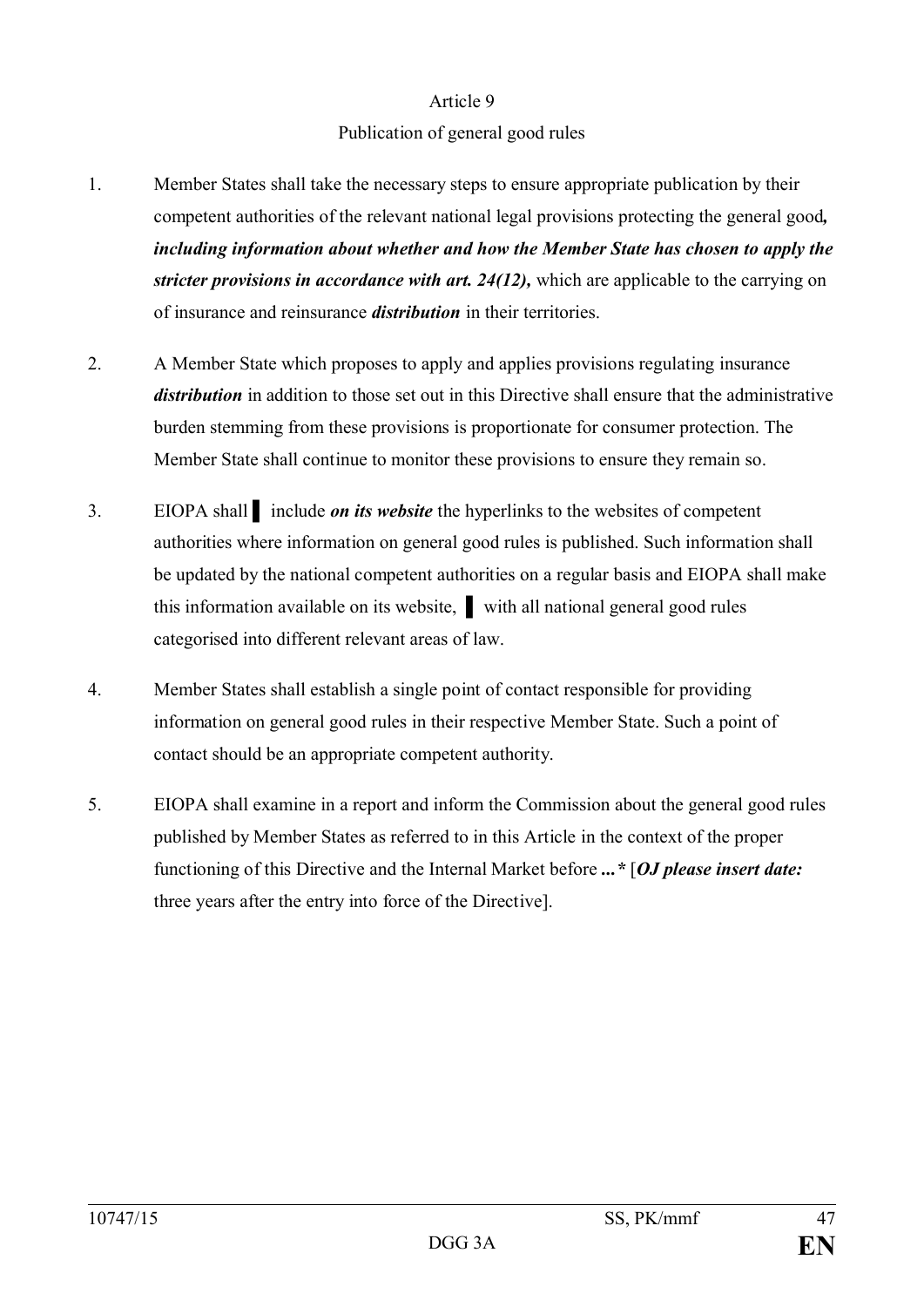## Publication of general good rules

- 1. Member States shall take the necessary steps to ensure appropriate publication by their competent authorities of the relevant national legal provisions protecting the general good*, including information about whether and how the Member State has chosen to apply the stricter provisions in accordance with art. 24(12),* which are applicable to the carrying on of insurance and reinsurance *distribution* in their territories.
- 2. A Member State which proposes to apply and applies provisions regulating insurance *distribution* in addition to those set out in this Directive shall ensure that the administrative burden stemming from these provisions is proportionate for consumer protection. The Member State shall continue to monitor these provisions to ensure they remain so.
- 3. EIOPA shall ▌ include *on its website* the hyperlinks to the websites of competent authorities where information on general good rules is published. Such information shall be updated by the national competent authorities on a regular basis and EIOPA shall make this information available on its website, ▌ with all national general good rules categorised into different relevant areas of law.
- 4. Member States shall establish a single point of contact responsible for providing information on general good rules in their respective Member State. Such a point of contact should be an appropriate competent authority.
- 5. EIOPA shall examine in a report and inform the Commission about the general good rules published by Member States as referred to in this Article in the context of the proper functioning of this Directive and the Internal Market before *...\** [*OJ please insert date:*  three years after the entry into force of the Directive].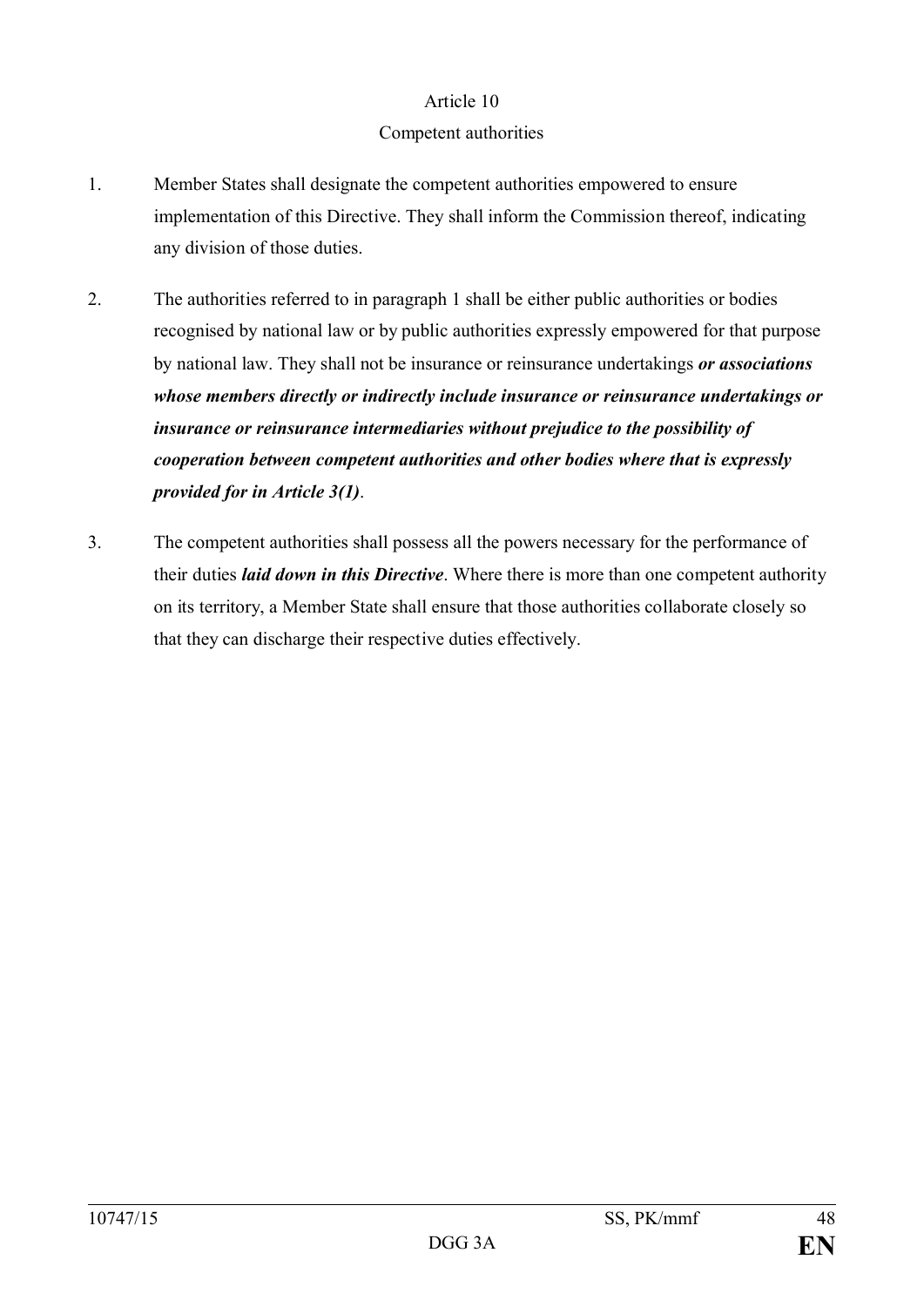# Competent authorities

- 1. Member States shall designate the competent authorities empowered to ensure implementation of this Directive. They shall inform the Commission thereof, indicating any division of those duties.
- 2. The authorities referred to in paragraph 1 shall be either public authorities or bodies recognised by national law or by public authorities expressly empowered for that purpose by national law. They shall not be insurance or reinsurance undertakings *or associations whose members directly or indirectly include insurance or reinsurance undertakings or insurance or reinsurance intermediaries without prejudice to the possibility of cooperation between competent authorities and other bodies where that is expressly provided for in Article 3(1)*.
- 3. The competent authorities shall possess all the powers necessary for the performance of their duties *laid down in this Directive*. Where there is more than one competent authority on its territory, a Member State shall ensure that those authorities collaborate closely so that they can discharge their respective duties effectively.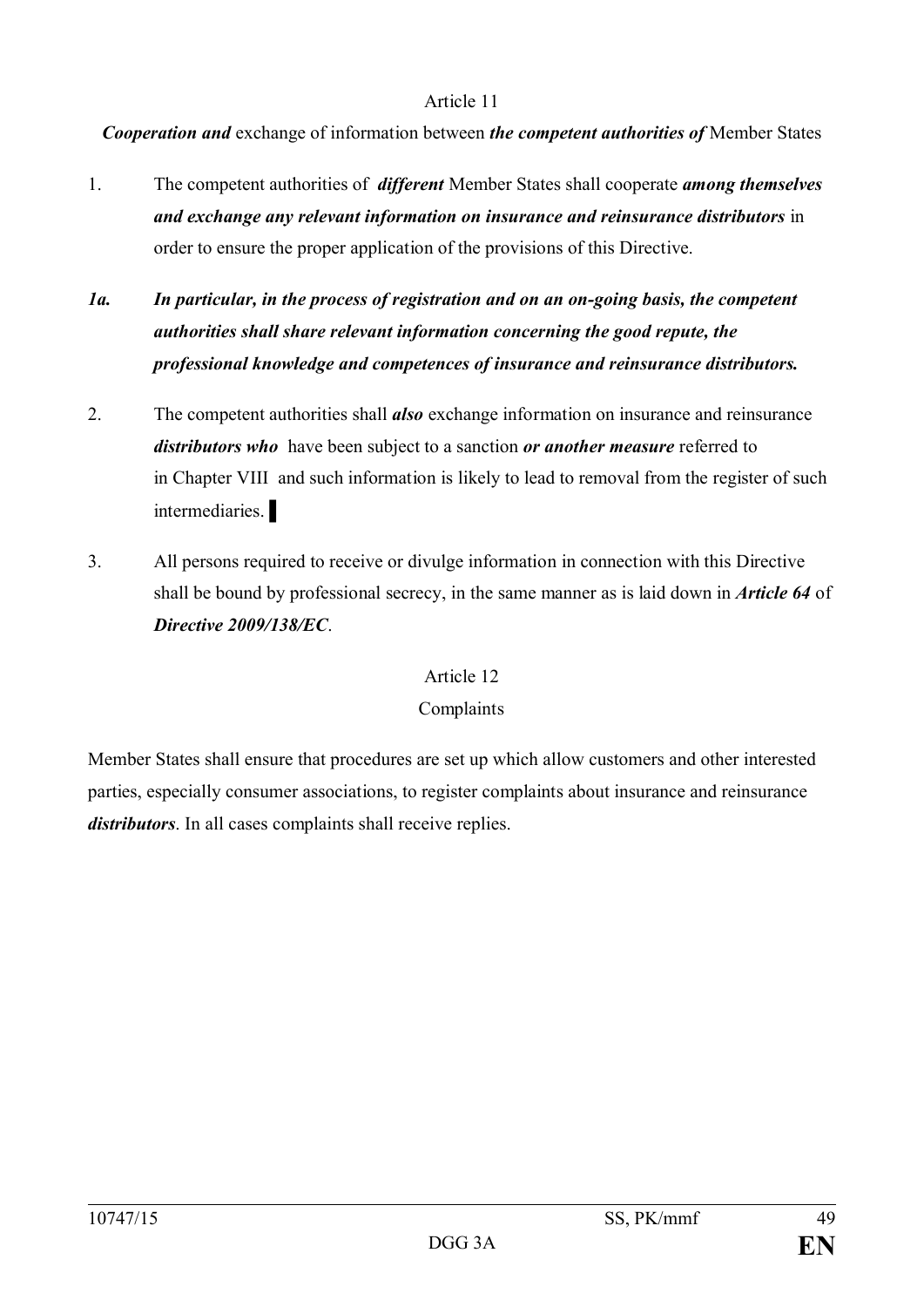*Cooperation and* exchange of information between *the competent authorities of* Member States

- 1. The competent authorities of *different* Member States shall cooperate *among themselves and exchange any relevant information on insurance and reinsurance distributors* in order to ensure the proper application of the provisions of this Directive.
- *1a. In particular, in the process of registration and on an on-going basis, the competent authorities shall share relevant information concerning the good repute, the professional knowledge and competences of insurance and reinsurance distributors.*
- 2. The competent authorities shall *also* exchange information on insurance and reinsurance *distributors who* have been subject to a sanction *or another measure* referred to in Chapter VIII and such information is likely to lead to removal from the register of such intermediaries.
- 3. All persons required to receive or divulge information in connection with this Directive shall be bound by professional secrecy, in the same manner as is laid down in *Article 64* of *Directive 2009/138/EC*.

# Article 12

# Complaints

Member States shall ensure that procedures are set up which allow customers and other interested parties, especially consumer associations, to register complaints about insurance and reinsurance *distributors*. In all cases complaints shall receive replies.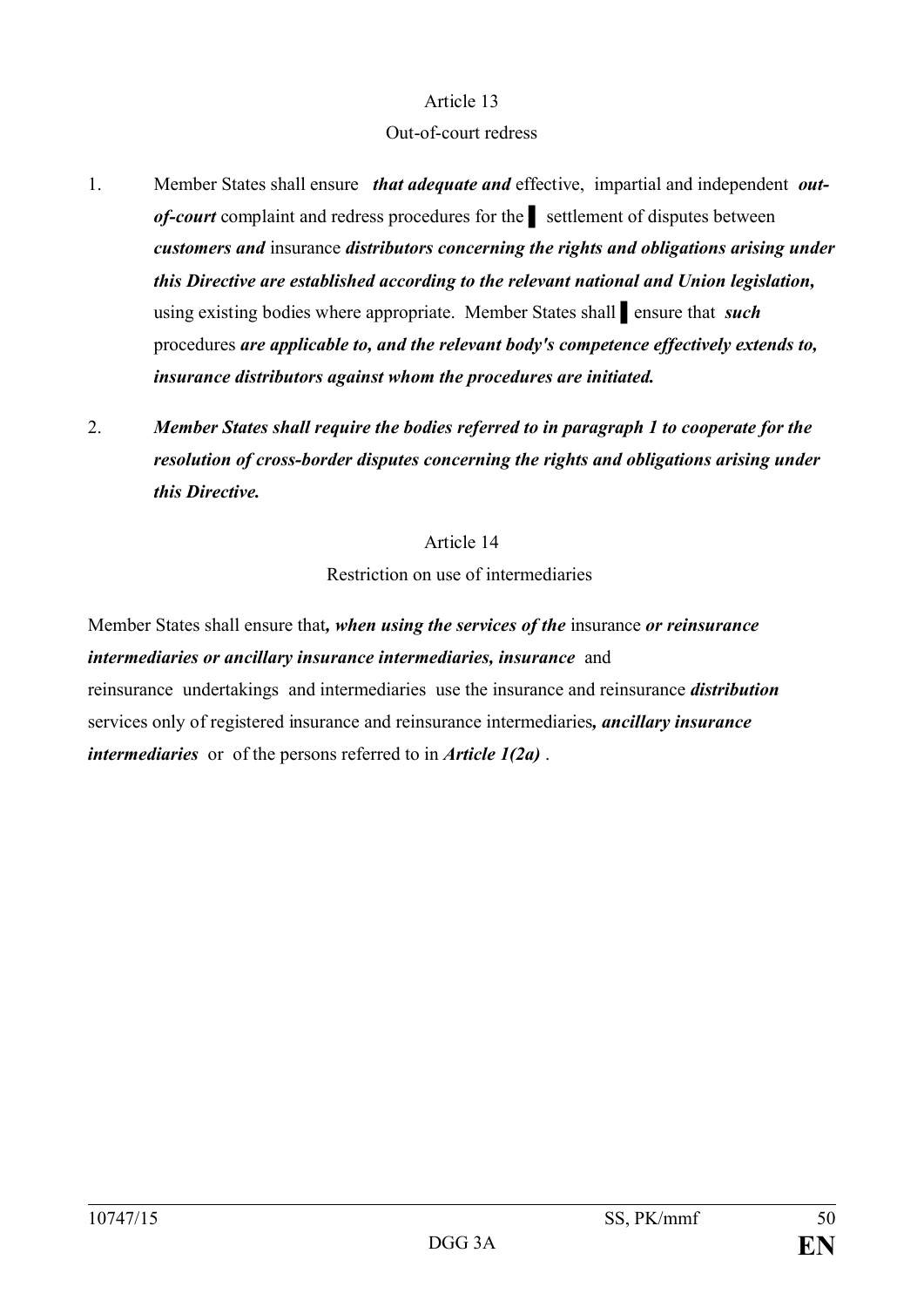#### Out-of-court redress

- 1. Member States shall ensure *that adequate and* effective, impartial and independent *outof-court* complaint and redress procedures for the **Ⅰ** settlement of disputes between *customers and* insurance *distributors concerning the rights and obligations arising under this Directive are established according to the relevant national and Union legislation,* using existing bodies where appropriate. Member States shall ansure that *such* procedures *are applicable to, and the relevant body's competence effectively extends to, insurance distributors against whom the procedures are initiated.*
- 2. *Member States shall require the bodies referred to in paragraph 1 to cooperate for the resolution of cross-border disputes concerning the rights and obligations arising under this Directive.*

Article 14 Restriction on use of intermediaries

Member States shall ensure that*, when using the services of the* insurance *or reinsurance intermediaries or ancillary insurance intermediaries, insurance* and reinsurance undertakings and intermediaries use the insurance and reinsurance *distribution* services only of registered insurance and reinsurance intermediaries*, ancillary insurance intermediaries* or of the persons referred to in *Article 1(2a)* .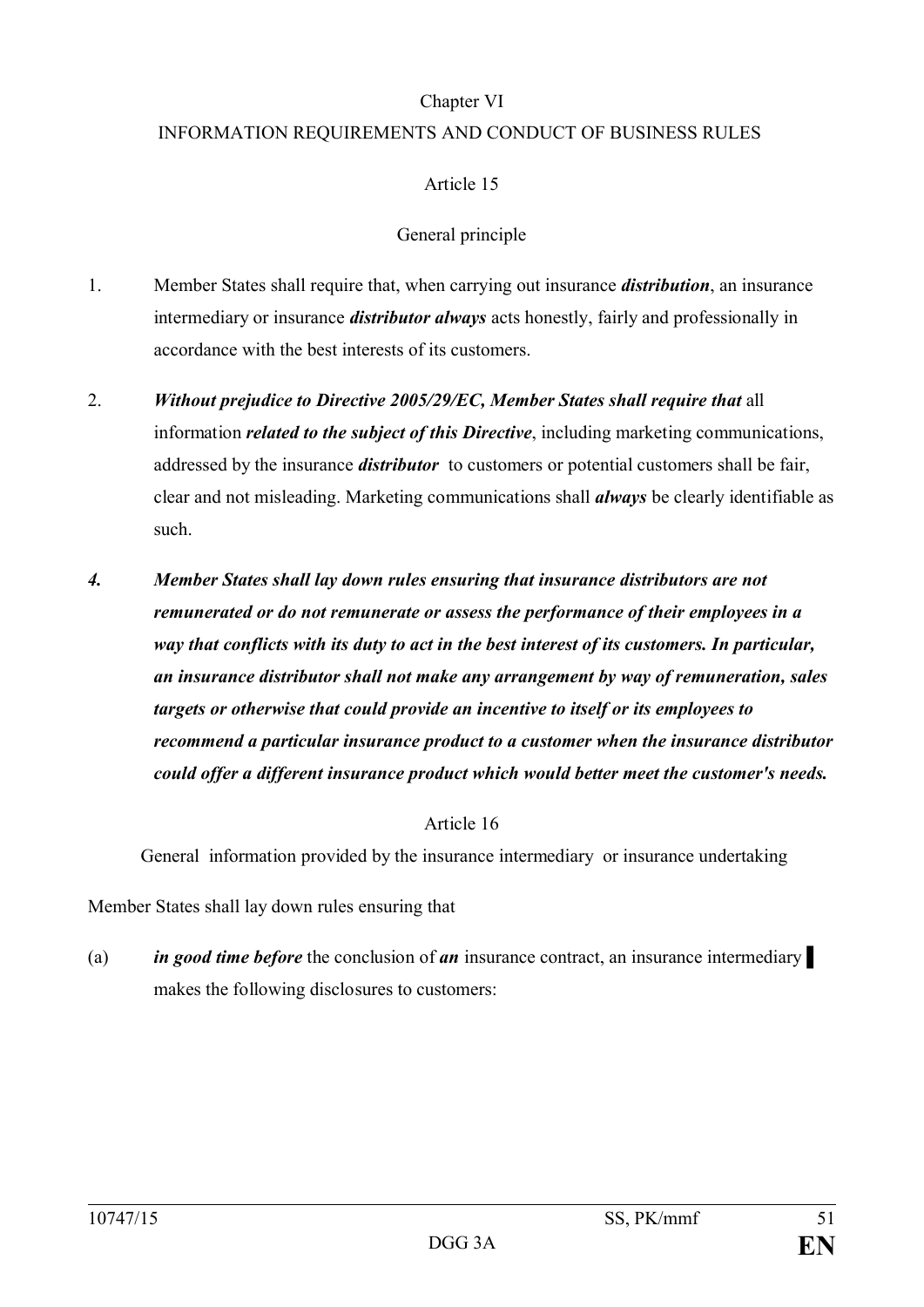# Chapter VI

# INFORMATION REQUIREMENTS AND CONDUCT OF BUSINESS RULES

# Article 15

# General principle

- 1. Member States shall require that, when carrying out insurance *distribution*, an insurance intermediary or insurance *distributor always* acts honestly, fairly and professionally in accordance with the best interests of its customers.
- 2. *Without prejudice to Directive 2005/29/EC, Member States shall require that* all information *related to the subject of this Directive*, including marketing communications, addressed by the insurance *distributor* to customers or potential customers shall be fair, clear and not misleading. Marketing communications shall *always* be clearly identifiable as such.
- *4. Member States shall lay down rules ensuring that insurance distributors are not remunerated or do not remunerate or assess the performance of their employees in a way that conflicts with its duty to act in the best interest of its customers. In particular, an insurance distributor shall not make any arrangement by way of remuneration, sales targets or otherwise that could provide an incentive to itself or its employees to recommend a particular insurance product to a customer when the insurance distributor could offer a different insurance product which would better meet the customer's needs.*

## Article 16

General information provided by the insurance intermediary or insurance undertaking

Member States shall lay down rules ensuring that

(a) *in good time before* the conclusion of *an* insurance contract, an insurance intermediary makes the following disclosures to customers: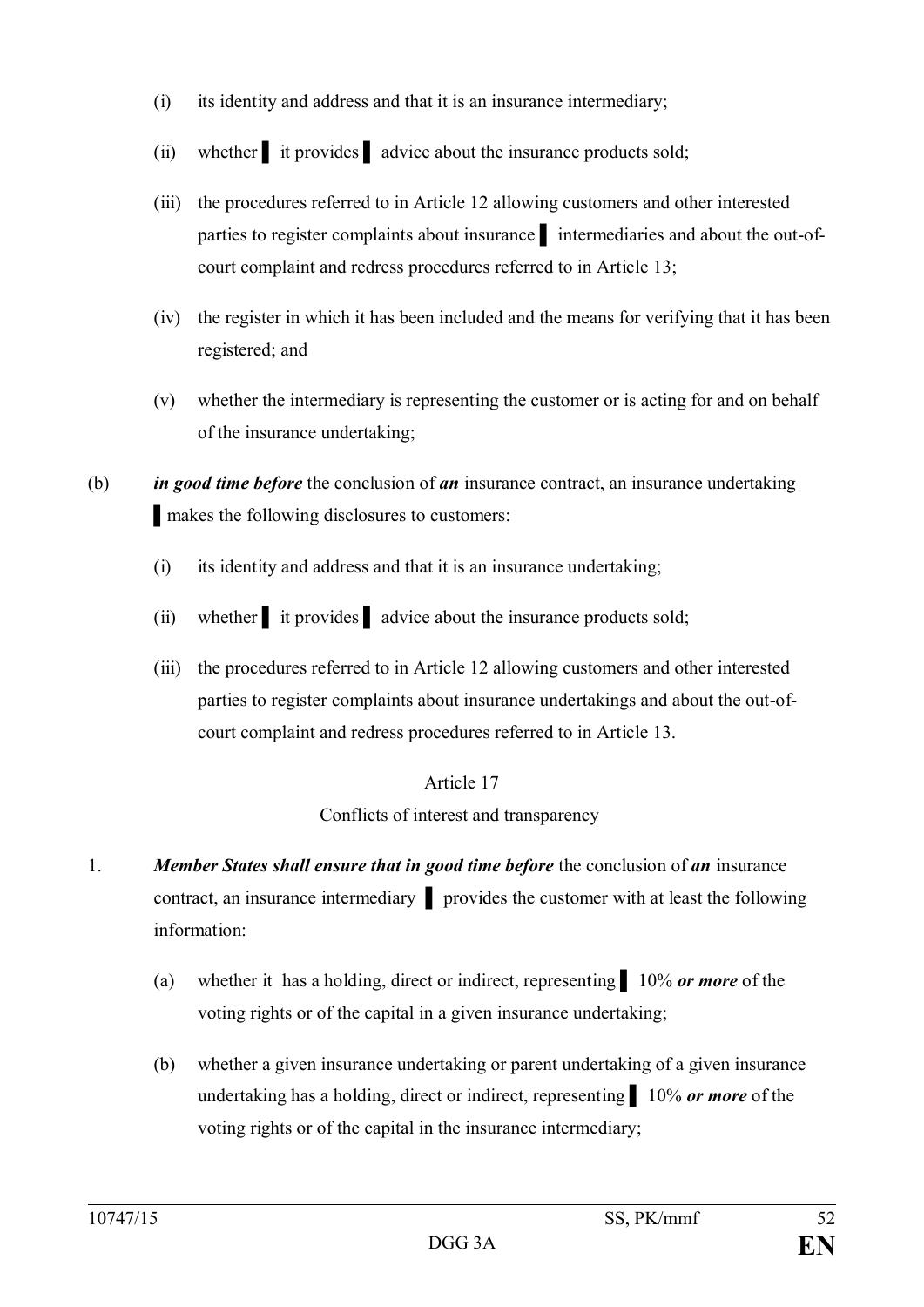- (i) its identity and address and that it is an insurance intermediary;
- (ii) whether it provides advice about the insurance products sold;
- (iii) the procedures referred to in Article 12 allowing customers and other interested parties to register complaints about insurance ▌ intermediaries and about the out-ofcourt complaint and redress procedures referred to in Article 13;
- (iv) the register in which it has been included and the means for verifying that it has been registered; and
- (v) whether the intermediary is representing the customer or is acting for and on behalf of the insurance undertaking;

(b) *in good time before* the conclusion of *an* insurance contract, an insurance undertaking ▌makes the following disclosures to customers:

- (i) its identity and address and that it is an insurance undertaking;
- (ii) whether it provides advice about the insurance products sold;
- (iii) the procedures referred to in Article 12 allowing customers and other interested parties to register complaints about insurance undertakings and about the out-ofcourt complaint and redress procedures referred to in Article 13.

# Article 17

Conflicts of interest and transparency

- 1. *Member States shall ensure that in good time before* the conclusion of *an* insurance contract, an insurance intermediary ▌ provides the customer with at least the following information:
	- (a) whether it has a holding, direct or indirect, representing ▌ 10% *or more* of the voting rights or of the capital in a given insurance undertaking;
	- (b) whether a given insurance undertaking or parent undertaking of a given insurance undertaking has a holding, direct or indirect, representing ▌ 10% *or more* of the voting rights or of the capital in the insurance intermediary;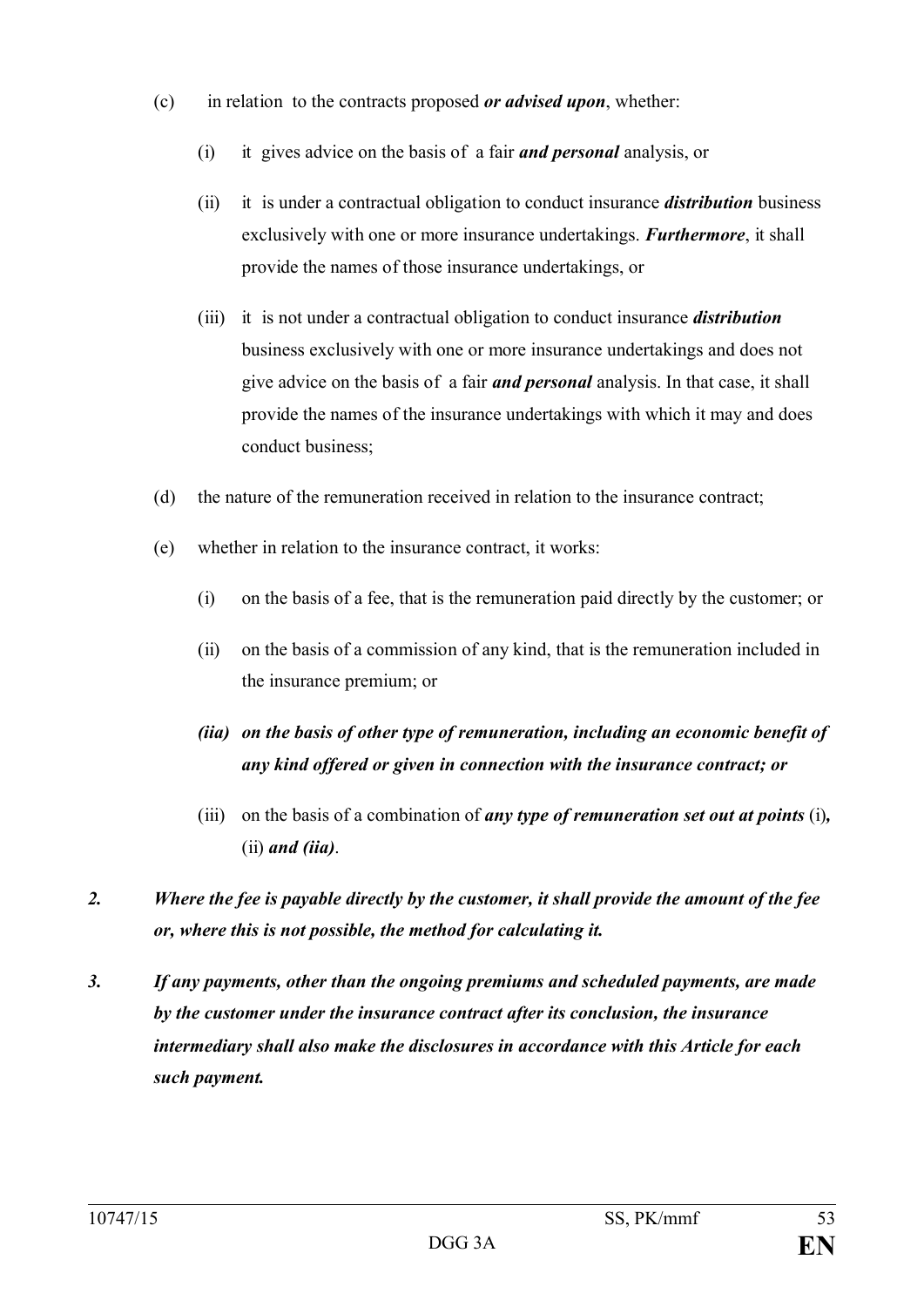- (c) in relation to the contracts proposed *or advised upon*, whether:
	- (i) it gives advice on the basis of a fair *and personal* analysis, or
	- (ii) it is under a contractual obligation to conduct insurance *distribution* business exclusively with one or more insurance undertakings. *Furthermore*, it shall provide the names of those insurance undertakings, or
	- (iii) it is not under a contractual obligation to conduct insurance *distribution* business exclusively with one or more insurance undertakings and does not give advice on the basis of a fair *and personal* analysis. In that case, it shall provide the names of the insurance undertakings with which it may and does conduct business;
- (d) the nature of the remuneration received in relation to the insurance contract;
- (e) whether in relation to the insurance contract, it works:
	- (i) on the basis of a fee, that is the remuneration paid directly by the customer; or
	- (ii) on the basis of a commission of any kind, that is the remuneration included in the insurance premium; or
	- *(iia) on the basis of other type of remuneration, including an economic benefit of any kind offered or given in connection with the insurance contract; or*
	- (iii) on the basis of a combination of *any type of remuneration set out at points* (i)*,*  (ii) *and (iia)*.
- *2. Where the fee is payable directly by the customer, it shall provide the amount of the fee or, where this is not possible, the method for calculating it.*
- *3. If any payments, other than the ongoing premiums and scheduled payments, are made by the customer under the insurance contract after its conclusion, the insurance intermediary shall also make the disclosures in accordance with this Article for each such payment.*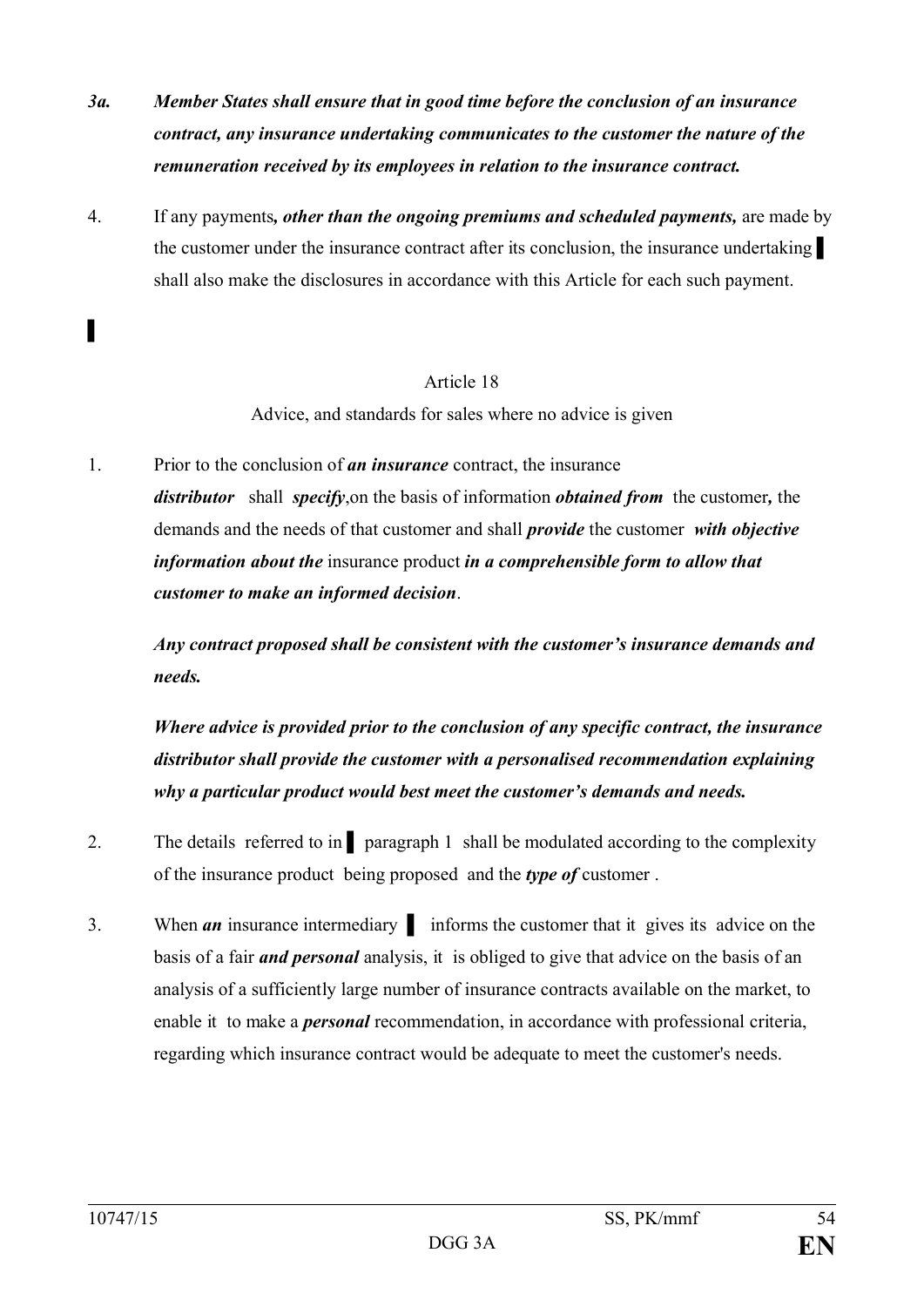- *3a. Member States shall ensure that in good time before the conclusion of an insurance contract, any insurance undertaking communicates to the customer the nature of the remuneration received by its employees in relation to the insurance contract.*
- 4. If any payments*, other than the ongoing premiums and scheduled payments,* are made by the customer under the insurance contract after its conclusion, the insurance undertaking shall also make the disclosures in accordance with this Article for each such payment.

Advice, and standards for sales where no advice is given

1. Prior to the conclusion of *an insurance* contract, the insurance *distributor* shall *specify*,on the basis of information *obtained from* the customer*,* the demands and the needs of that customer and shall *provide* the customer *with objective information about the* insurance product *in a comprehensible form to allow that customer to make an informed decision*.

*Any contract proposed shall be consistent with the customer's insurance demands and needs.*

*Where advice is provided prior to the conclusion of any specific contract, the insurance distributor shall provide the customer with a personalised recommendation explaining why a particular product would best meet the customer's demands and needs.*

- 2. The details referred to in <u>paragraph 1</u> shall be modulated according to the complexity of the insurance product being proposed and the *type of* customer .
- 3. When *an* insurance intermediary ▌ informs the customer that it gives its advice on the basis of a fair *and personal* analysis, it is obliged to give that advice on the basis of an analysis of a sufficiently large number of insurance contracts available on the market, to enable it to make a *personal* recommendation, in accordance with professional criteria, regarding which insurance contract would be adequate to meet the customer's needs.

▌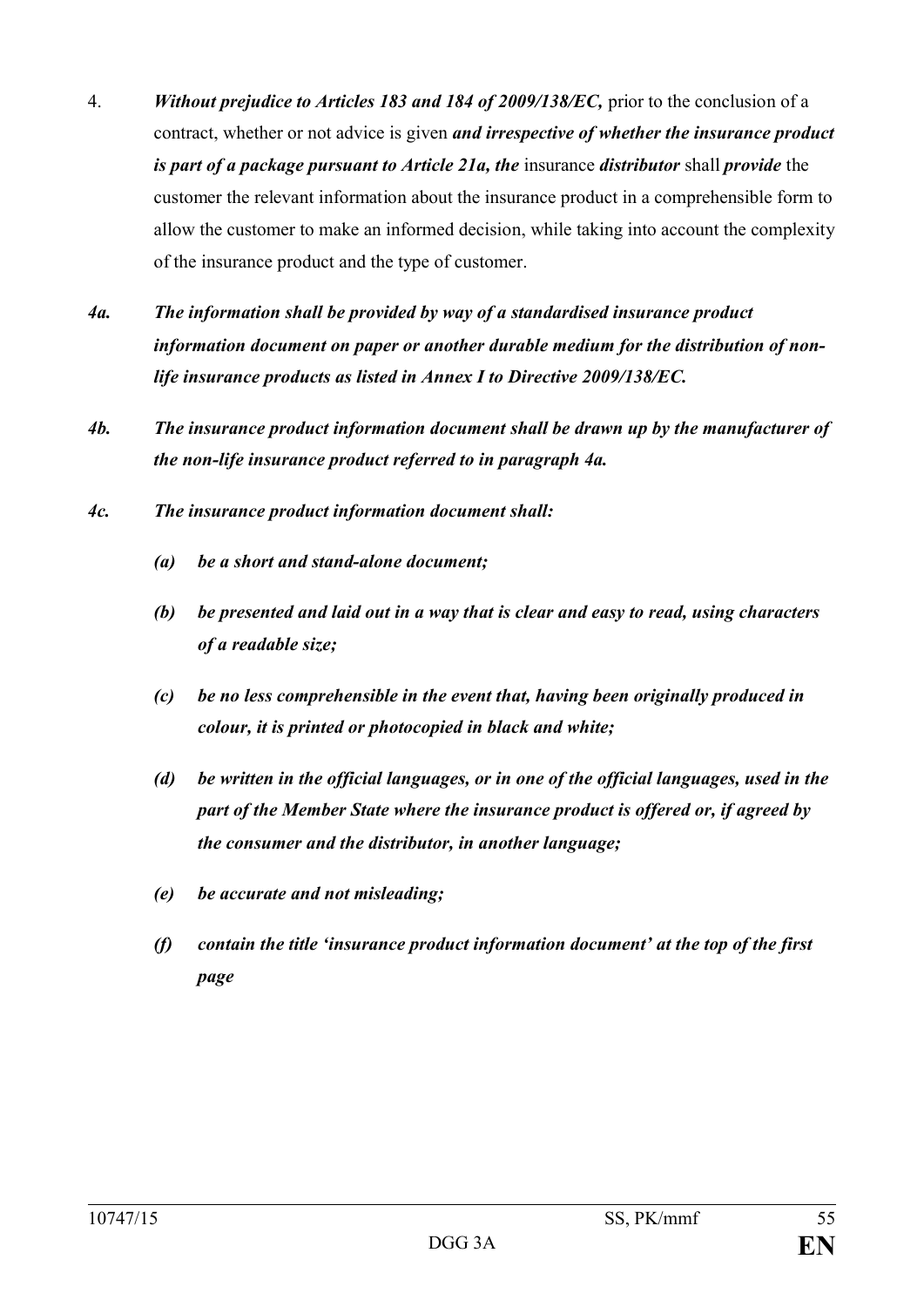- 4. *Without prejudice to Articles 183 and 184 of 2009/138/EC,* prior to the conclusion of a contract, whether or not advice is given *and irrespective of whether the insurance product is part of a package pursuant to Article 21a, the* insurance *distributor* shall *provide* the customer the relevant information about the insurance product in a comprehensible form to allow the customer to make an informed decision, while taking into account the complexity of the insurance product and the type of customer.
- *4a. The information shall be provided by way of a standardised insurance product information document on paper or another durable medium for the distribution of nonlife insurance products as listed in Annex I to Directive 2009/138/EC.*
- *4b. The insurance product information document shall be drawn up by the manufacturer of the non-life insurance product referred to in paragraph 4a.*
- *4c. The insurance product information document shall:*
	- *(a) be a short and stand-alone document;*
	- *(b) be presented and laid out in a way that is clear and easy to read, using characters of a readable size;*
	- *(c) be no less comprehensible in the event that, having been originally produced in colour, it is printed or photocopied in black and white;*
	- *(d) be written in the official languages, or in one of the official languages, used in the part of the Member State where the insurance product is offered or, if agreed by the consumer and the distributor, in another language;*
	- *(e) be accurate and not misleading;*
	- *(f) contain the title 'insurance product information document' at the top of the first page*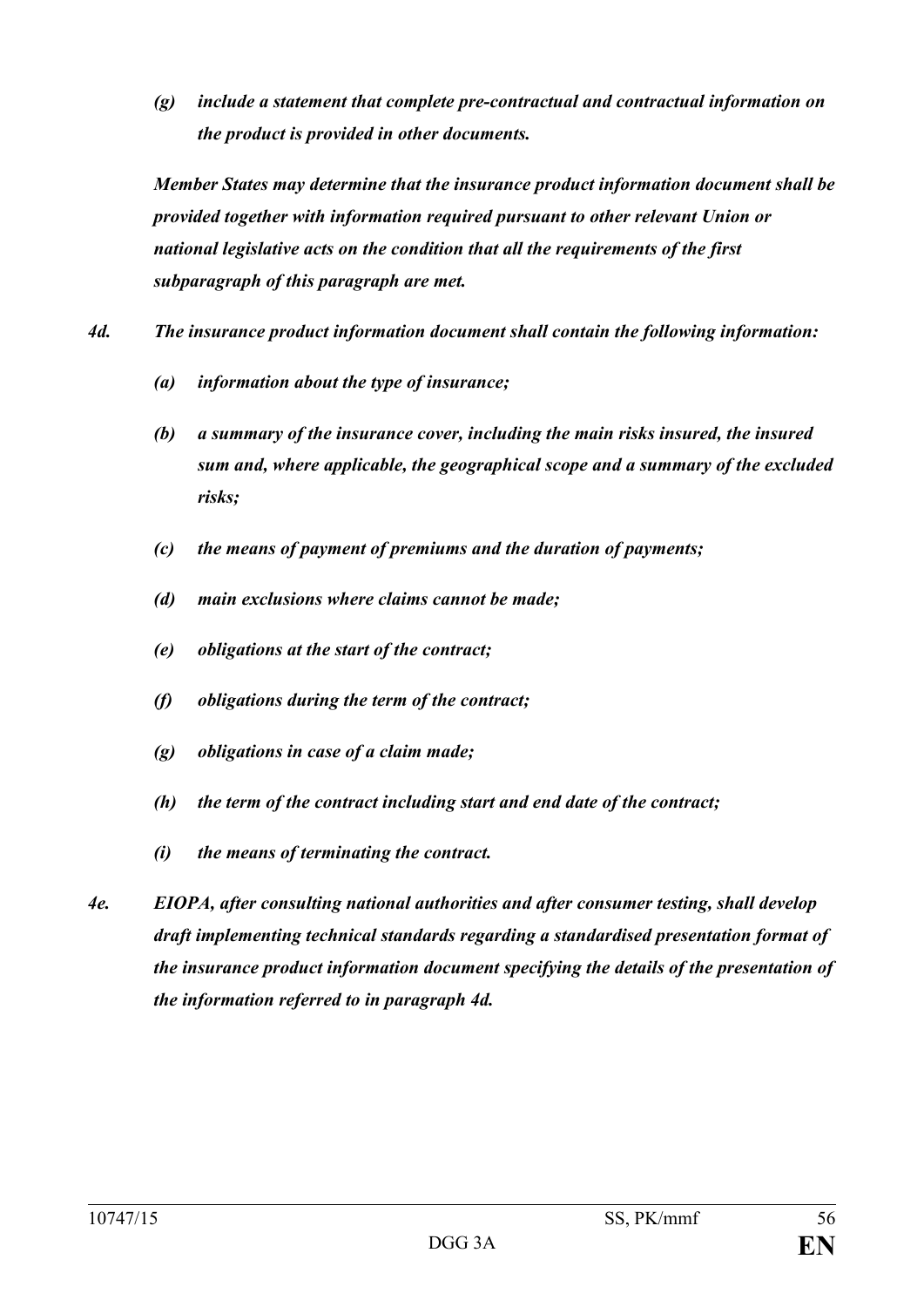*(g) include a statement that complete pre-contractual and contractual information on the product is provided in other documents.*

*Member States may determine that the insurance product information document shall be provided together with information required pursuant to other relevant Union or national legislative acts on the condition that all the requirements of the first subparagraph of this paragraph are met.*

- *4d. The insurance product information document shall contain the following information:*
	- *(a) information about the type of insurance;*
	- *(b) a summary of the insurance cover, including the main risks insured, the insured sum and, where applicable, the geographical scope and a summary of the excluded risks;*
	- *(c) the means of payment of premiums and the duration of payments;*
	- *(d) main exclusions where claims cannot be made;*
	- *(e) obligations at the start of the contract;*
	- *(f) obligations during the term of the contract;*
	- *(g) obligations in case of a claim made;*
	- *(h) the term of the contract including start and end date of the contract;*
	- *(i) the means of terminating the contract.*
- *4e. EIOPA, after consulting national authorities and after consumer testing, shall develop draft implementing technical standards regarding a standardised presentation format of the insurance product information document specifying the details of the presentation of the information referred to in paragraph 4d.*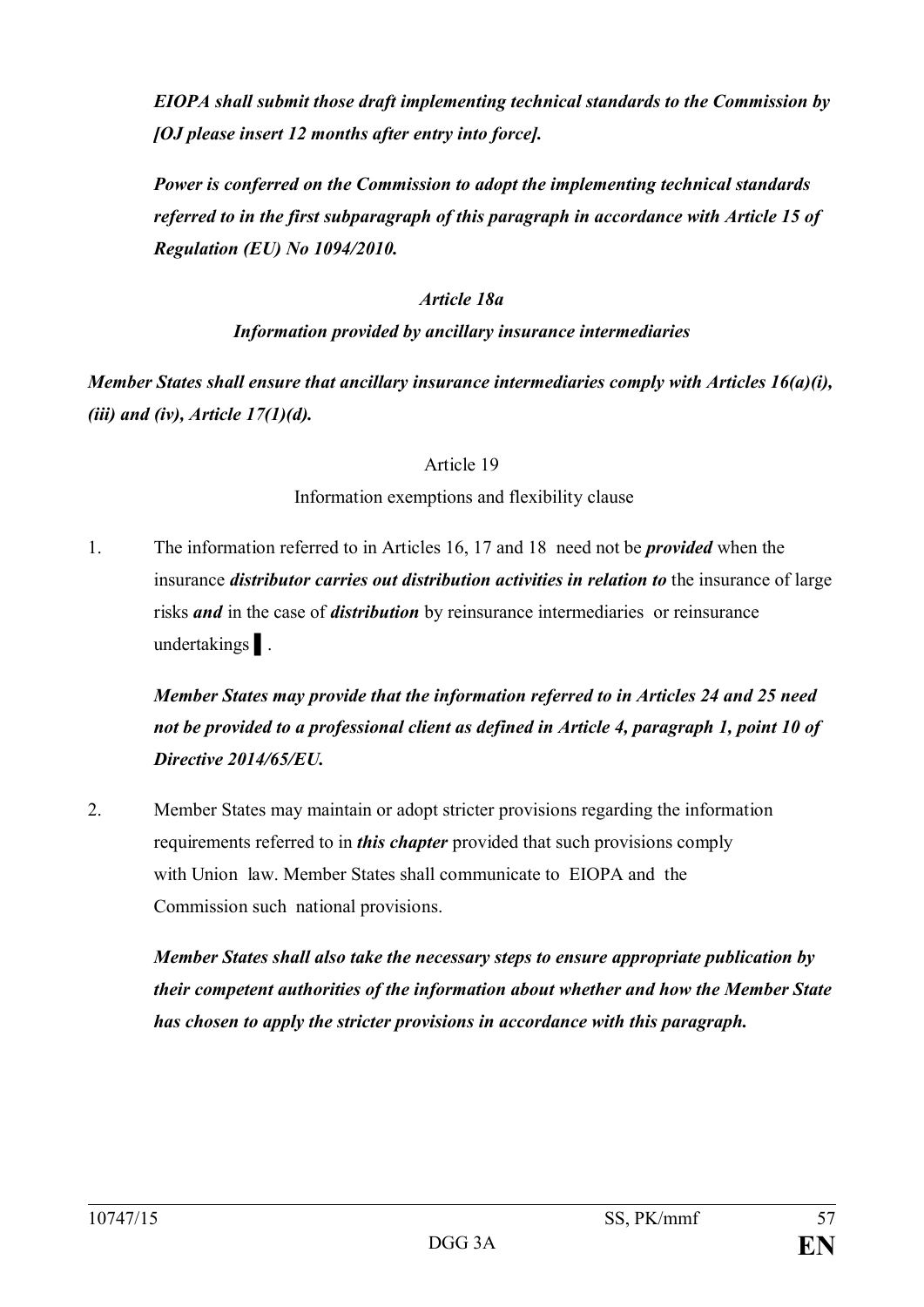*EIOPA shall submit those draft implementing technical standards to the Commission by [OJ please insert 12 months after entry into force].*

*Power is conferred on the Commission to adopt the implementing technical standards referred to in the first subparagraph of this paragraph in accordance with Article 15 of Regulation (EU) No 1094/2010.*

# *Article 18a*

# *Information provided by ancillary insurance intermediaries*

*Member States shall ensure that ancillary insurance intermediaries comply with Articles 16(a)(i), (iii) and (iv), Article 17(1)(d).*

## Article 19

# Information exemptions and flexibility clause

1. The information referred to in Articles 16, 17 and 18 need not be *provided* when the insurance *distributor carries out distribution activities in relation to* the insurance of large risks *and* in the case of *distribution* by reinsurance intermediaries or reinsurance undertakings ▌.

*Member States may provide that the information referred to in Articles 24 and 25 need not be provided to a professional client as defined in Article 4, paragraph 1, point 10 of Directive 2014/65/EU.*

2. Member States may maintain or adopt stricter provisions regarding the information requirements referred to in *this chapter* provided that such provisions comply with Union law. Member States shall communicate to EIOPA and the Commission such national provisions.

*Member States shall also take the necessary steps to ensure appropriate publication by their competent authorities of the information about whether and how the Member State has chosen to apply the stricter provisions in accordance with this paragraph.*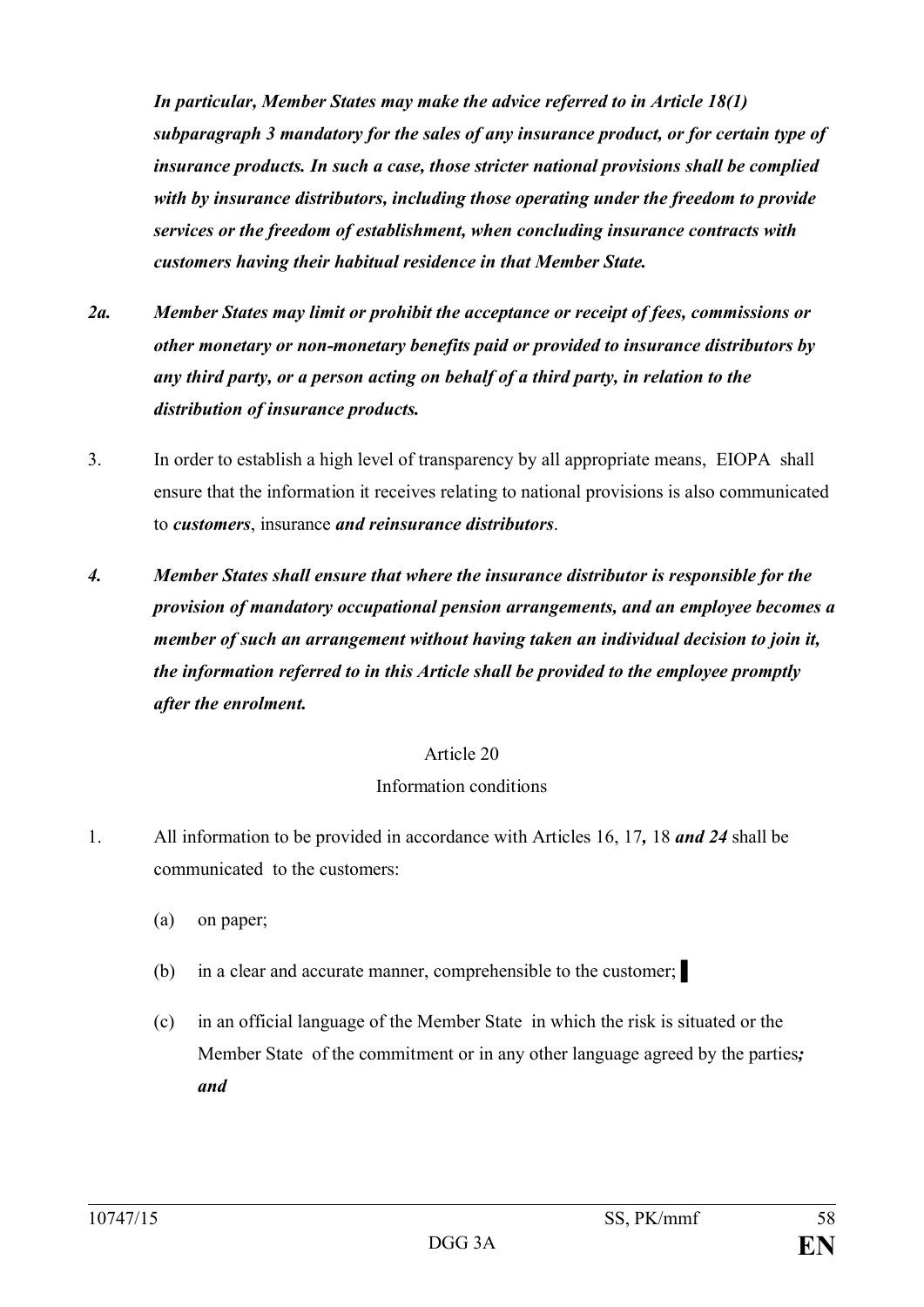*In particular, Member States may make the advice referred to in Article 18(1) subparagraph 3 mandatory for the sales of any insurance product, or for certain type of insurance products. In such a case, those stricter national provisions shall be complied with by insurance distributors, including those operating under the freedom to provide services or the freedom of establishment, when concluding insurance contracts with customers having their habitual residence in that Member State.*

- *2a. Member States may limit or prohibit the acceptance or receipt of fees, commissions or other monetary or non-monetary benefits paid or provided to insurance distributors by any third party, or a person acting on behalf of a third party, in relation to the distribution of insurance products.*
- 3. In order to establish a high level of transparency by all appropriate means, EIOPA shall ensure that the information it receives relating to national provisions is also communicated to *customers*, insurance *and reinsurance distributors*.
- *4. Member States shall ensure that where the insurance distributor is responsible for the provision of mandatory occupational pension arrangements, and an employee becomes a member of such an arrangement without having taken an individual decision to join it, the information referred to in this Article shall be provided to the employee promptly after the enrolment.*

## Article 20

# Information conditions

- 1. All information to be provided in accordance with Articles 16, 17*,* 18 *and 24* shall be communicated to the customers:
	- (a) on paper;
	- (b) in a clear and accurate manner, comprehensible to the customer; ▌
	- (c) in an official language of the Member State in which the risk is situated or the Member State of the commitment or in any other language agreed by the parties*; and*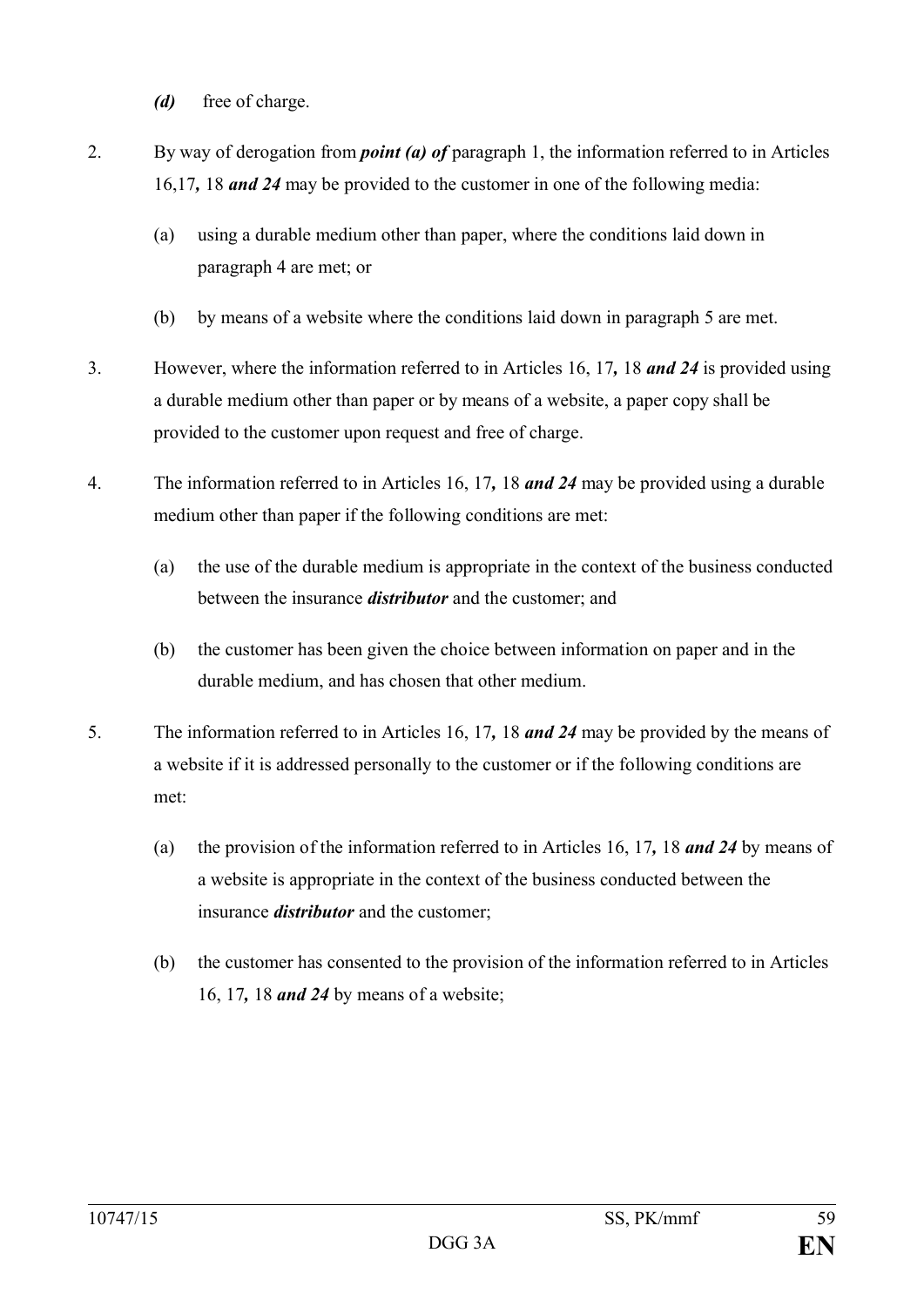*(d)* free of charge.

- 2. By way of derogation from *point (a) of* paragraph 1, the information referred to in Articles 16,17*,* 18 *and 24* may be provided to the customer in one of the following media:
	- (a) using a durable medium other than paper, where the conditions laid down in paragraph 4 are met; or
	- (b) by means of a website where the conditions laid down in paragraph 5 are met.
- 3. However, where the information referred to in Articles 16, 17*,* 18 *and 24* is provided using a durable medium other than paper or by means of a website, a paper copy shall be provided to the customer upon request and free of charge.
- 4. The information referred to in Articles 16, 17*,* 18 *and 24* may be provided using a durable medium other than paper if the following conditions are met:
	- (a) the use of the durable medium is appropriate in the context of the business conducted between the insurance *distributor* and the customer; and
	- (b) the customer has been given the choice between information on paper and in the durable medium, and has chosen that other medium.
- 5. The information referred to in Articles 16, 17*,* 18 *and 24* may be provided by the means of a website if it is addressed personally to the customer or if the following conditions are met:
	- (a) the provision of the information referred to in Articles 16, 17*,* 18 *and 24* by means of a website is appropriate in the context of the business conducted between the insurance *distributor* and the customer;
	- (b) the customer has consented to the provision of the information referred to in Articles 16, 17*,* 18 *and 24* by means of a website;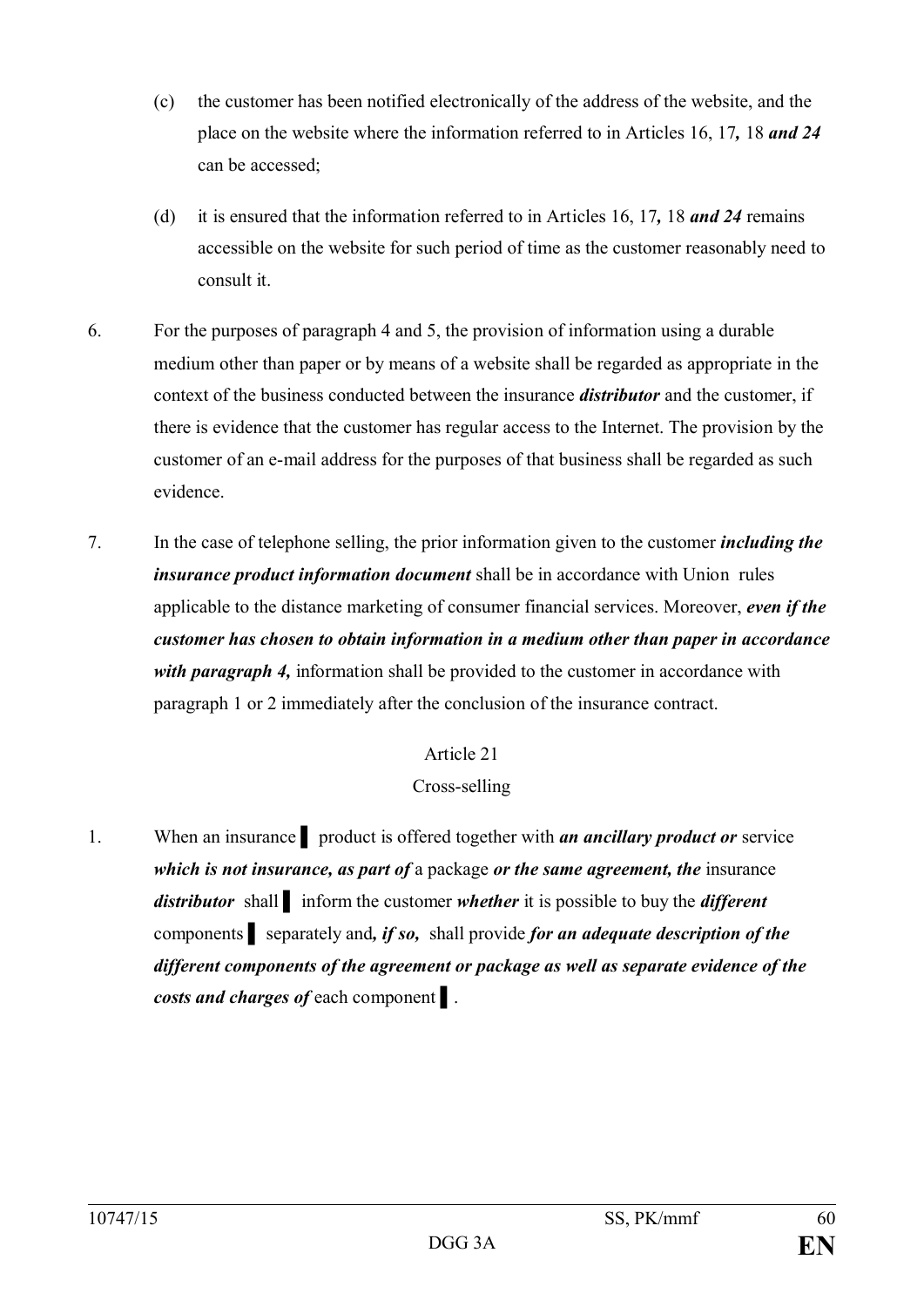- (c) the customer has been notified electronically of the address of the website, and the place on the website where the information referred to in Articles 16, 17*,* 18 *and 24*  can be accessed;
- (d) it is ensured that the information referred to in Articles 16, 17*,* 18 *and 24* remains accessible on the website for such period of time as the customer reasonably need to consult it.
- 6. For the purposes of paragraph 4 and 5, the provision of information using a durable medium other than paper or by means of a website shall be regarded as appropriate in the context of the business conducted between the insurance *distributor* and the customer, if there is evidence that the customer has regular access to the Internet. The provision by the customer of an e-mail address for the purposes of that business shall be regarded as such evidence.
- 7. In the case of telephone selling, the prior information given to the customer *including the insurance product information document* shall be in accordance with Union rules applicable to the distance marketing of consumer financial services. Moreover, *even if the customer has chosen to obtain information in a medium other than paper in accordance with paragraph 4*, information shall be provided to the customer in accordance with paragraph 1 or 2 immediately after the conclusion of the insurance contract.

# Cross-selling

1. When an insurance ▌ product is offered together with *an ancillary product or* service *which is not insurance, as part of* a package *or the same agreement, the* insurance *distributor* shall ▌ inform the customer *whether* it is possible to buy the *different*  components ▌ separately and*, if so,* shall provide *for an adequate description of the different components of the agreement or package as well as separate evidence of the costs and charges of* each component ▌.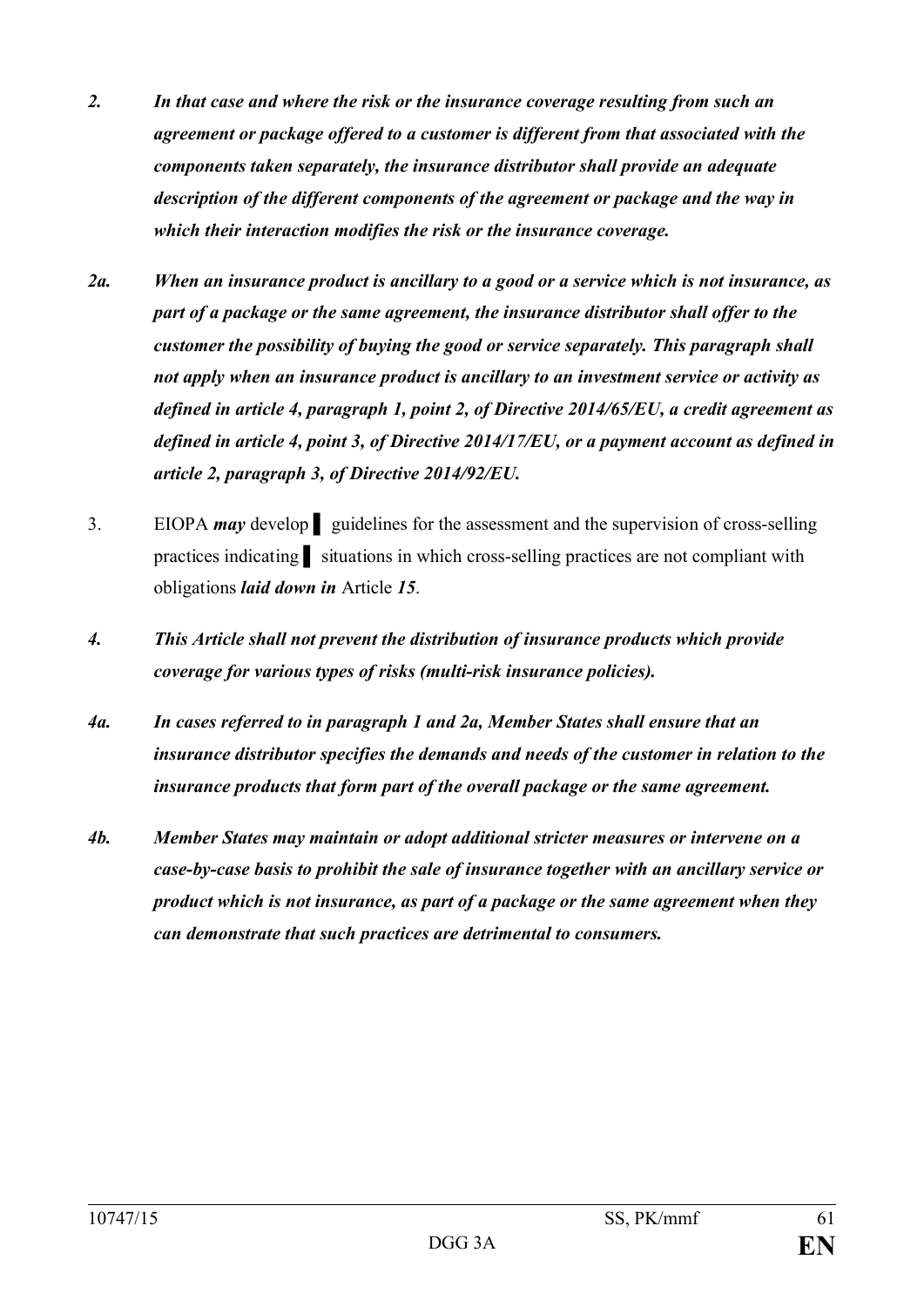- *2. In that case and where the risk or the insurance coverage resulting from such an agreement or package offered to a customer is different from that associated with the components taken separately, the insurance distributor shall provide an adequate description of the different components of the agreement or package and the way in which their interaction modifies the risk or the insurance coverage.*
- *2a. When an insurance product is ancillary to a good or a service which is not insurance, as part of a package or the same agreement, the insurance distributor shall offer to the customer the possibility of buying the good or service separately. This paragraph shall not apply when an insurance product is ancillary to an investment service or activity as defined in article 4, paragraph 1, point 2, of Directive 2014/65/EU, a credit agreement as defined in article 4, point 3, of Directive 2014/17/EU, or a payment account as defined in article 2, paragraph 3, of Directive 2014/92/EU.*
- 3. EIOPA *may* develop ▌ guidelines for the assessment and the supervision of cross-selling practices indicating ▌ situations in which cross-selling practices are not compliant with obligations *laid down in* Article *15*.
- *4. This Article shall not prevent the distribution of insurance products which provide coverage for various types of risks (multi-risk insurance policies).*
- *4a. In cases referred to in paragraph 1 and 2a, Member States shall ensure that an insurance distributor specifies the demands and needs of the customer in relation to the insurance products that form part of the overall package or the same agreement.*
- *4b. Member States may maintain or adopt additional stricter measures or intervene on a case-by-case basis to prohibit the sale of insurance together with an ancillary service or product which is not insurance, as part of a package or the same agreement when they can demonstrate that such practices are detrimental to consumers.*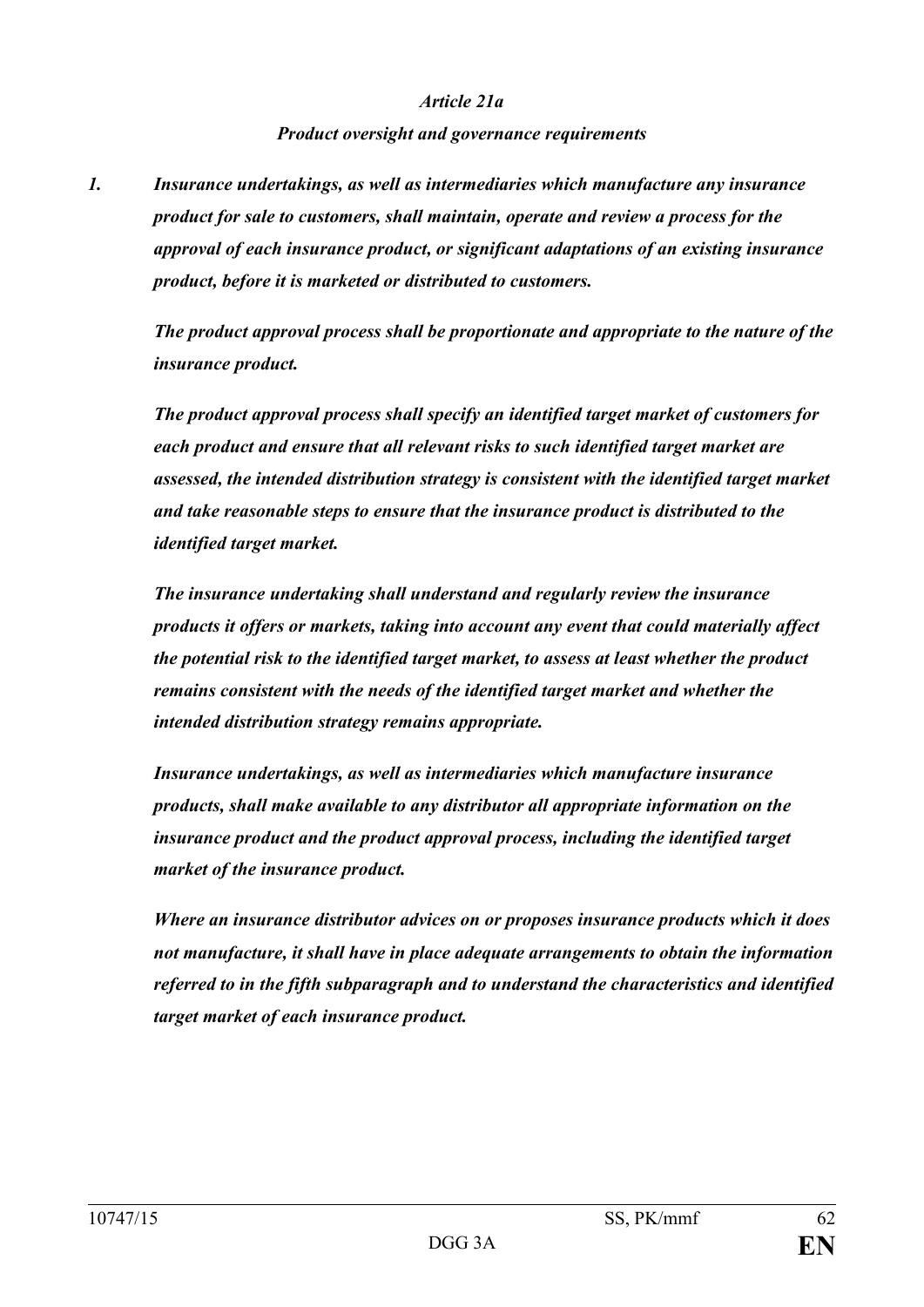#### *Article 21a*

#### *Product oversight and governance requirements*

*1. Insurance undertakings, as well as intermediaries which manufacture any insurance product for sale to customers, shall maintain, operate and review a process for the approval of each insurance product, or significant adaptations of an existing insurance product, before it is marketed or distributed to customers.*

*The product approval process shall be proportionate and appropriate to the nature of the insurance product.*

*The product approval process shall specify an identified target market of customers for each product and ensure that all relevant risks to such identified target market are assessed, the intended distribution strategy is consistent with the identified target market and take reasonable steps to ensure that the insurance product is distributed to the identified target market.*

*The insurance undertaking shall understand and regularly review the insurance products it offers or markets, taking into account any event that could materially affect the potential risk to the identified target market, to assess at least whether the product remains consistent with the needs of the identified target market and whether the intended distribution strategy remains appropriate.*

*Insurance undertakings, as well as intermediaries which manufacture insurance products, shall make available to any distributor all appropriate information on the insurance product and the product approval process, including the identified target market of the insurance product.*

*Where an insurance distributor advices on or proposes insurance products which it does not manufacture, it shall have in place adequate arrangements to obtain the information referred to in the fifth subparagraph and to understand the characteristics and identified target market of each insurance product.*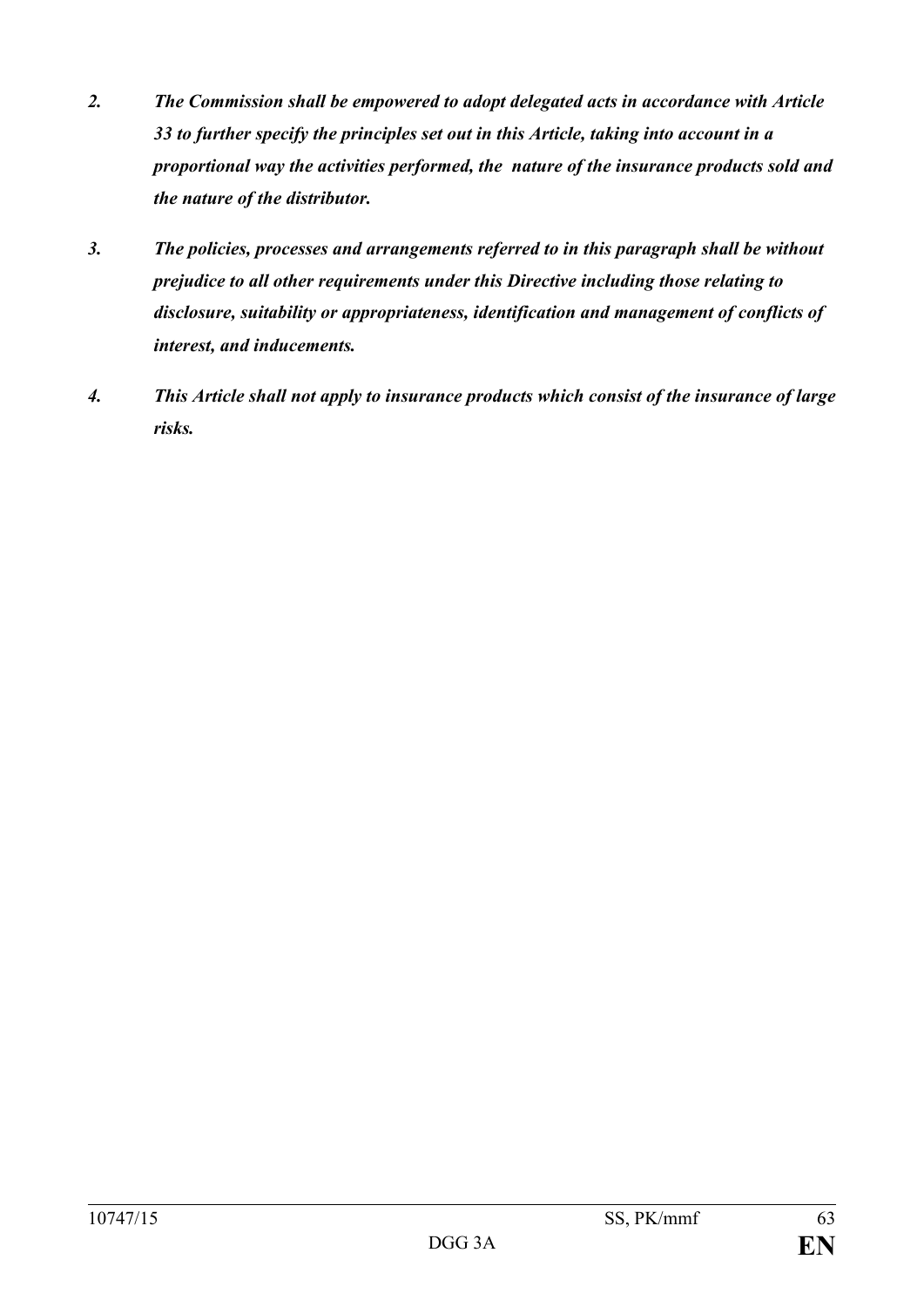- *2. The Commission shall be empowered to adopt delegated acts in accordance with Article 33 to further specify the principles set out in this Article, taking into account in a proportional way the activities performed, the nature of the insurance products sold and the nature of the distributor.*
- *3. The policies, processes and arrangements referred to in this paragraph shall be without prejudice to all other requirements under this Directive including those relating to disclosure, suitability or appropriateness, identification and management of conflicts of interest, and inducements.*
- *4. This Article shall not apply to insurance products which consist of the insurance of large risks.*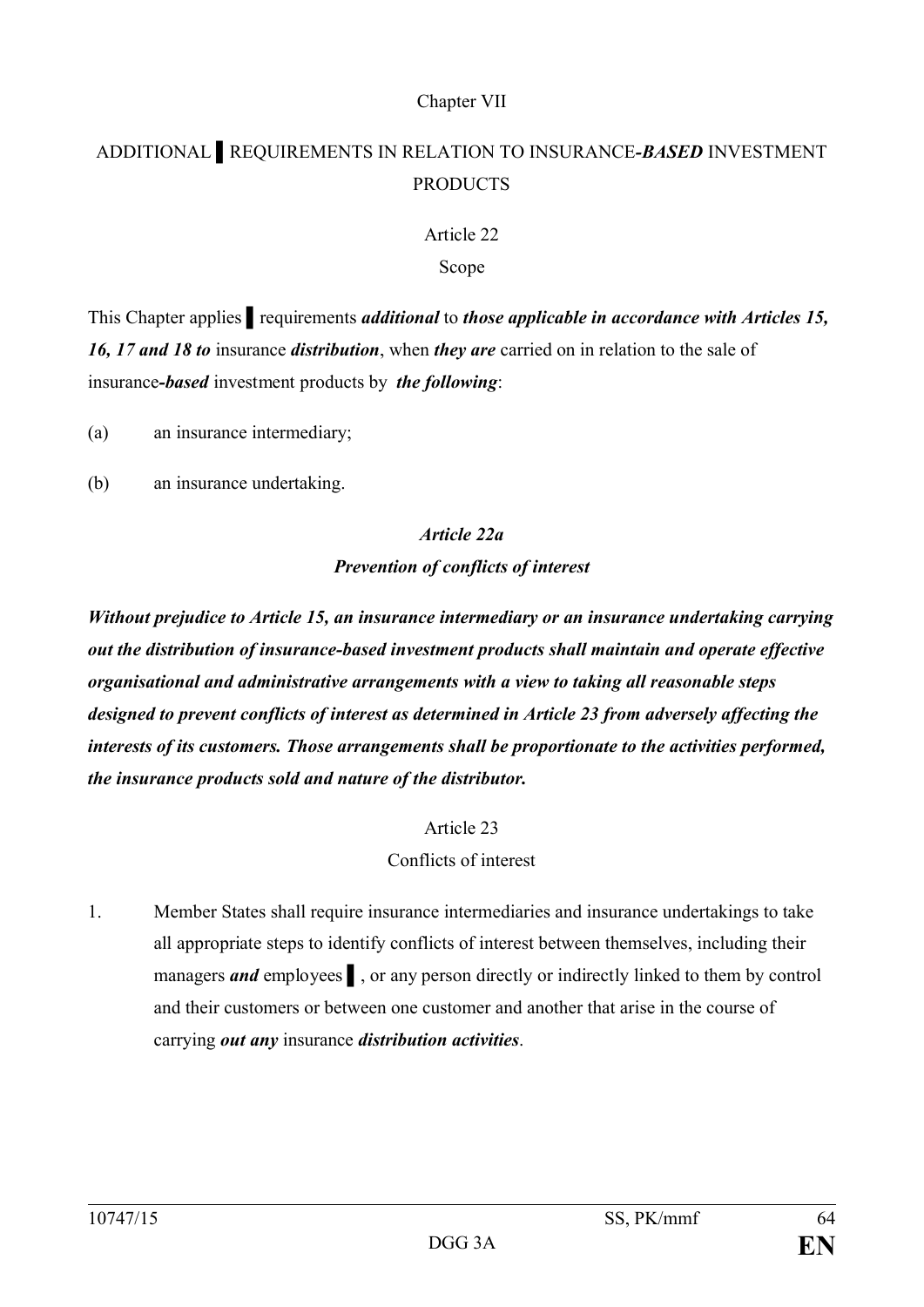# Chapter VII

# ADDITIONAL ▌REQUIREMENTS IN RELATION TO INSURANCE*-BASED* INVESTMENT **PRODUCTS**

# Article 22

# Scope

This Chapter applies ▌requirements *additional* to *those applicable in accordance with Articles 15, 16, 17 and 18 to* insurance *distribution*, when *they are* carried on in relation to the sale of insurance*-based* investment products by *the following*:

(a) an insurance intermediary;

(b) an insurance undertaking.

# *Article 22a*

# *Prevention of conflicts of interest*

*Without prejudice to Article 15, an insurance intermediary or an insurance undertaking carrying out the distribution of insurance-based investment products shall maintain and operate effective organisational and administrative arrangements with a view to taking all reasonable steps designed to prevent conflicts of interest as determined in Article 23 from adversely affecting the interests of its customers. Those arrangements shall be proportionate to the activities performed, the insurance products sold and nature of the distributor.*

## Article 23

# Conflicts of interest

1. Member States shall require insurance intermediaries and insurance undertakings to take all appropriate steps to identify conflicts of interest between themselves, including their managers *and* employees ▌, or any person directly or indirectly linked to them by control and their customers or between one customer and another that arise in the course of carrying *out any* insurance *distribution activities*.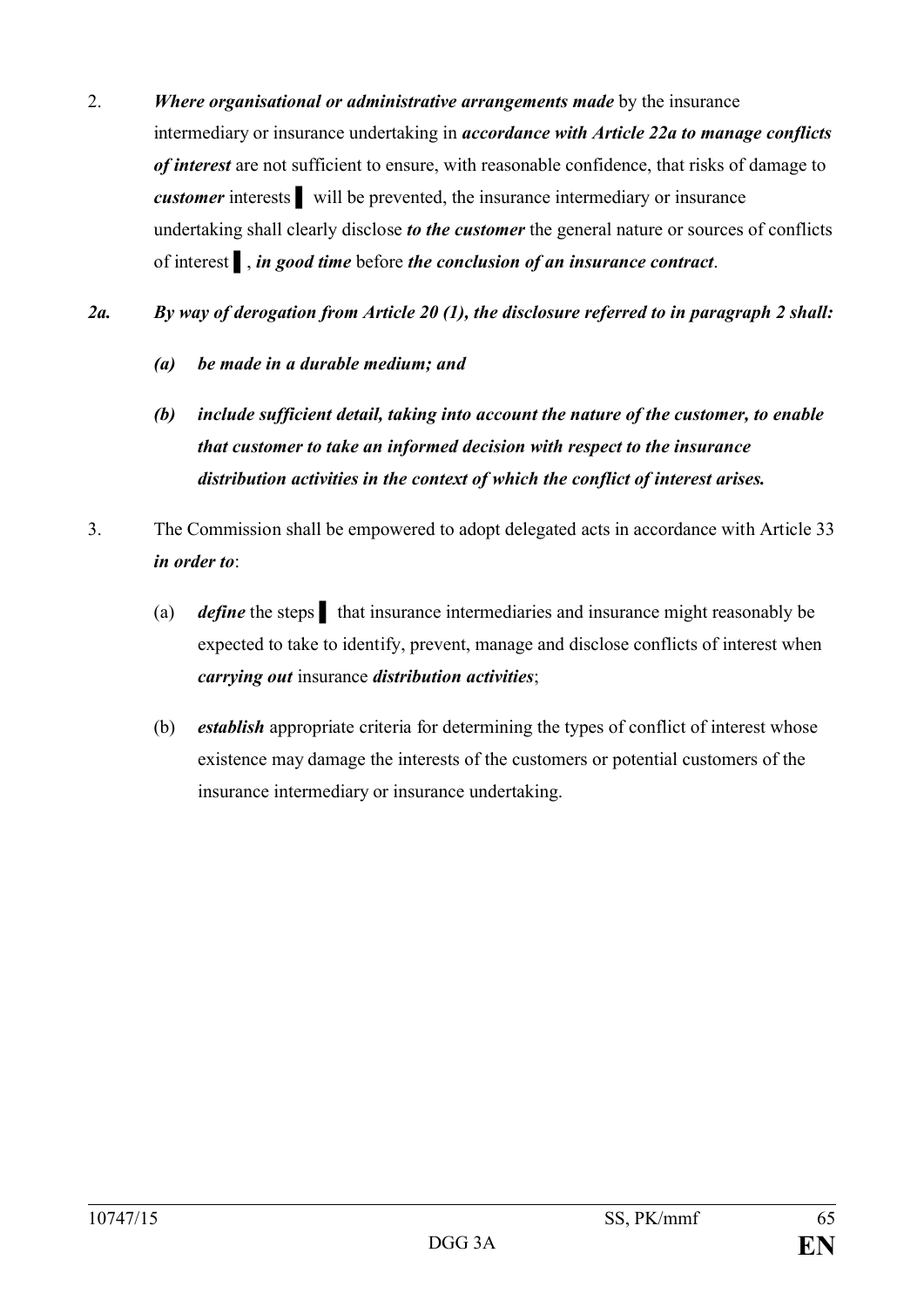- 2. *Where organisational or administrative arrangements made* by the insurance intermediary or insurance undertaking in *accordance with Article 22a to manage conflicts of interest* are not sufficient to ensure, with reasonable confidence, that risks of damage to *customer* interests ▌ will be prevented, the insurance intermediary or insurance undertaking shall clearly disclose *to the customer* the general nature or sources of conflicts of interest ▌, *in good time* before *the conclusion of an insurance contract*.
- *2a. By way of derogation from Article 20 (1), the disclosure referred to in paragraph 2 shall:*
	- *(a) be made in a durable medium; and*
	- *(b) include sufficient detail, taking into account the nature of the customer, to enable that customer to take an informed decision with respect to the insurance distribution activities in the context of which the conflict of interest arises.*
- 3. The Commission shall be empowered to adopt delegated acts in accordance with Article 33 *in order to*:
	- (a) *define* the steps ▌ that insurance intermediaries and insurance might reasonably be expected to take to identify, prevent, manage and disclose conflicts of interest when *carrying out* insurance *distribution activities*;
	- (b) *establish* appropriate criteria for determining the types of conflict of interest whose existence may damage the interests of the customers or potential customers of the insurance intermediary or insurance undertaking.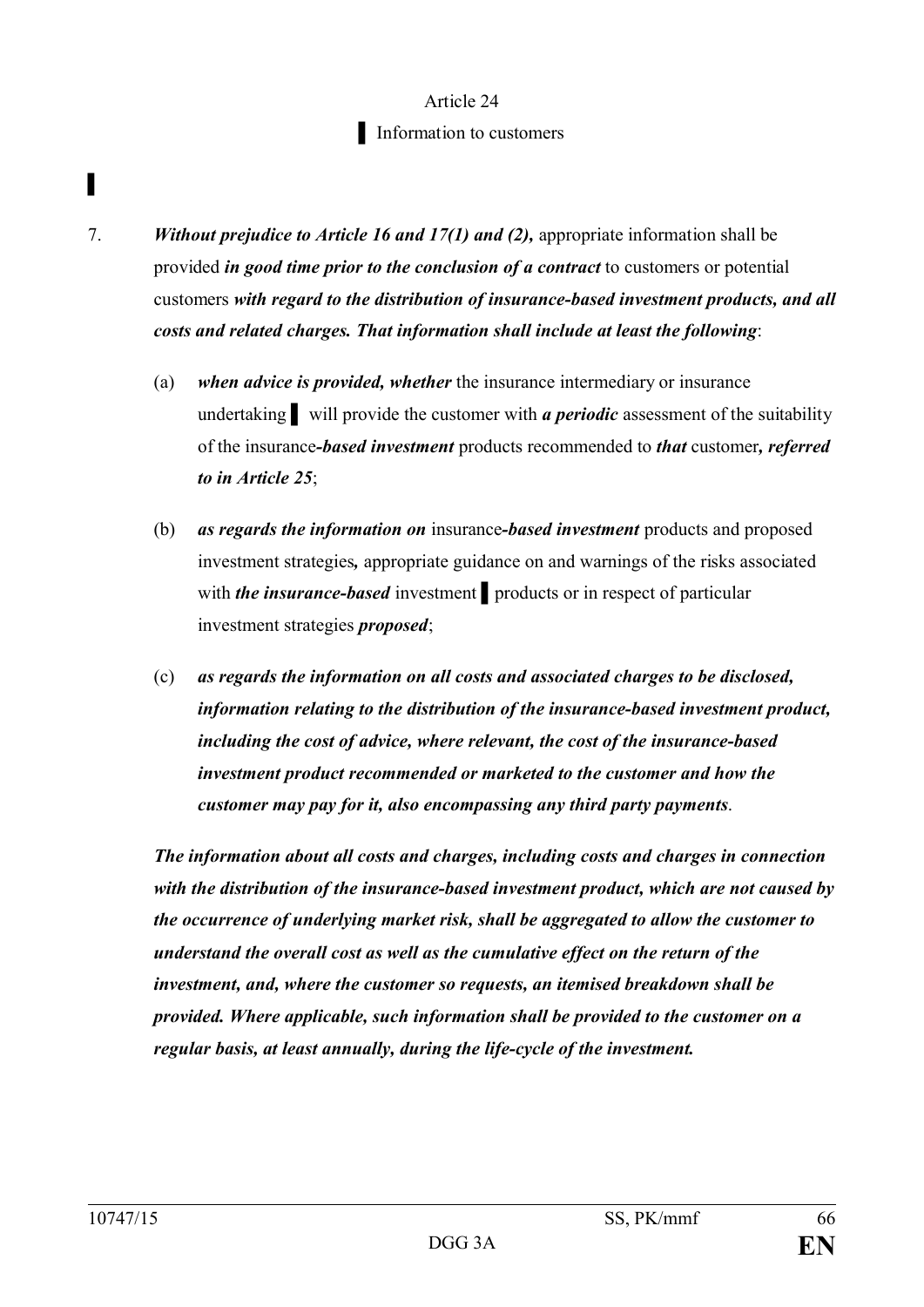# Article 24 ▌ Information to customers

- 7. *Without prejudice to Article 16 and 17(1) and (2),* appropriate information shall be provided *in good time prior to the conclusion of a contract* to customers or potential customers *with regard to the distribution of insurance-based investment products, and all costs and related charges. That information shall include at least the following*:
	- (a) *when advice is provided, whether* the insurance intermediary or insurance undertaking will provide the customer with *a periodic* assessment of the suitability of the insurance*-based investment* products recommended to *that* customer*, referred to in Article 25*;
	- (b) *as regards the information on* insurance*-based investment* products and proposed investment strategies*,* appropriate guidance on and warnings of the risks associated with *the insurance-based* investment products or in respect of particular investment strategies *proposed*;
	- (c) *as regards the information on all costs and associated charges to be disclosed, information relating to the distribution of the insurance-based investment product, including the cost of advice, where relevant, the cost of the insurance-based investment product recommended or marketed to the customer and how the customer may pay for it, also encompassing any third party payments*.

*The information about all costs and charges, including costs and charges in connection with the distribution of the insurance-based investment product, which are not caused by the occurrence of underlying market risk, shall be aggregated to allow the customer to understand the overall cost as well as the cumulative effect on the return of the investment, and, where the customer so requests, an itemised breakdown shall be provided. Where applicable, such information shall be provided to the customer on a regular basis, at least annually, during the life-cycle of the investment.*

▌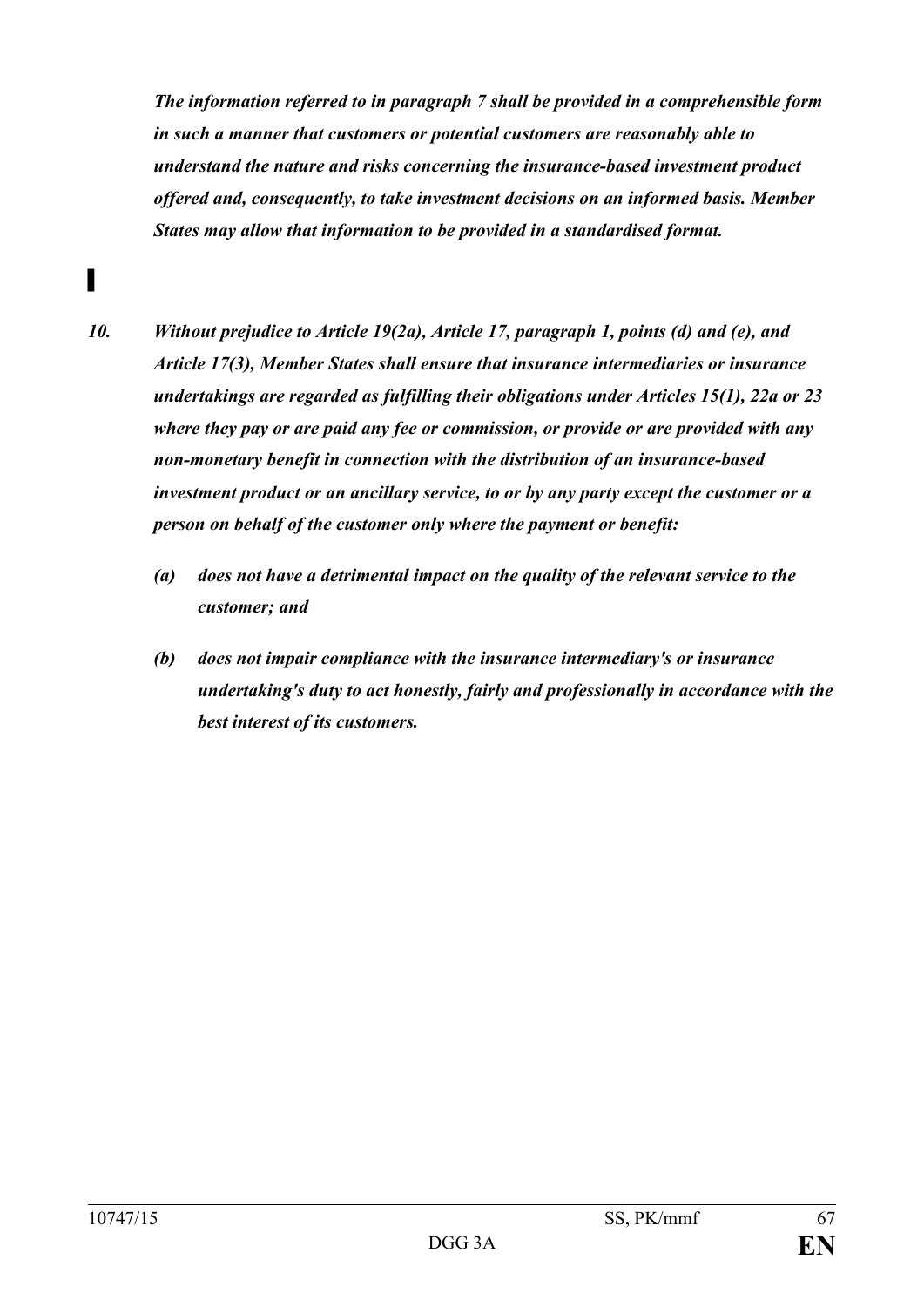*The information referred to in paragraph 7 shall be provided in a comprehensible form in such a manner that customers or potential customers are reasonably able to understand the nature and risks concerning the insurance-based investment product offered and, consequently, to take investment decisions on an informed basis. Member States may allow that information to be provided in a standardised format.*

- *10. Without prejudice to Article 19(2a), Article 17, paragraph 1, points (d) and (e), and Article 17(3), Member States shall ensure that insurance intermediaries or insurance undertakings are regarded as fulfilling their obligations under Articles 15(1), 22a or 23 where they pay or are paid any fee or commission, or provide or are provided with any non-monetary benefit in connection with the distribution of an insurance-based investment product or an ancillary service, to or by any party except the customer or a person on behalf of the customer only where the payment or benefit:* 
	- *(a) does not have a detrimental impact on the quality of the relevant service to the customer; and*
	- *(b) does not impair compliance with the insurance intermediary's or insurance undertaking's duty to act honestly, fairly and professionally in accordance with the best interest of its customers.*

▌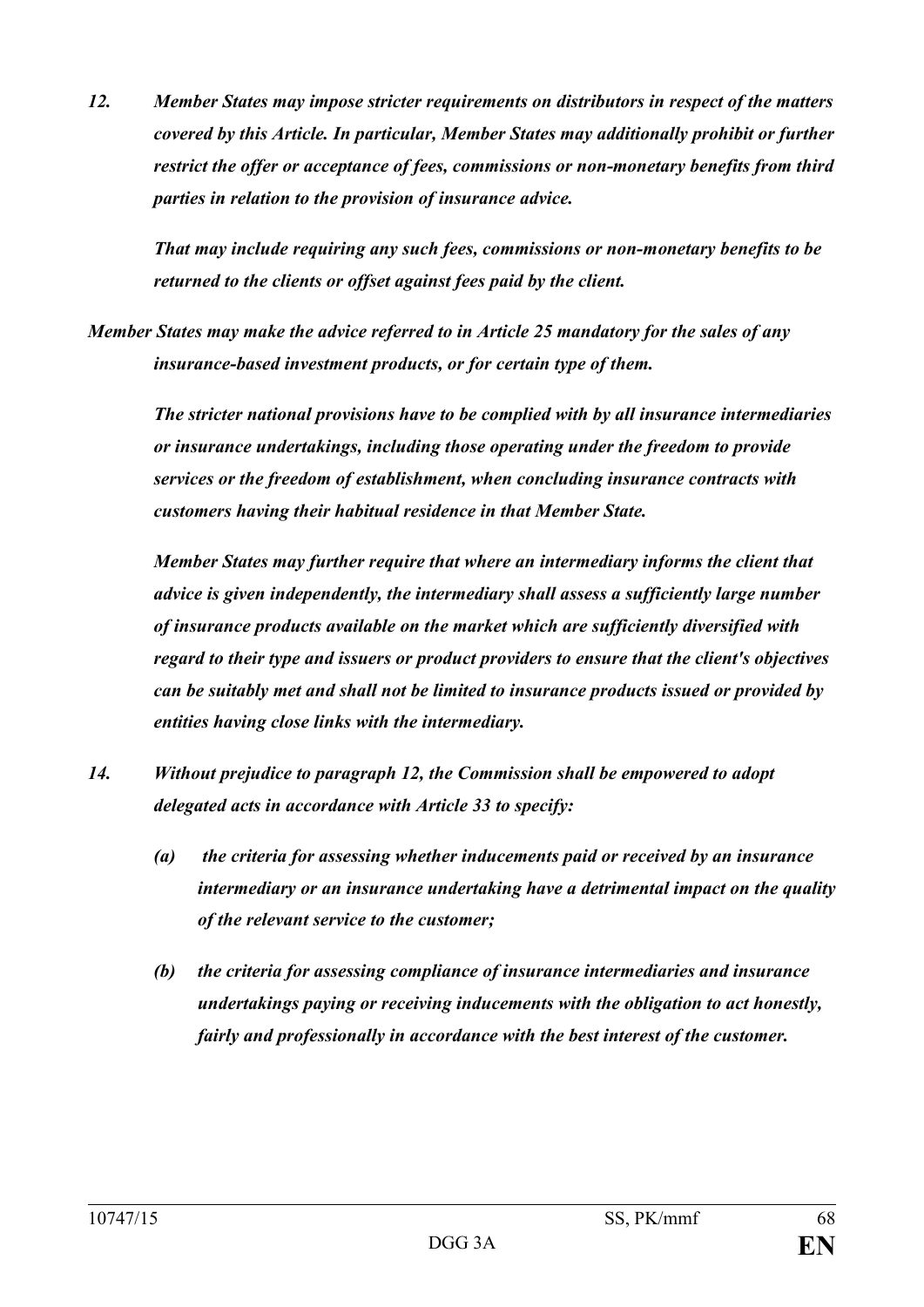*12. Member States may impose stricter requirements on distributors in respect of the matters covered by this Article. In particular, Member States may additionally prohibit or further restrict the offer or acceptance of fees, commissions or non-monetary benefits from third parties in relation to the provision of insurance advice.* 

*That may include requiring any such fees, commissions or non-monetary benefits to be returned to the clients or offset against fees paid by the client.*

*Member States may make the advice referred to in Article 25 mandatory for the sales of any insurance-based investment products, or for certain type of them.* 

*The stricter national provisions have to be complied with by all insurance intermediaries or insurance undertakings, including those operating under the freedom to provide services or the freedom of establishment, when concluding insurance contracts with customers having their habitual residence in that Member State.*

*Member States may further require that where an intermediary informs the client that advice is given independently, the intermediary shall assess a sufficiently large number of insurance products available on the market which are sufficiently diversified with regard to their type and issuers or product providers to ensure that the client's objectives can be suitably met and shall not be limited to insurance products issued or provided by entities having close links with the intermediary.*

- *14. Without prejudice to paragraph 12, the Commission shall be empowered to adopt delegated acts in accordance with Article 33 to specify:* 
	- *(a) the criteria for assessing whether inducements paid or received by an insurance intermediary or an insurance undertaking have a detrimental impact on the quality of the relevant service to the customer;*
	- *(b) the criteria for assessing compliance of insurance intermediaries and insurance undertakings paying or receiving inducements with the obligation to act honestly, fairly and professionally in accordance with the best interest of the customer.*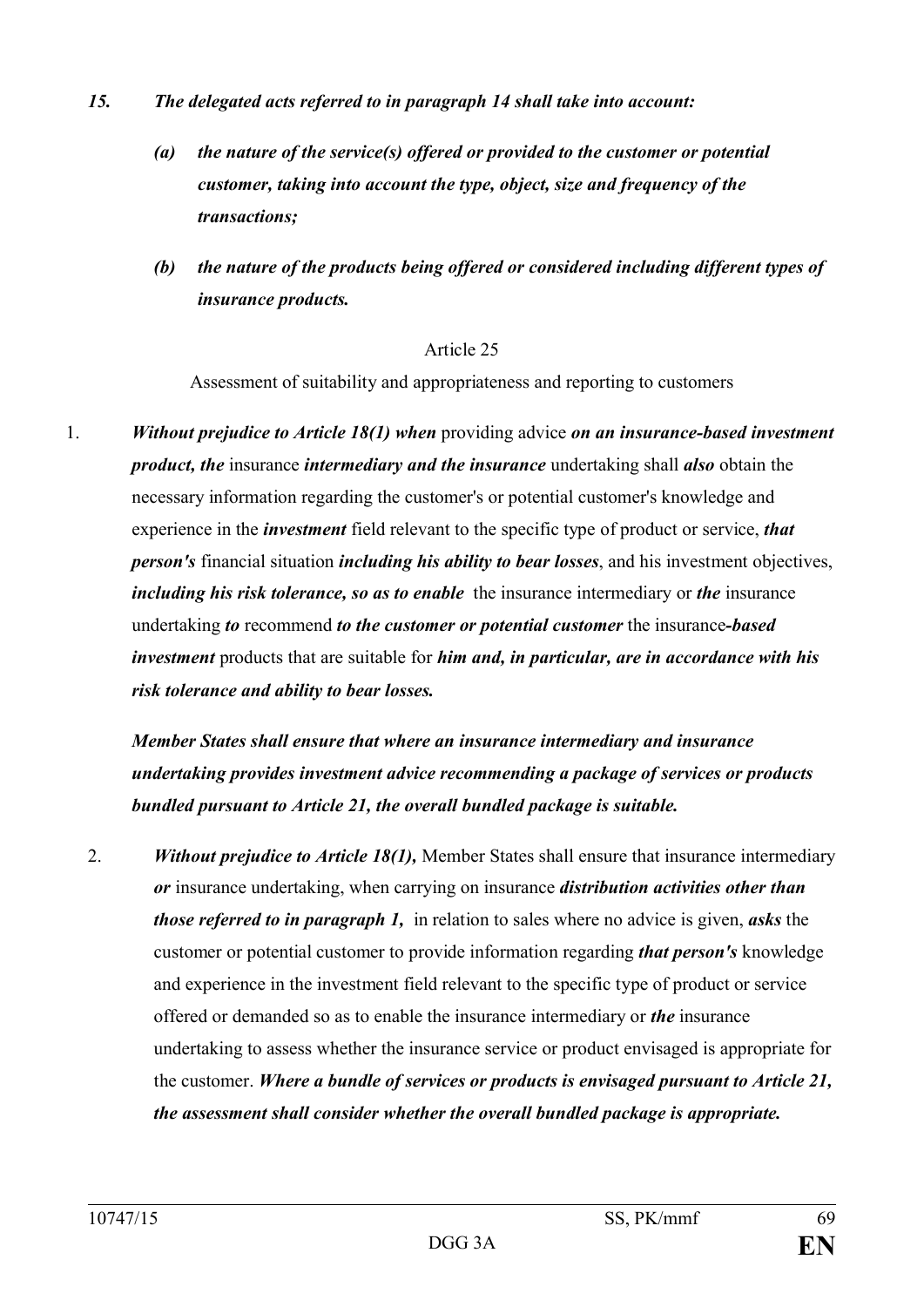- *15. The delegated acts referred to in paragraph 14 shall take into account:*
	- *(a) the nature of the service(s) offered or provided to the customer or potential customer, taking into account the type, object, size and frequency of the transactions;*
	- *(b) the nature of the products being offered or considered including different types of insurance products.*

Assessment of suitability and appropriateness and reporting to customers

1. *Without prejudice to Article 18(1) when* providing advice *on an insurance-based investment product, the* insurance *intermediary and the insurance* undertaking shall *also* obtain the necessary information regarding the customer's or potential customer's knowledge and experience in the *investment* field relevant to the specific type of product or service, *that person's* financial situation *including his ability to bear losses*, and his investment objectives, *including his risk tolerance, so as to enable* the insurance intermediary or *the* insurance undertaking *to* recommend *to the customer or potential customer* the insurance*-based investment* products that are suitable for *him and, in particular, are in accordance with his risk tolerance and ability to bear losses.*

*Member States shall ensure that where an insurance intermediary and insurance undertaking provides investment advice recommending a package of services or products bundled pursuant to Article 21, the overall bundled package is suitable.*

2. *Without prejudice to Article 18(1),* Member States shall ensure that insurance intermediary *or* insurance undertaking, when carrying on insurance *distribution activities other than those referred to in paragraph 1,* in relation to sales where no advice is given, *asks* the customer or potential customer to provide information regarding *that person's* knowledge and experience in the investment field relevant to the specific type of product or service offered or demanded so as to enable the insurance intermediary or *the* insurance undertaking to assess whether the insurance service or product envisaged is appropriate for the customer. *Where a bundle of services or products is envisaged pursuant to Article 21, the assessment shall consider whether the overall bundled package is appropriate.*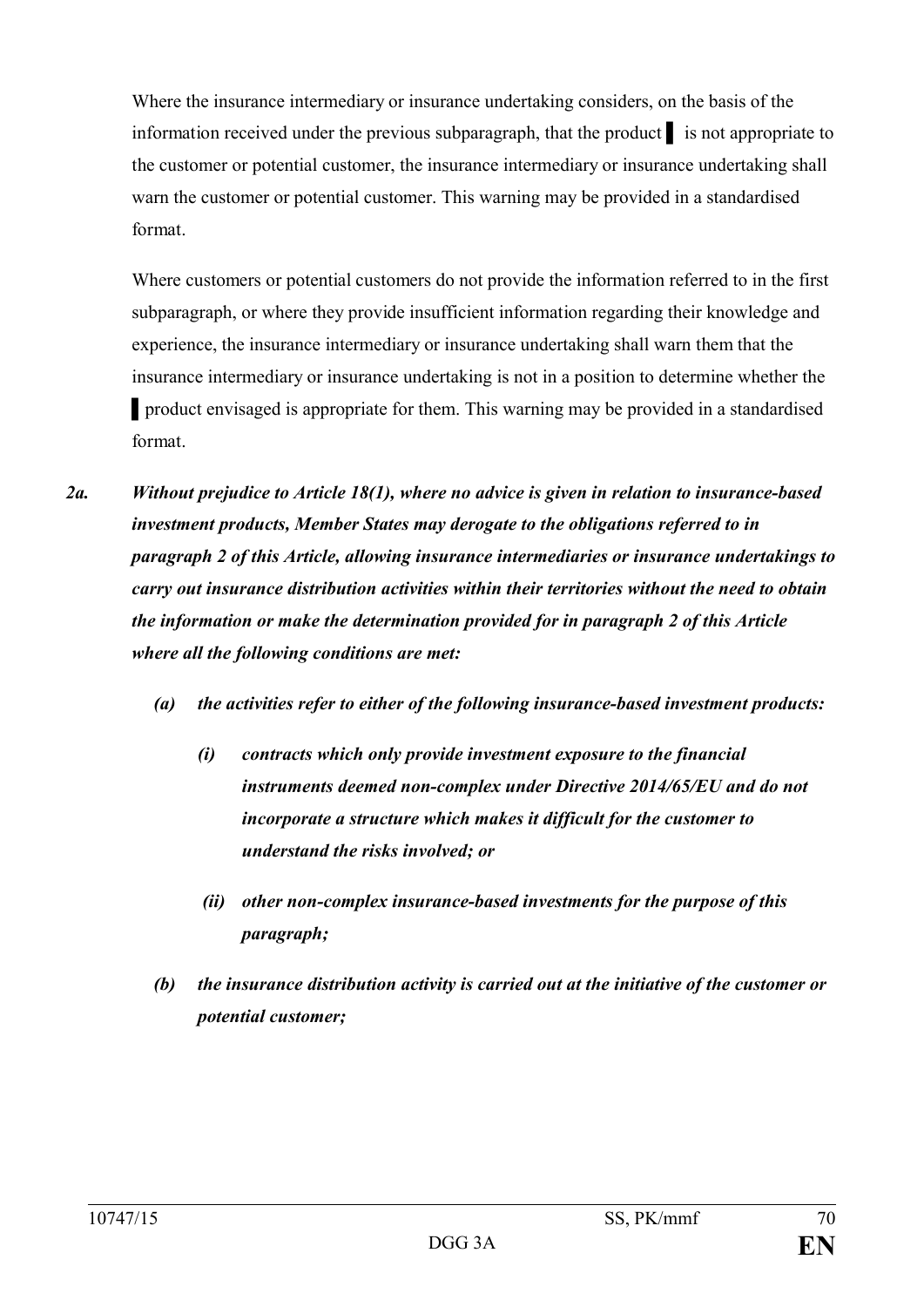Where the insurance intermediary or insurance undertaking considers, on the basis of the information received under the previous subparagraph, that the product ▌ is not appropriate to the customer or potential customer, the insurance intermediary or insurance undertaking shall warn the customer or potential customer. This warning may be provided in a standardised format.

Where customers or potential customers do not provide the information referred to in the first subparagraph, or where they provide insufficient information regarding their knowledge and experience, the insurance intermediary or insurance undertaking shall warn them that the insurance intermediary or insurance undertaking is not in a position to determine whether the ■ product envisaged is appropriate for them. This warning may be provided in a standardised format.

- *2a. Without prejudice to Article 18(1), where no advice is given in relation to insurance-based investment products, Member States may derogate to the obligations referred to in paragraph 2 of this Article, allowing insurance intermediaries or insurance undertakings to carry out insurance distribution activities within their territories without the need to obtain the information or make the determination provided for in paragraph 2 of this Article where all the following conditions are met:*
	- *(a) the activities refer to either of the following insurance-based investment products:*
		- *(i) contracts which only provide investment exposure to the financial instruments deemed non-complex under Directive 2014/65/EU and do not incorporate a structure which makes it difficult for the customer to understand the risks involved; or*
		- *(ii) other non-complex insurance-based investments for the purpose of this paragraph;*
	- *(b) the insurance distribution activity is carried out at the initiative of the customer or potential customer;*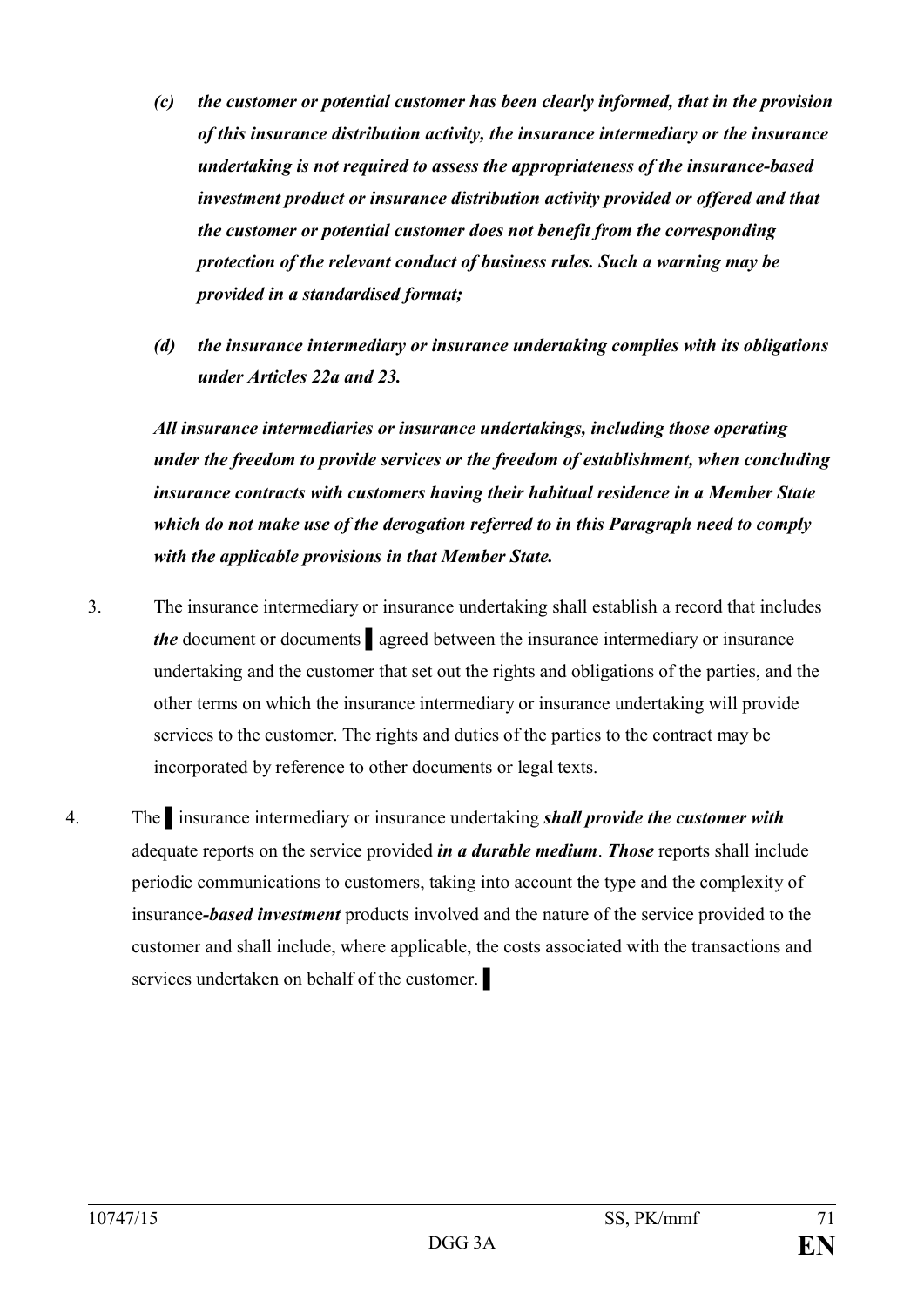- *(c) the customer or potential customer has been clearly informed, that in the provision of this insurance distribution activity, the insurance intermediary or the insurance undertaking is not required to assess the appropriateness of the insurance-based investment product or insurance distribution activity provided or offered and that the customer or potential customer does not benefit from the corresponding protection of the relevant conduct of business rules. Such a warning may be provided in a standardised format;*
- *(d) the insurance intermediary or insurance undertaking complies with its obligations under Articles 22a and 23.*

*All insurance intermediaries or insurance undertakings, including those operating under the freedom to provide services or the freedom of establishment, when concluding insurance contracts with customers having their habitual residence in a Member State which do not make use of the derogation referred to in this Paragraph need to comply with the applicable provisions in that Member State.*

- 3. The insurance intermediary or insurance undertaking shall establish a record that includes *the* document or documents ▌agreed between the insurance intermediary or insurance undertaking and the customer that set out the rights and obligations of the parties, and the other terms on which the insurance intermediary or insurance undertaking will provide services to the customer. The rights and duties of the parties to the contract may be incorporated by reference to other documents or legal texts.
- 4. The ▌insurance intermediary or insurance undertaking *shall provide the customer with*  adequate reports on the service provided *in a durable medium*. *Those* reports shall include periodic communications to customers, taking into account the type and the complexity of insurance*-based investment* products involved and the nature of the service provided to the customer and shall include, where applicable, the costs associated with the transactions and services undertaken on behalf of the customer.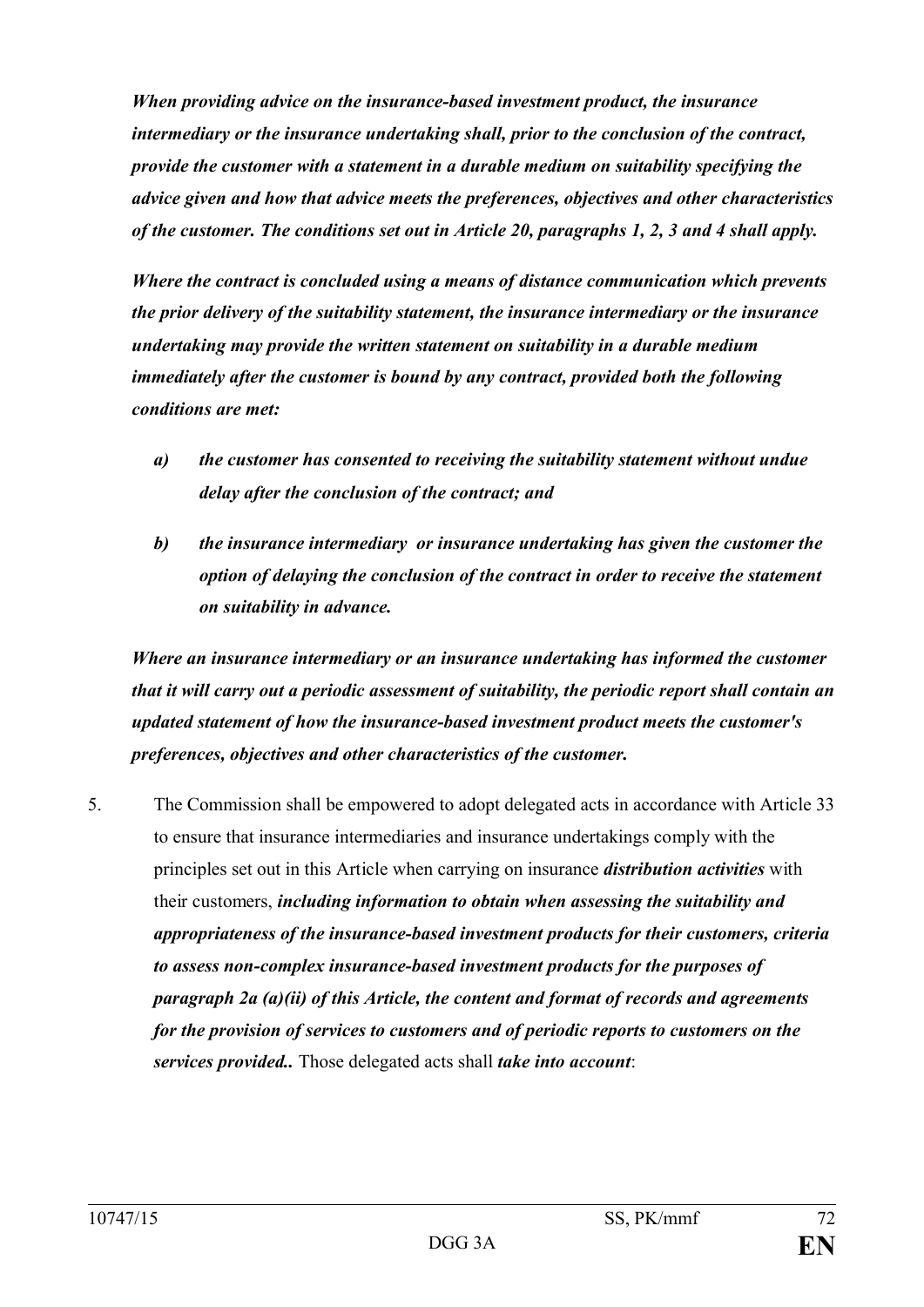*When providing advice on the insurance-based investment product, the insurance intermediary or the insurance undertaking shall, prior to the conclusion of the contract, provide the customer with a statement in a durable medium on suitability specifying the advice given and how that advice meets the preferences, objectives and other characteristics of the customer. The conditions set out in Article 20, paragraphs 1, 2, 3 and 4 shall apply.*

*Where the contract is concluded using a means of distance communication which prevents the prior delivery of the suitability statement, the insurance intermediary or the insurance undertaking may provide the written statement on suitability in a durable medium immediately after the customer is bound by any contract, provided both the following conditions are met:*

- *a) the customer has consented to receiving the suitability statement without undue delay after the conclusion of the contract; and*
- *b) the insurance intermediary or insurance undertaking has given the customer the option of delaying the conclusion of the contract in order to receive the statement on suitability in advance.*

*Where an insurance intermediary or an insurance undertaking has informed the customer that it will carry out a periodic assessment of suitability, the periodic report shall contain an updated statement of how the insurance-based investment product meets the customer's preferences, objectives and other characteristics of the customer.*

5. The Commission shall be empowered to adopt delegated acts in accordance with Article 33 to ensure that insurance intermediaries and insurance undertakings comply with the principles set out in this Article when carrying on insurance *distribution activities* with their customers, *including information to obtain when assessing the suitability and appropriateness of the insurance-based investment products for their customers, criteria to assess non-complex insurance-based investment products for the purposes of paragraph 2a (a)(ii) of this Article, the content and format of records and agreements for the provision of services to customers and of periodic reports to customers on the services provided..* Those delegated acts shall *take into account*: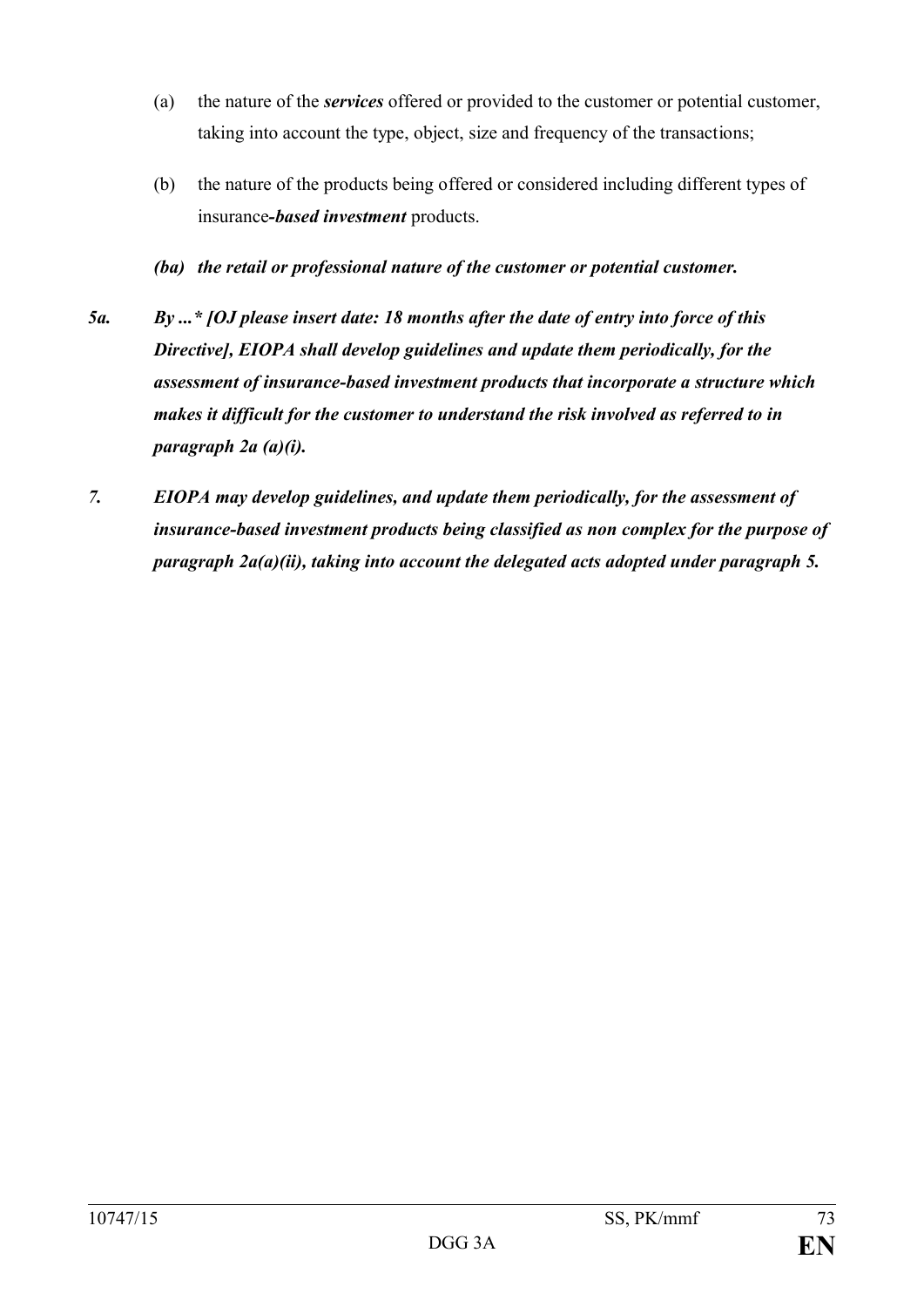- (a) the nature of the *services* offered or provided to the customer or potential customer, taking into account the type, object, size and frequency of the transactions;
- (b) the nature of the products being offered or considered including different types of insurance*-based investment* products.
- *(ba) the retail or professional nature of the customer or potential customer.*
- *5a. By ...\* [OJ please insert date: 18 months after the date of entry into force of this Directive], EIOPA shall develop guidelines and update them periodically, for the assessment of insurance-based investment products that incorporate a structure which makes it difficult for the customer to understand the risk involved as referred to in paragraph 2a (a)(i).*
- *7. EIOPA may develop guidelines, and update them periodically, for the assessment of insurance-based investment products being classified as non complex for the purpose of paragraph 2a(a)(ii), taking into account the delegated acts adopted under paragraph 5.*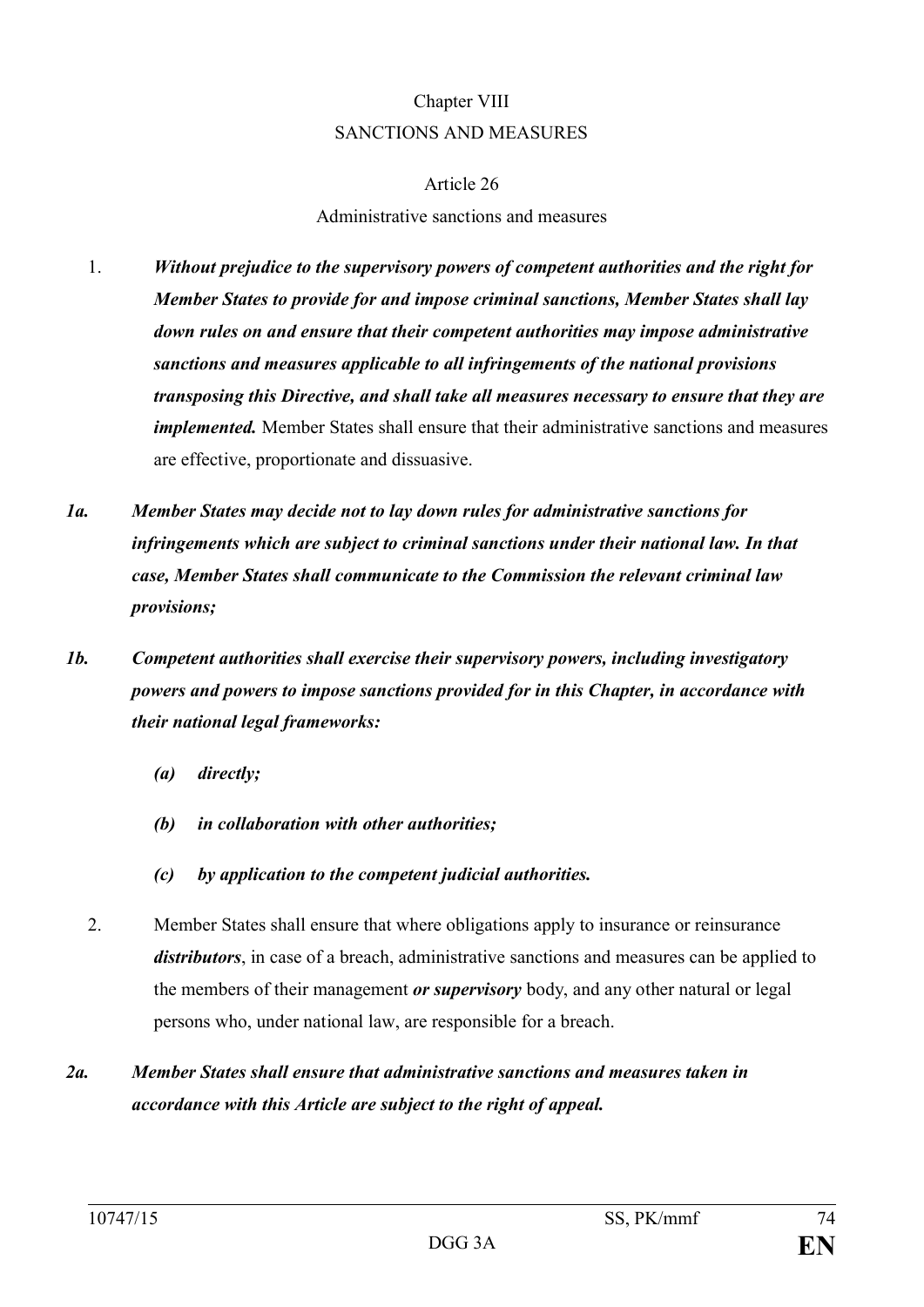# Chapter VIII SANCTIONS AND MEASURES

#### Article 26

#### Administrative sanctions and measures

- 1. *Without prejudice to the supervisory powers of competent authorities and the right for Member States to provide for and impose criminal sanctions, Member States shall lay down rules on and ensure that their competent authorities may impose administrative sanctions and measures applicable to all infringements of the national provisions transposing this Directive, and shall take all measures necessary to ensure that they are implemented.* Member States shall ensure that their administrative sanctions and measures are effective, proportionate and dissuasive.
- *1a. Member States may decide not to lay down rules for administrative sanctions for infringements which are subject to criminal sanctions under their national law. In that case, Member States shall communicate to the Commission the relevant criminal law provisions;*
- *1b. Competent authorities shall exercise their supervisory powers, including investigatory powers and powers to impose sanctions provided for in this Chapter, in accordance with their national legal frameworks:*
	- *(a) directly;*
	- *(b) in collaboration with other authorities;*
	- *(c) by application to the competent judicial authorities.*
	- 2. Member States shall ensure that where obligations apply to insurance or reinsurance *distributors*, in case of a breach, administrative sanctions and measures can be applied to the members of their management *or supervisory* body, and any other natural or legal persons who, under national law, are responsible for a breach.
- *2a. Member States shall ensure that administrative sanctions and measures taken in accordance with this Article are subject to the right of appeal.*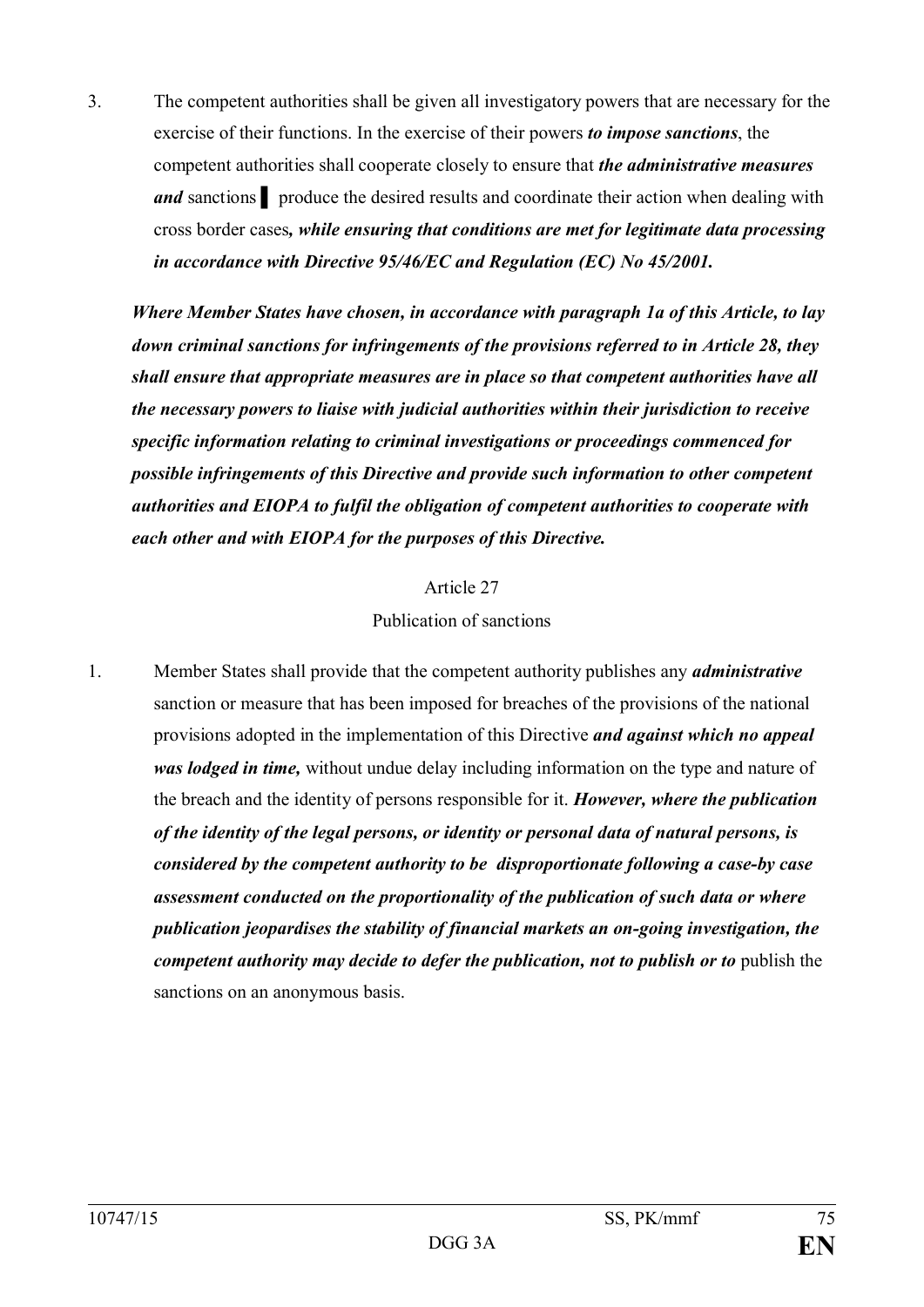3. The competent authorities shall be given all investigatory powers that are necessary for the exercise of their functions. In the exercise of their powers *to impose sanctions*, the competent authorities shall cooperate closely to ensure that *the administrative measures and* sanctions ▌ produce the desired results and coordinate their action when dealing with cross border cases*, while ensuring that conditions are met for legitimate data processing in accordance with Directive 95/46/EC and Regulation (EC) No 45/2001.*

*Where Member States have chosen, in accordance with paragraph 1a of this Article, to lay down criminal sanctions for infringements of the provisions referred to in Article 28, they shall ensure that appropriate measures are in place so that competent authorities have all the necessary powers to liaise with judicial authorities within their jurisdiction to receive specific information relating to criminal investigations or proceedings commenced for possible infringements of this Directive and provide such information to other competent authorities and EIOPA to fulfil the obligation of competent authorities to cooperate with each other and with EIOPA for the purposes of this Directive.*

> Article 27 Publication of sanctions

1. Member States shall provide that the competent authority publishes any *administrative* sanction or measure that has been imposed for breaches of the provisions of the national provisions adopted in the implementation of this Directive *and against which no appeal was lodged in time,* without undue delay including information on the type and nature of the breach and the identity of persons responsible for it. *However, where the publication of the identity of the legal persons, or identity or personal data of natural persons, is considered by the competent authority to be disproportionate following a case-by case assessment conducted on the proportionality of the publication of such data or where publication jeopardises the stability of financial markets an on-going investigation, the competent authority may decide to defer the publication, not to publish or to* publish the sanctions on an anonymous basis.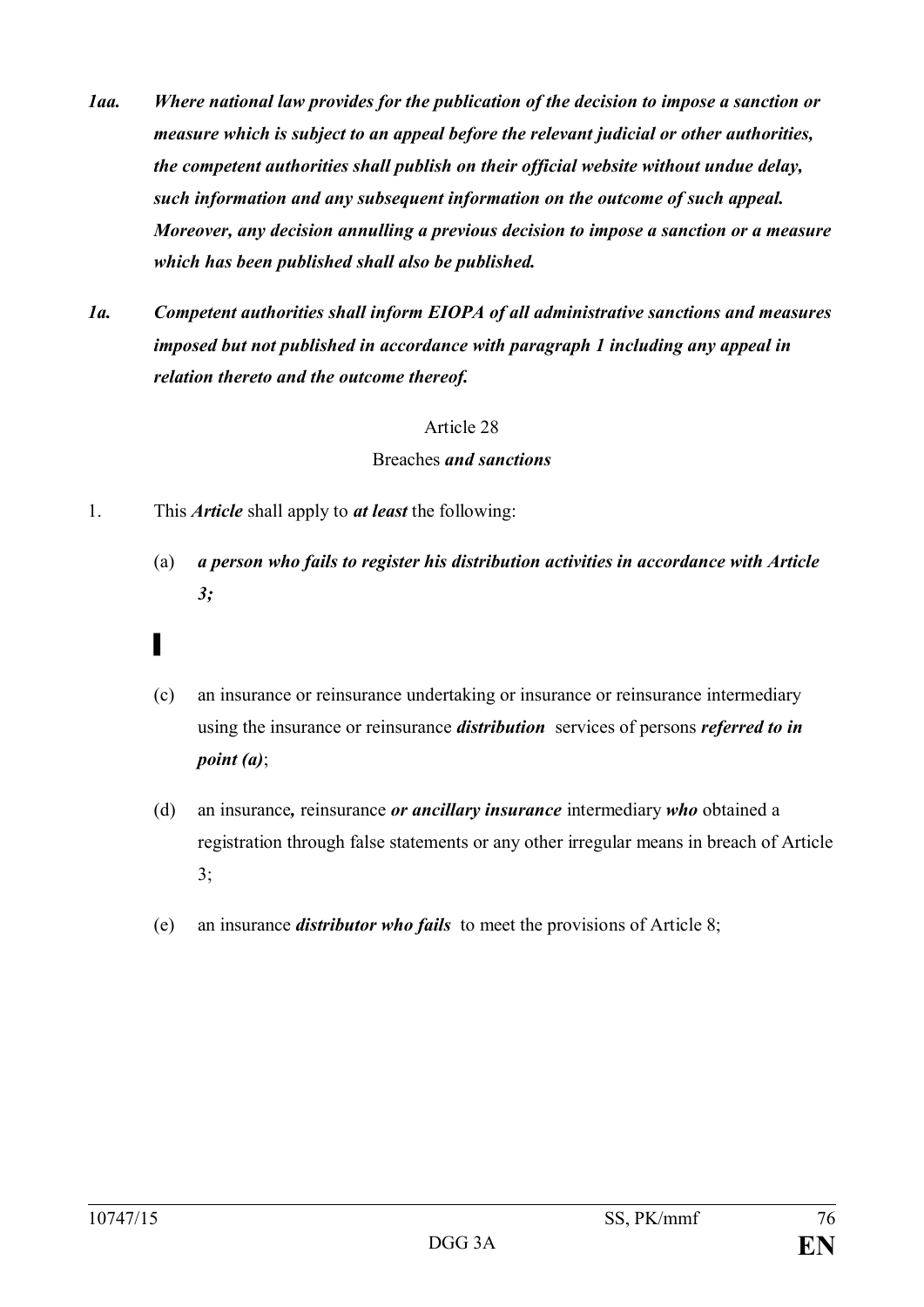- *1aa. Where national law provides for the publication of the decision to impose a sanction or measure which is subject to an appeal before the relevant judicial or other authorities, the competent authorities shall publish on their official website without undue delay, such information and any subsequent information on the outcome of such appeal. Moreover, any decision annulling a previous decision to impose a sanction or a measure which has been published shall also be published.*
- *1a. Competent authorities shall inform EIOPA of all administrative sanctions and measures imposed but not published in accordance with paragraph 1 including any appeal in relation thereto and the outcome thereof.*

#### Breaches *and sanctions*

- 1. This *Article* shall apply to *at least* the following:
	- (a) *a person who fails to register his distribution activities in accordance with Article 3;*
	- (c) an insurance or reinsurance undertaking or insurance or reinsurance intermediary using the insurance or reinsurance *distribution* services of persons *referred to in point (a)*;
	- (d) an insurance*,* reinsurance *or ancillary insurance* intermediary *who* obtained a registration through false statements or any other irregular means in breach of Article 3;
	- (e) an insurance *distributor who fails* to meet the provisions of Article 8;

▌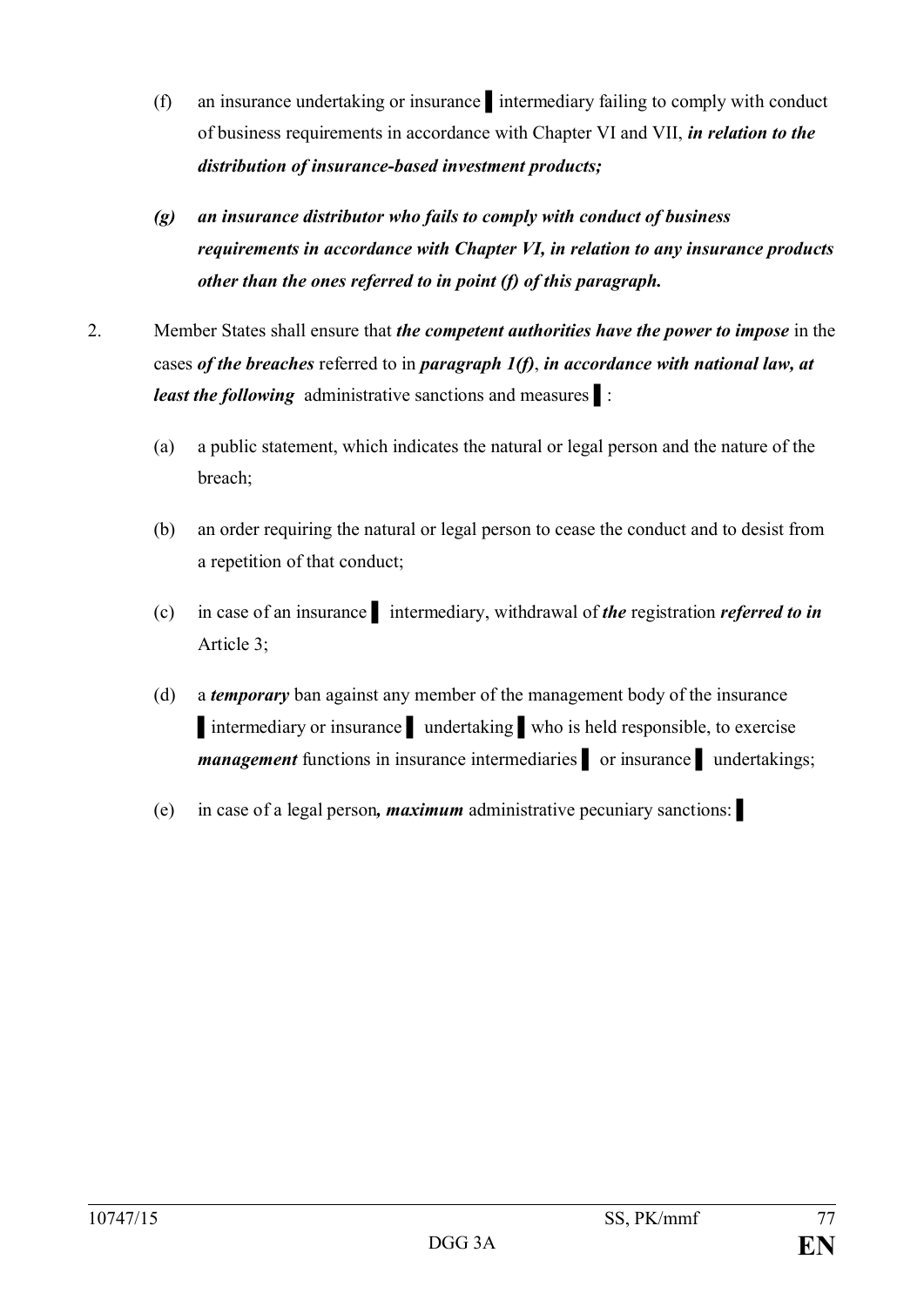- (f) an insurance undertaking or insurance ▌intermediary failing to comply with conduct of business requirements in accordance with Chapter VI and VII, *in relation to the distribution of insurance-based investment products;*
- *(g) an insurance distributor who fails to comply with conduct of business requirements in accordance with Chapter VI, in relation to any insurance products other than the ones referred to in point (f) of this paragraph.*
- 2. Member States shall ensure that *the competent authorities have the power to impose* in the cases *of the breaches* referred to in *paragraph 1(f)*, *in accordance with national law, at least the following* administrative sanctions and measures ▌:
	- (a) a public statement, which indicates the natural or legal person and the nature of the breach;
	- (b) an order requiring the natural or legal person to cease the conduct and to desist from a repetition of that conduct;
	- (c) in case of an insurance ▌ intermediary, withdrawal of *the* registration *referred to in* Article 3;
	- (d) a *temporary* ban against any member of the management body of the insurance ▌intermediary or insurance ▌ undertaking ▌who is held responsible, to exercise *management* functions in insurance intermediaries **o** or insurance undertakings;
	- (e) in case of a legal person*, maximum* administrative pecuniary sanctions: ▌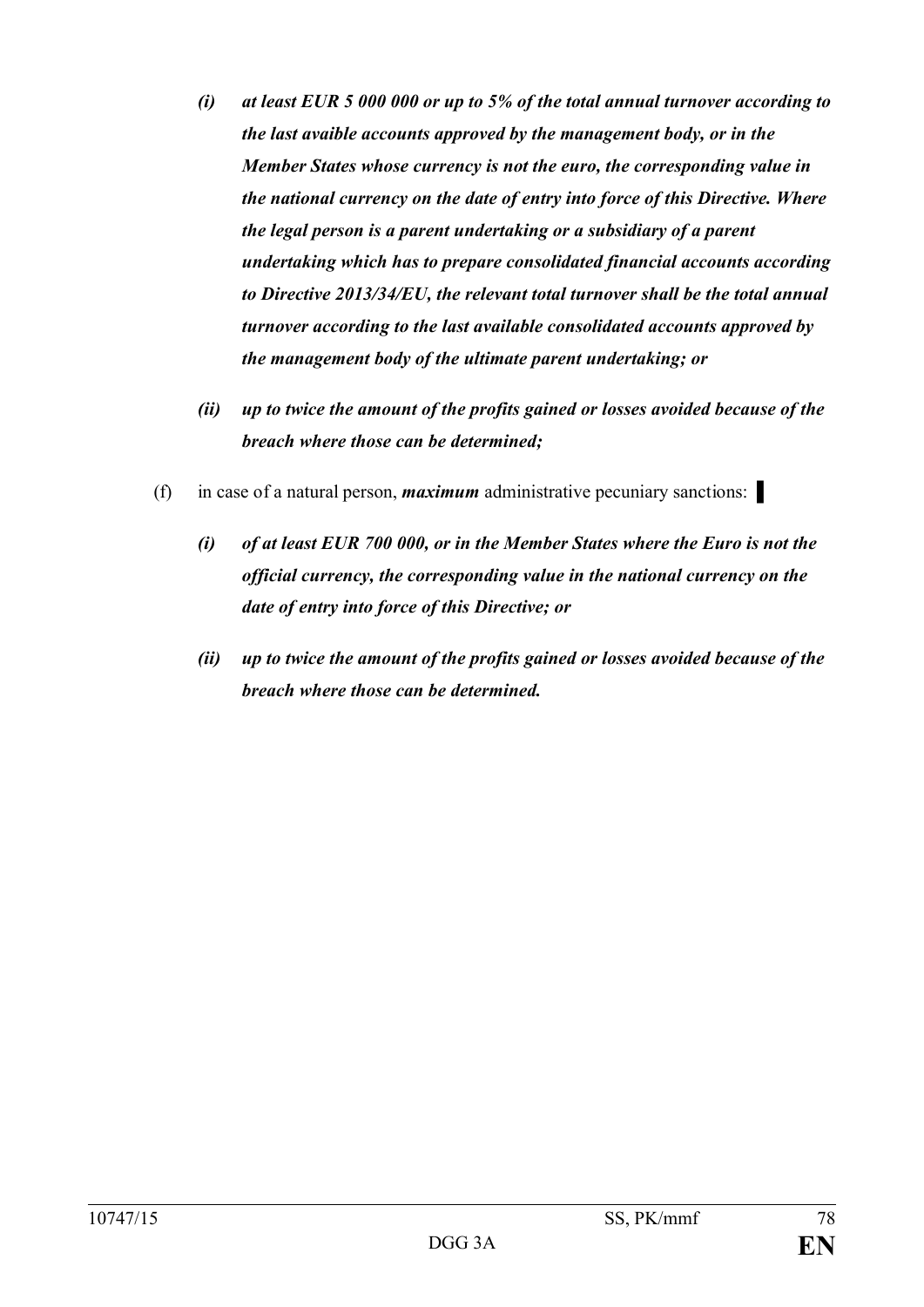- *(i) at least EUR 5 000 000 or up to 5% of the total annual turnover according to the last avaible accounts approved by the management body, or in the Member States whose currency is not the euro, the corresponding value in the national currency on the date of entry into force of this Directive. Where the legal person is a parent undertaking or a subsidiary of a parent undertaking which has to prepare consolidated financial accounts according to Directive 2013/34/EU, the relevant total turnover shall be the total annual turnover according to the last available consolidated accounts approved by the management body of the ultimate parent undertaking; or*
- *(ii) up to twice the amount of the profits gained or losses avoided because of the breach where those can be determined;*
- (f) in case of a natural person, *maximum* administrative pecuniary sanctions: ▌
	- *(i) of at least EUR 700 000, or in the Member States where the Euro is not the official currency, the corresponding value in the national currency on the date of entry into force of this Directive; or*
	- *(ii) up to twice the amount of the profits gained or losses avoided because of the breach where those can be determined.*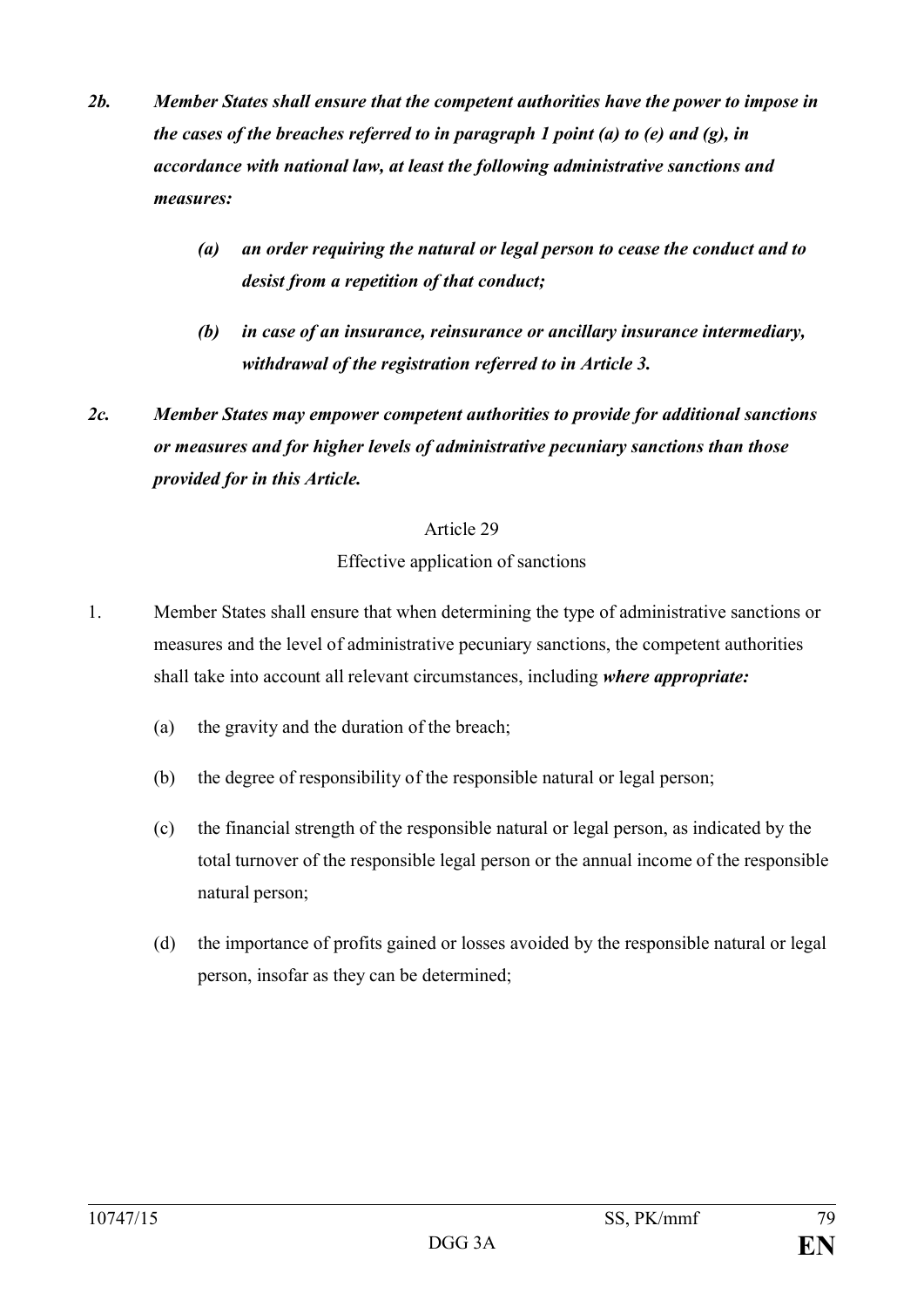- *2b. Member States shall ensure that the competent authorities have the power to impose in the cases of the breaches referred to in paragraph 1 point (a) to (e) and (g), in accordance with national law, at least the following administrative sanctions and measures:*
	- *(a) an order requiring the natural or legal person to cease the conduct and to desist from a repetition of that conduct;*
	- *(b) in case of an insurance, reinsurance or ancillary insurance intermediary, withdrawal of the registration referred to in Article 3.*
- *2c. Member States may empower competent authorities to provide for additional sanctions or measures and for higher levels of administrative pecuniary sanctions than those provided for in this Article.*

#### Effective application of sanctions

- 1. Member States shall ensure that when determining the type of administrative sanctions or measures and the level of administrative pecuniary sanctions, the competent authorities shall take into account all relevant circumstances, including *where appropriate:*
	- (a) the gravity and the duration of the breach;
	- (b) the degree of responsibility of the responsible natural or legal person;
	- (c) the financial strength of the responsible natural or legal person, as indicated by the total turnover of the responsible legal person or the annual income of the responsible natural person;
	- (d) the importance of profits gained or losses avoided by the responsible natural or legal person, insofar as they can be determined;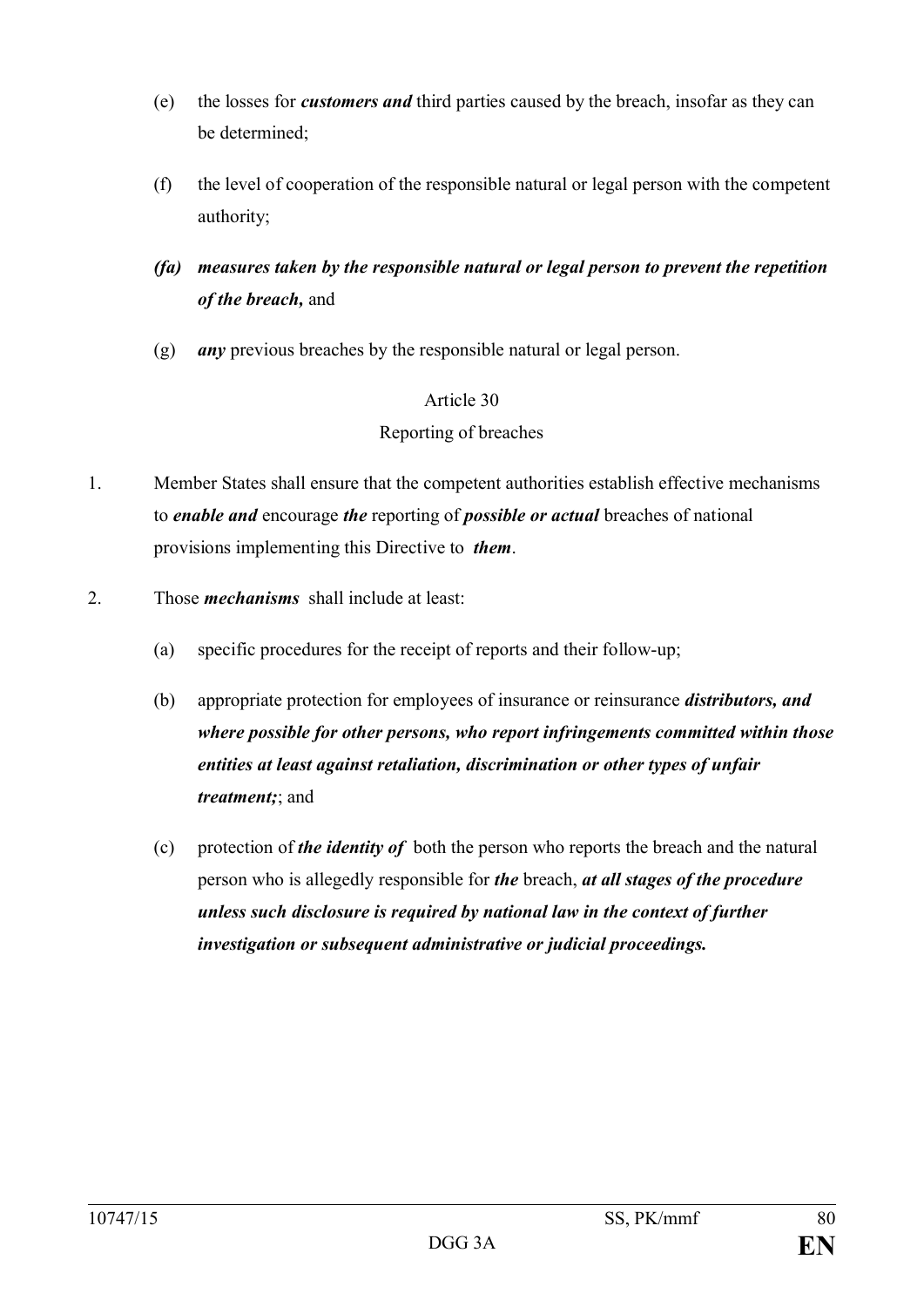- (e) the losses for *customers and* third parties caused by the breach, insofar as they can be determined;
- (f) the level of cooperation of the responsible natural or legal person with the competent authority;
- *(fa) measures taken by the responsible natural or legal person to prevent the repetition of the breach,* and
- (g) *any* previous breaches by the responsible natural or legal person.

## Article 30 Reporting of breaches

- 1. Member States shall ensure that the competent authorities establish effective mechanisms to *enable and* encourage *the* reporting of *possible or actual* breaches of national provisions implementing this Directive to *them*.
- 2. Those *mechanisms* shall include at least:
	- (a) specific procedures for the receipt of reports and their follow-up;
	- (b) appropriate protection for employees of insurance or reinsurance *distributors, and where possible for other persons, who report infringements committed within those entities at least against retaliation, discrimination or other types of unfair treatment;*; and
	- (c) protection of *the identity of* both the person who reports the breach and the natural person who is allegedly responsible for *the* breach, *at all stages of the procedure unless such disclosure is required by national law in the context of further investigation or subsequent administrative or judicial proceedings.*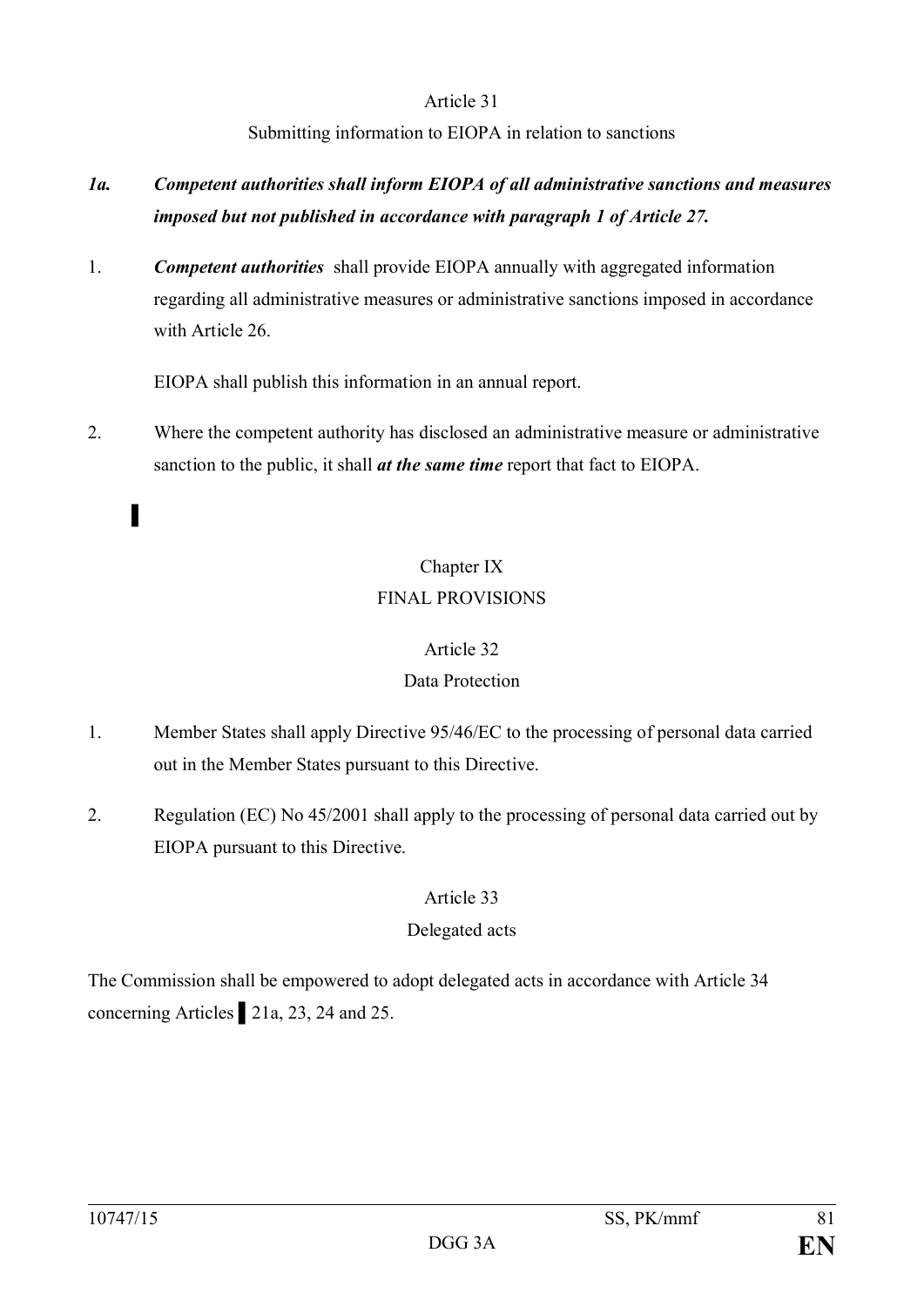Submitting information to EIOPA in relation to sanctions

- *1a. Competent authorities shall inform EIOPA of all administrative sanctions and measures imposed but not published in accordance with paragraph 1 of Article 27.*
- 1. *Competent authorities* shall provide EIOPA annually with aggregated information regarding all administrative measures or administrative sanctions imposed in accordance with Article 26.

EIOPA shall publish this information in an annual report.

2. Where the competent authority has disclosed an administrative measure or administrative sanction to the public, it shall *at the same time* report that fact to EIOPA.

# Chapter IX FINAL PROVISIONS

### Article 32

## Data Protection

- 1. Member States shall apply Directive 95/46/EC to the processing of personal data carried out in the Member States pursuant to this Directive.
- 2. Regulation (EC) No 45/2001 shall apply to the processing of personal data carried out by EIOPA pursuant to this Directive.

## Article 33

## Delegated acts

The Commission shall be empowered to adopt delegated acts in accordance with Article 34 concerning Articles ▌21a, 23, 24 and 25.

▌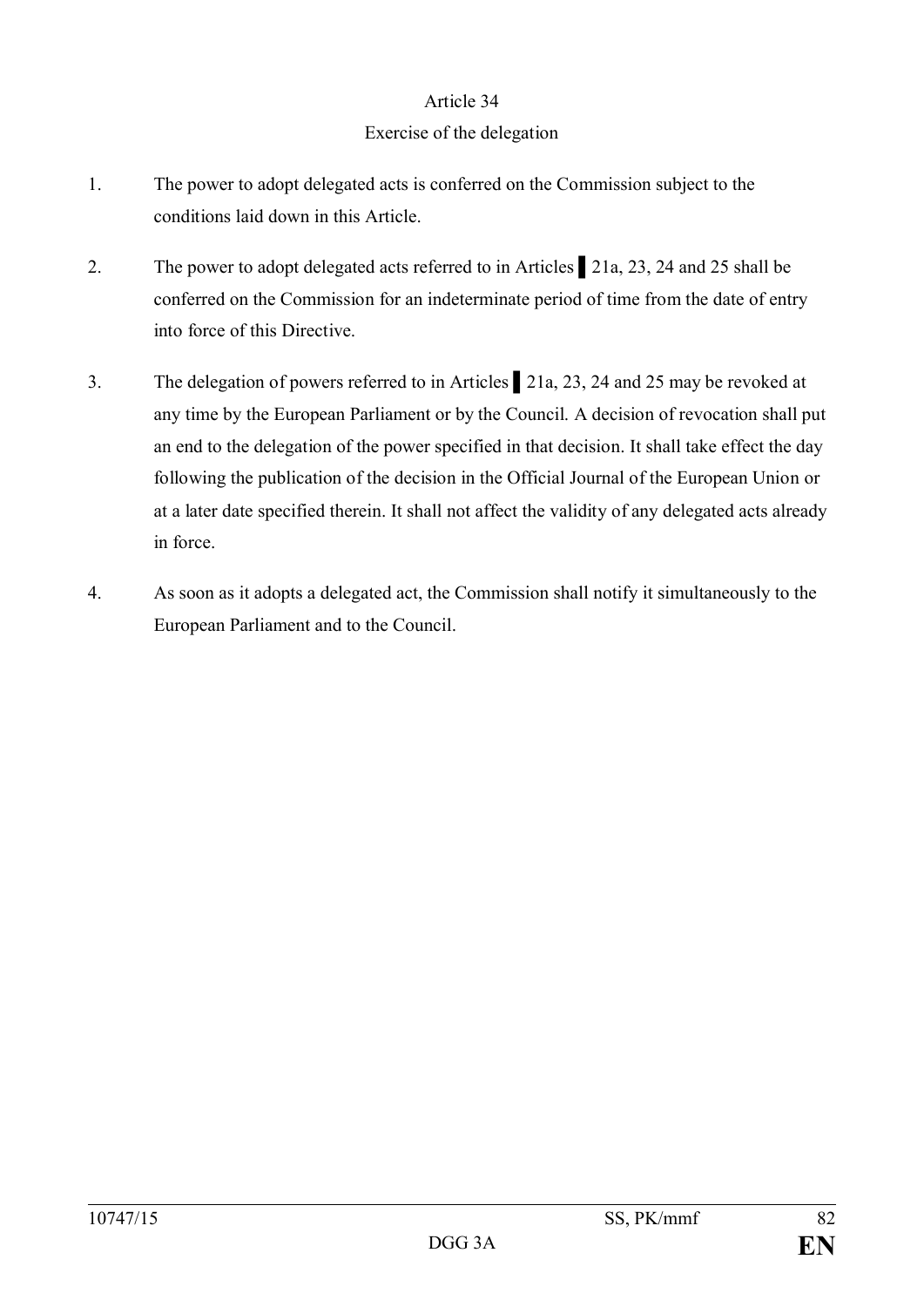#### Exercise of the delegation

- 1. The power to adopt delegated acts is conferred on the Commission subject to the conditions laid down in this Article.
- 2. The power to adopt delegated acts referred to in Articles 21a, 23, 24 and 25 shall be conferred on the Commission for an indeterminate period of time from the date of entry into force of this Directive.
- 3. The delegation of powers referred to in Articles ▌21a, 23, 24 and 25 may be revoked at any time by the European Parliament or by the Council. A decision of revocation shall put an end to the delegation of the power specified in that decision. It shall take effect the day following the publication of the decision in the Official Journal of the European Union or at a later date specified therein. It shall not affect the validity of any delegated acts already in force.
- 4. As soon as it adopts a delegated act, the Commission shall notify it simultaneously to the European Parliament and to the Council.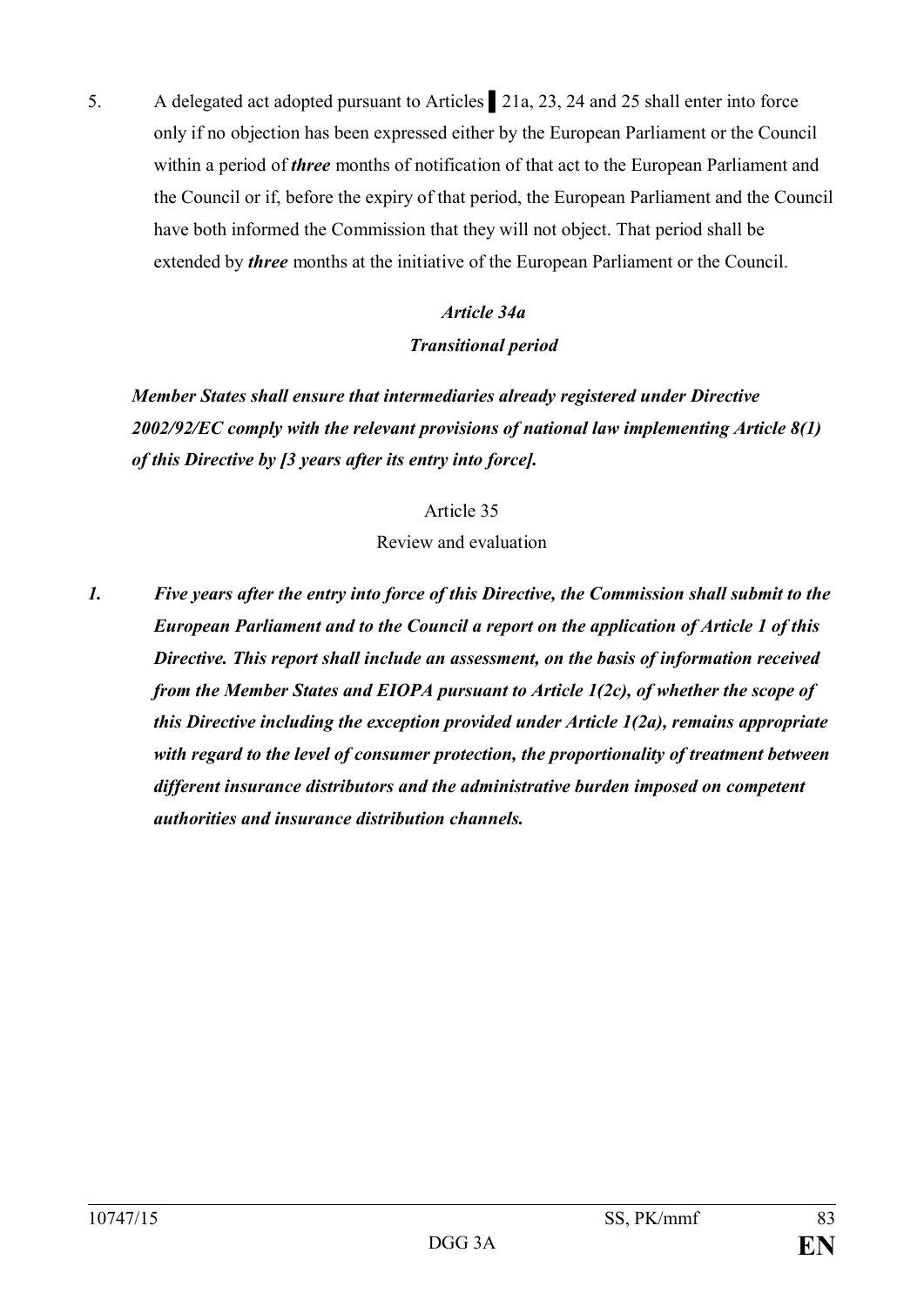5. A delegated act adopted pursuant to Articles ▌21a, 23, 24 and 25 shall enter into force only if no objection has been expressed either by the European Parliament or the Council within a period of *three* months of notification of that act to the European Parliament and the Council or if, before the expiry of that period, the European Parliament and the Council have both informed the Commission that they will not object. That period shall be extended by *three* months at the initiative of the European Parliament or the Council.

## *Article 34a Transitional period*

*Member States shall ensure that intermediaries already registered under Directive 2002/92/EC comply with the relevant provisions of national law implementing Article 8(1) of this Directive by [3 years after its entry into force].*

#### Article 35

#### Review and evaluation

*1. Five years after the entry into force of this Directive, the Commission shall submit to the European Parliament and to the Council a report on the application of Article 1 of this Directive. This report shall include an assessment, on the basis of information received from the Member States and EIOPA pursuant to Article 1(2c), of whether the scope of this Directive including the exception provided under Article 1(2a), remains appropriate with regard to the level of consumer protection, the proportionality of treatment between different insurance distributors and the administrative burden imposed on competent authorities and insurance distribution channels.*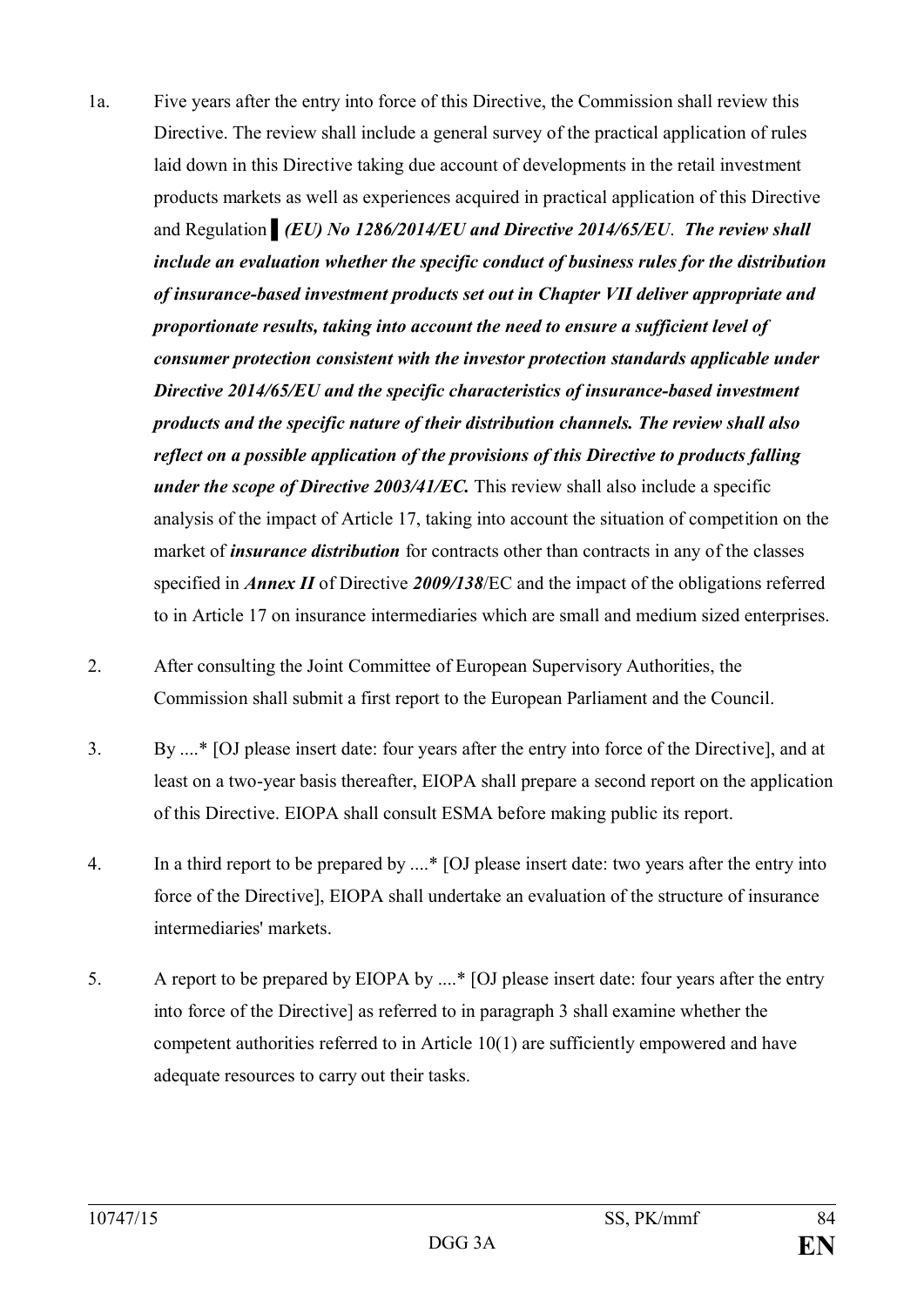- 1a. Five years after the entry into force of this Directive, the Commission shall review this Directive. The review shall include a general survey of the practical application of rules laid down in this Directive taking due account of developments in the retail investment products markets as well as experiences acquired in practical application of this Directive and Regulation *▌(EU) No 1286/2014/EU and Directive 2014/65/EU*. *The review shall include an evaluation whether the specific conduct of business rules for the distribution of insurance-based investment products set out in Chapter VII deliver appropriate and proportionate results, taking into account the need to ensure a sufficient level of consumer protection consistent with the investor protection standards applicable under Directive 2014/65/EU and the specific characteristics of insurance-based investment products and the specific nature of their distribution channels. The review shall also reflect on a possible application of the provisions of this Directive to products falling under the scope of Directive 2003/41/EC.* This review shall also include a specific analysis of the impact of Article 17, taking into account the situation of competition on the market of *insurance distribution* for contracts other than contracts in any of the classes specified in *Annex II* of Directive *2009/138*/EC and the impact of the obligations referred to in Article 17 on insurance intermediaries which are small and medium sized enterprises.
- 2. After consulting the Joint Committee of European Supervisory Authorities, the Commission shall submit a first report to the European Parliament and the Council.
- 3. By ....\* [OJ please insert date: four years after the entry into force of the Directive], and at least on a two-year basis thereafter, EIOPA shall prepare a second report on the application of this Directive. EIOPA shall consult ESMA before making public its report.
- 4. In a third report to be prepared by ....\* [OJ please insert date: two years after the entry into force of the Directive], EIOPA shall undertake an evaluation of the structure of insurance intermediaries' markets.
- 5. A report to be prepared by EIOPA by ....\* [OJ please insert date: four years after the entry into force of the Directive] as referred to in paragraph 3 shall examine whether the competent authorities referred to in Article 10(1) are sufficiently empowered and have adequate resources to carry out their tasks.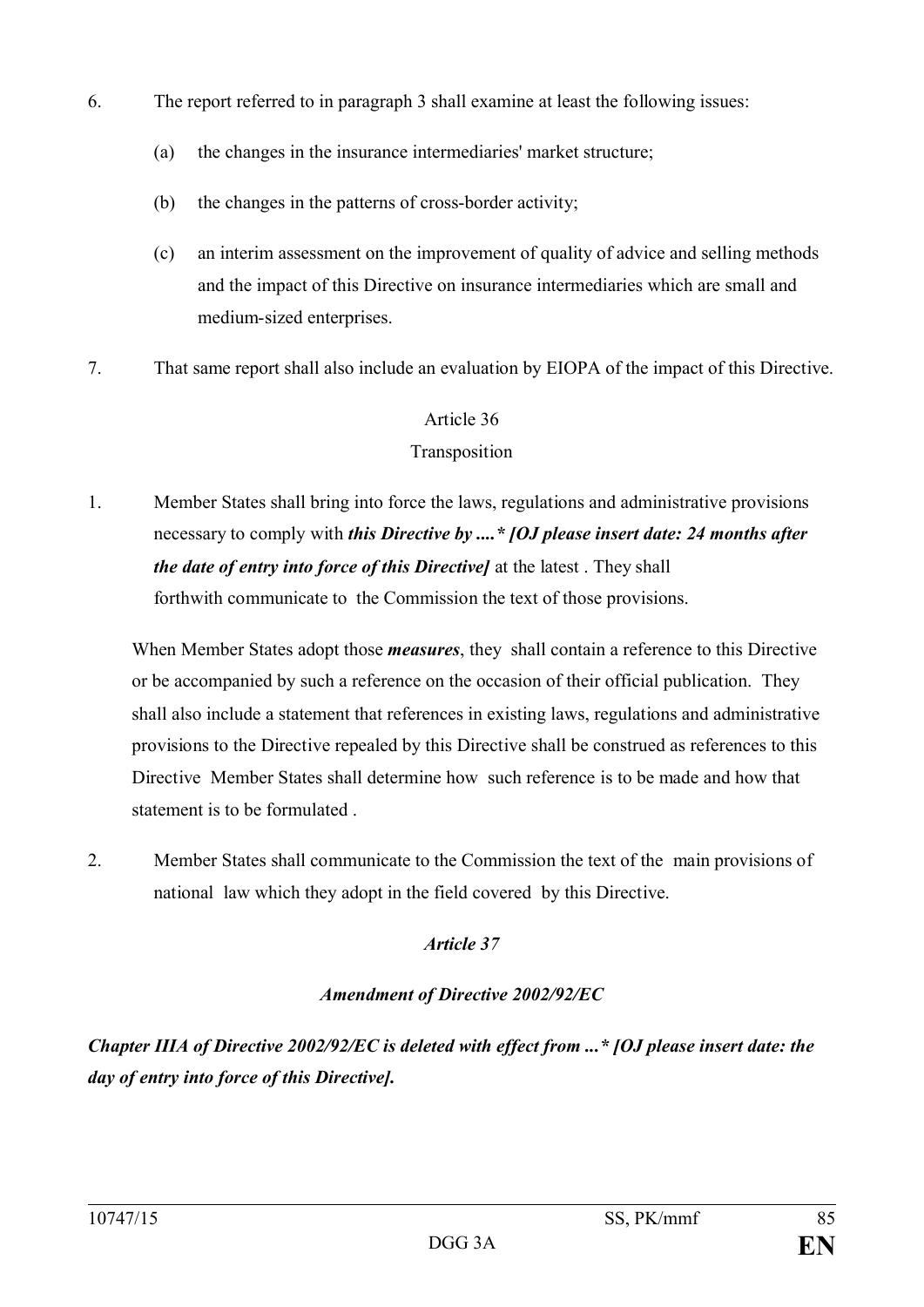- 6. The report referred to in paragraph 3 shall examine at least the following issues:
	- (a) the changes in the insurance intermediaries' market structure;
	- (b) the changes in the patterns of cross-border activity;
	- (c) an interim assessment on the improvement of quality of advice and selling methods and the impact of this Directive on insurance intermediaries which are small and medium-sized enterprises.
- 7. That same report shall also include an evaluation by EIOPA of the impact of this Directive.

### Transposition

1. Member States shall bring into force the laws, regulations and administrative provisions necessary to comply with *this Directive by ....\* [OJ please insert date: 24 months after the date of entry into force of this Directive]* at the latest . They shall forthwith communicate to the Commission the text of those provisions.

When Member States adopt those *measures*, they shall contain a reference to this Directive or be accompanied by such a reference on the occasion of their official publication. They shall also include a statement that references in existing laws, regulations and administrative provisions to the Directive repealed by this Directive shall be construed as references to this Directive Member States shall determine how such reference is to be made and how that statement is to be formulated .

2. Member States shall communicate to the Commission the text of the main provisions of national law which they adopt in the field covered by this Directive.

### *Article 37*

### *Amendment of Directive 2002/92/EC*

*Chapter IIIA of Directive 2002/92/EC is deleted with effect from ...\* [OJ please insert date: the day of entry into force of this Directive].*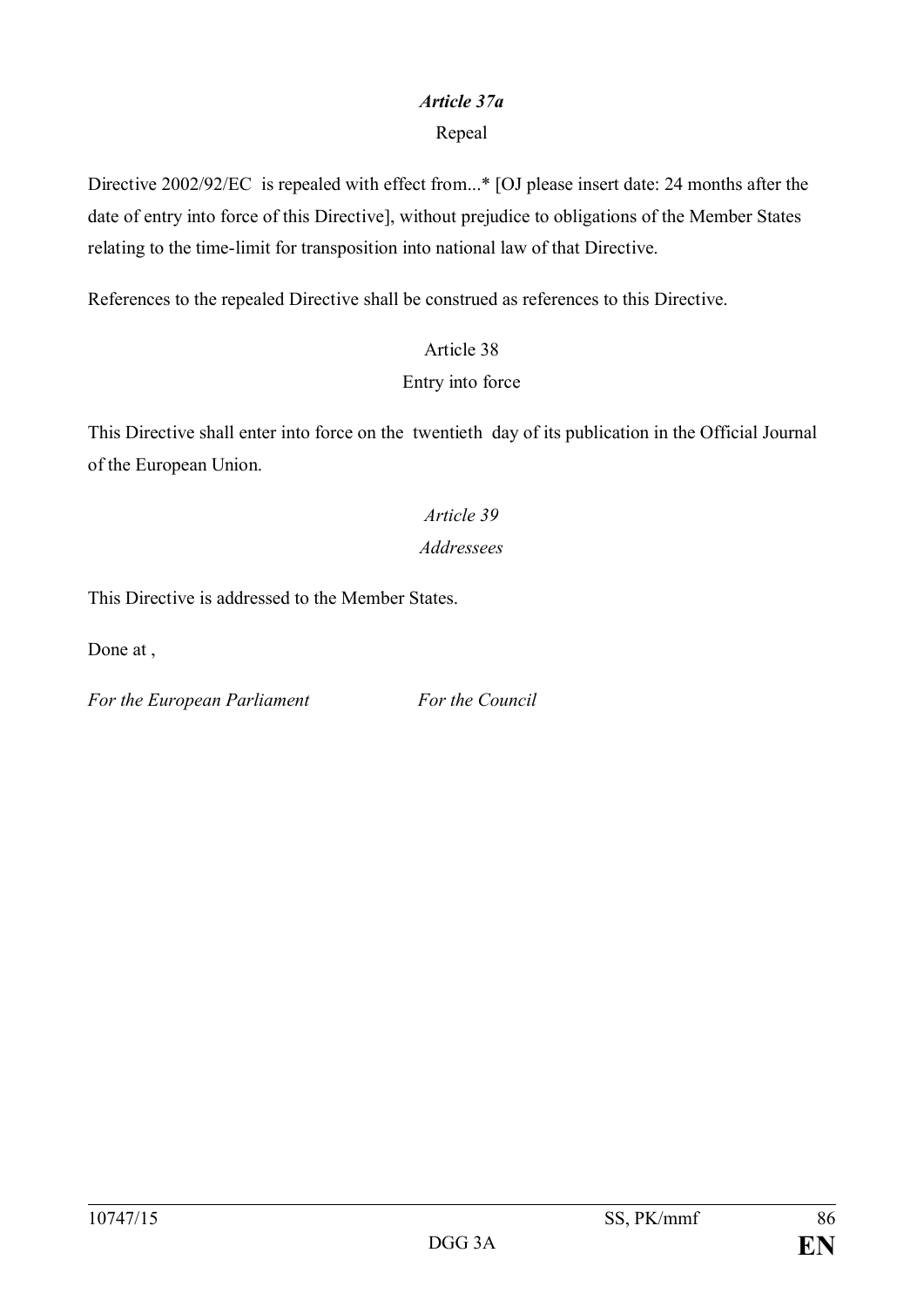#### *Article 37a*

#### Repeal

Directive 2002/92/EC is repealed with effect from...\* [OJ please insert date: 24 months after the date of entry into force of this Directive], without prejudice to obligations of the Member States relating to the time-limit for transposition into national law of that Directive.

References to the repealed Directive shall be construed as references to this Directive.

# Article 38 Entry into force

This Directive shall enter into force on the twentieth day of its publication in the Official Journal of the European Union.

# *Article 39 Addressees*

This Directive is addressed to the Member States.

Done at ,

*For the European Parliament For the Council*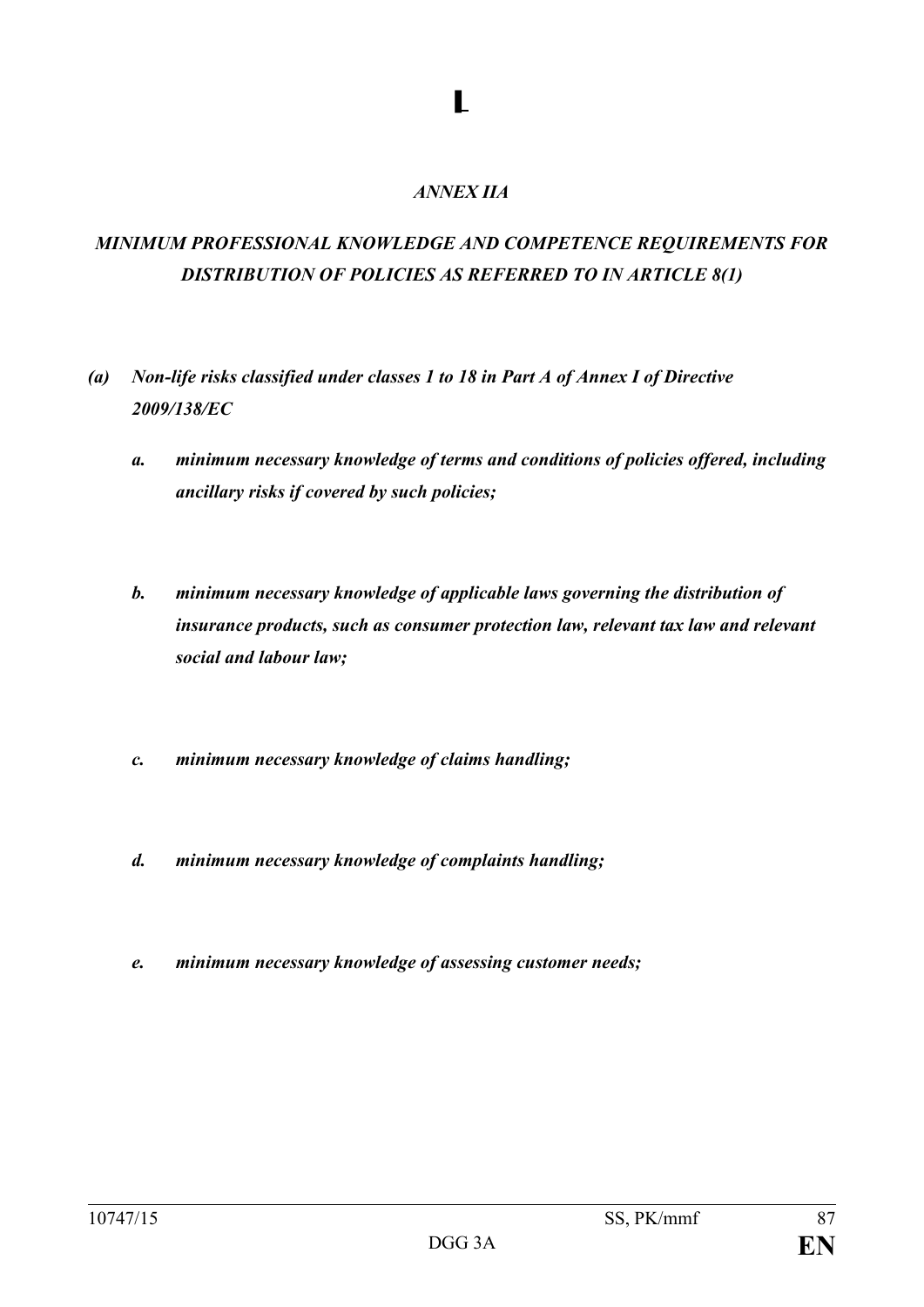#### *ANNEX IIA*

**▌**

# *MINIMUM PROFESSIONAL KNOWLEDGE AND COMPETENCE REQUIREMENTS FOR DISTRIBUTION OF POLICIES AS REFERRED TO IN ARTICLE 8(1)*

- *(a) Non-life risks classified under classes 1 to 18 in Part A of Annex I of Directive 2009/138/EC*
	- *a. minimum necessary knowledge of terms and conditions of policies offered, including ancillary risks if covered by such policies;*
	- *b. minimum necessary knowledge of applicable laws governing the distribution of insurance products, such as consumer protection law, relevant tax law and relevant social and labour law;*
	- *c. minimum necessary knowledge of claims handling;*
	- *d. minimum necessary knowledge of complaints handling;*
	- *e. minimum necessary knowledge of assessing customer needs;*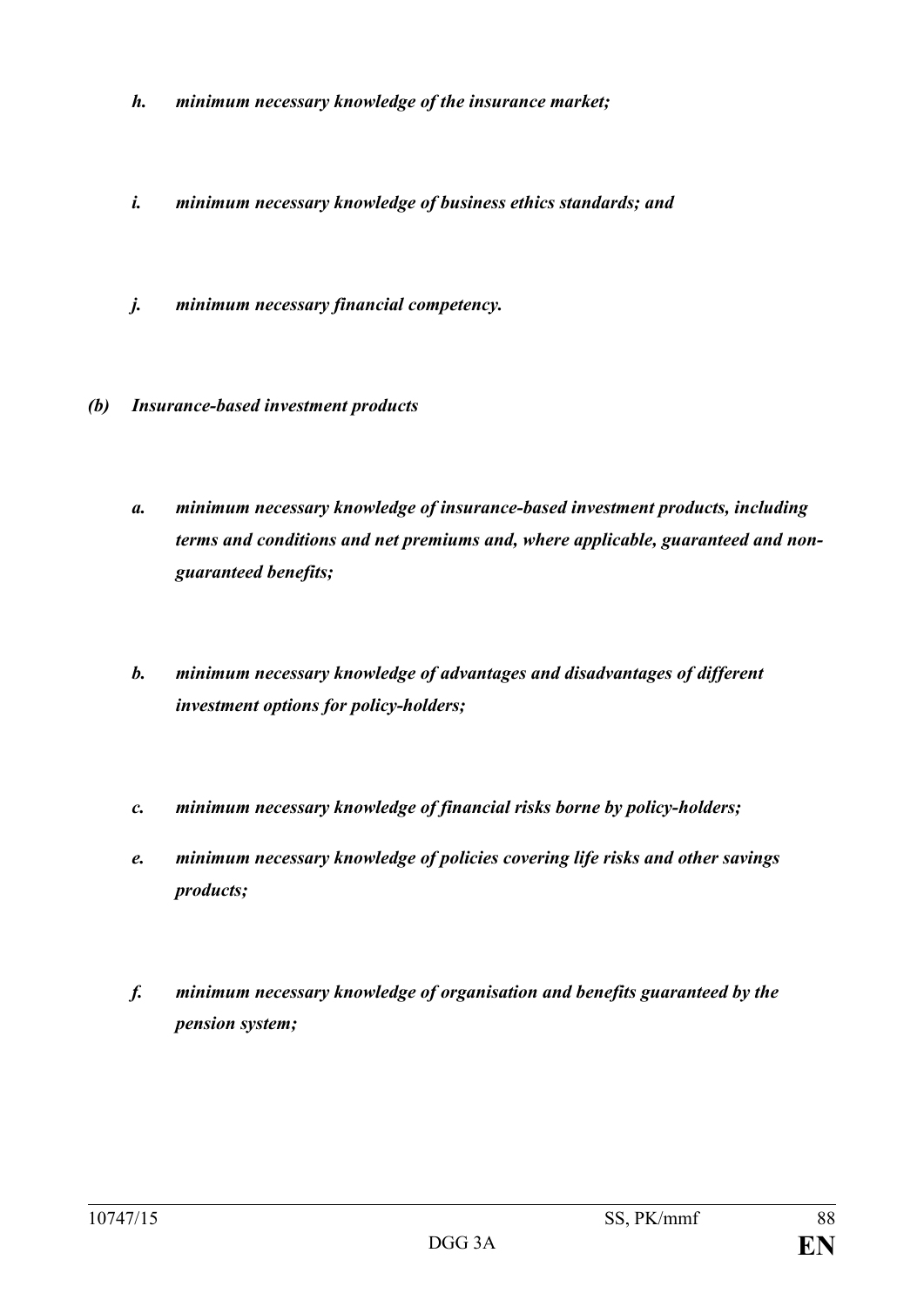- *h. minimum necessary knowledge of the insurance market;*
- *i. minimum necessary knowledge of business ethics standards; and*
- *j. minimum necessary financial competency.*
- *(b) Insurance-based investment products*
	- *a. minimum necessary knowledge of insurance-based investment products, including terms and conditions and net premiums and, where applicable, guaranteed and nonguaranteed benefits;*
	- *b. minimum necessary knowledge of advantages and disadvantages of different investment options for policy-holders;*
	- *c. minimum necessary knowledge of financial risks borne by policy-holders;*
	- *e. minimum necessary knowledge of policies covering life risks and other savings products;*
	- *f. minimum necessary knowledge of organisation and benefits guaranteed by the pension system;*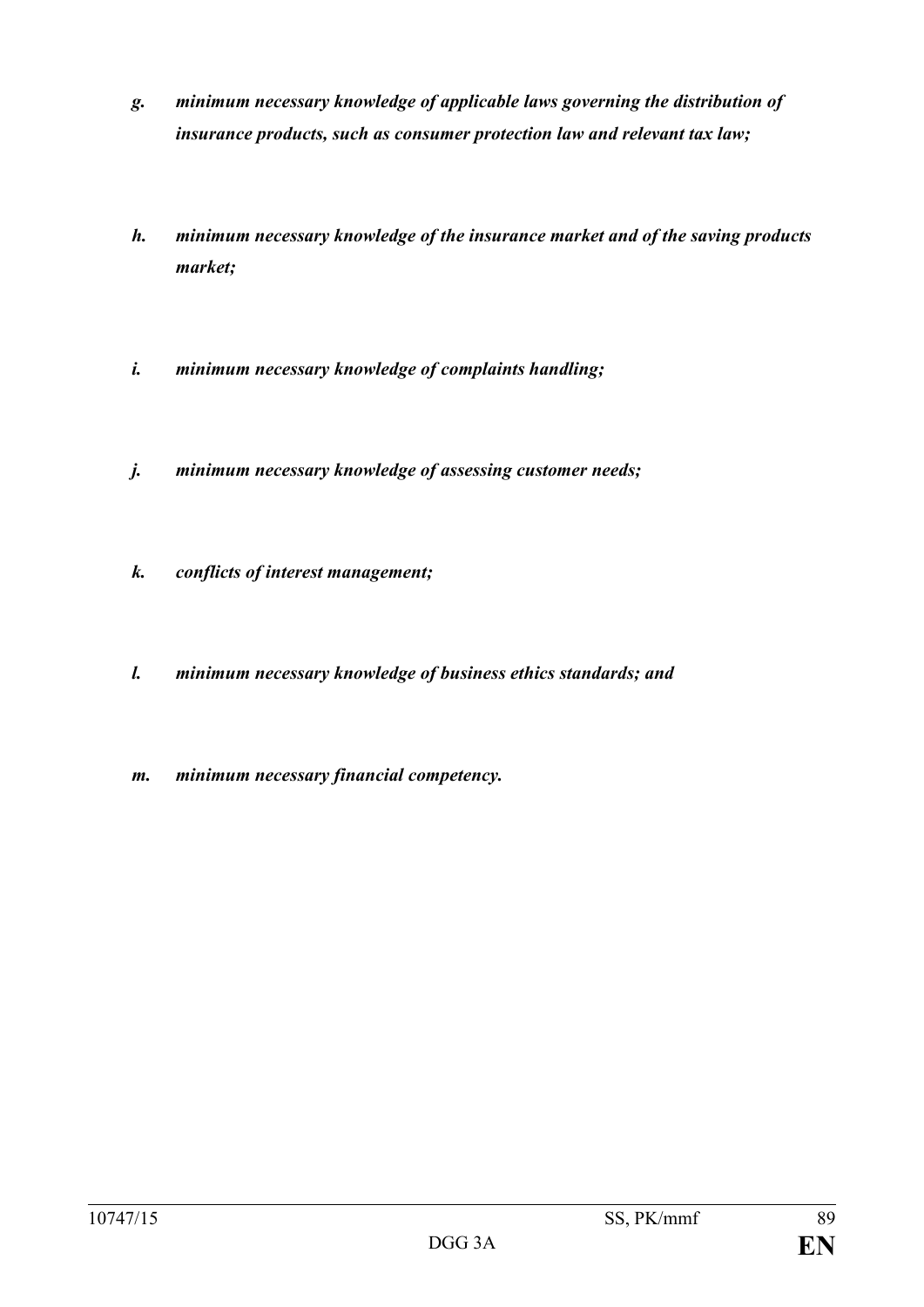- *g. minimum necessary knowledge of applicable laws governing the distribution of insurance products, such as consumer protection law and relevant tax law;*
- *h. minimum necessary knowledge of the insurance market and of the saving products market;*
- *i. minimum necessary knowledge of complaints handling;*
- *j. minimum necessary knowledge of assessing customer needs;*
- *k. conflicts of interest management;*
- *l. minimum necessary knowledge of business ethics standards; and*
- *m. minimum necessary financial competency.*